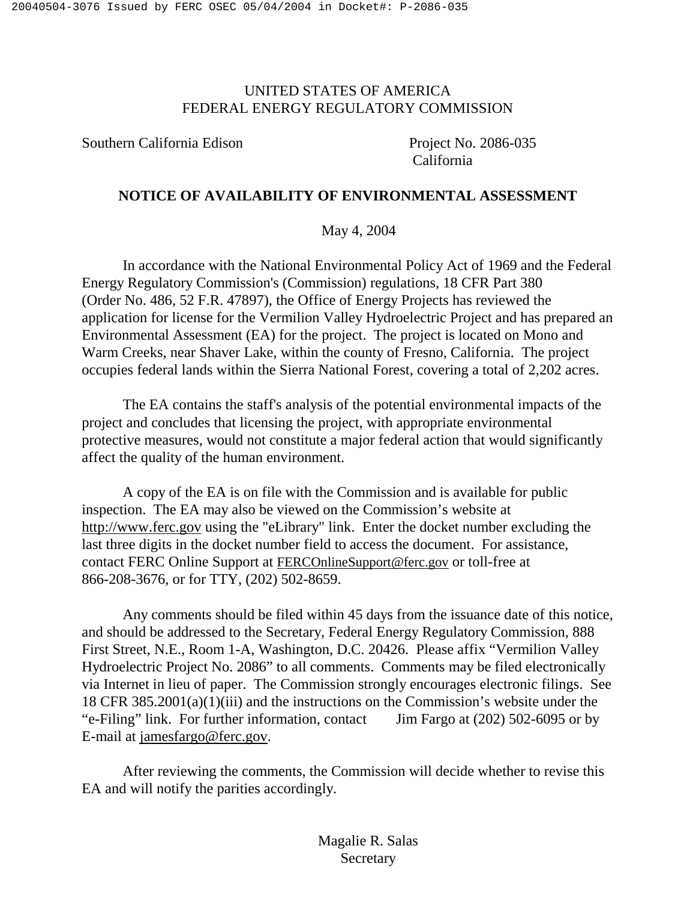# UNITED STATES OF AMERICA FEDERAL ENERGY REGULATORY COMMISSION

Southern California Edison Project No. 2086-035

California

# **NOTICE OF AVAILABILITY OF ENVIRONMENTAL ASSESSMENT**

May 4, 2004

In accordance with the National Environmental Policy Act of 1969 and the Federal Energy Regulatory Commission's (Commission) regulations, 18 CFR Part 380 (Order No. 486, 52 F.R. 47897), the Office of Energy Projects has reviewed the application for license for the Vermilion Valley Hydroelectric Project and has prepared an Environmental Assessment (EA) for the project. The project is located on Mono and Warm Creeks, near Shaver Lake, within the county of Fresno, California. The project occupies federal lands within the Sierra National Forest, covering a total of 2,202 acres.

The EA contains the staff's analysis of the potential environmental impacts of the project and concludes that licensing the project, with appropriate environmental protective measures, would not constitute a major federal action that would significantly affect the quality of the human environment.

A copy of the EA is on file with the Commission and is available for public inspection. The EA may also be viewed on the Commission's website at http://www.ferc.gov using the "eLibrary" link. Enter the docket number excluding the last three digits in the docket number field to access the document. For assistance, contact FERC Online Support at FERCOnlineSupport@ferc.gov or toll-free at 866-208-3676, or for TTY, (202) 502-8659.

Any comments should be filed within 45 days from the issuance date of this notice, and should be addressed to the Secretary, Federal Energy Regulatory Commission, 888 First Street, N.E., Room 1-A, Washington, D.C. 20426. Please affix "Vermilion Valley Hydroelectric Project No. 2086" to all comments. Comments may be filed electronically via Internet in lieu of paper. The Commission strongly encourages electronic filings. See 18 CFR 385.2001(a)(1)(iii) and the instructions on the Commission's website under the "e-Filing" link. For further information, contact Jim Fargo at (202) 502-6095 or by E-mail at jamesfargo@ferc.gov.

After reviewing the comments, the Commission will decide whether to revise this EA and will notify the parities accordingly.

> Magalie R. Salas **Secretary**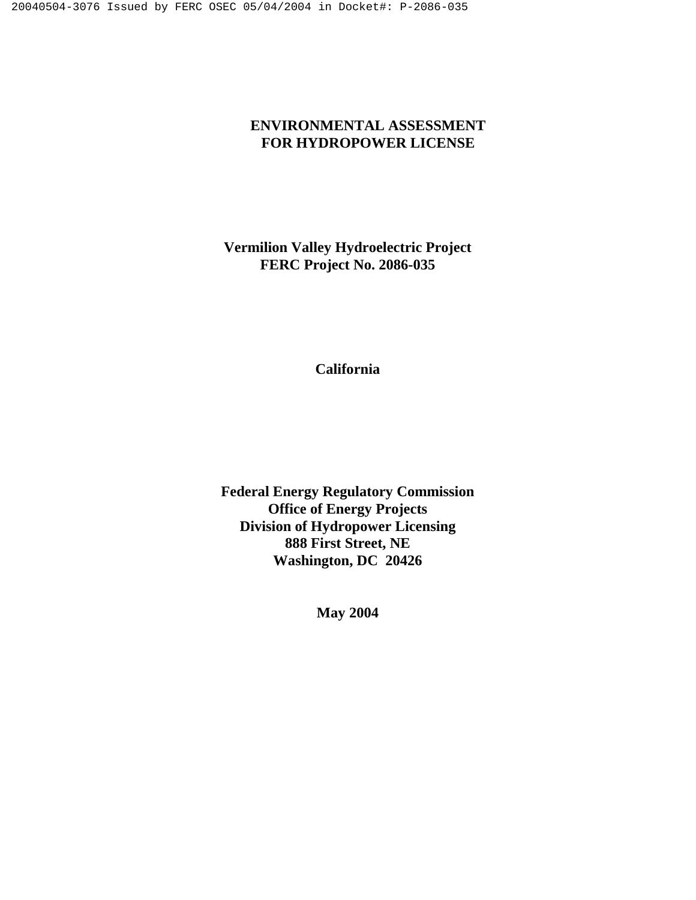# **ENVIRONMENTAL ASSESSMENT FOR HYDROPOWER LICENSE**

**Vermilion Valley Hydroelectric Project FERC Project No. 2086-035** 

**California** 

**Federal Energy Regulatory Commission Office of Energy Projects Division of Hydropower Licensing 888 First Street, NE Washington, DC 20426**

**May 2004**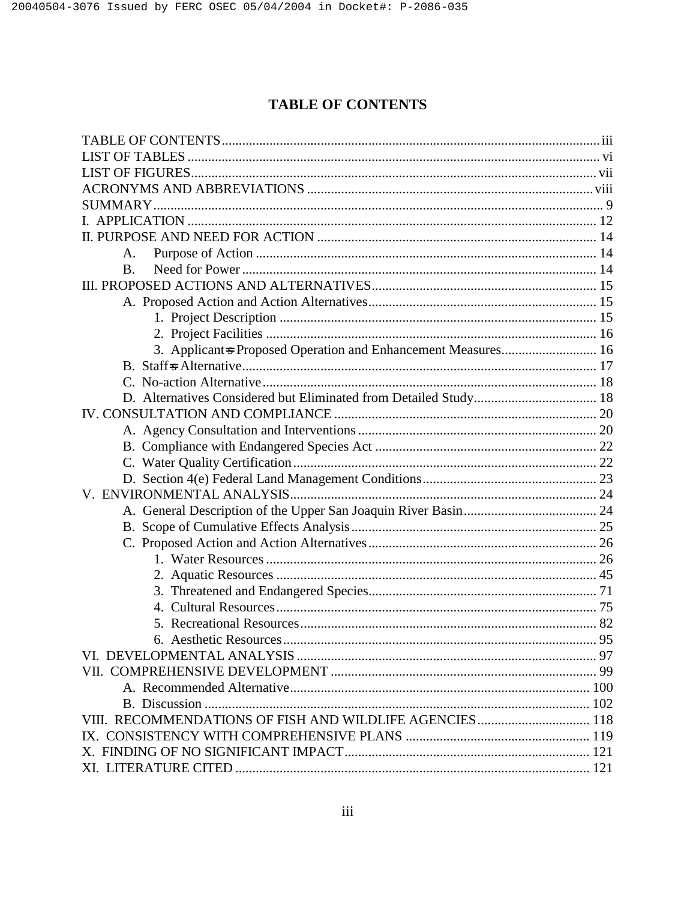# **TABLE OF CONTENTS**

| A.                                                            |  |
|---------------------------------------------------------------|--|
| <b>B.</b>                                                     |  |
|                                                               |  |
|                                                               |  |
|                                                               |  |
|                                                               |  |
| 3. Applicant=s Proposed Operation and Enhancement Measures 16 |  |
|                                                               |  |
|                                                               |  |
|                                                               |  |
|                                                               |  |
|                                                               |  |
|                                                               |  |
|                                                               |  |
|                                                               |  |
|                                                               |  |
|                                                               |  |
|                                                               |  |
|                                                               |  |
|                                                               |  |
|                                                               |  |
|                                                               |  |
|                                                               |  |
|                                                               |  |
|                                                               |  |
|                                                               |  |
|                                                               |  |
|                                                               |  |
|                                                               |  |
|                                                               |  |
|                                                               |  |
|                                                               |  |
|                                                               |  |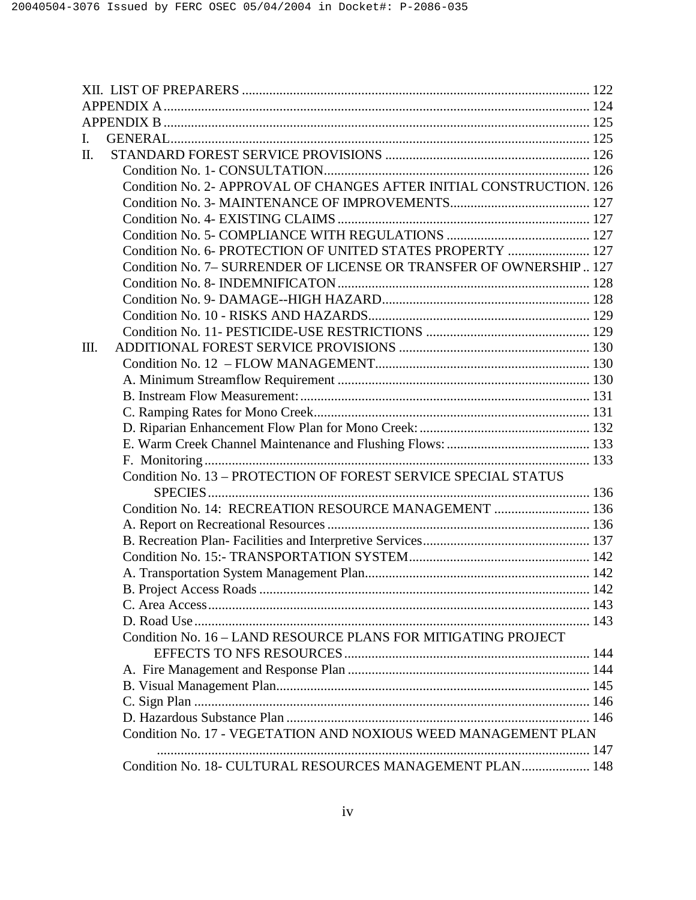| I. |                                                                      |  |
|----|----------------------------------------------------------------------|--|
| П. |                                                                      |  |
|    |                                                                      |  |
|    | Condition No. 2- APPROVAL OF CHANGES AFTER INITIAL CONSTRUCTION. 126 |  |
|    |                                                                      |  |
|    |                                                                      |  |
|    |                                                                      |  |
|    | Condition No. 6- PROTECTION OF UNITED STATES PROPERTY  127           |  |
|    | Condition No. 7- SURRENDER OF LICENSE OR TRANSFER OF OWNERSHIP 127   |  |
|    |                                                                      |  |
|    |                                                                      |  |
|    |                                                                      |  |
|    |                                                                      |  |
| Ш. |                                                                      |  |
|    |                                                                      |  |
|    |                                                                      |  |
|    |                                                                      |  |
|    |                                                                      |  |
|    |                                                                      |  |
|    |                                                                      |  |
|    |                                                                      |  |
|    | Condition No. 13 - PROTECTION OF FOREST SERVICE SPECIAL STATUS       |  |
|    |                                                                      |  |
|    | Condition No. 14: RECREATION RESOURCE MANAGEMENT  136                |  |
|    |                                                                      |  |
|    |                                                                      |  |
|    |                                                                      |  |
|    |                                                                      |  |
|    |                                                                      |  |
|    |                                                                      |  |
|    |                                                                      |  |
|    | Condition No. 16 - LAND RESOURCE PLANS FOR MITIGATING PROJECT        |  |
|    |                                                                      |  |
|    |                                                                      |  |
|    |                                                                      |  |
|    |                                                                      |  |
|    |                                                                      |  |
|    | Condition No. 17 - VEGETATION AND NOXIOUS WEED MANAGEMENT PLAN       |  |
|    |                                                                      |  |
|    | Condition No. 18- CULTURAL RESOURCES MANAGEMENT PLAN 148             |  |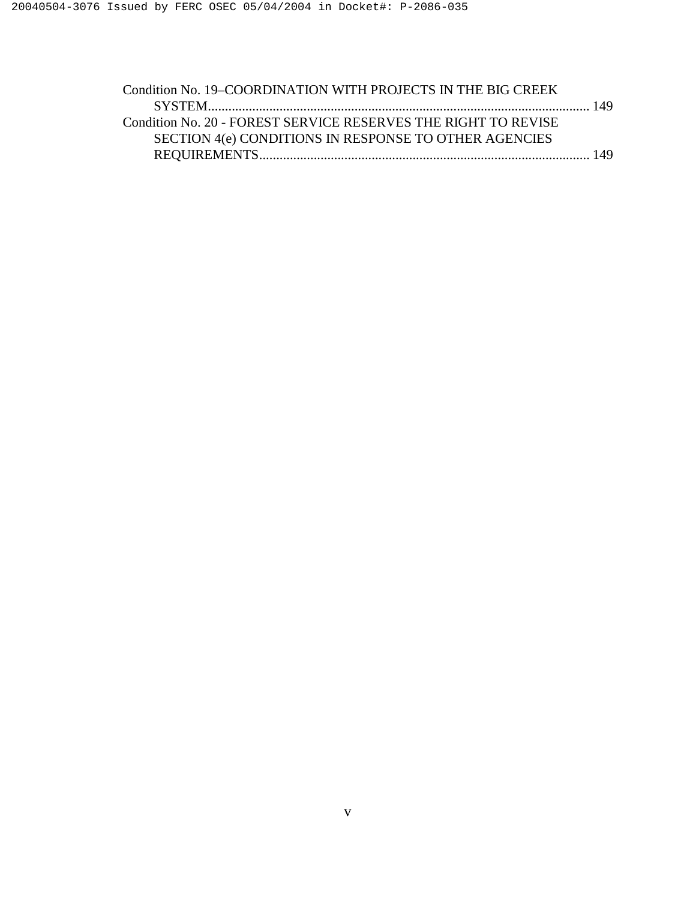| Condition No. 19–COORDINATION WITH PROJECTS IN THE BIG CREEK   |  |
|----------------------------------------------------------------|--|
|                                                                |  |
| Condition No. 20 - FOREST SERVICE RESERVES THE RIGHT TO REVISE |  |
| SECTION 4(e) CONDITIONS IN RESPONSE TO OTHER AGENCIES          |  |
|                                                                |  |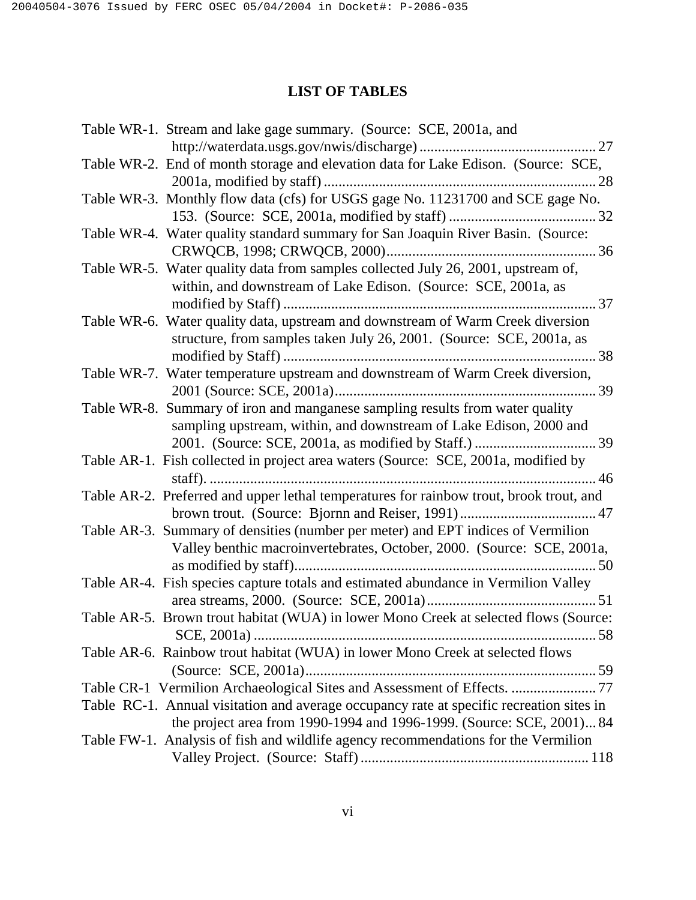# **LIST OF TABLES**

| Table WR-1. Stream and lake gage summary. (Source: SCE, 2001a, and                                                                                      |
|---------------------------------------------------------------------------------------------------------------------------------------------------------|
|                                                                                                                                                         |
| Table WR-2. End of month storage and elevation data for Lake Edison. (Source: SCE,                                                                      |
| Table WR-3. Monthly flow data (cfs) for USGS gage No. 11231700 and SCE gage No.                                                                         |
|                                                                                                                                                         |
| Table WR-4. Water quality standard summary for San Joaquin River Basin. (Source:                                                                        |
|                                                                                                                                                         |
| Table WR-5. Water quality data from samples collected July 26, 2001, upstream of,<br>within, and downstream of Lake Edison. (Source: SCE, 2001a, as     |
|                                                                                                                                                         |
| Table WR-6. Water quality data, upstream and downstream of Warm Creek diversion<br>structure, from samples taken July 26, 2001. (Source: SCE, 2001a, as |
|                                                                                                                                                         |
| Table WR-7. Water temperature upstream and downstream of Warm Creek diversion,                                                                          |
|                                                                                                                                                         |
| Table WR-8. Summary of iron and manganese sampling results from water quality<br>sampling upstream, within, and downstream of Lake Edison, 2000 and     |
|                                                                                                                                                         |
| Table AR-1. Fish collected in project area waters (Source: SCE, 2001a, modified by                                                                      |
| Table AR-2. Preferred and upper lethal temperatures for rainbow trout, brook trout, and                                                                 |
|                                                                                                                                                         |
| Table AR-3. Summary of densities (number per meter) and EPT indices of Vermilion                                                                        |
| Valley benthic macroinvertebrates, October, 2000. (Source: SCE, 2001a,                                                                                  |
|                                                                                                                                                         |
| Table AR-4. Fish species capture totals and estimated abundance in Vermilion Valley                                                                     |
|                                                                                                                                                         |
| Table AR-5. Brown trout habitat (WUA) in lower Mono Creek at selected flows (Source:                                                                    |
|                                                                                                                                                         |
| Table AR-6. Rainbow trout habitat (WUA) in lower Mono Creek at selected flows                                                                           |
|                                                                                                                                                         |
| Table CR-1 Vermilion Archaeological Sites and Assessment of Effects.  77                                                                                |
| Table RC-1. Annual visitation and average occupancy rate at specific recreation sites in                                                                |
| the project area from 1990-1994 and 1996-1999. (Source: SCE, 2001) 84                                                                                   |
| Table FW-1. Analysis of fish and wildlife agency recommendations for the Vermilion                                                                      |
|                                                                                                                                                         |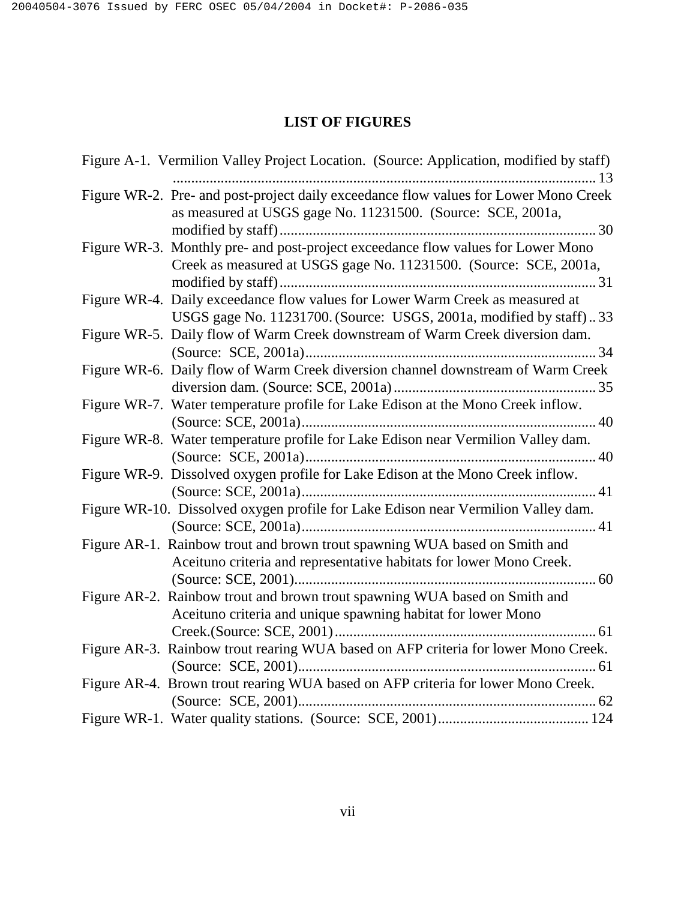# **LIST OF FIGURES**

| Figure A-1. Vermilion Valley Project Location. (Source: Application, modified by staff)                                                               |
|-------------------------------------------------------------------------------------------------------------------------------------------------------|
| Figure WR-2. Pre- and post-project daily exceedance flow values for Lower Mono Creek<br>as measured at USGS gage No. 11231500. (Source: SCE, 2001a,   |
| Figure WR-3. Monthly pre- and post-project exceedance flow values for Lower Mono<br>Creek as measured at USGS gage No. 11231500. (Source: SCE, 2001a, |
| Figure WR-4. Daily exceedance flow values for Lower Warm Creek as measured at<br>USGS gage No. 11231700. (Source: USGS, 2001a, modified by staff)33   |
| Figure WR-5. Daily flow of Warm Creek downstream of Warm Creek diversion dam.                                                                         |
| Figure WR-6. Daily flow of Warm Creek diversion channel downstream of Warm Creek                                                                      |
| Figure WR-7. Water temperature profile for Lake Edison at the Mono Creek inflow.                                                                      |
| Figure WR-8. Water temperature profile for Lake Edison near Vermilion Valley dam.                                                                     |
| Figure WR-9. Dissolved oxygen profile for Lake Edison at the Mono Creek inflow.                                                                       |
| Figure WR-10. Dissolved oxygen profile for Lake Edison near Vermilion Valley dam.                                                                     |
| Figure AR-1. Rainbow trout and brown trout spawning WUA based on Smith and<br>Aceituno criteria and representative habitats for lower Mono Creek.     |
| Figure AR-2. Rainbow trout and brown trout spawning WUA based on Smith and<br>Aceituno criteria and unique spawning habitat for lower Mono            |
| Figure AR-3. Rainbow trout rearing WUA based on AFP criteria for lower Mono Creek.                                                                    |
| Figure AR-4. Brown trout rearing WUA based on AFP criteria for lower Mono Creek.                                                                      |
|                                                                                                                                                       |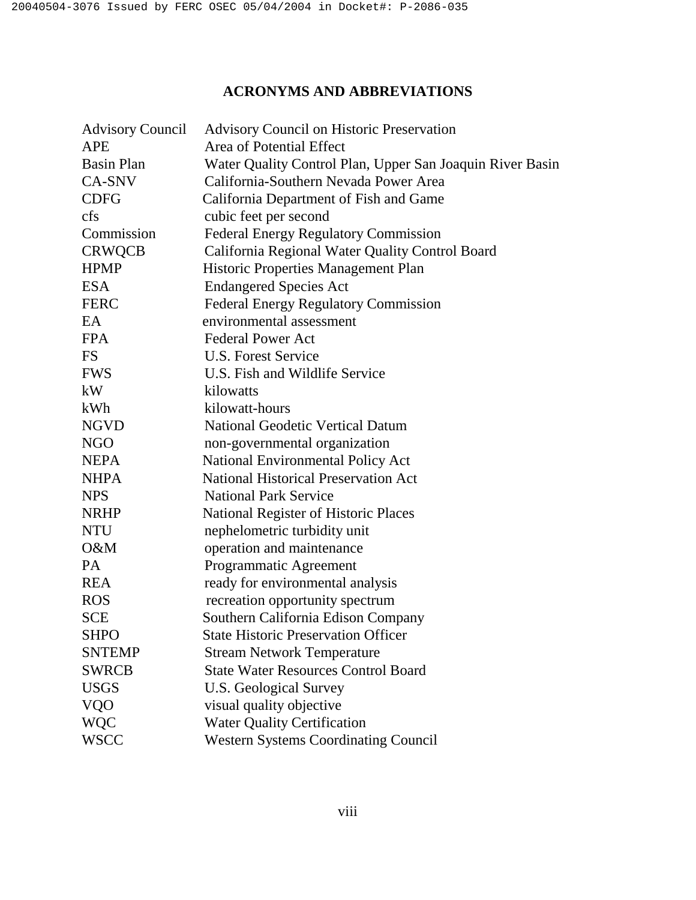# **ACRONYMS AND ABBREVIATIONS**

| <b>Advisory Council</b> | <b>Advisory Council on Historic Preservation</b>          |
|-------------------------|-----------------------------------------------------------|
| <b>APE</b>              | Area of Potential Effect                                  |
| Basin Plan              | Water Quality Control Plan, Upper San Joaquin River Basin |
| CA-SNV                  | California-Southern Nevada Power Area                     |
| <b>CDFG</b>             | California Department of Fish and Game                    |
| cfs                     | cubic feet per second                                     |
| Commission              | <b>Federal Energy Regulatory Commission</b>               |
| <b>CRWQCB</b>           | California Regional Water Quality Control Board           |
| <b>HPMP</b>             | Historic Properties Management Plan                       |
| <b>ESA</b>              | <b>Endangered Species Act</b>                             |
| <b>FERC</b>             | <b>Federal Energy Regulatory Commission</b>               |
| EA                      | environmental assessment                                  |
| <b>FPA</b>              | <b>Federal Power Act</b>                                  |
| <b>FS</b>               | <b>U.S. Forest Service</b>                                |
| <b>FWS</b>              | U.S. Fish and Wildlife Service                            |
| kW                      | kilowatts                                                 |
| kWh                     | kilowatt-hours                                            |
| <b>NGVD</b>             | <b>National Geodetic Vertical Datum</b>                   |
| <b>NGO</b>              | non-governmental organization                             |
| <b>NEPA</b>             | National Environmental Policy Act                         |
| <b>NHPA</b>             | <b>National Historical Preservation Act</b>               |
| <b>NPS</b>              | <b>National Park Service</b>                              |
| <b>NRHP</b>             | National Register of Historic Places                      |
| <b>NTU</b>              | nephelometric turbidity unit                              |
| O&M                     | operation and maintenance                                 |
| PA                      | Programmatic Agreement                                    |
| <b>REA</b>              | ready for environmental analysis                          |
| <b>ROS</b>              | recreation opportunity spectrum                           |
| <b>SCE</b>              | Southern California Edison Company                        |
| <b>SHPO</b>             | <b>State Historic Preservation Officer</b>                |
| <b>SNTEMP</b>           | <b>Stream Network Temperature</b>                         |
| <b>SWRCB</b>            | <b>State Water Resources Control Board</b>                |
| <b>USGS</b>             | <b>U.S. Geological Survey</b>                             |
| <b>VQO</b>              | visual quality objective                                  |
| <b>WQC</b>              | <b>Water Quality Certification</b>                        |
| <b>WSCC</b>             | <b>Western Systems Coordinating Council</b>               |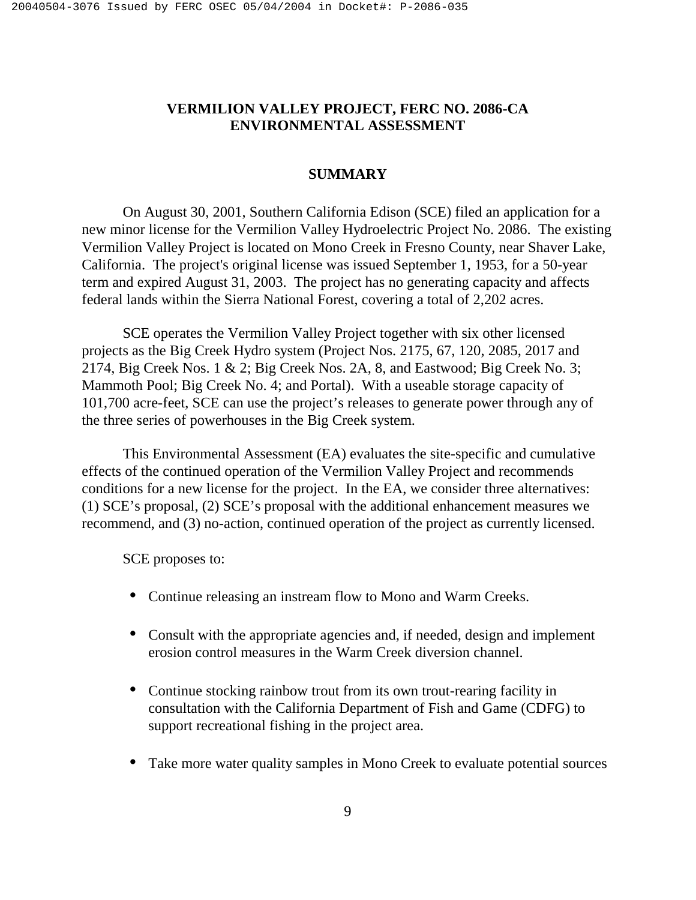# **VERMILION VALLEY PROJECT, FERC NO. 2086-CA ENVIRONMENTAL ASSESSMENT**

# **SUMMARY**

On August 30, 2001, Southern California Edison (SCE) filed an application for a new minor license for the Vermilion Valley Hydroelectric Project No. 2086. The existing Vermilion Valley Project is located on Mono Creek in Fresno County, near Shaver Lake, California. The project's original license was issued September 1, 1953, for a 50-year term and expired August 31, 2003. The project has no generating capacity and affects federal lands within the Sierra National Forest, covering a total of 2,202 acres.

SCE operates the Vermilion Valley Project together with six other licensed projects as the Big Creek Hydro system (Project Nos. 2175, 67, 120, 2085, 2017 and 2174, Big Creek Nos. 1 & 2; Big Creek Nos. 2A, 8, and Eastwood; Big Creek No. 3; Mammoth Pool; Big Creek No. 4; and Portal). With a useable storage capacity of 101,700 acre-feet, SCE can use the project's releases to generate power through any of the three series of powerhouses in the Big Creek system.

 This Environmental Assessment (EA) evaluates the site-specific and cumulative effects of the continued operation of the Vermilion Valley Project and recommends conditions for a new license for the project. In the EA, we consider three alternatives: (1) SCE's proposal, (2) SCE's proposal with the additional enhancement measures we recommend, and (3) no-action, continued operation of the project as currently licensed.

SCE proposes to:

- Continue releasing an instream flow to Mono and Warm Creeks.
- Consult with the appropriate agencies and, if needed, design and implement erosion control measures in the Warm Creek diversion channel.
- Continue stocking rainbow trout from its own trout-rearing facility in consultation with the California Department of Fish and Game (CDFG) to support recreational fishing in the project area.
- Take more water quality samples in Mono Creek to evaluate potential sources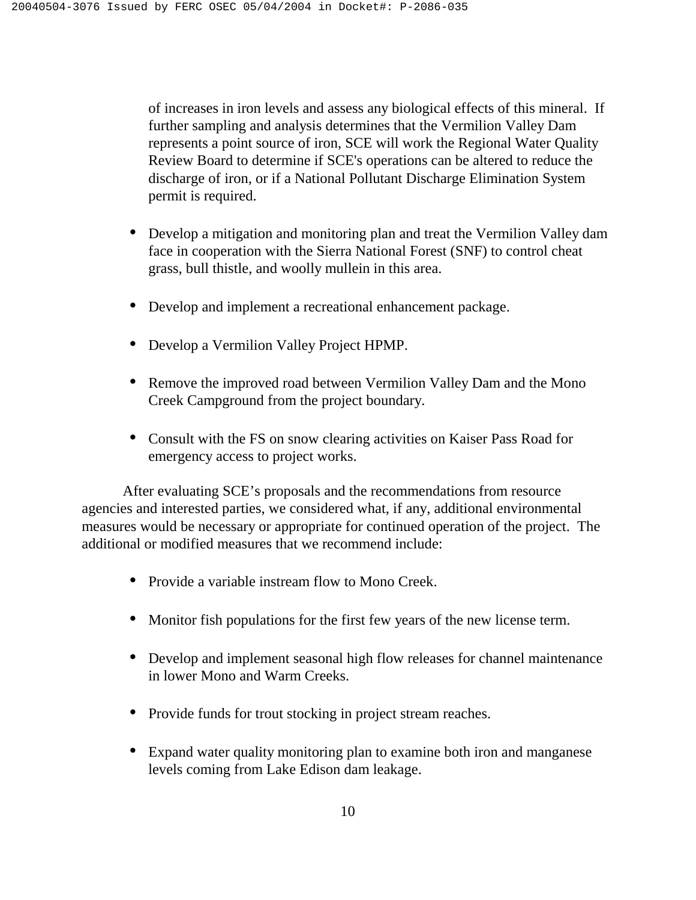of increases in iron levels and assess any biological effects of this mineral. If further sampling and analysis determines that the Vermilion Valley Dam represents a point source of iron, SCE will work the Regional Water Quality Review Board to determine if SCE's operations can be altered to reduce the discharge of iron, or if a National Pollutant Discharge Elimination System permit is required.

- Develop a mitigation and monitoring plan and treat the Vermilion Valley dam face in cooperation with the Sierra National Forest (SNF) to control cheat grass, bull thistle, and woolly mullein in this area.
- Develop and implement a recreational enhancement package.
- Develop a Vermilion Valley Project HPMP.
- Remove the improved road between Vermilion Valley Dam and the Mono Creek Campground from the project boundary.
- Consult with the FS on snow clearing activities on Kaiser Pass Road for emergency access to project works.

 After evaluating SCE's proposals and the recommendations from resource agencies and interested parties, we considered what, if any, additional environmental measures would be necessary or appropriate for continued operation of the project. The additional or modified measures that we recommend include:

- Provide a variable instream flow to Mono Creek.
- Monitor fish populations for the first few years of the new license term.
- Develop and implement seasonal high flow releases for channel maintenance in lower Mono and Warm Creeks.
- Provide funds for trout stocking in project stream reaches.
- Expand water quality monitoring plan to examine both iron and manganese levels coming from Lake Edison dam leakage.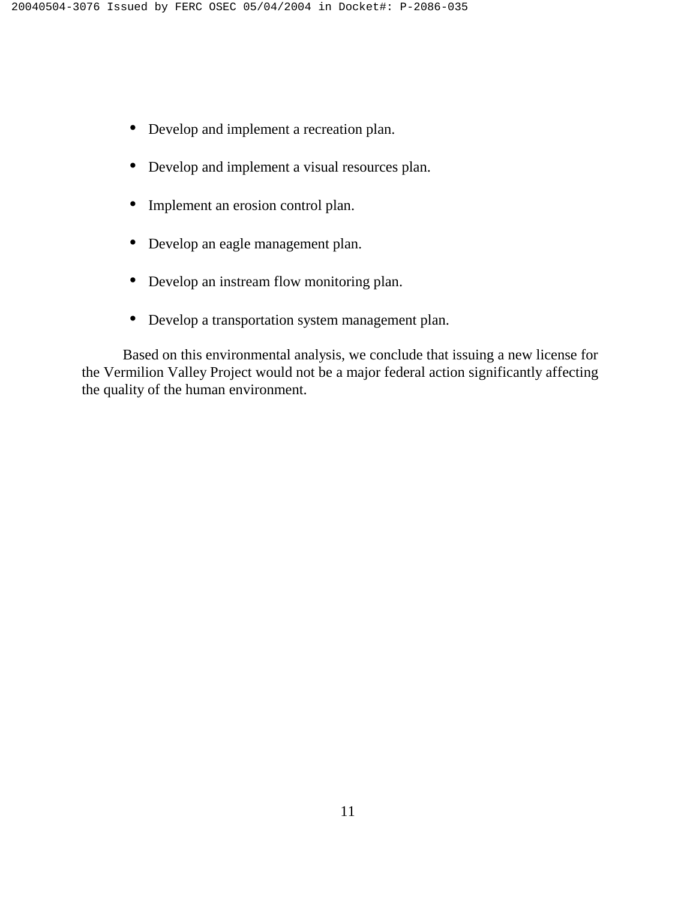- Develop and implement a recreation plan.
- Develop and implement a visual resources plan.
- Implement an erosion control plan.
- Develop an eagle management plan.
- Develop an instream flow monitoring plan.
- Develop a transportation system management plan.

 Based on this environmental analysis, we conclude that issuing a new license for the Vermilion Valley Project would not be a major federal action significantly affecting the quality of the human environment.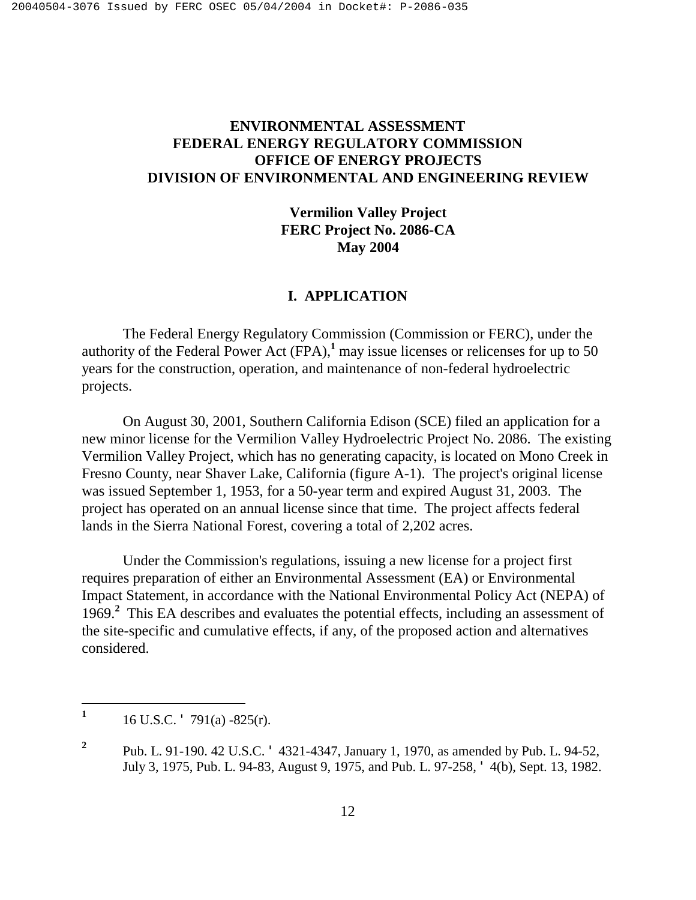# **ENVIRONMENTAL ASSESSMENT FEDERAL ENERGY REGULATORY COMMISSION OFFICE OF ENERGY PROJECTS DIVISION OF ENVIRONMENTAL AND ENGINEERING REVIEW**

**Vermilion Valley Project FERC Project No. 2086-CA May 2004** 

# **I. APPLICATION**

The Federal Energy Regulatory Commission (Commission or FERC), under the authority of the Federal Power Act  $(FPA)$ ,<sup>1</sup> may issue licenses or relicenses for up to 50 years for the construction, operation, and maintenance of non-federal hydroelectric projects.

On August 30, 2001, Southern California Edison (SCE) filed an application for a new minor license for the Vermilion Valley Hydroelectric Project No. 2086. The existing Vermilion Valley Project, which has no generating capacity, is located on Mono Creek in Fresno County, near Shaver Lake, California (figure A-1). The project's original license was issued September 1, 1953, for a 50-year term and expired August 31, 2003. The project has operated on an annual license since that time. The project affects federal lands in the Sierra National Forest, covering a total of 2,202 acres.

Under the Commission's regulations, issuing a new license for a project first requires preparation of either an Environmental Assessment (EA) or Environmental Impact Statement, in accordance with the National Environmental Policy Act (NEPA) of 1969.**<sup>2</sup>** This EA describes and evaluates the potential effects, including an assessment of the site-specific and cumulative effects, if any, of the proposed action and alternatives considered.

<u>.</u>

**<sup>1</sup>** 16 U.S.C. ' 791(a) -825(r).

**<sup>2</sup>** Pub. L. 91-190. 42 U.S.C. ' 4321-4347, January 1, 1970, as amended by Pub. L. 94-52, July 3, 1975, Pub. L. 94-83, August 9, 1975, and Pub. L. 97-258, ' 4(b), Sept. 13, 1982.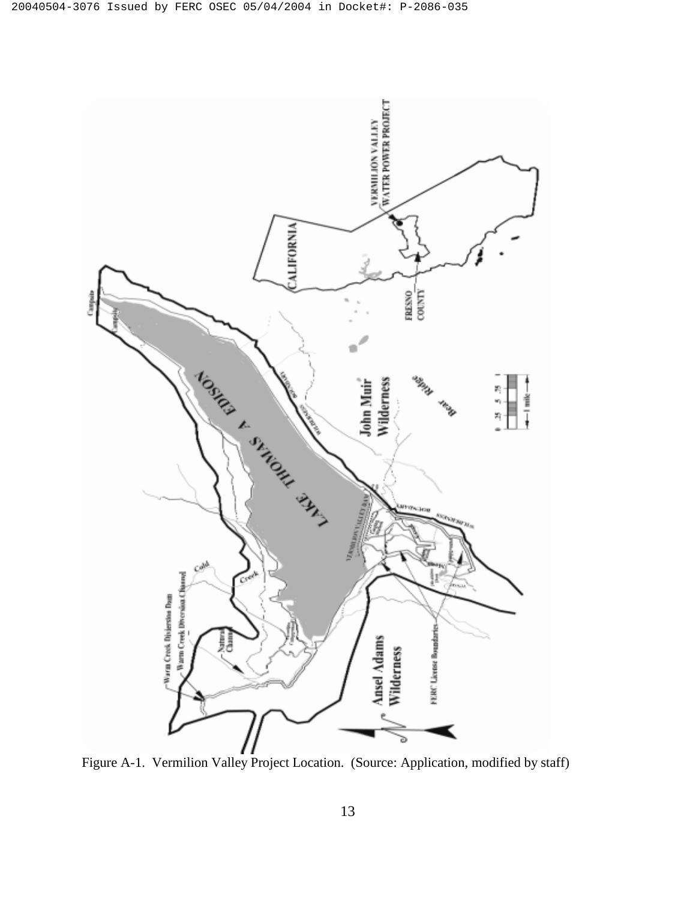

Figure A-1. Vermilion Valley Project Location. (Source: Application, modified by staff)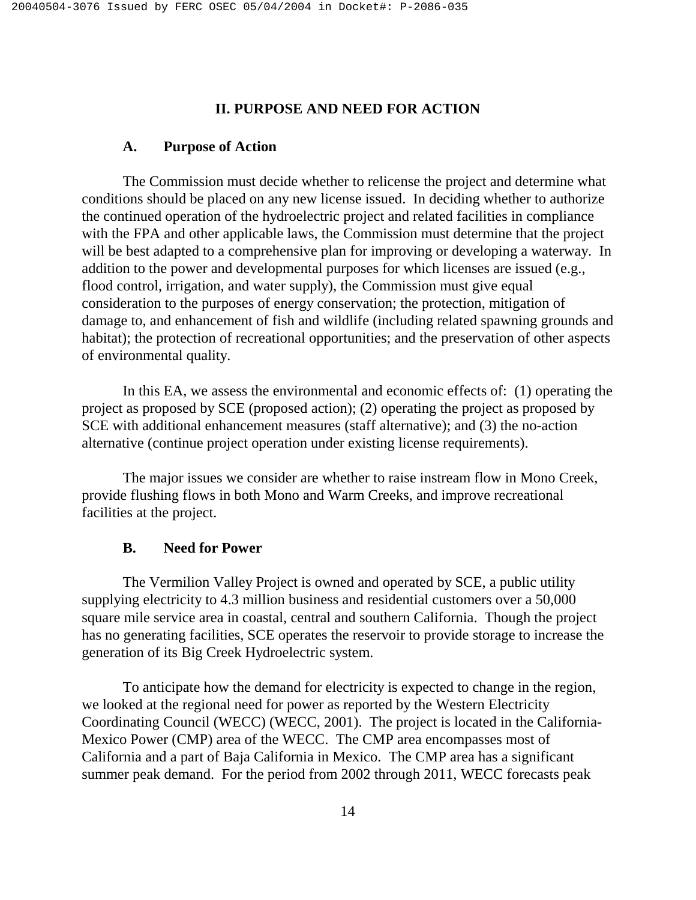# **II. PURPOSE AND NEED FOR ACTION**

#### **A. Purpose of Action**

The Commission must decide whether to relicense the project and determine what conditions should be placed on any new license issued. In deciding whether to authorize the continued operation of the hydroelectric project and related facilities in compliance with the FPA and other applicable laws, the Commission must determine that the project will be best adapted to a comprehensive plan for improving or developing a waterway. In addition to the power and developmental purposes for which licenses are issued (e.g., flood control, irrigation, and water supply), the Commission must give equal consideration to the purposes of energy conservation; the protection, mitigation of damage to, and enhancement of fish and wildlife (including related spawning grounds and habitat); the protection of recreational opportunities; and the preservation of other aspects of environmental quality.

In this EA, we assess the environmental and economic effects of: (1) operating the project as proposed by SCE (proposed action); (2) operating the project as proposed by SCE with additional enhancement measures (staff alternative); and (3) the no-action alternative (continue project operation under existing license requirements).

The major issues we consider are whether to raise instream flow in Mono Creek, provide flushing flows in both Mono and Warm Creeks, and improve recreational facilities at the project.

### **B. Need for Power**

The Vermilion Valley Project is owned and operated by SCE, a public utility supplying electricity to 4.3 million business and residential customers over a 50,000 square mile service area in coastal, central and southern California. Though the project has no generating facilities, SCE operates the reservoir to provide storage to increase the generation of its Big Creek Hydroelectric system.

To anticipate how the demand for electricity is expected to change in the region, we looked at the regional need for power as reported by the Western Electricity Coordinating Council (WECC) (WECC, 2001). The project is located in the California-Mexico Power (CMP) area of the WECC. The CMP area encompasses most of California and a part of Baja California in Mexico. The CMP area has a significant summer peak demand. For the period from 2002 through 2011, WECC forecasts peak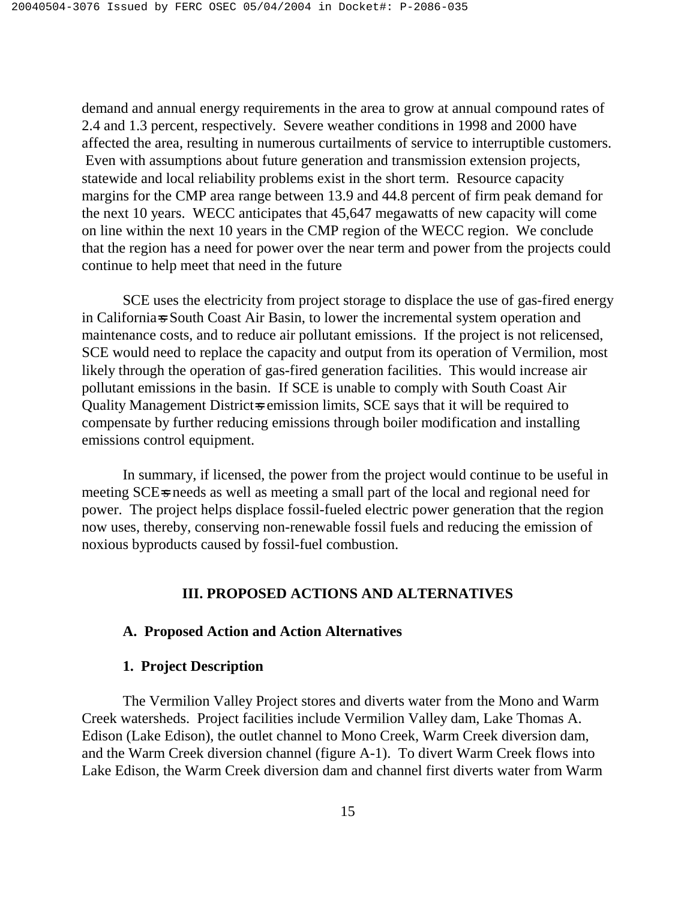demand and annual energy requirements in the area to grow at annual compound rates of 2.4 and 1.3 percent, respectively. Severe weather conditions in 1998 and 2000 have affected the area, resulting in numerous curtailments of service to interruptible customers. Even with assumptions about future generation and transmission extension projects, statewide and local reliability problems exist in the short term. Resource capacity margins for the CMP area range between 13.9 and 44.8 percent of firm peak demand for the next 10 years. WECC anticipates that 45,647 megawatts of new capacity will come on line within the next 10 years in the CMP region of the WECC region. We conclude that the region has a need for power over the near term and power from the projects could continue to help meet that need in the future

SCE uses the electricity from project storage to displace the use of gas-fired energy in California=s South Coast Air Basin, to lower the incremental system operation and maintenance costs, and to reduce air pollutant emissions. If the project is not relicensed, SCE would need to replace the capacity and output from its operation of Vermilion, most likely through the operation of gas-fired generation facilities. This would increase air pollutant emissions in the basin. If SCE is unable to comply with South Coast Air Quality Management District-s emission limits, SCE says that it will be required to compensate by further reducing emissions through boiler modification and installing emissions control equipment.

In summary, if licensed, the power from the project would continue to be useful in meeting SCE-s needs as well as meeting a small part of the local and regional need for power. The project helps displace fossil-fueled electric power generation that the region now uses, thereby, conserving non-renewable fossil fuels and reducing the emission of noxious byproducts caused by fossil-fuel combustion.

# **III. PROPOSED ACTIONS AND ALTERNATIVES**

### **A. Proposed Action and Action Alternatives**

#### **1. Project Description**

 The Vermilion Valley Project stores and diverts water from the Mono and Warm Creek watersheds. Project facilities include Vermilion Valley dam, Lake Thomas A. Edison (Lake Edison), the outlet channel to Mono Creek, Warm Creek diversion dam, and the Warm Creek diversion channel (figure A-1). To divert Warm Creek flows into Lake Edison, the Warm Creek diversion dam and channel first diverts water from Warm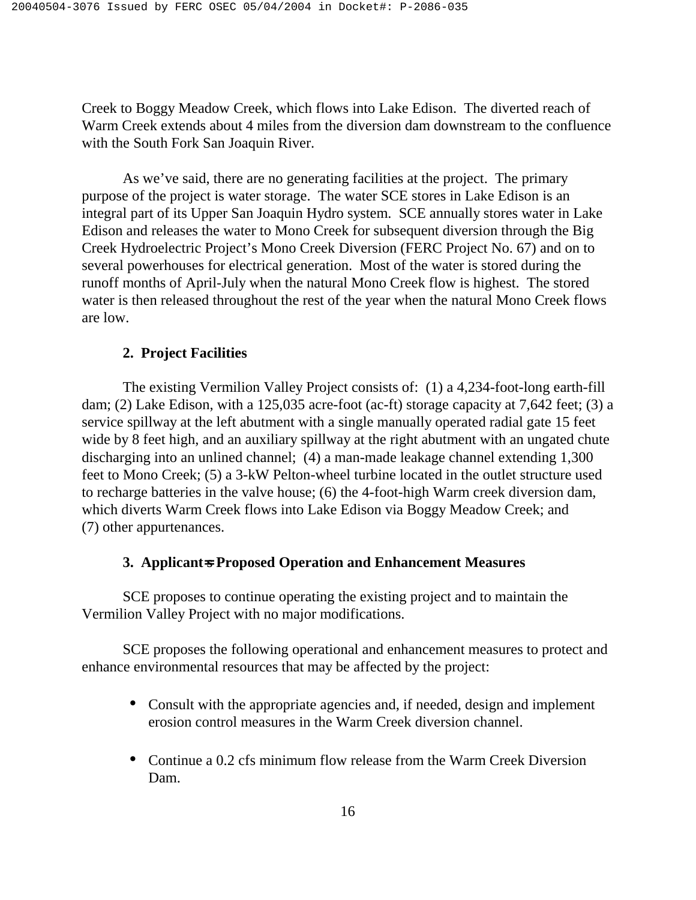Creek to Boggy Meadow Creek, which flows into Lake Edison. The diverted reach of Warm Creek extends about 4 miles from the diversion dam downstream to the confluence with the South Fork San Joaquin River.

 As we've said, there are no generating facilities at the project. The primary purpose of the project is water storage. The water SCE stores in Lake Edison is an integral part of its Upper San Joaquin Hydro system. SCE annually stores water in Lake Edison and releases the water to Mono Creek for subsequent diversion through the Big Creek Hydroelectric Project's Mono Creek Diversion (FERC Project No. 67) and on to several powerhouses for electrical generation. Most of the water is stored during the runoff months of April-July when the natural Mono Creek flow is highest. The stored water is then released throughout the rest of the year when the natural Mono Creek flows are low.

### **2. Project Facilities**

The existing Vermilion Valley Project consists of: (1) a 4,234-foot-long earth-fill dam; (2) Lake Edison, with a 125,035 acre-foot (ac-ft) storage capacity at 7,642 feet; (3) a service spillway at the left abutment with a single manually operated radial gate 15 feet wide by 8 feet high, and an auxiliary spillway at the right abutment with an ungated chute discharging into an unlined channel; (4) a man-made leakage channel extending 1,300 feet to Mono Creek; (5) a 3-kW Pelton-wheel turbine located in the outlet structure used to recharge batteries in the valve house; (6) the 4-foot-high Warm creek diversion dam, which diverts Warm Creek flows into Lake Edison via Boggy Meadow Creek; and (7) other appurtenances.

# **3. Applicant**=**s Proposed Operation and Enhancement Measures**

SCE proposes to continue operating the existing project and to maintain the Vermilion Valley Project with no major modifications.

SCE proposes the following operational and enhancement measures to protect and enhance environmental resources that may be affected by the project:

- Consult with the appropriate agencies and, if needed, design and implement erosion control measures in the Warm Creek diversion channel.
- Continue a 0.2 cfs minimum flow release from the Warm Creek Diversion Dam.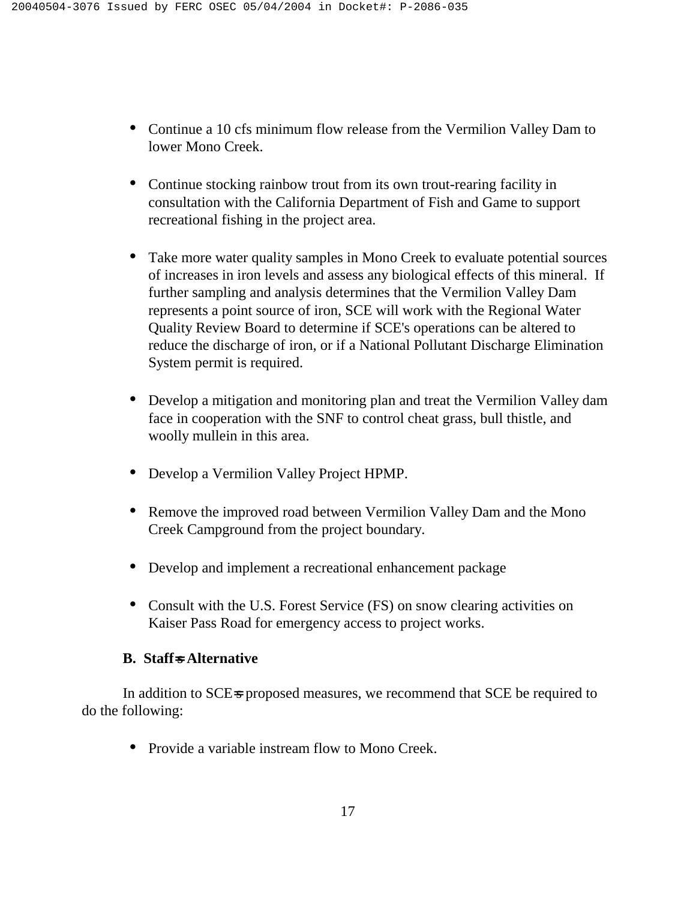- Continue a 10 cfs minimum flow release from the Vermilion Valley Dam to lower Mono Creek.
- Continue stocking rainbow trout from its own trout-rearing facility in consultation with the California Department of Fish and Game to support recreational fishing in the project area.
- Take more water quality samples in Mono Creek to evaluate potential sources of increases in iron levels and assess any biological effects of this mineral. If further sampling and analysis determines that the Vermilion Valley Dam represents a point source of iron, SCE will work with the Regional Water Quality Review Board to determine if SCE's operations can be altered to reduce the discharge of iron, or if a National Pollutant Discharge Elimination System permit is required.
- Develop a mitigation and monitoring plan and treat the Vermilion Valley dam face in cooperation with the SNF to control cheat grass, bull thistle, and woolly mullein in this area.
- Develop a Vermilion Valley Project HPMP.
- Remove the improved road between Vermilion Valley Dam and the Mono Creek Campground from the project boundary.
- Develop and implement a recreational enhancement package
- Consult with the U.S. Forest Service (FS) on snow clearing activities on Kaiser Pass Road for emergency access to project works.

# **B. Staff**=**s Alternative**

In addition to SCE=s proposed measures, we recommend that SCE be required to do the following:

• Provide a variable instream flow to Mono Creek.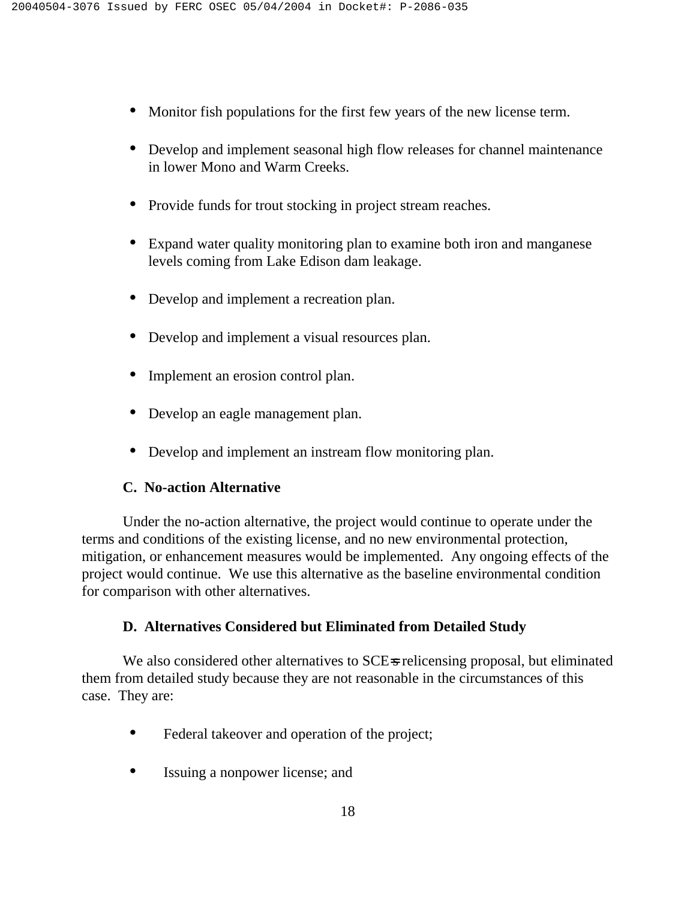- Monitor fish populations for the first few years of the new license term.
- Develop and implement seasonal high flow releases for channel maintenance in lower Mono and Warm Creeks.
- Provide funds for trout stocking in project stream reaches.
- Expand water quality monitoring plan to examine both iron and manganese levels coming from Lake Edison dam leakage.
- Develop and implement a recreation plan.
- Develop and implement a visual resources plan.
- Implement an erosion control plan.
- Develop an eagle management plan.
- Develop and implement an instream flow monitoring plan.

### **C. No-action Alternative**

Under the no-action alternative, the project would continue to operate under the terms and conditions of the existing license, and no new environmental protection, mitigation, or enhancement measures would be implemented. Any ongoing effects of the project would continue. We use this alternative as the baseline environmental condition for comparison with other alternatives.

### **D. Alternatives Considered but Eliminated from Detailed Study**

We also considered other alternatives to SCE-s relicensing proposal, but eliminated them from detailed study because they are not reasonable in the circumstances of this case. They are:

- Federal takeover and operation of the project;
- Issuing a nonpower license; and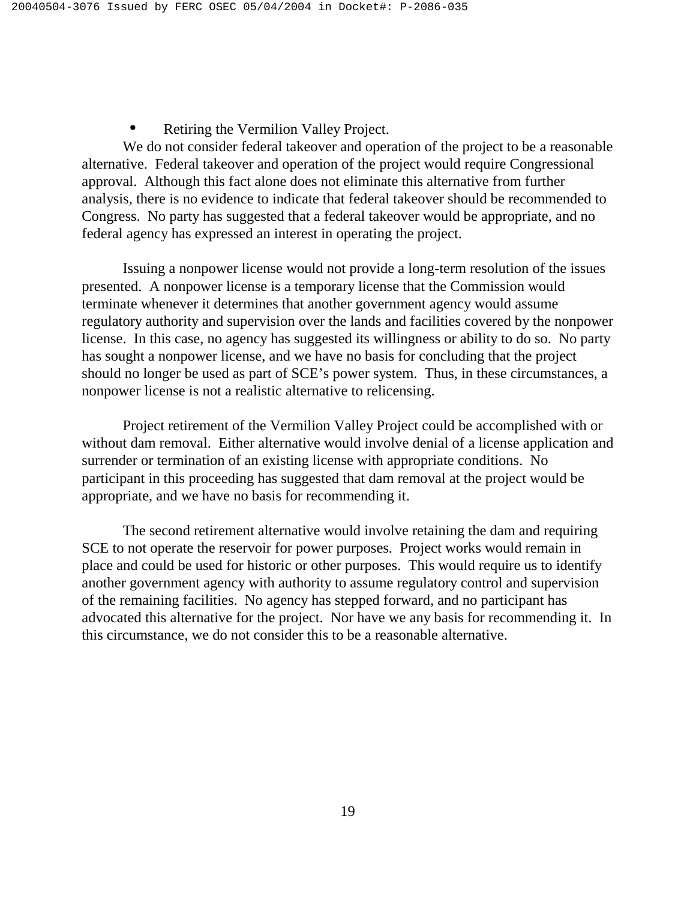### Retiring the Vermilion Valley Project.

We do not consider federal takeover and operation of the project to be a reasonable alternative. Federal takeover and operation of the project would require Congressional approval. Although this fact alone does not eliminate this alternative from further analysis, there is no evidence to indicate that federal takeover should be recommended to Congress. No party has suggested that a federal takeover would be appropriate, and no federal agency has expressed an interest in operating the project.

Issuing a nonpower license would not provide a long-term resolution of the issues presented. A nonpower license is a temporary license that the Commission would terminate whenever it determines that another government agency would assume regulatory authority and supervision over the lands and facilities covered by the nonpower license. In this case, no agency has suggested its willingness or ability to do so. No party has sought a nonpower license, and we have no basis for concluding that the project should no longer be used as part of SCE's power system. Thus, in these circumstances, a nonpower license is not a realistic alternative to relicensing.

Project retirement of the Vermilion Valley Project could be accomplished with or without dam removal. Either alternative would involve denial of a license application and surrender or termination of an existing license with appropriate conditions. No participant in this proceeding has suggested that dam removal at the project would be appropriate, and we have no basis for recommending it.

The second retirement alternative would involve retaining the dam and requiring SCE to not operate the reservoir for power purposes. Project works would remain in place and could be used for historic or other purposes. This would require us to identify another government agency with authority to assume regulatory control and supervision of the remaining facilities. No agency has stepped forward, and no participant has advocated this alternative for the project. Nor have we any basis for recommending it. In this circumstance, we do not consider this to be a reasonable alternative.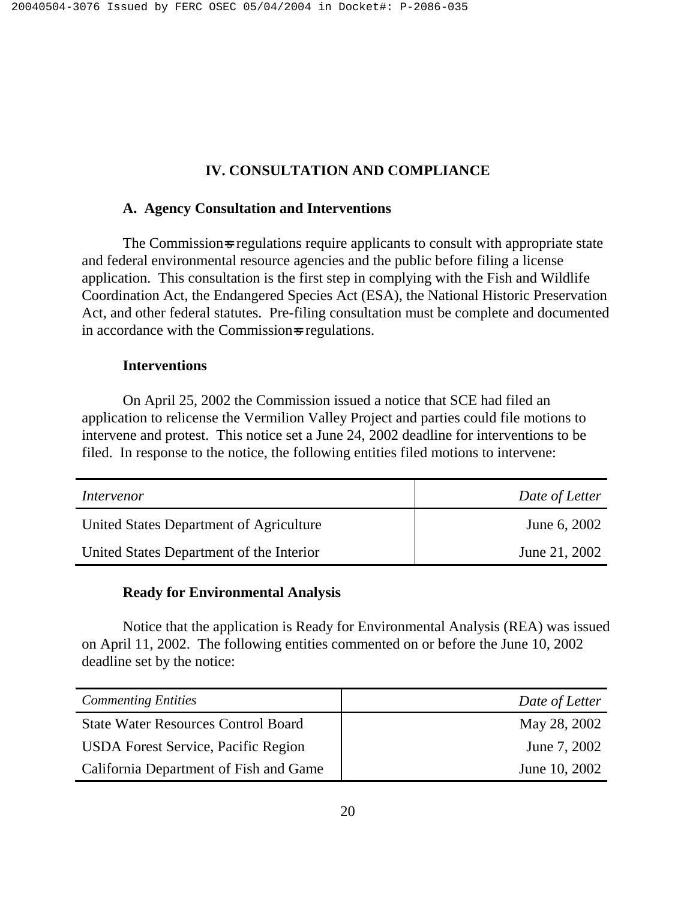# **IV. CONSULTATION AND COMPLIANCE**

### **A. Agency Consultation and Interventions**

The Commission-s regulations require applicants to consult with appropriate state and federal environmental resource agencies and the public before filing a license application. This consultation is the first step in complying with the Fish and Wildlife Coordination Act, the Endangered Species Act (ESA), the National Historic Preservation Act, and other federal statutes. Pre-filing consultation must be complete and documented in accordance with the Commission-s regulations.

### **Interventions**

On April 25, 2002 the Commission issued a notice that SCE had filed an application to relicense the Vermilion Valley Project and parties could file motions to intervene and protest. This notice set a June 24, 2002 deadline for interventions to be filed. In response to the notice, the following entities filed motions to intervene:

| Intervenor                               | Date of Letter |
|------------------------------------------|----------------|
| United States Department of Agriculture  | June 6, 2002   |
| United States Department of the Interior | June 21, 2002  |

### **Ready for Environmental Analysis**

Notice that the application is Ready for Environmental Analysis (REA) was issued on April 11, 2002. The following entities commented on or before the June 10, 2002 deadline set by the notice:

| <b>Commenting Entities</b>                 | Date of Letter |
|--------------------------------------------|----------------|
| <b>State Water Resources Control Board</b> | May 28, 2002   |
| <b>USDA</b> Forest Service, Pacific Region | June 7, 2002   |
| California Department of Fish and Game     | June 10, 2002  |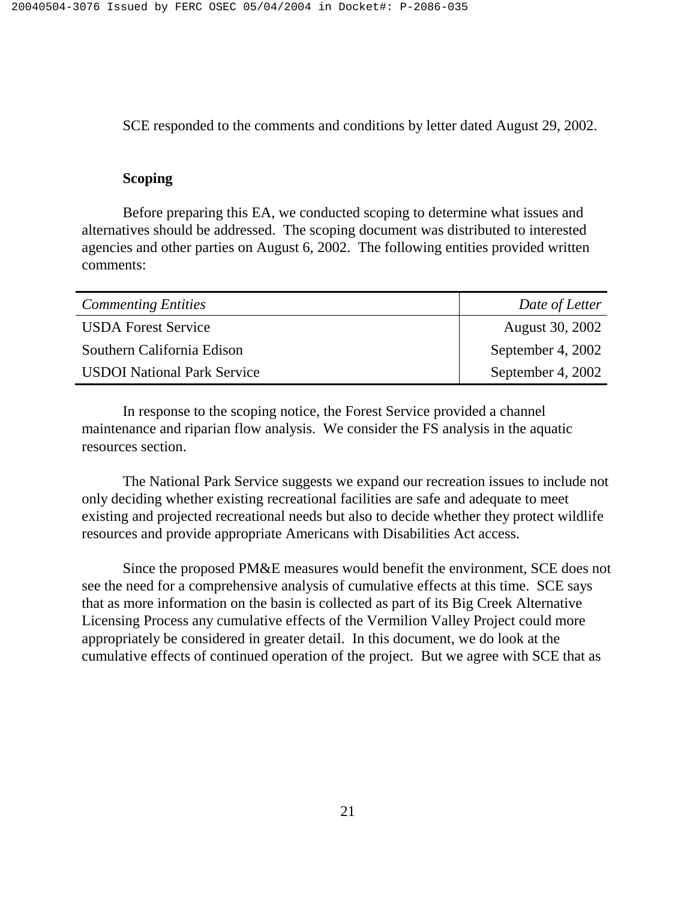SCE responded to the comments and conditions by letter dated August 29, 2002.

### **Scoping**

Before preparing this EA, we conducted scoping to determine what issues and alternatives should be addressed. The scoping document was distributed to interested agencies and other parties on August 6, 2002. The following entities provided written comments:

| <b>Commenting Entities</b>         | Date of Letter    |
|------------------------------------|-------------------|
| <b>USDA Forest Service</b>         | August 30, 2002   |
| Southern California Edison         | September 4, 2002 |
| <b>USDOI</b> National Park Service | September 4, 2002 |

In response to the scoping notice, the Forest Service provided a channel maintenance and riparian flow analysis. We consider the FS analysis in the aquatic resources section.

The National Park Service suggests we expand our recreation issues to include not only deciding whether existing recreational facilities are safe and adequate to meet existing and projected recreational needs but also to decide whether they protect wildlife resources and provide appropriate Americans with Disabilities Act access.

Since the proposed PM&E measures would benefit the environment, SCE does not see the need for a comprehensive analysis of cumulative effects at this time. SCE says that as more information on the basin is collected as part of its Big Creek Alternative Licensing Process any cumulative effects of the Vermilion Valley Project could more appropriately be considered in greater detail. In this document, we do look at the cumulative effects of continued operation of the project. But we agree with SCE that as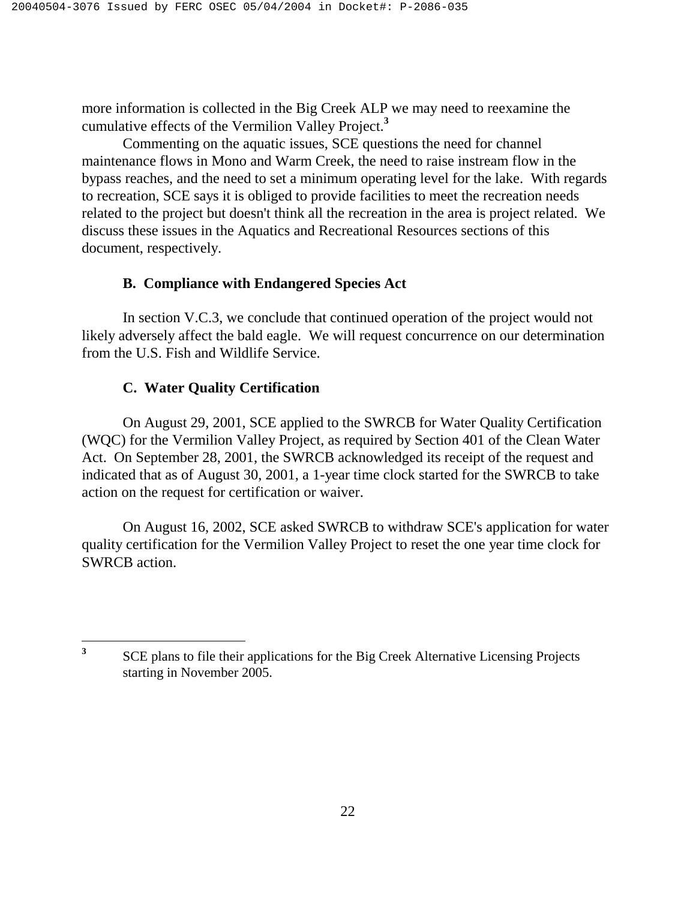more information is collected in the Big Creek ALP we may need to reexamine the cumulative effects of the Vermilion Valley Project.**<sup>3</sup>**

Commenting on the aquatic issues, SCE questions the need for channel maintenance flows in Mono and Warm Creek, the need to raise instream flow in the bypass reaches, and the need to set a minimum operating level for the lake. With regards to recreation, SCE says it is obliged to provide facilities to meet the recreation needs related to the project but doesn't think all the recreation in the area is project related. We discuss these issues in the Aquatics and Recreational Resources sections of this document, respectively.

# **B. Compliance with Endangered Species Act**

 In section V.C.3, we conclude that continued operation of the project would not likely adversely affect the bald eagle. We will request concurrence on our determination from the U.S. Fish and Wildlife Service.

# **C. Water Quality Certification**

On August 29, 2001, SCE applied to the SWRCB for Water Quality Certification (WQC) for the Vermilion Valley Project, as required by Section 401 of the Clean Water Act. On September 28, 2001, the SWRCB acknowledged its receipt of the request and indicated that as of August 30, 2001, a 1-year time clock started for the SWRCB to take action on the request for certification or waiver.

On August 16, 2002, SCE asked SWRCB to withdraw SCE's application for water quality certification for the Vermilion Valley Project to reset the one year time clock for SWRCB action.

 $\overline{\mathbf{3}}$ **<sup>3</sup>**SCE plans to file their applications for the Big Creek Alternative Licensing Projects starting in November 2005.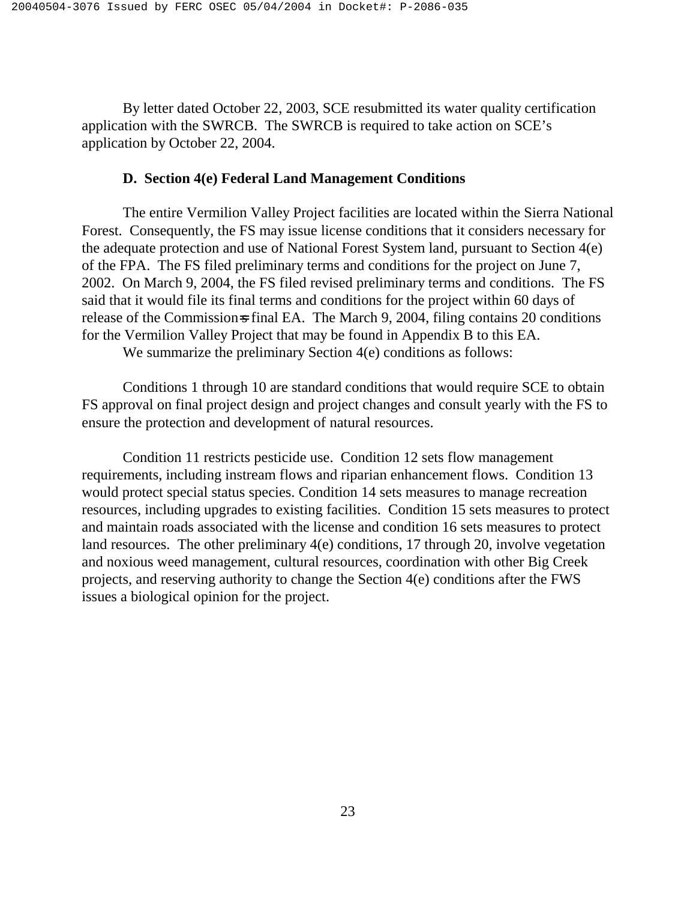By letter dated October 22, 2003, SCE resubmitted its water quality certification application with the SWRCB. The SWRCB is required to take action on SCE's application by October 22, 2004.

### **D. Section 4(e) Federal Land Management Conditions**

The entire Vermilion Valley Project facilities are located within the Sierra National Forest. Consequently, the FS may issue license conditions that it considers necessary for the adequate protection and use of National Forest System land, pursuant to Section 4(e) of the FPA. The FS filed preliminary terms and conditions for the project on June 7, 2002. On March 9, 2004, the FS filed revised preliminary terms and conditions. The FS said that it would file its final terms and conditions for the project within 60 days of release of the Commission-s final EA. The March 9, 2004, filing contains 20 conditions for the Vermilion Valley Project that may be found in Appendix B to this EA. We summarize the preliminary Section 4(e) conditions as follows:

Conditions 1 through 10 are standard conditions that would require SCE to obtain FS approval on final project design and project changes and consult yearly with the FS to ensure the protection and development of natural resources.

 Condition 11 restricts pesticide use. Condition 12 sets flow management requirements, including instream flows and riparian enhancement flows. Condition 13 would protect special status species. Condition 14 sets measures to manage recreation resources, including upgrades to existing facilities. Condition 15 sets measures to protect and maintain roads associated with the license and condition 16 sets measures to protect land resources. The other preliminary 4(e) conditions, 17 through 20, involve vegetation and noxious weed management, cultural resources, coordination with other Big Creek projects, and reserving authority to change the Section 4(e) conditions after the FWS issues a biological opinion for the project.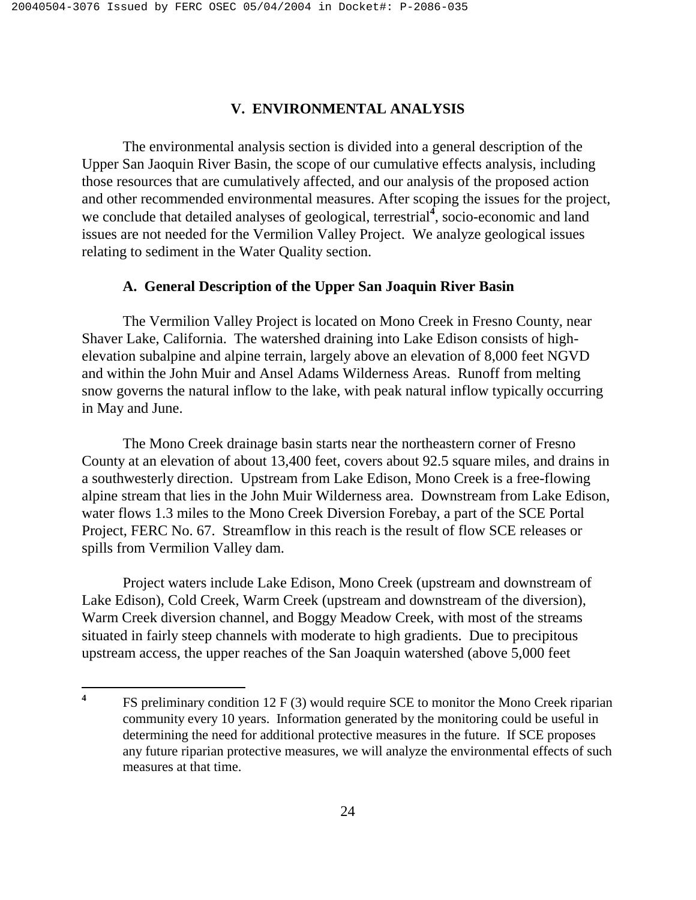# **V. ENVIRONMENTAL ANALYSIS**

The environmental analysis section is divided into a general description of the Upper San Jaoquin River Basin, the scope of our cumulative effects analysis, including those resources that are cumulatively affected, and our analysis of the proposed action and other recommended environmental measures. After scoping the issues for the project, we conclude that detailed analyses of geological, terrestrial<sup>4</sup>, socio-economic and land issues are not needed for the Vermilion Valley Project. We analyze geological issues relating to sediment in the Water Quality section.

### **A. General Description of the Upper San Joaquin River Basin**

The Vermilion Valley Project is located on Mono Creek in Fresno County, near Shaver Lake, California. The watershed draining into Lake Edison consists of highelevation subalpine and alpine terrain, largely above an elevation of 8,000 feet NGVD and within the John Muir and Ansel Adams Wilderness Areas. Runoff from melting snow governs the natural inflow to the lake, with peak natural inflow typically occurring in May and June.

The Mono Creek drainage basin starts near the northeastern corner of Fresno County at an elevation of about 13,400 feet, covers about 92.5 square miles, and drains in a southwesterly direction. Upstream from Lake Edison, Mono Creek is a free-flowing alpine stream that lies in the John Muir Wilderness area. Downstream from Lake Edison, water flows 1.3 miles to the Mono Creek Diversion Forebay, a part of the SCE Portal Project, FERC No. 67. Streamflow in this reach is the result of flow SCE releases or spills from Vermilion Valley dam.

 Project waters include Lake Edison, Mono Creek (upstream and downstream of Lake Edison), Cold Creek, Warm Creek (upstream and downstream of the diversion), Warm Creek diversion channel, and Boggy Meadow Creek, with most of the streams situated in fairly steep channels with moderate to high gradients. Due to precipitous upstream access, the upper reaches of the San Joaquin watershed (above 5,000 feet

 $\overline{\mathbf{4}}$ **<sup>4</sup>**FS preliminary condition 12 F (3) would require SCE to monitor the Mono Creek riparian community every 10 years. Information generated by the monitoring could be useful in determining the need for additional protective measures in the future. If SCE proposes any future riparian protective measures, we will analyze the environmental effects of such measures at that time.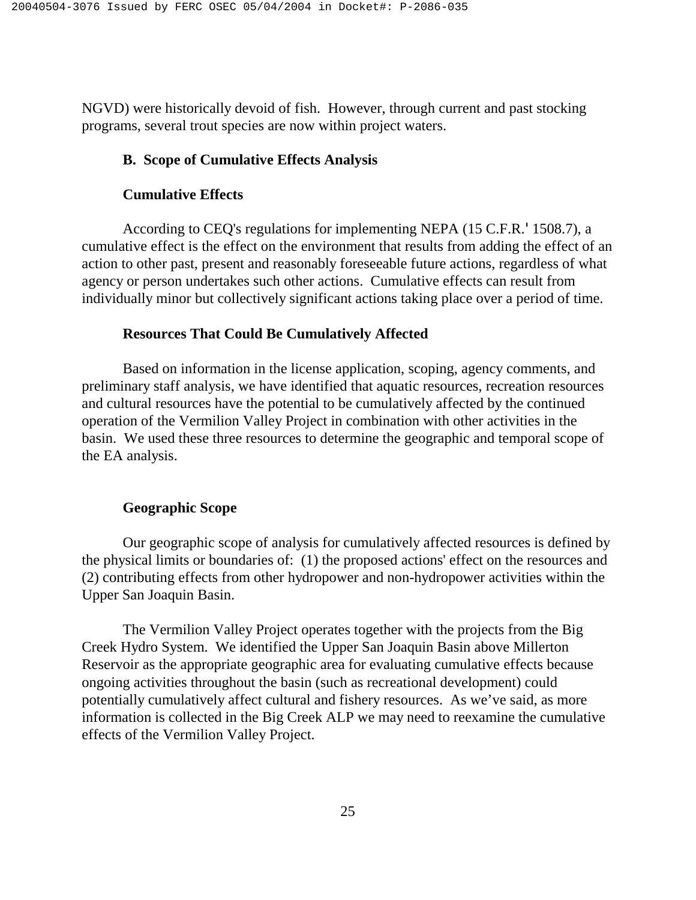NGVD) were historically devoid of fish. However, through current and past stocking programs, several trout species are now within project waters.

### **B. Scope of Cumulative Effects Analysis**

### **Cumulative Effects**

According to CEQ's regulations for implementing NEPA (15 C.F.R.'1508.7), a cumulative effect is the effect on the environment that results from adding the effect of an action to other past, present and reasonably foreseeable future actions, regardless of what agency or person undertakes such other actions. Cumulative effects can result from individually minor but collectively significant actions taking place over a period of time.

### **Resources That Could Be Cumulatively Affected**

Based on information in the license application, scoping, agency comments, and preliminary staff analysis, we have identified that aquatic resources, recreation resources and cultural resources have the potential to be cumulatively affected by the continued operation of the Vermilion Valley Project in combination with other activities in the basin. We used these three resources to determine the geographic and temporal scope of the EA analysis.

### **Geographic Scope**

Our geographic scope of analysis for cumulatively affected resources is defined by the physical limits or boundaries of: (1) the proposed actions' effect on the resources and (2) contributing effects from other hydropower and non-hydropower activities within the Upper San Joaquin Basin.

The Vermilion Valley Project operates together with the projects from the Big Creek Hydro System. We identified the Upper San Joaquin Basin above Millerton Reservoir as the appropriate geographic area for evaluating cumulative effects because ongoing activities throughout the basin (such as recreational development) could potentially cumulatively affect cultural and fishery resources. As we've said, as more information is collected in the Big Creek ALP we may need to reexamine the cumulative effects of the Vermilion Valley Project.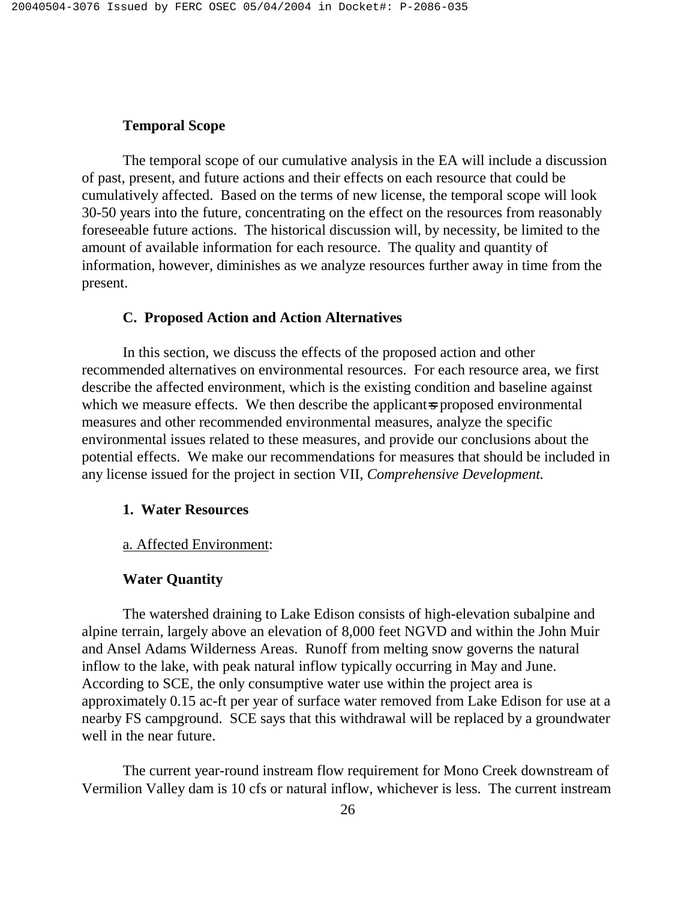# **Temporal Scope**

The temporal scope of our cumulative analysis in the EA will include a discussion of past, present, and future actions and their effects on each resource that could be cumulatively affected. Based on the terms of new license, the temporal scope will look 30-50 years into the future, concentrating on the effect on the resources from reasonably foreseeable future actions. The historical discussion will, by necessity, be limited to the amount of available information for each resource. The quality and quantity of information, however, diminishes as we analyze resources further away in time from the present.

## **C. Proposed Action and Action Alternatives**

In this section, we discuss the effects of the proposed action and other recommended alternatives on environmental resources. For each resource area, we first describe the affected environment, which is the existing condition and baseline against which we measure effects. We then describe the applicant-s proposed environmental measures and other recommended environmental measures, analyze the specific environmental issues related to these measures, and provide our conclusions about the potential effects. We make our recommendations for measures that should be included in any license issued for the project in section VII, *Comprehensive Development.* 

### **1. Water Resources**

#### a. Affected Environment:

#### **Water Quantity**

 The watershed draining to Lake Edison consists of high-elevation subalpine and alpine terrain, largely above an elevation of 8,000 feet NGVD and within the John Muir and Ansel Adams Wilderness Areas. Runoff from melting snow governs the natural inflow to the lake, with peak natural inflow typically occurring in May and June. According to SCE, the only consumptive water use within the project area is approximately 0.15 ac-ft per year of surface water removed from Lake Edison for use at a nearby FS campground. SCE says that this withdrawal will be replaced by a groundwater well in the near future.

 The current year-round instream flow requirement for Mono Creek downstream of Vermilion Valley dam is 10 cfs or natural inflow, whichever is less. The current instream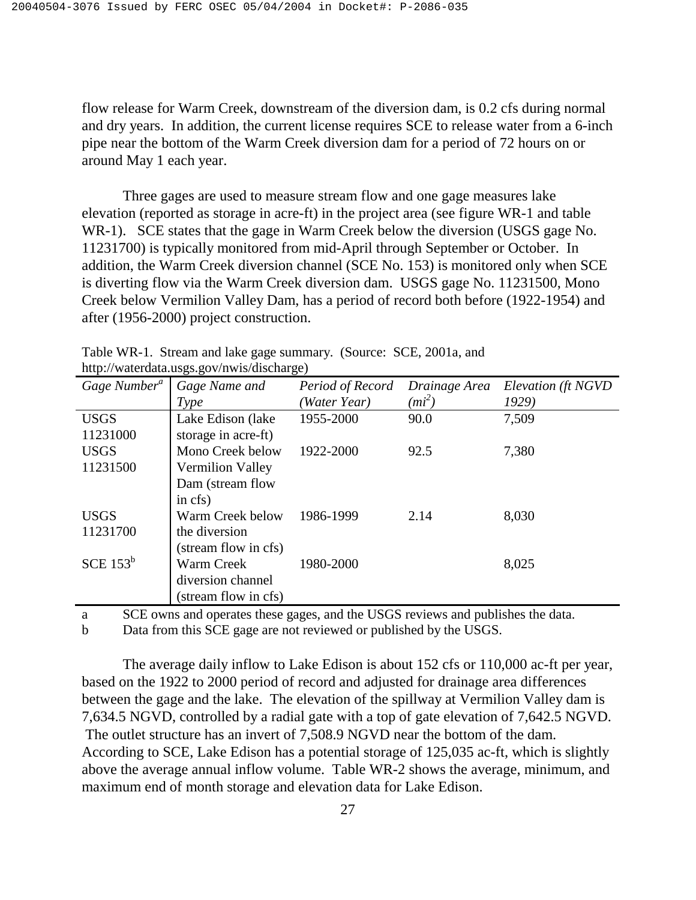flow release for Warm Creek, downstream of the diversion dam, is 0.2 cfs during normal and dry years. In addition, the current license requires SCE to release water from a 6-inch pipe near the bottom of the Warm Creek diversion dam for a period of 72 hours on or around May 1 each year.

 Three gages are used to measure stream flow and one gage measures lake elevation (reported as storage in acre-ft) in the project area (see figure WR-1 and table WR-1). SCE states that the gage in Warm Creek below the diversion (USGS gage No. 11231700) is typically monitored from mid-April through September or October. In addition, the Warm Creek diversion channel (SCE No. 153) is monitored only when SCE is diverting flow via the Warm Creek diversion dam. USGS gage No. 11231500, Mono Creek below Vermilion Valley Dam, has a period of record both before (1922-1954) and after (1956-2000) project construction.

| $\mu_{\rm U}$ , water data.ub $\mu_{\rm U}$ , $\mu_{\rm U}$ with discriming $\mu_{\rm U}$ |                         |                  |               |                    |  |  |
|-------------------------------------------------------------------------------------------|-------------------------|------------------|---------------|--------------------|--|--|
| Gage Number <sup>a</sup>                                                                  | Gage Name and           | Period of Record | Drainage Area | Elevation (ft NGVD |  |  |
|                                                                                           | Type                    | 'Water Year)     | $(mi^2)$      | 1929)              |  |  |
| <b>USGS</b>                                                                               | Lake Edison (lake       | 1955-2000        | 90.0          | 7,509              |  |  |
| 11231000                                                                                  | storage in acre-ft)     |                  |               |                    |  |  |
| <b>USGS</b>                                                                               | Mono Creek below        | 1922-2000        | 92.5          | 7,380              |  |  |
| 11231500                                                                                  | <b>Vermilion Valley</b> |                  |               |                    |  |  |
|                                                                                           | Dam (stream flow        |                  |               |                    |  |  |
|                                                                                           | in cfs)                 |                  |               |                    |  |  |
| <b>USGS</b>                                                                               | Warm Creek below        | 1986-1999        | 2.14          | 8,030              |  |  |
| 11231700                                                                                  | the diversion           |                  |               |                    |  |  |
|                                                                                           | (stream flow in cfs)    |                  |               |                    |  |  |
| SCE $153^b$                                                                               | Warm Creek              | 1980-2000        |               | 8,025              |  |  |
|                                                                                           | diversion channel       |                  |               |                    |  |  |
|                                                                                           | (stream flow in cfs)    |                  |               |                    |  |  |
|                                                                                           |                         |                  |               |                    |  |  |

Table WR-1. Stream and lake gage summary. (Source: SCE, 2001a, and http://waterdata.usgs.gov/nwis/discharge)

a SCE owns and operates these gages, and the USGS reviews and publishes the data.

b Data from this SCE gage are not reviewed or published by the USGS.

 The average daily inflow to Lake Edison is about 152 cfs or 110,000 ac-ft per year, based on the 1922 to 2000 period of record and adjusted for drainage area differences between the gage and the lake. The elevation of the spillway at Vermilion Valley dam is 7,634.5 NGVD, controlled by a radial gate with a top of gate elevation of 7,642.5 NGVD. The outlet structure has an invert of 7,508.9 NGVD near the bottom of the dam. According to SCE, Lake Edison has a potential storage of 125,035 ac-ft, which is slightly above the average annual inflow volume. Table WR-2 shows the average, minimum, and maximum end of month storage and elevation data for Lake Edison.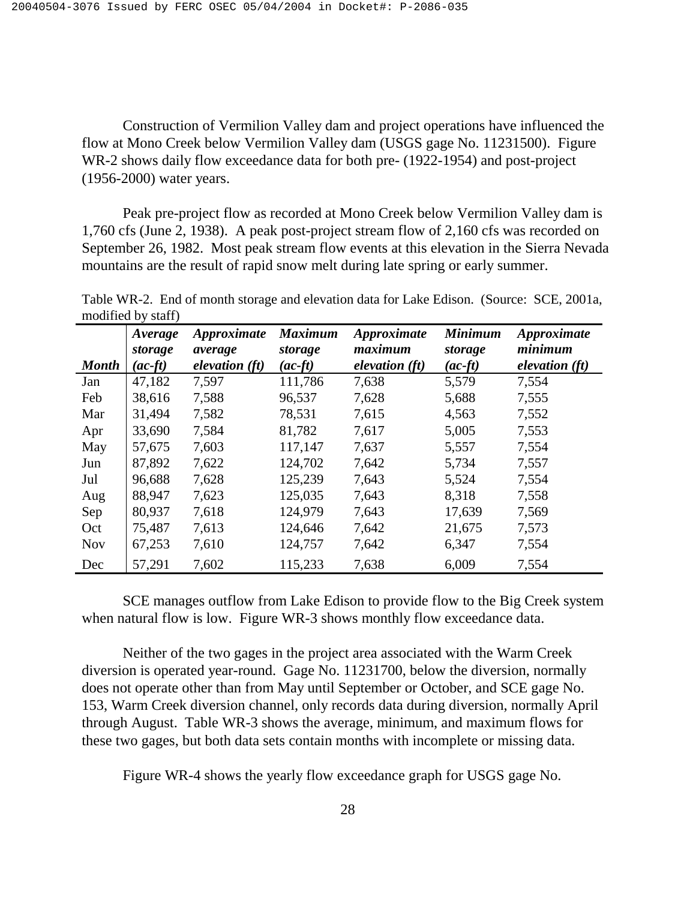Construction of Vermilion Valley dam and project operations have influenced the flow at Mono Creek below Vermilion Valley dam (USGS gage No. 11231500). Figure WR-2 shows daily flow exceedance data for both pre- (1922-1954) and post-project (1956-2000) water years.

 Peak pre-project flow as recorded at Mono Creek below Vermilion Valley dam is 1,760 cfs (June 2, 1938). A peak post-project stream flow of 2,160 cfs was recorded on September 26, 1982. Most peak stream flow events at this elevation in the Sierra Nevada mountains are the result of rapid snow melt during late spring or early summer.

Table WR-2. End of month storage and elevation data for Lake Edison. (Source: SCE, 2001a, modified by staff)

| <b>Month</b> | Average<br>storage<br>$(ac$ -ft | Approximate<br>average<br>elevation(ft) | <b>Maximum</b><br>storage<br>$(ac$ -ft) | Approximate<br>maximum<br>elevation $(ft)$ | <b>Minimum</b><br>storage<br>$(ac$ -ft $)$ | Approximate<br>minimum<br>elevation (ft) |
|--------------|---------------------------------|-----------------------------------------|-----------------------------------------|--------------------------------------------|--------------------------------------------|------------------------------------------|
| Jan          | 47,182                          | 7,597                                   | 111,786                                 | 7,638                                      | 5,579                                      | 7,554                                    |
| Feb          | 38,616                          | 7,588                                   | 96,537                                  | 7,628                                      | 5,688                                      | 7,555                                    |
| Mar          | 31,494                          | 7,582                                   | 78,531                                  | 7,615                                      | 4,563                                      | 7,552                                    |
| Apr          | 33,690                          | 7,584                                   | 81,782                                  | 7,617                                      | 5,005                                      | 7,553                                    |
| May          | 57,675                          | 7,603                                   | 117,147                                 | 7,637                                      | 5,557                                      | 7,554                                    |
| Jun          | 87,892                          | 7,622                                   | 124,702                                 | 7,642                                      | 5,734                                      | 7,557                                    |
| Jul          | 96,688                          | 7,628                                   | 125,239                                 | 7,643                                      | 5,524                                      | 7,554                                    |
| Aug          | 88,947                          | 7,623                                   | 125,035                                 | 7,643                                      | 8,318                                      | 7,558                                    |
| Sep          | 80,937                          | 7,618                                   | 124,979                                 | 7,643                                      | 17,639                                     | 7,569                                    |
| Oct          | 75,487                          | 7,613                                   | 124,646                                 | 7,642                                      | 21,675                                     | 7,573                                    |
| <b>Nov</b>   | 67,253                          | 7,610                                   | 124,757                                 | 7,642                                      | 6,347                                      | 7,554                                    |
| Dec          | 57,291                          | 7,602                                   | 115,233                                 | 7,638                                      | 6,009                                      | 7,554                                    |

 SCE manages outflow from Lake Edison to provide flow to the Big Creek system when natural flow is low. Figure WR-3 shows monthly flow exceedance data.

 Neither of the two gages in the project area associated with the Warm Creek diversion is operated year-round. Gage No. 11231700, below the diversion, normally does not operate other than from May until September or October, and SCE gage No. 153, Warm Creek diversion channel, only records data during diversion, normally April through August. Table WR-3 shows the average, minimum, and maximum flows for these two gages, but both data sets contain months with incomplete or missing data.

Figure WR-4 shows the yearly flow exceedance graph for USGS gage No.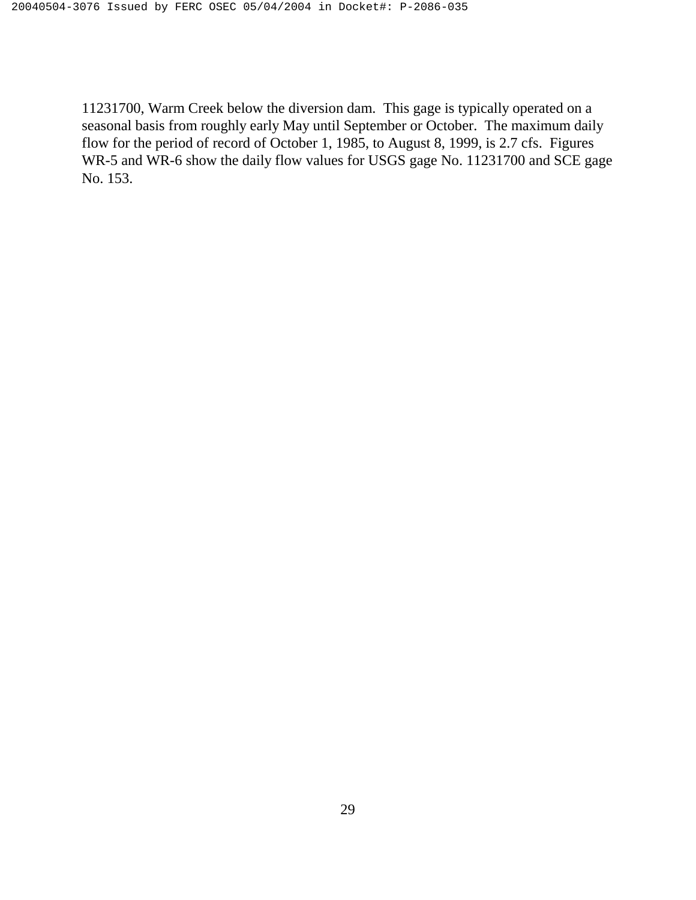11231700, Warm Creek below the diversion dam. This gage is typically operated on a seasonal basis from roughly early May until September or October. The maximum daily flow for the period of record of October 1, 1985, to August 8, 1999, is 2.7 cfs. Figures WR-5 and WR-6 show the daily flow values for USGS gage No. 11231700 and SCE gage No. 153.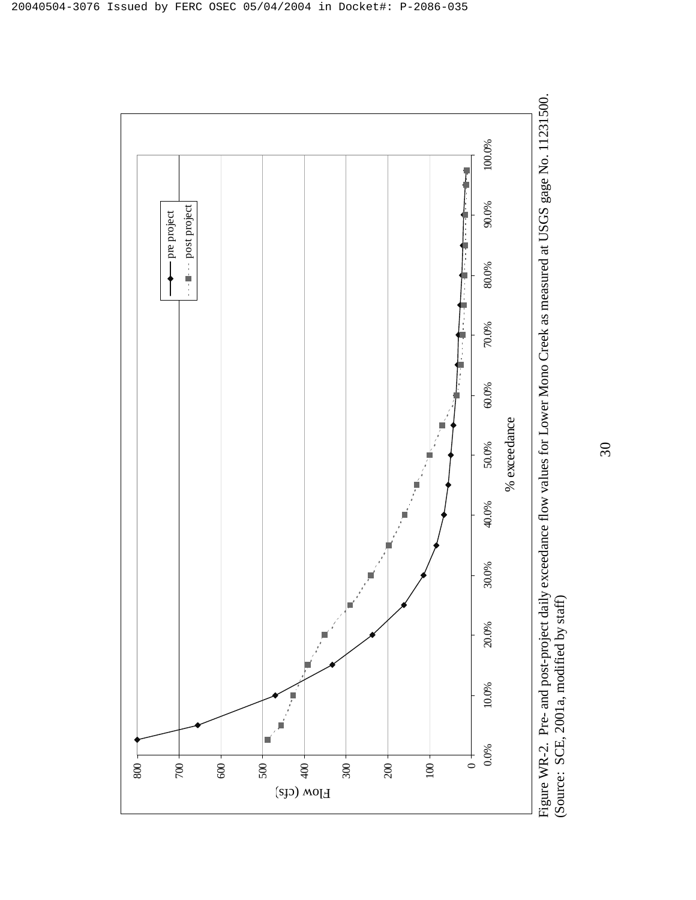

 $\overline{30}$ 30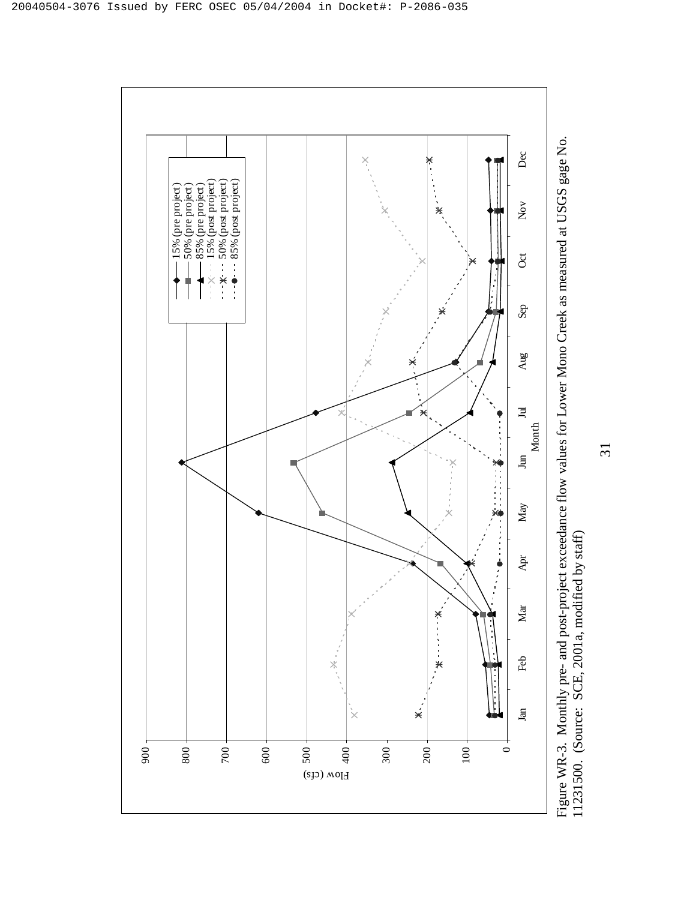

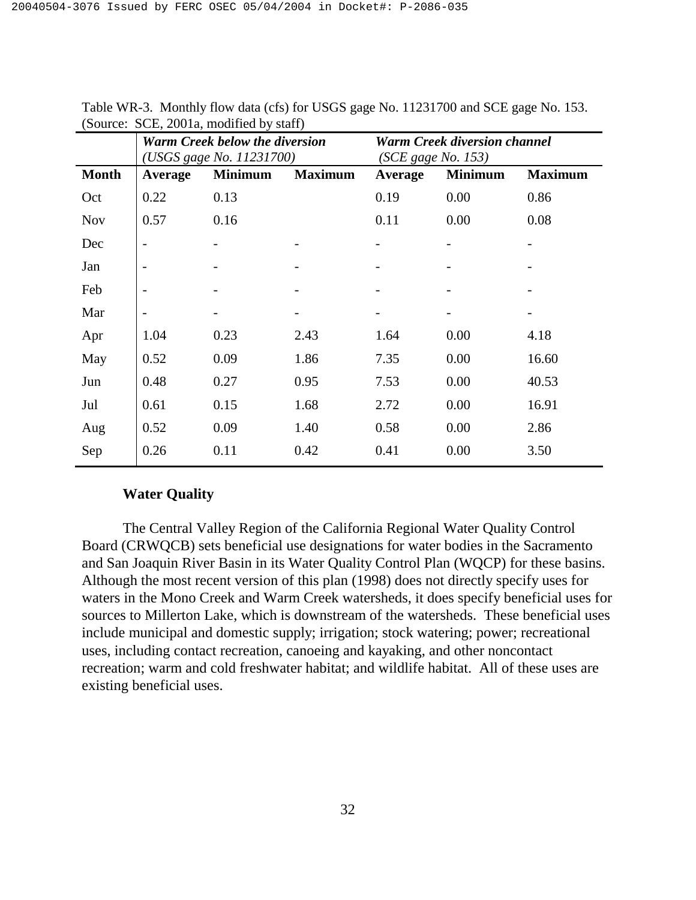|              | <b>Warm Creek below the diversion</b><br>(USGS gage No. 11231700) |                |                | <b>Warm Creek diversion channel</b><br>(SCE gage No. 153) |                |                |
|--------------|-------------------------------------------------------------------|----------------|----------------|-----------------------------------------------------------|----------------|----------------|
| <b>Month</b> | Average                                                           | <b>Minimum</b> | <b>Maximum</b> | Average                                                   | <b>Minimum</b> | <b>Maximum</b> |
| Oct          | 0.22                                                              | 0.13           |                | 0.19                                                      | 0.00           | 0.86           |
| <b>Nov</b>   | 0.57                                                              | 0.16           |                | 0.11                                                      | 0.00           | 0.08           |
| Dec          | $\overline{a}$                                                    |                |                |                                                           |                | -              |
| Jan          | $\overline{a}$                                                    |                |                |                                                           |                |                |
| Feb          |                                                                   |                |                |                                                           |                |                |
| Mar          |                                                                   |                |                |                                                           |                |                |
| Apr          | 1.04                                                              | 0.23           | 2.43           | 1.64                                                      | 0.00           | 4.18           |
| May          | 0.52                                                              | 0.09           | 1.86           | 7.35                                                      | 0.00           | 16.60          |
| Jun          | 0.48                                                              | 0.27           | 0.95           | 7.53                                                      | 0.00           | 40.53          |
| Jul          | 0.61                                                              | 0.15           | 1.68           | 2.72                                                      | 0.00           | 16.91          |
| Aug          | 0.52                                                              | 0.09           | 1.40           | 0.58                                                      | 0.00           | 2.86           |
| Sep          | 0.26                                                              | 0.11           | 0.42           | 0.41                                                      | 0.00           | 3.50           |

Table WR-3. Monthly flow data (cfs) for USGS gage No. 11231700 and SCE gage No. 153. (Source: SCE, 2001a, modified by staff)

# **Water Quality**

 The Central Valley Region of the California Regional Water Quality Control Board (CRWQCB) sets beneficial use designations for water bodies in the Sacramento and San Joaquin River Basin in its Water Quality Control Plan (WQCP) for these basins. Although the most recent version of this plan (1998) does not directly specify uses for waters in the Mono Creek and Warm Creek watersheds, it does specify beneficial uses for sources to Millerton Lake, which is downstream of the watersheds. These beneficial uses include municipal and domestic supply; irrigation; stock watering; power; recreational uses, including contact recreation, canoeing and kayaking, and other noncontact recreation; warm and cold freshwater habitat; and wildlife habitat. All of these uses are existing beneficial uses.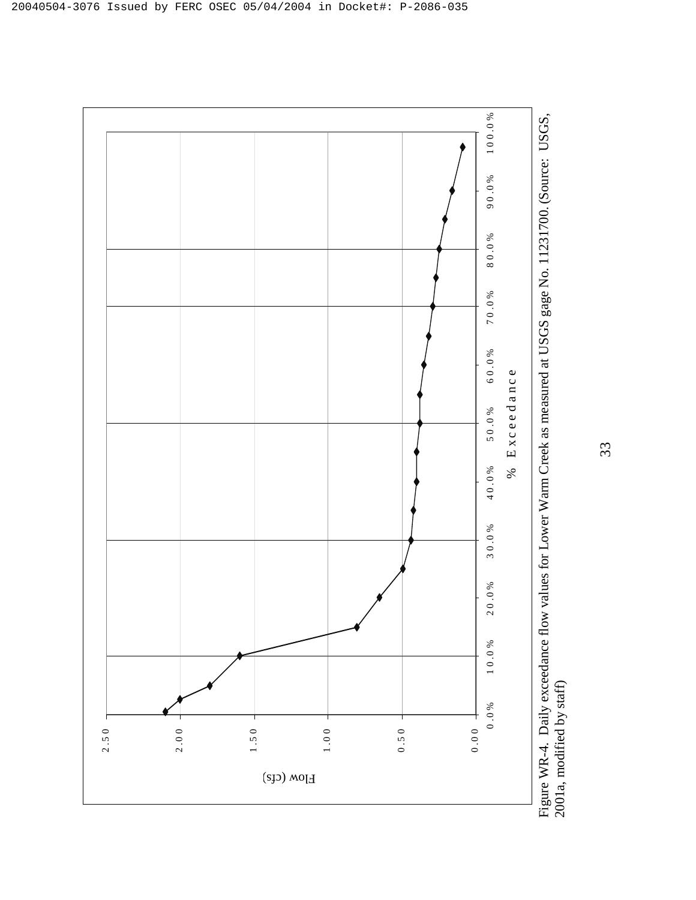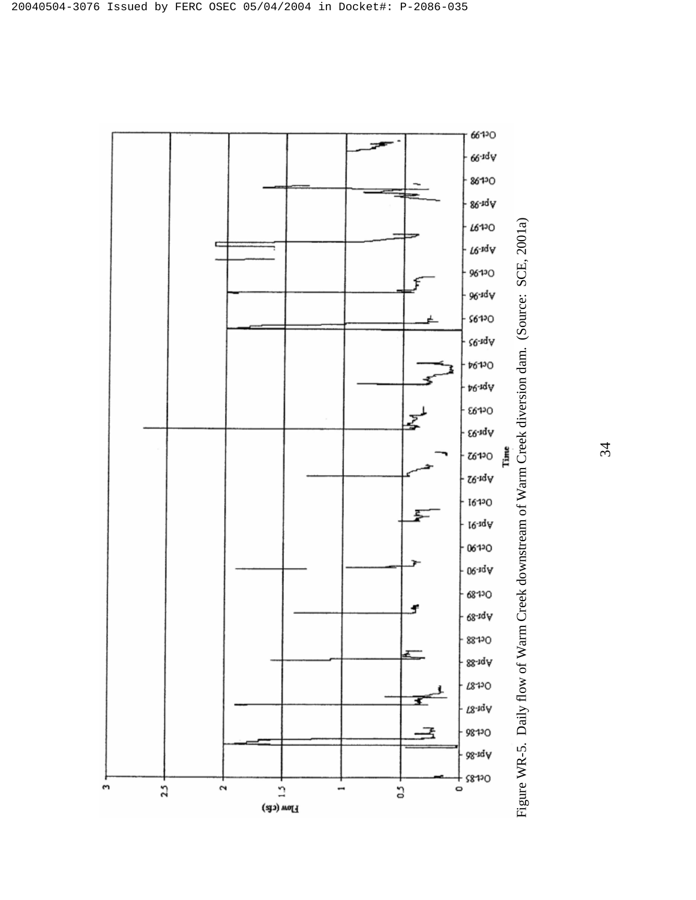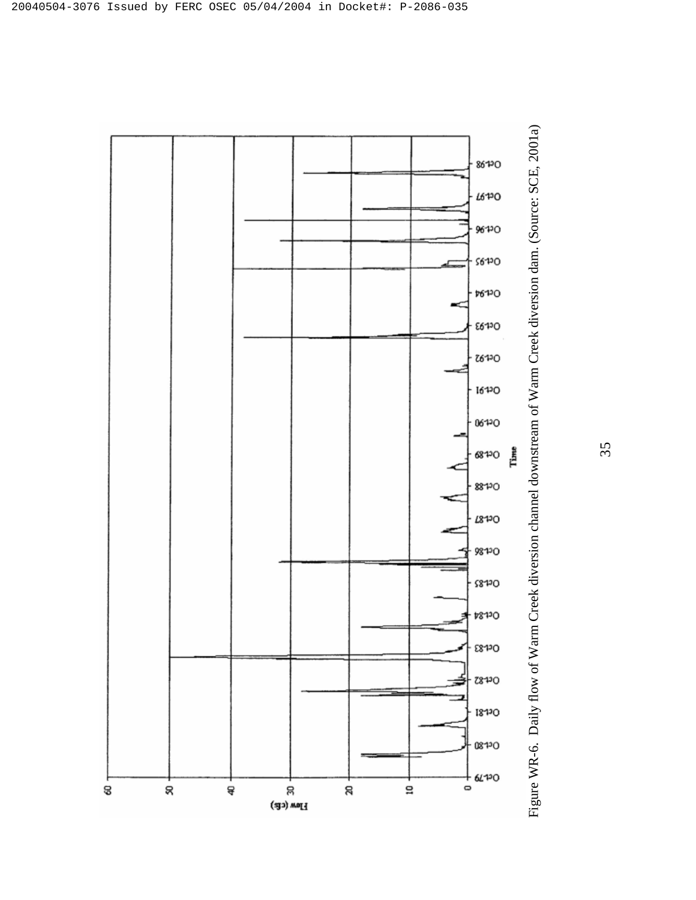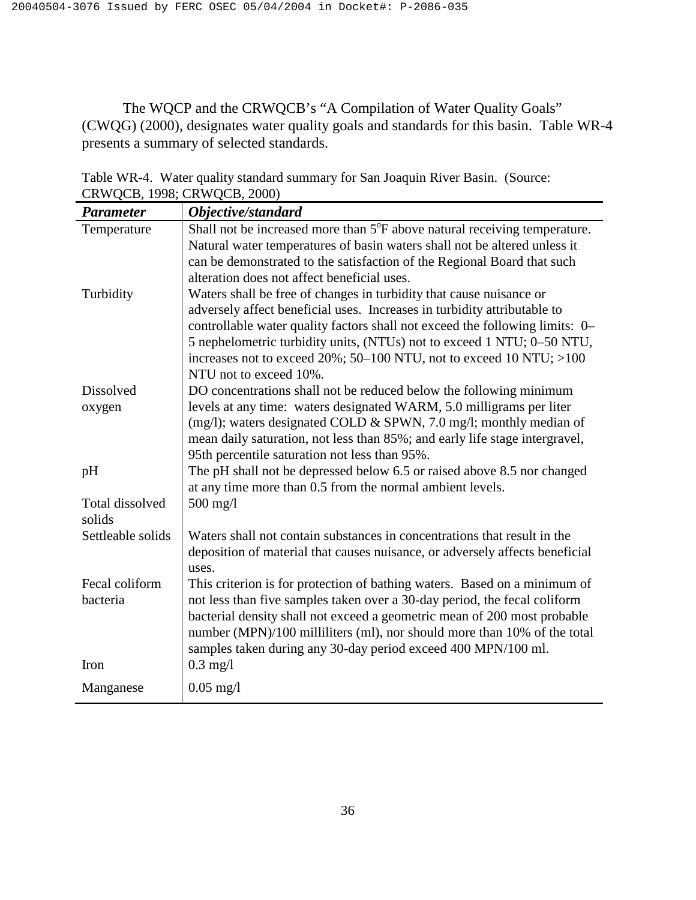The WQCP and the CRWQCB's "A Compilation of Water Quality Goals" (CWQG) (2000), designates water quality goals and standards for this basin. Table WR-4 presents a summary of selected standards.

| <b>Parameter</b>  | $\sum_{i=1}^{n}$<br>Objective/standard                                                                                                                   |
|-------------------|----------------------------------------------------------------------------------------------------------------------------------------------------------|
| Temperature       | Shall not be increased more than 5°F above natural receiving temperature.                                                                                |
|                   | Natural water temperatures of basin waters shall not be altered unless it                                                                                |
|                   | can be demonstrated to the satisfaction of the Regional Board that such                                                                                  |
|                   | alteration does not affect beneficial uses.                                                                                                              |
| Turbidity         | Waters shall be free of changes in turbidity that cause nuisance or                                                                                      |
|                   | adversely affect beneficial uses. Increases in turbidity attributable to<br>controllable water quality factors shall not exceed the following limits: 0– |
|                   | 5 nephelometric turbidity units, (NTUs) not to exceed 1 NTU; 0-50 NTU,                                                                                   |
|                   | increases not to exceed $20\%$ ; 50–100 NTU, not to exceed 10 NTU; >100                                                                                  |
|                   | NTU not to exceed 10%.                                                                                                                                   |
| Dissolved         | DO concentrations shall not be reduced below the following minimum                                                                                       |
| oxygen            | levels at any time: waters designated WARM, 5.0 milligrams per liter                                                                                     |
|                   | (mg/l); waters designated COLD & SPWN, 7.0 mg/l; monthly median of                                                                                       |
|                   | mean daily saturation, not less than 85%; and early life stage intergravel,                                                                              |
|                   | 95th percentile saturation not less than 95%.                                                                                                            |
| pH                | The pH shall not be depressed below 6.5 or raised above 8.5 nor changed                                                                                  |
| Total dissolved   | at any time more than 0.5 from the normal ambient levels.<br>$500$ mg/l                                                                                  |
| solids            |                                                                                                                                                          |
| Settleable solids | Waters shall not contain substances in concentrations that result in the                                                                                 |
|                   | deposition of material that causes nuisance, or adversely affects beneficial                                                                             |
|                   | uses.                                                                                                                                                    |
| Fecal coliform    | This criterion is for protection of bathing waters. Based on a minimum of                                                                                |
| bacteria          | not less than five samples taken over a 30-day period, the fecal coliform                                                                                |
|                   | bacterial density shall not exceed a geometric mean of 200 most probable                                                                                 |
|                   | number (MPN)/100 milliliters (ml), nor should more than 10% of the total                                                                                 |
| Iron              | samples taken during any 30-day period exceed 400 MPN/100 ml.<br>$0.3$ mg/l                                                                              |
|                   |                                                                                                                                                          |
| Manganese         | $0.05$ mg/l                                                                                                                                              |

Table WR-4. Water quality standard summary for San Joaquin River Basin. (Source: CRWQCB, 1998; CRWQCB, 2000)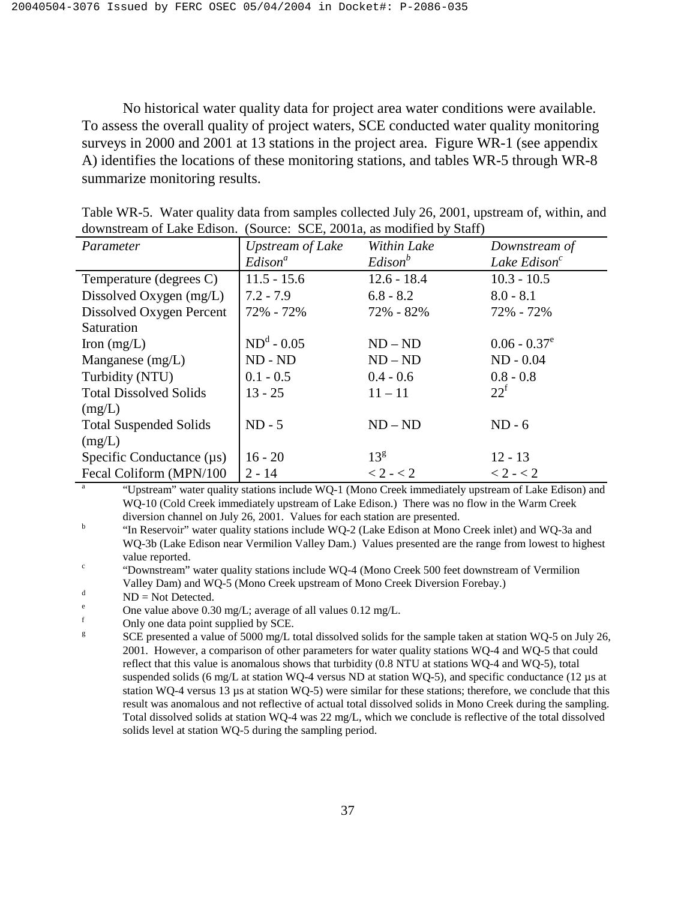No historical water quality data for project area water conditions were available. To assess the overall quality of project waters, SCE conducted water quality monitoring surveys in 2000 and 2001 at 13 stations in the project area. Figure WR-1 (see appendix A) identifies the locations of these monitoring stations, and tables WR-5 through WR-8 summarize monitoring results.

| Parameter                      | <b>Upstream of Lake</b> | Within Lake     | Downstream of                                                                                       |
|--------------------------------|-------------------------|-----------------|-----------------------------------------------------------------------------------------------------|
|                                | Edison <sup>a</sup>     | $Edison^b$      | Lake Edison $^c$                                                                                    |
| Temperature (degrees C)        | $11.5 - 15.6$           | $12.6 - 18.4$   | $10.3 - 10.5$                                                                                       |
| Dissolved Oxygen (mg/L)        | $7.2 - 7.9$             | $6.8 - 8.2$     | $8.0 - 8.1$                                                                                         |
| Dissolved Oxygen Percent       | 72% - 72%               | 72% - 82%       | 72% - 72%                                                                                           |
| Saturation                     |                         |                 |                                                                                                     |
| Iron $(mg/L)$                  | $NDd - 0.05$            | $ND - ND$       | $0.06 - 0.37^e$                                                                                     |
| Manganese (mg/L)               | $ND - ND$               | $ND - ND$       | $ND - 0.04$                                                                                         |
| Turbidity (NTU)                | $0.1 - 0.5$             | $0.4 - 0.6$     | $0.8 - 0.8$                                                                                         |
| <b>Total Dissolved Solids</b>  | $13 - 25$               | $11 - 11$       | $22^{\mathrm{f}}$                                                                                   |
| (mg/L)                         |                         |                 |                                                                                                     |
| <b>Total Suspended Solids</b>  | $ND - 5$                | $ND - ND$       | $ND - 6$                                                                                            |
| (mg/L)                         |                         |                 |                                                                                                     |
| Specific Conductance $(\mu s)$ | $16 - 20$               | 13 <sup>g</sup> | $12 - 13$                                                                                           |
| Fecal Coliform (MPN/100        | $2 - 14$                | $< 2 - < 2$     | $< 2 - < 2$                                                                                         |
|                                |                         |                 | "Upstream" water quality stations include WQ-1 (Mono Creek immediately upstream of Lake Edison) and |

| Table WR-5. Water quality data from samples collected July 26, 2001, upstream of, within, and |  |  |  |  |
|-----------------------------------------------------------------------------------------------|--|--|--|--|
| downstream of Lake Edison. (Source: SCE, 2001a, as modified by Staff)                         |  |  |  |  |

WQ-10 (Cold Creek immediately upstream of Lake Edison.) There was no flow in the Warm Creek diversion channel on July 26, 2001. Values for each station are presented.<br><sup>b</sup> "In Becausir" water quality stations include WO 2.0 else Edison at Mono

 "In Reservoir" water quality stations include WQ-2 (Lake Edison at Mono Creek inlet) and WQ-3a and WQ-3b (Lake Edison near Vermilion Valley Dam.) Values presented are the range from lowest to highest value reported.

c "Downstream" water quality stations include WQ-4 (Mono Creek 500 feet downstream of Vermilion

Valley Dam) and WQ-5 (Mono Creek upstream of Mono Creek Diversion Forebay.)<br> $\frac{d}{d}$  MD – Not Detected

 $ND = Not$  Detected.

e One value above 0.30 mg/L; average of all values 0.12 mg/L.

f Only one data point supplied by SCE.

g SCE presented a value of 5000 mg/L total dissolved solids for the sample taken at station WQ-5 on July 26, 2001. However, a comparison of other parameters for water quality stations WQ-4 and WQ-5 that could reflect that this value is anomalous shows that turbidity (0.8 NTU at stations WQ-4 and WQ-5), total suspended solids (6 mg/L at station WQ-4 versus ND at station WQ-5), and specific conductance (12 µs at station WQ-4 versus 13 µs at station WQ-5) were similar for these stations; therefore, we conclude that this result was anomalous and not reflective of actual total dissolved solids in Mono Creek during the sampling. Total dissolved solids at station WQ-4 was 22 mg/L, which we conclude is reflective of the total dissolved solids level at station WQ-5 during the sampling period.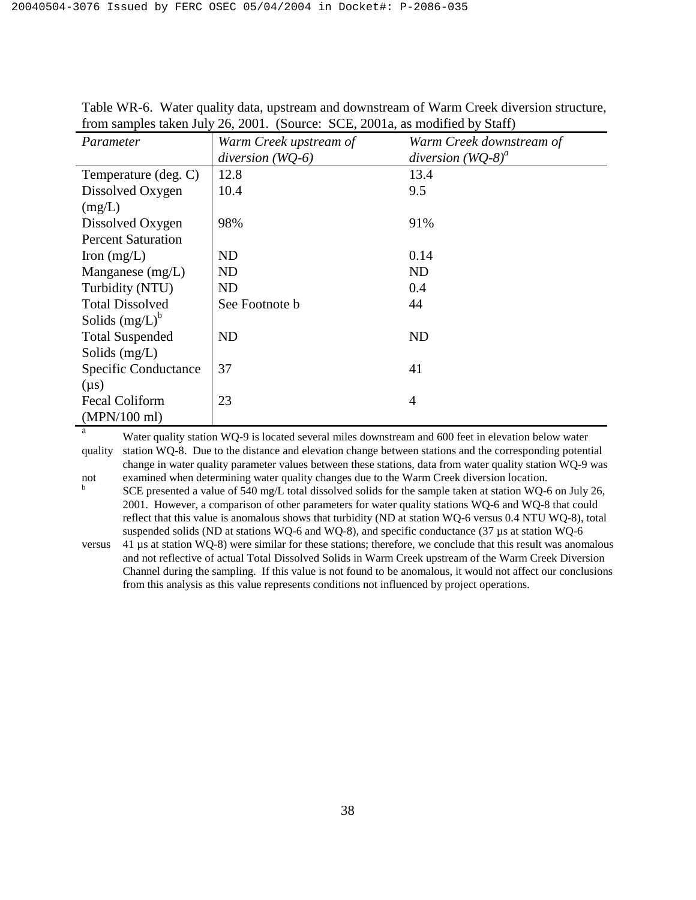| Parameter                   | Warm Creek upstream of | Warm Creek downstream of |
|-----------------------------|------------------------|--------------------------|
|                             | diversion $(WQ-6)$     | diversion $(WQ-8)^a$     |
| Temperature (deg. C)        | 12.8                   | 13.4                     |
| Dissolved Oxygen            | 10.4                   | 9.5                      |
| (mg/L)                      |                        |                          |
| Dissolved Oxygen            | 98%                    | 91%                      |
| <b>Percent Saturation</b>   |                        |                          |
| Iron $(mg/L)$               | ND                     | 0.14                     |
| Manganese $(mg/L)$          | ND                     | <b>ND</b>                |
| Turbidity (NTU)             | ND                     | 0.4                      |
| <b>Total Dissolved</b>      | See Footnote b         | 44                       |
| Solids $(mg/L)^b$           |                        |                          |
| <b>Total Suspended</b>      | ND                     | ND                       |
| Solids $(mg/L)$             |                        |                          |
| <b>Specific Conductance</b> | 37                     | 41                       |
| $(\mu s)$                   |                        |                          |
| <b>Fecal Coliform</b>       | 23                     | $\overline{4}$           |
| $(MPN/100$ ml)              |                        |                          |

Table WR-6. Water quality data, upstream and downstream of Warm Creek diversion structure, from samples taken July 26, 2001. (Source: SCE, 2001a, as modified by Staff)

<sup>a</sup> Water quality station WQ-9 is located several miles downstream and 600 feet in elevation below water quality station WQ-8. Due to the distance and elevation change between stations and the corresponding potential change in water quality parameter values between these stations, data from water quality station WQ-9 was not examined when determining water quality changes due to the Warm Creek diversion location.

b SCE presented a value of 540 mg/L total dissolved solids for the sample taken at station WQ-6 on July 26, 2001. However, a comparison of other parameters for water quality stations WQ-6 and WQ-8 that could reflect that this value is anomalous shows that turbidity (ND at station WQ-6 versus 0.4 NTU WQ-8), total suspended solids (ND at stations WQ-6 and WQ-8), and specific conductance (37 µs at station WQ-6

versus 41 µs at station WQ-8) were similar for these stations; therefore, we conclude that this result was anomalous and not reflective of actual Total Dissolved Solids in Warm Creek upstream of the Warm Creek Diversion Channel during the sampling. If this value is not found to be anomalous, it would not affect our conclusions from this analysis as this value represents conditions not influenced by project operations.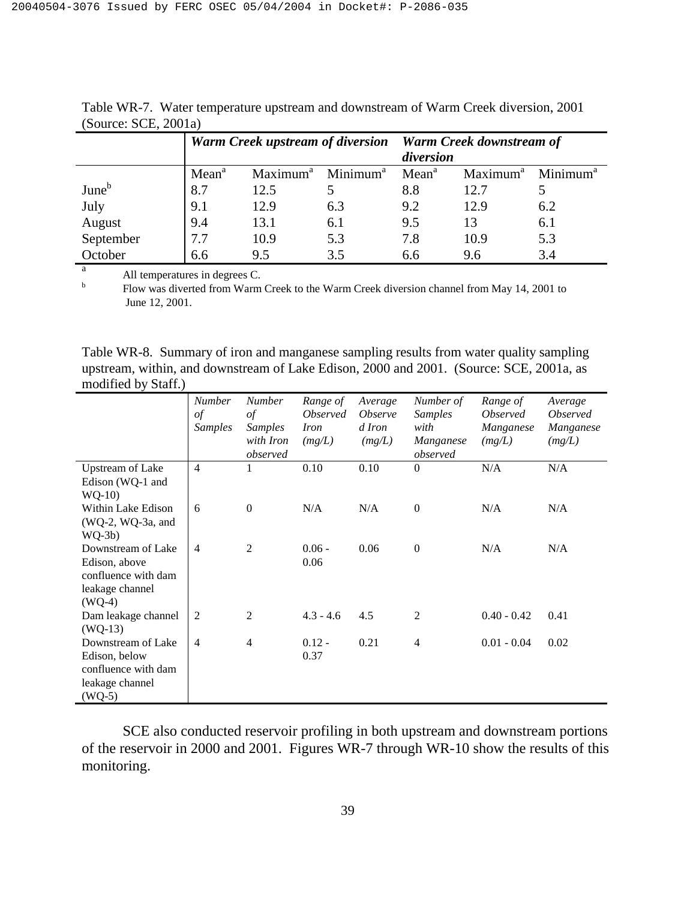|                   |                   | <b>Warm Creek upstream of diversion</b> |                      | <b>Warm Creek downstream of</b> |                      |                      |  |
|-------------------|-------------------|-----------------------------------------|----------------------|---------------------------------|----------------------|----------------------|--|
|                   |                   |                                         |                      | diversion                       |                      |                      |  |
|                   | Mean <sup>a</sup> | Maximum <sup>a</sup>                    | Minimum <sup>a</sup> | Mean <sup>a</sup>               | Maximum <sup>a</sup> | Minimum <sup>a</sup> |  |
| June <sup>b</sup> | 8.7               | 12.5                                    |                      | 8.8                             | 12.7                 |                      |  |
| July              | 9.1               | 12.9                                    | 6.3                  | 9.2                             | 12.9                 | 6.2                  |  |
| August            | 9.4               | 13.1                                    | 6.1                  | 9.5                             | 13                   | 6.1                  |  |
| September         | 7.7               | 10.9                                    | 5.3                  | 7.8                             | 10.9                 | 5.3                  |  |
| October           | 6.6               | 9.5                                     | 3.5                  | 6.6                             | 9.6                  | 3.4                  |  |

Table WR-7. Water temperature upstream and downstream of Warm Creek diversion, 2001 (Source: SCE, 2001a)

 $\frac{a}{b}$  All temperatures in degrees C.

 Flow was diverted from Warm Creek to the Warm Creek diversion channel from May 14, 2001 to June 12, 2001.

Table WR-8. Summary of iron and manganese sampling results from water quality sampling upstream, within, and downstream of Lake Edison, 2000 and 2001. (Source: SCE, 2001a, as modified by Staff.)

|                         | <b>Number</b>  | <b>Number</b>    | Range of               | Average               | Number of        | Range of               | Average                |
|-------------------------|----------------|------------------|------------------------|-----------------------|------------------|------------------------|------------------------|
|                         | of             | $\iota$          | <i><b>Observed</b></i> | <i><b>Observe</b></i> | <b>Samples</b>   | <i><b>Observed</b></i> | <i><b>Observed</b></i> |
|                         | <b>Samples</b> | <b>Samples</b>   | <i>Iron</i>            | d Iron                | with             | Manganese              | Manganese              |
|                         |                | with Iron        | (mg/L)                 | (mg/L)                | Manganese        | (mg/L)                 | (mg/L)                 |
|                         |                | observed         |                        |                       | observed         |                        |                        |
| <b>Upstream of Lake</b> | $\overline{4}$ | 1                | 0.10                   | 0.10                  | $\overline{0}$   | N/A                    | N/A                    |
| Edison (WQ-1 and        |                |                  |                        |                       |                  |                        |                        |
| $WQ-10$                 |                |                  |                        |                       |                  |                        |                        |
| Within Lake Edison      | 6              | $\boldsymbol{0}$ | N/A                    | N/A                   | $\boldsymbol{0}$ | N/A                    | N/A                    |
| $(WQ-2, WQ-3a, and$     |                |                  |                        |                       |                  |                        |                        |
| $WQ-3b)$                |                |                  |                        |                       |                  |                        |                        |
| Downstream of Lake      | $\overline{4}$ | $\mathfrak{2}$   | $0.06 -$               | 0.06                  | $\Omega$         | N/A                    | N/A                    |
| Edison, above           |                |                  | 0.06                   |                       |                  |                        |                        |
| confluence with dam     |                |                  |                        |                       |                  |                        |                        |
| leakage channel         |                |                  |                        |                       |                  |                        |                        |
| $(WQ-4)$                |                |                  |                        |                       |                  |                        |                        |
| Dam leakage channel     | 2              | 2                | $4.3 - 4.6$            | 4.5                   | $\overline{2}$   | $0.40 - 0.42$          | 0.41                   |
| $(WQ-13)$               |                |                  |                        |                       |                  |                        |                        |
| Downstream of Lake      | $\overline{4}$ | $\overline{4}$   | $0.12 -$               | 0.21                  | $\overline{4}$   | $0.01 - 0.04$          | 0.02                   |
| Edison, below           |                |                  | 0.37                   |                       |                  |                        |                        |
| confluence with dam     |                |                  |                        |                       |                  |                        |                        |
| leakage channel         |                |                  |                        |                       |                  |                        |                        |
| $(WQ-5)$                |                |                  |                        |                       |                  |                        |                        |
|                         |                |                  |                        |                       |                  |                        |                        |

 SCE also conducted reservoir profiling in both upstream and downstream portions of the reservoir in 2000 and 2001. Figures WR-7 through WR-10 show the results of this monitoring.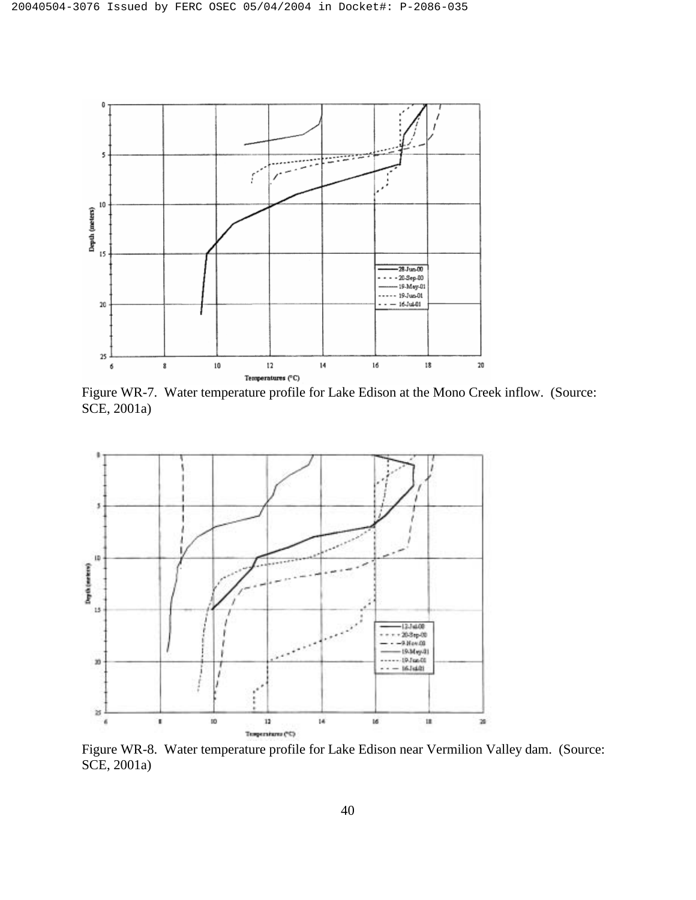

Figure WR-7. Water temperature profile for Lake Edison at the Mono Creek inflow. (Source: SCE, 2001a)



Figure WR-8. Water temperature profile for Lake Edison near Vermilion Valley dam. (Source: SCE, 2001a)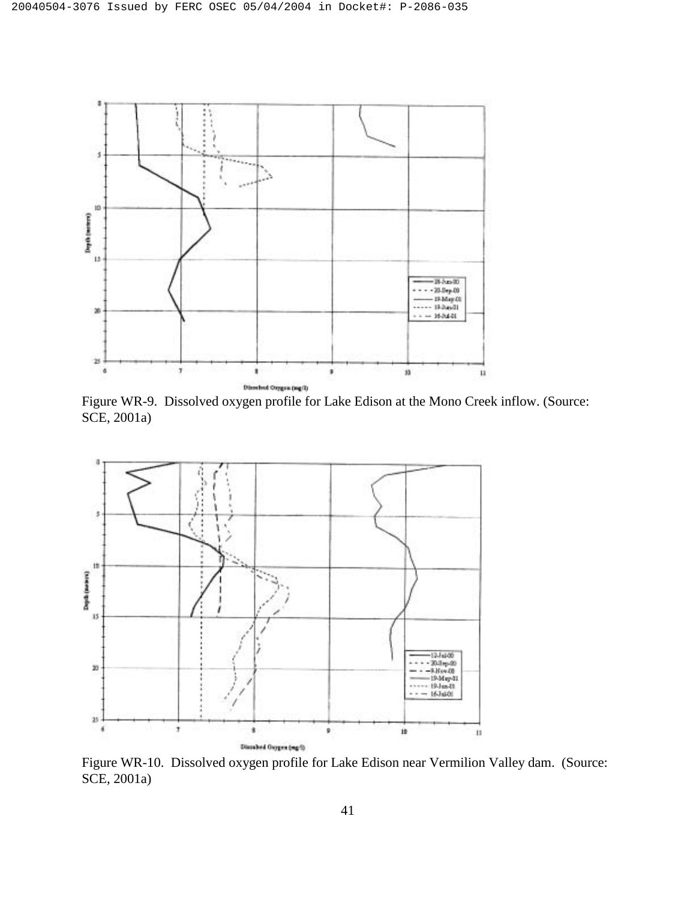

Figure WR-9. Dissolved oxygen profile for Lake Edison at the Mono Creek inflow. (Source: SCE, 2001a)



Figure WR-10. Dissolved oxygen profile for Lake Edison near Vermilion Valley dam. (Source: SCE, 2001a)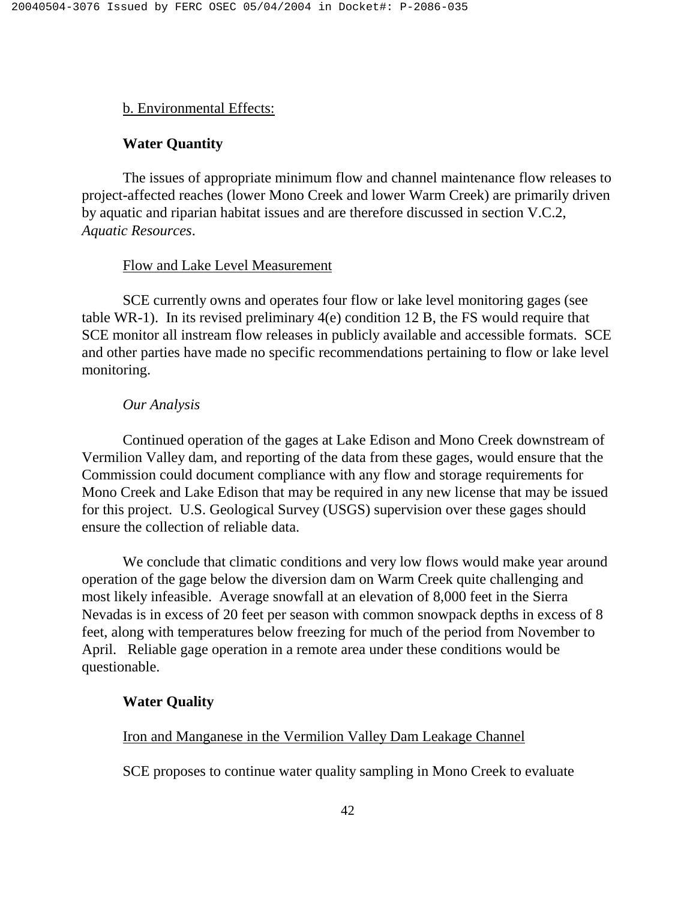# b. Environmental Effects:

# **Water Quantity**

 The issues of appropriate minimum flow and channel maintenance flow releases to project-affected reaches (lower Mono Creek and lower Warm Creek) are primarily driven by aquatic and riparian habitat issues and are therefore discussed in section V.C.2, *Aquatic Resources*.

### Flow and Lake Level Measurement

 SCE currently owns and operates four flow or lake level monitoring gages (see table WR-1). In its revised preliminary 4(e) condition 12 B, the FS would require that SCE monitor all instream flow releases in publicly available and accessible formats. SCE and other parties have made no specific recommendations pertaining to flow or lake level monitoring.

#### *Our Analysis*

 Continued operation of the gages at Lake Edison and Mono Creek downstream of Vermilion Valley dam, and reporting of the data from these gages, would ensure that the Commission could document compliance with any flow and storage requirements for Mono Creek and Lake Edison that may be required in any new license that may be issued for this project. U.S. Geological Survey (USGS) supervision over these gages should ensure the collection of reliable data.

 We conclude that climatic conditions and very low flows would make year around operation of the gage below the diversion dam on Warm Creek quite challenging and most likely infeasible. Average snowfall at an elevation of 8,000 feet in the Sierra Nevadas is in excess of 20 feet per season with common snowpack depths in excess of 8 feet, along with temperatures below freezing for much of the period from November to April. Reliable gage operation in a remote area under these conditions would be questionable.

#### **Water Quality**

#### Iron and Manganese in the Vermilion Valley Dam Leakage Channel

SCE proposes to continue water quality sampling in Mono Creek to evaluate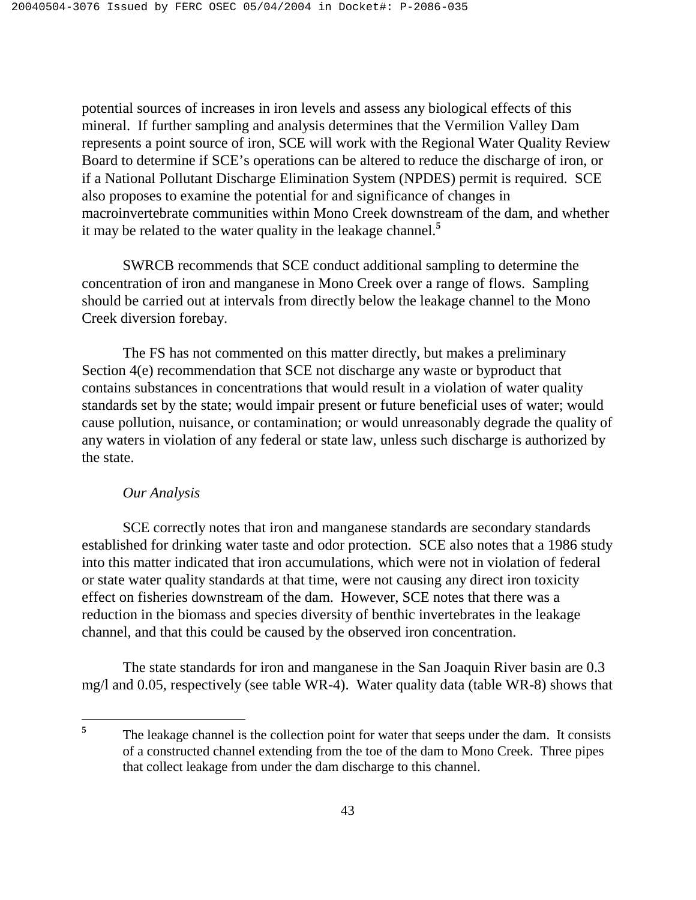potential sources of increases in iron levels and assess any biological effects of this mineral. If further sampling and analysis determines that the Vermilion Valley Dam represents a point source of iron, SCE will work with the Regional Water Quality Review Board to determine if SCE's operations can be altered to reduce the discharge of iron, or if a National Pollutant Discharge Elimination System (NPDES) permit is required. SCE also proposes to examine the potential for and significance of changes in macroinvertebrate communities within Mono Creek downstream of the dam, and whether it may be related to the water quality in the leakage channel.**<sup>5</sup>**

 SWRCB recommends that SCE conduct additional sampling to determine the concentration of iron and manganese in Mono Creek over a range of flows. Sampling should be carried out at intervals from directly below the leakage channel to the Mono Creek diversion forebay.

 The FS has not commented on this matter directly, but makes a preliminary Section 4(e) recommendation that SCE not discharge any waste or byproduct that contains substances in concentrations that would result in a violation of water quality standards set by the state; would impair present or future beneficial uses of water; would cause pollution, nuisance, or contamination; or would unreasonably degrade the quality of any waters in violation of any federal or state law, unless such discharge is authorized by the state.

# *Our Analysis*

 SCE correctly notes that iron and manganese standards are secondary standards established for drinking water taste and odor protection. SCE also notes that a 1986 study into this matter indicated that iron accumulations, which were not in violation of federal or state water quality standards at that time, were not causing any direct iron toxicity effect on fisheries downstream of the dam. However, SCE notes that there was a reduction in the biomass and species diversity of benthic invertebrates in the leakage channel, and that this could be caused by the observed iron concentration.

 The state standards for iron and manganese in the San Joaquin River basin are 0.3 mg/l and 0.05, respectively (see table WR-4). Water quality data (table WR-8) shows that

 $5\phantom{.0}$ **<sup>5</sup>**The leakage channel is the collection point for water that seeps under the dam. It consists of a constructed channel extending from the toe of the dam to Mono Creek. Three pipes that collect leakage from under the dam discharge to this channel.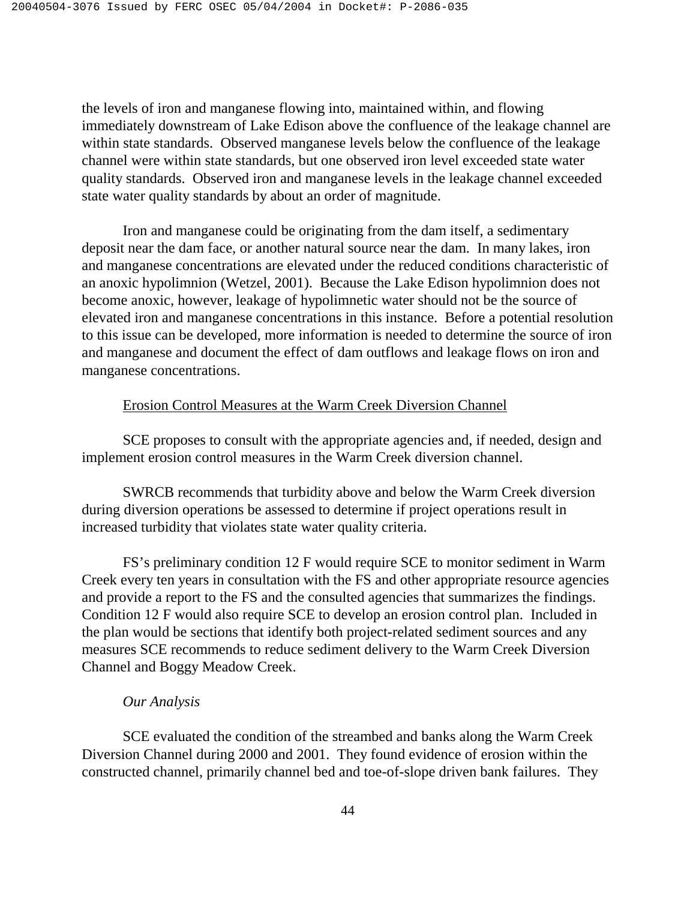the levels of iron and manganese flowing into, maintained within, and flowing immediately downstream of Lake Edison above the confluence of the leakage channel are within state standards. Observed manganese levels below the confluence of the leakage channel were within state standards, but one observed iron level exceeded state water quality standards. Observed iron and manganese levels in the leakage channel exceeded state water quality standards by about an order of magnitude.

 Iron and manganese could be originating from the dam itself, a sedimentary deposit near the dam face, or another natural source near the dam. In many lakes, iron and manganese concentrations are elevated under the reduced conditions characteristic of an anoxic hypolimnion (Wetzel, 2001). Because the Lake Edison hypolimnion does not become anoxic, however, leakage of hypolimnetic water should not be the source of elevated iron and manganese concentrations in this instance. Before a potential resolution to this issue can be developed, more information is needed to determine the source of iron and manganese and document the effect of dam outflows and leakage flows on iron and manganese concentrations.

#### Erosion Control Measures at the Warm Creek Diversion Channel

 SCE proposes to consult with the appropriate agencies and, if needed, design and implement erosion control measures in the Warm Creek diversion channel.

 SWRCB recommends that turbidity above and below the Warm Creek diversion during diversion operations be assessed to determine if project operations result in increased turbidity that violates state water quality criteria.

 FS's preliminary condition 12 F would require SCE to monitor sediment in Warm Creek every ten years in consultation with the FS and other appropriate resource agencies and provide a report to the FS and the consulted agencies that summarizes the findings. Condition 12 F would also require SCE to develop an erosion control plan. Included in the plan would be sections that identify both project-related sediment sources and any measures SCE recommends to reduce sediment delivery to the Warm Creek Diversion Channel and Boggy Meadow Creek.

#### *Our Analysis*

 SCE evaluated the condition of the streambed and banks along the Warm Creek Diversion Channel during 2000 and 2001. They found evidence of erosion within the constructed channel, primarily channel bed and toe-of-slope driven bank failures. They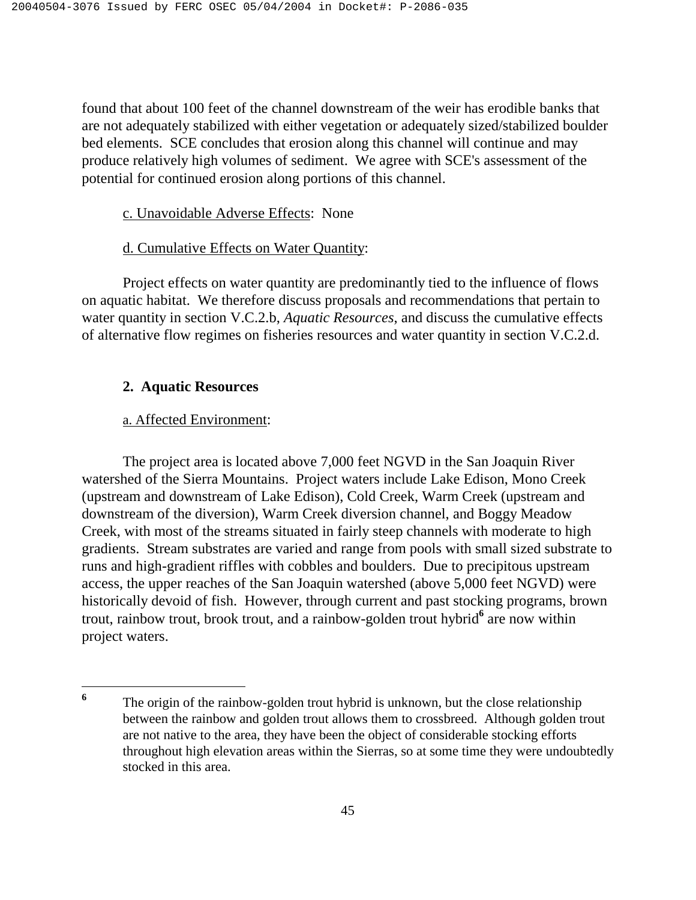found that about 100 feet of the channel downstream of the weir has erodible banks that are not adequately stabilized with either vegetation or adequately sized/stabilized boulder bed elements. SCE concludes that erosion along this channel will continue and may produce relatively high volumes of sediment. We agree with SCE's assessment of the potential for continued erosion along portions of this channel.

# c. Unavoidable Adverse Effects: None

# d. Cumulative Effects on Water Quantity:

 Project effects on water quantity are predominantly tied to the influence of flows on aquatic habitat. We therefore discuss proposals and recommendations that pertain to water quantity in section V.C.2.b, *Aquatic Resources*, and discuss the cumulative effects of alternative flow regimes on fisheries resources and water quantity in section V.C.2.d.

# **2. Aquatic Resources**

# a. Affected Environment:

<u>.</u>

The project area is located above 7,000 feet NGVD in the San Joaquin River watershed of the Sierra Mountains. Project waters include Lake Edison, Mono Creek (upstream and downstream of Lake Edison), Cold Creek, Warm Creek (upstream and downstream of the diversion), Warm Creek diversion channel, and Boggy Meadow Creek, with most of the streams situated in fairly steep channels with moderate to high gradients. Stream substrates are varied and range from pools with small sized substrate to runs and high-gradient riffles with cobbles and boulders. Due to precipitous upstream access, the upper reaches of the San Joaquin watershed (above 5,000 feet NGVD) were historically devoid of fish. However, through current and past stocking programs, brown trout, rainbow trout, brook trout, and a rainbow-golden trout hybrid<sup>6</sup> are now within project waters.

**<sup>6</sup>** The origin of the rainbow-golden trout hybrid is unknown, but the close relationship between the rainbow and golden trout allows them to crossbreed. Although golden trout are not native to the area, they have been the object of considerable stocking efforts throughout high elevation areas within the Sierras, so at some time they were undoubtedly stocked in this area.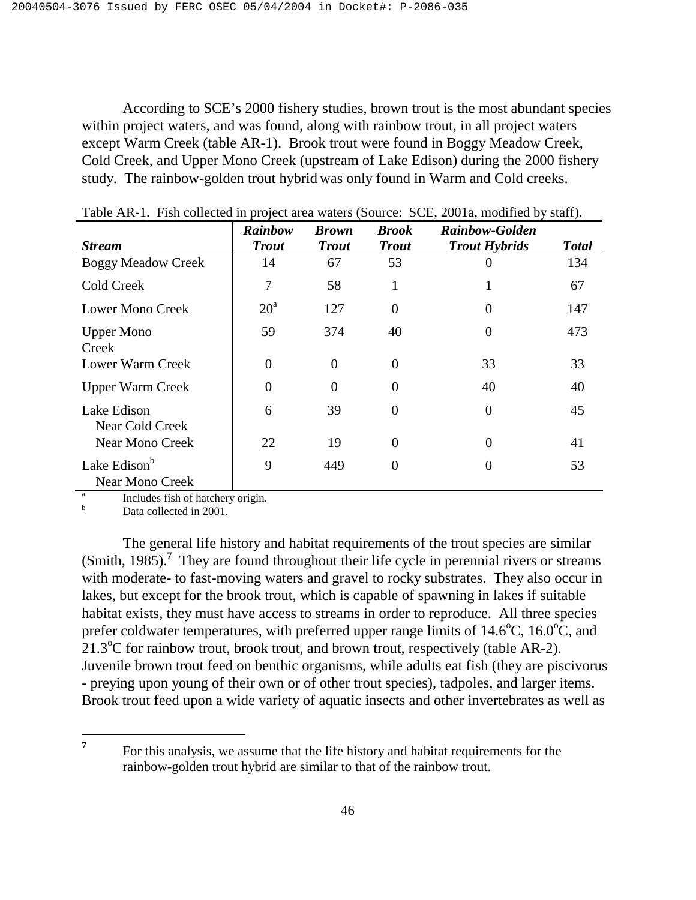According to SCE's 2000 fishery studies, brown trout is the most abundant species within project waters, and was found, along with rainbow trout, in all project waters except Warm Creek (table AR-1). Brook trout were found in Boggy Meadow Creek, Cold Creek, and Upper Mono Creek (upstream of Lake Edison) during the 2000 fishery study. The rainbow-golden trout hybrid was only found in Warm and Cold creeks.

|                                                    | Rainbow      | <b>Brown</b>   | <b>Brook</b>   | <b>Rainbow-Golden</b> |              |
|----------------------------------------------------|--------------|----------------|----------------|-----------------------|--------------|
| <b>Stream</b>                                      | <b>Trout</b> | <b>Trout</b>   | <b>Trout</b>   | <b>Trout Hybrids</b>  | <b>Total</b> |
| <b>Boggy Meadow Creek</b>                          | 14           | 67             | 53             |                       | 134          |
| <b>Cold Creek</b>                                  | 7            | 58             | 1              |                       | 67           |
| <b>Lower Mono Creek</b>                            | $20^{\circ}$ | 127            | $\overline{0}$ | 0                     | 147          |
| <b>Upper Mono</b><br>Creek                         | 59           | 374            | 40             | $\overline{0}$        | 473          |
| Lower Warm Creek                                   | $\theta$     | $\overline{0}$ | $\theta$       | 33                    | 33           |
| <b>Upper Warm Creek</b>                            | $\theta$     | $\theta$       | $\Omega$       | 40                    | 40           |
| Lake Edison<br>Near Cold Creek                     | 6            | 39             | $\theta$       | $\overline{0}$        | 45           |
| <b>Near Mono Creek</b>                             | 22           | 19             | $\overline{0}$ | 0                     | 41           |
| Lake Edison <sup>b</sup><br><b>Near Mono Creek</b> | 9            | 449            | $\overline{0}$ | 0                     | 53           |

Table AR-1. Fish collected in project area waters (Source: SCE, 2001a, modified by staff).

a Includes fish of hatchery origin.

b Data collected in 2001.

The general life history and habitat requirements of the trout species are similar (Smith, 1985).**<sup>7</sup>** They are found throughout their life cycle in perennial rivers or streams with moderate- to fast-moving waters and gravel to rocky substrates. They also occur in lakes, but except for the brook trout, which is capable of spawning in lakes if suitable habitat exists, they must have access to streams in order to reproduce. All three species prefer coldwater temperatures, with preferred upper range limits of  $14.6^{\circ}$ C,  $16.0^{\circ}$ C, and 21.3°C for rainbow trout, brook trout, and brown trout, respectively (table AR-2). Juvenile brown trout feed on benthic organisms, while adults eat fish (they are piscivorus - preying upon young of their own or of other trout species), tadpoles, and larger items. Brook trout feed upon a wide variety of aquatic insects and other invertebrates as well as

 $\overline{7}$ **<sup>7</sup>**For this analysis, we assume that the life history and habitat requirements for the rainbow-golden trout hybrid are similar to that of the rainbow trout.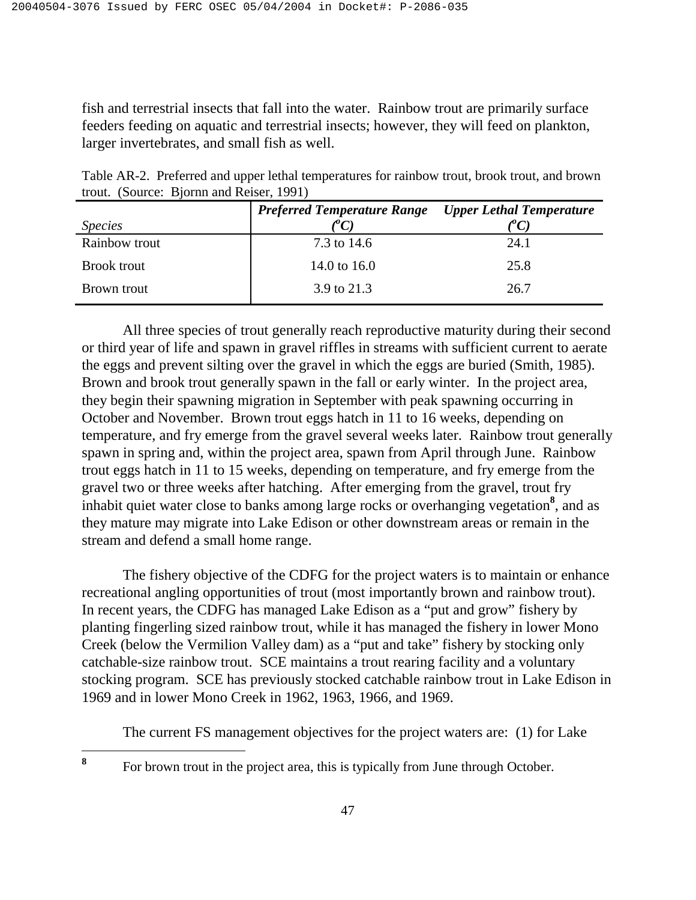fish and terrestrial insects that fall into the water. Rainbow trout are primarily surface feeders feeding on aquatic and terrestrial insects; however, they will feed on plankton, larger invertebrates, and small fish as well.

| trout. (Source: Bjornn and Reiser, 1991) |                                                             |  |
|------------------------------------------|-------------------------------------------------------------|--|
|                                          | <b>Preferred Temperature Range</b> Upper Lethal Temperature |  |
| <i>Species</i>                           | $\ell^{\nu}$ C)                                             |  |

Table AR-2. Preferred and upper lethal temperatures for rainbow trout, brook trout, and brown

| Rainbow trout<br><b>Brook trout</b> |                           |     | 7.3 to 14.6<br>14.0 to $16.0$ |  | 24.1<br>25.8                                                                                                                                        |  |
|-------------------------------------|---------------------------|-----|-------------------------------|--|-----------------------------------------------------------------------------------------------------------------------------------------------------|--|
| Brown trout                         |                           |     | 3.9 to 21.3                   |  | 26.7                                                                                                                                                |  |
| $A$ 11 $\pm$ 1                      | $\mathbf{r} = \mathbf{r}$ | 11. |                               |  | $\mathbf{1}$ , $\mathbf{1}$ , $\mathbf{1}$ , $\mathbf{1}$ , $\mathbf{1}$ , $\mathbf{1}$ , $\mathbf{1}$ , $\mathbf{1}$ , $\mathbf{1}$ , $\mathbf{1}$ |  |

All three species of trout generally reach reproductive maturity during their second or third year of life and spawn in gravel riffles in streams with sufficient current to aerate the eggs and prevent silting over the gravel in which the eggs are buried (Smith, 1985). Brown and brook trout generally spawn in the fall or early winter. In the project area, they begin their spawning migration in September with peak spawning occurring in October and November. Brown trout eggs hatch in 11 to 16 weeks, depending on temperature, and fry emerge from the gravel several weeks later. Rainbow trout generally spawn in spring and, within the project area, spawn from April through June. Rainbow trout eggs hatch in 11 to 15 weeks, depending on temperature, and fry emerge from the gravel two or three weeks after hatching. After emerging from the gravel, trout fry inhabit quiet water close to banks among large rocks or overhanging vegetation**<sup>8</sup>** , and as they mature may migrate into Lake Edison or other downstream areas or remain in the stream and defend a small home range.

 The fishery objective of the CDFG for the project waters is to maintain or enhance recreational angling opportunities of trout (most importantly brown and rainbow trout). In recent years, the CDFG has managed Lake Edison as a "put and grow" fishery by planting fingerling sized rainbow trout, while it has managed the fishery in lower Mono Creek (below the Vermilion Valley dam) as a "put and take" fishery by stocking only catchable-size rainbow trout. SCE maintains a trout rearing facility and a voluntary stocking program. SCE has previously stocked catchable rainbow trout in Lake Edison in 1969 and in lower Mono Creek in 1962, 1963, 1966, and 1969.

The current FS management objectives for the project waters are: (1) for Lake

**<sup>8</sup>**For brown trout in the project area, this is typically from June through October.

8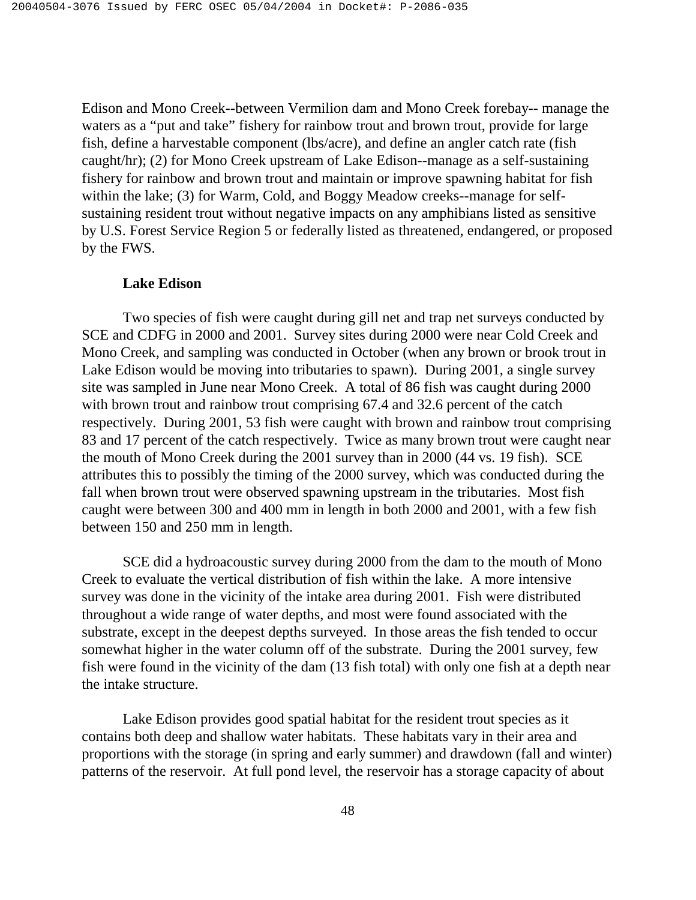Edison and Mono Creek--between Vermilion dam and Mono Creek forebay-- manage the waters as a "put and take" fishery for rainbow trout and brown trout, provide for large fish, define a harvestable component (lbs/acre), and define an angler catch rate (fish caught/hr); (2) for Mono Creek upstream of Lake Edison--manage as a self-sustaining fishery for rainbow and brown trout and maintain or improve spawning habitat for fish within the lake; (3) for Warm, Cold, and Boggy Meadow creeks--manage for selfsustaining resident trout without negative impacts on any amphibians listed as sensitive by U.S. Forest Service Region 5 or federally listed as threatened, endangered, or proposed by the FWS.

### **Lake Edison**

 Two species of fish were caught during gill net and trap net surveys conducted by SCE and CDFG in 2000 and 2001. Survey sites during 2000 were near Cold Creek and Mono Creek, and sampling was conducted in October (when any brown or brook trout in Lake Edison would be moving into tributaries to spawn). During 2001, a single survey site was sampled in June near Mono Creek. A total of 86 fish was caught during 2000 with brown trout and rainbow trout comprising 67.4 and 32.6 percent of the catch respectively. During 2001, 53 fish were caught with brown and rainbow trout comprising 83 and 17 percent of the catch respectively. Twice as many brown trout were caught near the mouth of Mono Creek during the 2001 survey than in 2000 (44 vs. 19 fish). SCE attributes this to possibly the timing of the 2000 survey, which was conducted during the fall when brown trout were observed spawning upstream in the tributaries. Most fish caught were between 300 and 400 mm in length in both 2000 and 2001, with a few fish between 150 and 250 mm in length.

 SCE did a hydroacoustic survey during 2000 from the dam to the mouth of Mono Creek to evaluate the vertical distribution of fish within the lake. A more intensive survey was done in the vicinity of the intake area during 2001. Fish were distributed throughout a wide range of water depths, and most were found associated with the substrate, except in the deepest depths surveyed. In those areas the fish tended to occur somewhat higher in the water column off of the substrate. During the 2001 survey, few fish were found in the vicinity of the dam (13 fish total) with only one fish at a depth near the intake structure.

 Lake Edison provides good spatial habitat for the resident trout species as it contains both deep and shallow water habitats. These habitats vary in their area and proportions with the storage (in spring and early summer) and drawdown (fall and winter) patterns of the reservoir. At full pond level, the reservoir has a storage capacity of about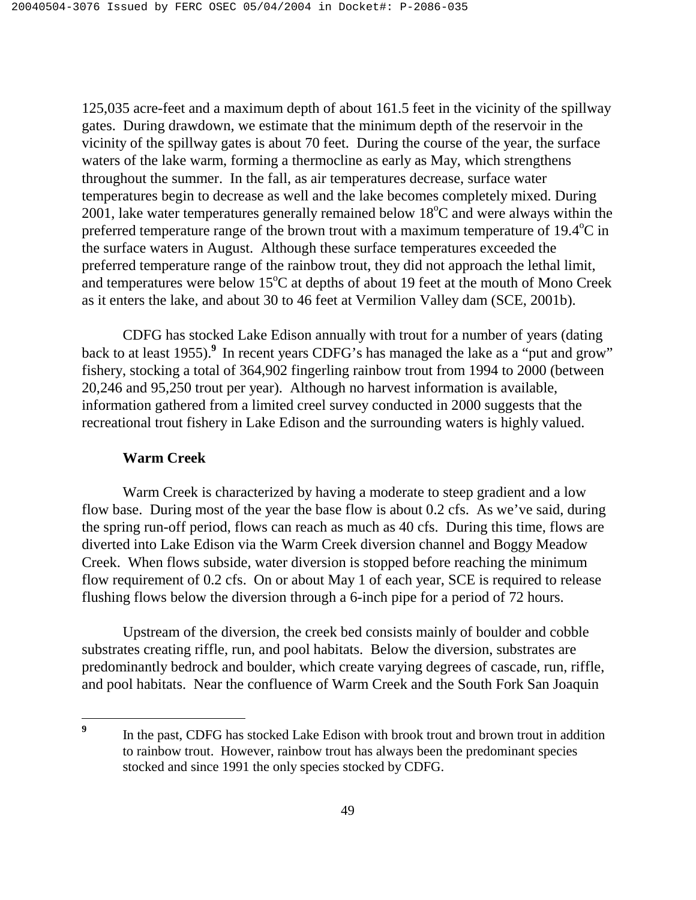125,035 acre-feet and a maximum depth of about 161.5 feet in the vicinity of the spillway gates. During drawdown, we estimate that the minimum depth of the reservoir in the vicinity of the spillway gates is about 70 feet. During the course of the year, the surface waters of the lake warm, forming a thermocline as early as May, which strengthens throughout the summer. In the fall, as air temperatures decrease, surface water temperatures begin to decrease as well and the lake becomes completely mixed. During  $2001$ , lake water temperatures generally remained below 18°C and were always within the preferred temperature range of the brown trout with a maximum temperature of  $19.4^{\circ}$ C in the surface waters in August. Although these surface temperatures exceeded the preferred temperature range of the rainbow trout, they did not approach the lethal limit, and temperatures were below  $15^{\circ}$ C at depths of about 19 feet at the mouth of Mono Creek as it enters the lake, and about 30 to 46 feet at Vermilion Valley dam (SCE, 2001b).

 CDFG has stocked Lake Edison annually with trout for a number of years (dating back to at least 1955).**<sup>9</sup>** In recent years CDFG's has managed the lake as a "put and grow" fishery, stocking a total of 364,902 fingerling rainbow trout from 1994 to 2000 (between 20,246 and 95,250 trout per year). Although no harvest information is available, information gathered from a limited creel survey conducted in 2000 suggests that the recreational trout fishery in Lake Edison and the surrounding waters is highly valued.

# **Warm Creek**

<u>.</u>

 Warm Creek is characterized by having a moderate to steep gradient and a low flow base. During most of the year the base flow is about 0.2 cfs. As we've said, during the spring run-off period, flows can reach as much as 40 cfs. During this time, flows are diverted into Lake Edison via the Warm Creek diversion channel and Boggy Meadow Creek. When flows subside, water diversion is stopped before reaching the minimum flow requirement of 0.2 cfs. On or about May 1 of each year, SCE is required to release flushing flows below the diversion through a 6-inch pipe for a period of 72 hours.

 Upstream of the diversion, the creek bed consists mainly of boulder and cobble substrates creating riffle, run, and pool habitats. Below the diversion, substrates are predominantly bedrock and boulder, which create varying degrees of cascade, run, riffle, and pool habitats. Near the confluence of Warm Creek and the South Fork San Joaquin

**<sup>9</sup>** In the past, CDFG has stocked Lake Edison with brook trout and brown trout in addition to rainbow trout. However, rainbow trout has always been the predominant species stocked and since 1991 the only species stocked by CDFG.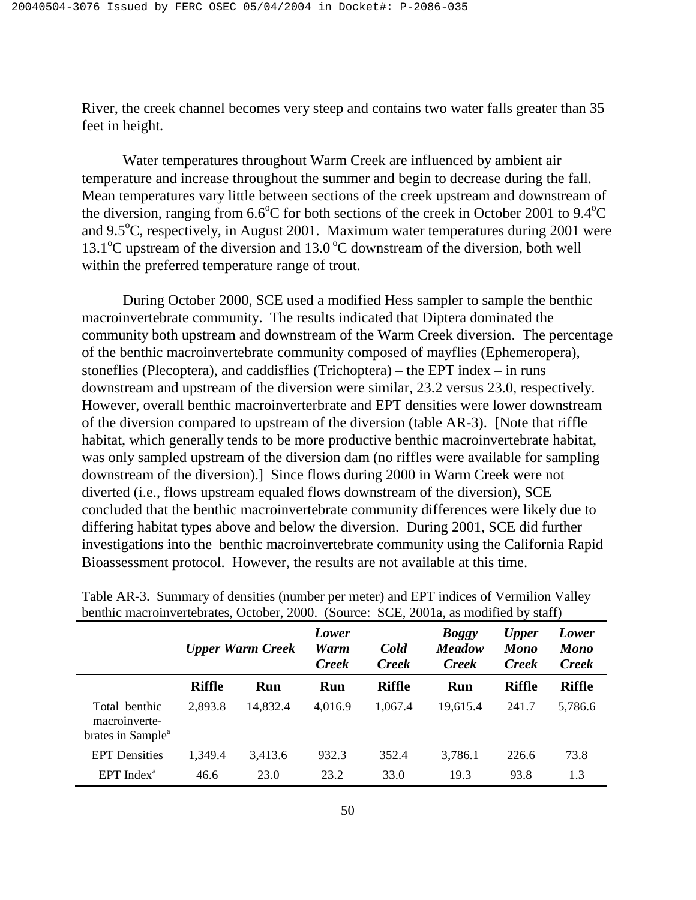River, the creek channel becomes very steep and contains two water falls greater than 35 feet in height.

 Water temperatures throughout Warm Creek are influenced by ambient air temperature and increase throughout the summer and begin to decrease during the fall. Mean temperatures vary little between sections of the creek upstream and downstream of the diversion, ranging from  $6.6^{\circ}$ C for both sections of the creek in October 2001 to  $9.4^{\circ}$ C and 9.5°C, respectively, in August 2001. Maximum water temperatures during 2001 were 13.1°C upstream of the diversion and 13.0°C downstream of the diversion, both well within the preferred temperature range of trout.

 During October 2000, SCE used a modified Hess sampler to sample the benthic macroinvertebrate community. The results indicated that Diptera dominated the community both upstream and downstream of the Warm Creek diversion. The percentage of the benthic macroinvertebrate community composed of mayflies (Ephemeropera), stoneflies (Plecoptera), and caddisflies (Trichoptera) – the EPT index – in runs downstream and upstream of the diversion were similar, 23.2 versus 23.0, respectively. However, overall benthic macroinverterbrate and EPT densities were lower downstream of the diversion compared to upstream of the diversion (table AR-3). [Note that riffle habitat, which generally tends to be more productive benthic macroinvertebrate habitat, was only sampled upstream of the diversion dam (no riffles were available for sampling downstream of the diversion).] Since flows during 2000 in Warm Creek were not diverted (i.e., flows upstream equaled flows downstream of the diversion), SCE concluded that the benthic macroinvertebrate community differences were likely due to differing habitat types above and below the diversion. During 2001, SCE did further investigations into the benthic macroinvertebrate community using the California Rapid Bioassessment protocol. However, the results are not available at this time.

| $\alpha$ behave macromocrophyclography, $\alpha$ body, $\alpha$ body. The second $\alpha$ is mounted by start f |                         |          |                                                       |               |                                               |                                             |                                      |  |
|-----------------------------------------------------------------------------------------------------------------|-------------------------|----------|-------------------------------------------------------|---------------|-----------------------------------------------|---------------------------------------------|--------------------------------------|--|
|                                                                                                                 | <b>Upper Warm Creek</b> |          | Lower<br>Cold<br>Warm<br><b>Creek</b><br><b>Creek</b> |               | <b>Boggy</b><br><b>Meadow</b><br><b>Creek</b> | <b>Upper</b><br><b>Mono</b><br><b>Creek</b> | Lower<br><b>Mono</b><br><b>Creek</b> |  |
|                                                                                                                 | <b>Riffle</b>           | Run      | Run                                                   | <b>Riffle</b> | <b>Run</b>                                    | <b>Riffle</b>                               | <b>Riffle</b>                        |  |
| Total benthic<br>macroinverte-<br>brates in Sample <sup>a</sup>                                                 | 2,893.8                 | 14,832.4 | 4,016.9                                               | 1,067.4       | 19,615.4                                      | 241.7                                       | 5,786.6                              |  |
| <b>EPT</b> Densities                                                                                            | 1,349.4                 | 3,413.6  | 932.3                                                 | 352.4         | 3,786.1                                       | 226.6                                       | 73.8                                 |  |
| $EPT$ Index <sup>a</sup>                                                                                        | 46.6                    | 23.0     | 23.2                                                  | 33.0          | 19.3                                          | 93.8                                        | 1.3                                  |  |

| Table AR-3. Summary of densities (number per meter) and EPT indices of Vermilion Valley |
|-----------------------------------------------------------------------------------------|
| benthic macroinvertebrates, October, 2000. (Source: SCE, 2001a, as modified by staff)   |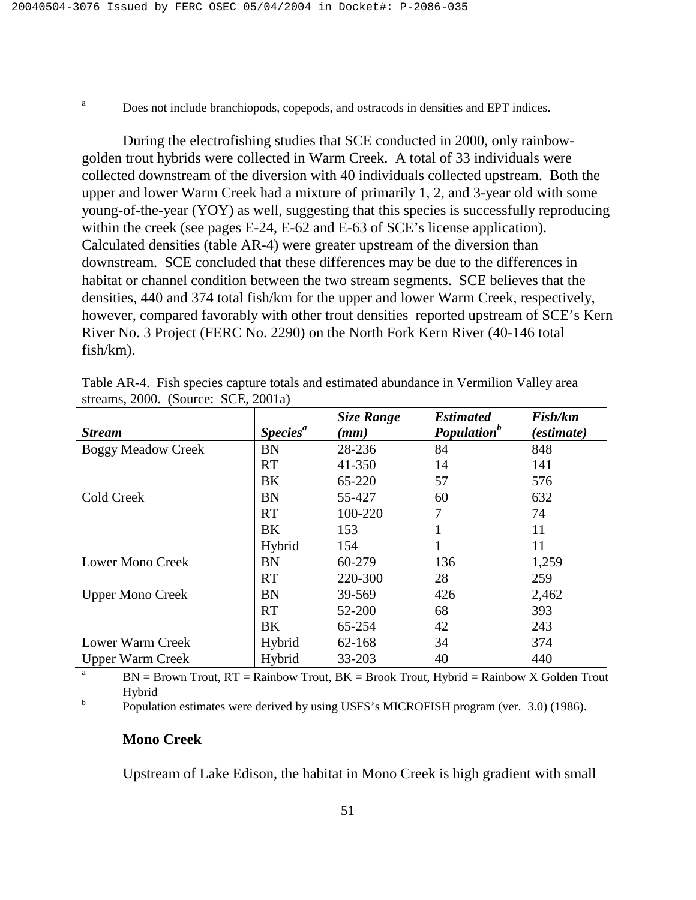a

Does not include branchiopods, copepods, and ostracods in densities and EPT indices.

During the electrofishing studies that SCE conducted in 2000, only rainbowgolden trout hybrids were collected in Warm Creek. A total of 33 individuals were collected downstream of the diversion with 40 individuals collected upstream. Both the upper and lower Warm Creek had a mixture of primarily 1, 2, and 3-year old with some young-of-the-year (YOY) as well, suggesting that this species is successfully reproducing within the creek (see pages E-24, E-62 and E-63 of SCE's license application). Calculated densities (table AR-4) were greater upstream of the diversion than downstream. SCE concluded that these differences may be due to the differences in habitat or channel condition between the two stream segments. SCE believes that the densities, 440 and 374 total fish/km for the upper and lower Warm Creek, respectively, however, compared favorably with other trout densities reported upstream of SCE's Kern River No. 3 Project (FERC No. 2290) on the North Fork Kern River (40-146 total fish/km).

|                           |                      | <b>Size Range</b> | <b>Estimated</b>        | Fish/km    |
|---------------------------|----------------------|-------------------|-------------------------|------------|
| <b>Stream</b>             | Species <sup>a</sup> | (mm)              | Population <sup>b</sup> | (estimate) |
| <b>Boggy Meadow Creek</b> | <b>BN</b>            | 28-236            | 84                      | 848        |
|                           | <b>RT</b>            | 41-350            | 14                      | 141        |
|                           | BK                   | 65-220            | 57                      | 576        |
| Cold Creek                | <b>BN</b>            | 55-427            | 60                      | 632        |
|                           | <b>RT</b>            | 100-220           | 7                       | 74         |
|                           | BK                   | 153               | 1                       | 11         |
|                           | Hybrid               | 154               | 1                       | 11         |
| Lower Mono Creek          | <b>BN</b>            | 60-279            | 136                     | 1,259      |
|                           | <b>RT</b>            | 220-300           | 28                      | 259        |
| <b>Upper Mono Creek</b>   | <b>BN</b>            | 39-569            | 426                     | 2,462      |
|                           | <b>RT</b>            | 52-200            | 68                      | 393        |
|                           | BK                   | 65-254            | 42                      | 243        |
| Lower Warm Creek          | Hybrid               | 62-168            | 34                      | 374        |
| <b>Upper Warm Creek</b>   | Hybrid               | 33-203            | 40                      | 440        |

Table AR-4. Fish species capture totals and estimated abundance in Vermilion Valley area streams, 2000. (Source: SCE, 2001a)

<sup>a</sup> BN = Brown Trout,  $RT =$  Rainbow Trout,  $BK =$  Brook Trout, Hybrid = Rainbow X Golden Trout Hybrid b

Population estimates were derived by using USFS's MICROFISH program (ver. 3.0) (1986).

# **Mono Creek**

Upstream of Lake Edison, the habitat in Mono Creek is high gradient with small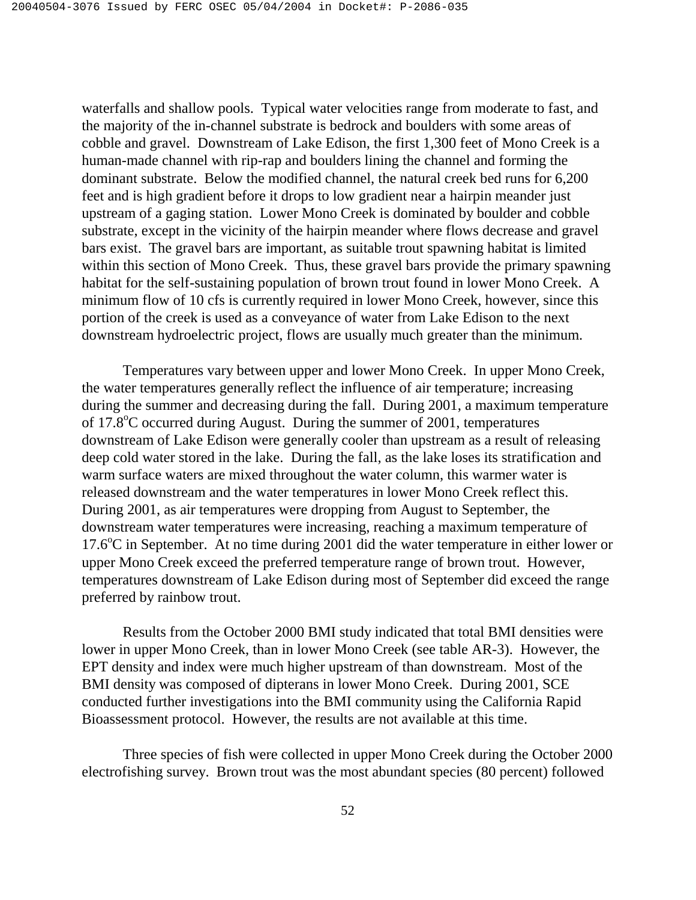waterfalls and shallow pools. Typical water velocities range from moderate to fast, and the majority of the in-channel substrate is bedrock and boulders with some areas of cobble and gravel. Downstream of Lake Edison, the first 1,300 feet of Mono Creek is a human-made channel with rip-rap and boulders lining the channel and forming the dominant substrate. Below the modified channel, the natural creek bed runs for 6,200 feet and is high gradient before it drops to low gradient near a hairpin meander just upstream of a gaging station. Lower Mono Creek is dominated by boulder and cobble substrate, except in the vicinity of the hairpin meander where flows decrease and gravel bars exist. The gravel bars are important, as suitable trout spawning habitat is limited within this section of Mono Creek. Thus, these gravel bars provide the primary spawning habitat for the self-sustaining population of brown trout found in lower Mono Creek. A minimum flow of 10 cfs is currently required in lower Mono Creek, however, since this portion of the creek is used as a conveyance of water from Lake Edison to the next downstream hydroelectric project, flows are usually much greater than the minimum.

 Temperatures vary between upper and lower Mono Creek. In upper Mono Creek, the water temperatures generally reflect the influence of air temperature; increasing during the summer and decreasing during the fall. During 2001, a maximum temperature of 17.8°C occurred during August. During the summer of 2001, temperatures downstream of Lake Edison were generally cooler than upstream as a result of releasing deep cold water stored in the lake. During the fall, as the lake loses its stratification and warm surface waters are mixed throughout the water column, this warmer water is released downstream and the water temperatures in lower Mono Creek reflect this. During 2001, as air temperatures were dropping from August to September, the downstream water temperatures were increasing, reaching a maximum temperature of 17.6°C in September. At no time during 2001 did the water temperature in either lower or upper Mono Creek exceed the preferred temperature range of brown trout. However, temperatures downstream of Lake Edison during most of September did exceed the range preferred by rainbow trout.

 Results from the October 2000 BMI study indicated that total BMI densities were lower in upper Mono Creek, than in lower Mono Creek (see table AR-3). However, the EPT density and index were much higher upstream of than downstream. Most of the BMI density was composed of dipterans in lower Mono Creek. During 2001, SCE conducted further investigations into the BMI community using the California Rapid Bioassessment protocol. However, the results are not available at this time.

 Three species of fish were collected in upper Mono Creek during the October 2000 electrofishing survey. Brown trout was the most abundant species (80 percent) followed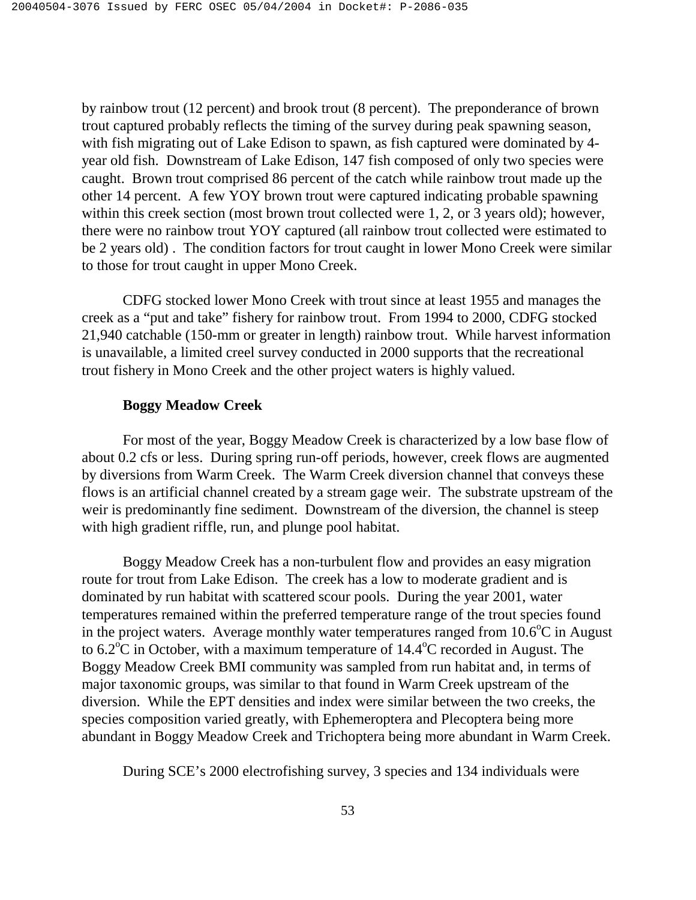by rainbow trout (12 percent) and brook trout (8 percent). The preponderance of brown trout captured probably reflects the timing of the survey during peak spawning season, with fish migrating out of Lake Edison to spawn, as fish captured were dominated by 4 year old fish. Downstream of Lake Edison, 147 fish composed of only two species were caught. Brown trout comprised 86 percent of the catch while rainbow trout made up the other 14 percent. A few YOY brown trout were captured indicating probable spawning within this creek section (most brown trout collected were 1, 2, or 3 years old); however, there were no rainbow trout YOY captured (all rainbow trout collected were estimated to be 2 years old) . The condition factors for trout caught in lower Mono Creek were similar to those for trout caught in upper Mono Creek.

 CDFG stocked lower Mono Creek with trout since at least 1955 and manages the creek as a "put and take" fishery for rainbow trout. From 1994 to 2000, CDFG stocked 21,940 catchable (150-mm or greater in length) rainbow trout. While harvest information is unavailable, a limited creel survey conducted in 2000 supports that the recreational trout fishery in Mono Creek and the other project waters is highly valued.

#### **Boggy Meadow Creek**

 For most of the year, Boggy Meadow Creek is characterized by a low base flow of about 0.2 cfs or less. During spring run-off periods, however, creek flows are augmented by diversions from Warm Creek. The Warm Creek diversion channel that conveys these flows is an artificial channel created by a stream gage weir. The substrate upstream of the weir is predominantly fine sediment. Downstream of the diversion, the channel is steep with high gradient riffle, run, and plunge pool habitat.

 Boggy Meadow Creek has a non-turbulent flow and provides an easy migration route for trout from Lake Edison. The creek has a low to moderate gradient and is dominated by run habitat with scattered scour pools. During the year 2001, water temperatures remained within the preferred temperature range of the trout species found in the project waters. Average monthly water temperatures ranged from  $10.6^{\circ}$ C in August to  $6.2^{\circ}$ C in October, with a maximum temperature of  $14.4^{\circ}$ C recorded in August. The Boggy Meadow Creek BMI community was sampled from run habitat and, in terms of major taxonomic groups, was similar to that found in Warm Creek upstream of the diversion. While the EPT densities and index were similar between the two creeks, the species composition varied greatly, with Ephemeroptera and Plecoptera being more abundant in Boggy Meadow Creek and Trichoptera being more abundant in Warm Creek.

During SCE's 2000 electrofishing survey, 3 species and 134 individuals were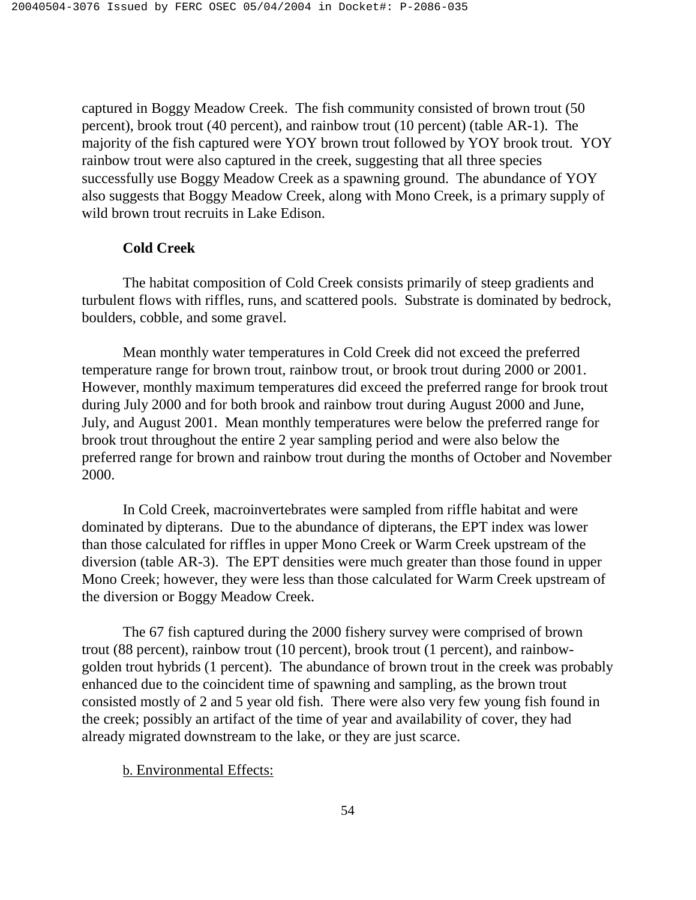captured in Boggy Meadow Creek. The fish community consisted of brown trout (50 percent), brook trout (40 percent), and rainbow trout (10 percent) (table AR-1). The majority of the fish captured were YOY brown trout followed by YOY brook trout. YOY rainbow trout were also captured in the creek, suggesting that all three species successfully use Boggy Meadow Creek as a spawning ground. The abundance of YOY also suggests that Boggy Meadow Creek, along with Mono Creek, is a primary supply of wild brown trout recruits in Lake Edison.

## **Cold Creek**

 The habitat composition of Cold Creek consists primarily of steep gradients and turbulent flows with riffles, runs, and scattered pools. Substrate is dominated by bedrock, boulders, cobble, and some gravel.

 Mean monthly water temperatures in Cold Creek did not exceed the preferred temperature range for brown trout, rainbow trout, or brook trout during 2000 or 2001. However, monthly maximum temperatures did exceed the preferred range for brook trout during July 2000 and for both brook and rainbow trout during August 2000 and June, July, and August 2001. Mean monthly temperatures were below the preferred range for brook trout throughout the entire 2 year sampling period and were also below the preferred range for brown and rainbow trout during the months of October and November 2000.

 In Cold Creek, macroinvertebrates were sampled from riffle habitat and were dominated by dipterans. Due to the abundance of dipterans, the EPT index was lower than those calculated for riffles in upper Mono Creek or Warm Creek upstream of the diversion (table AR-3). The EPT densities were much greater than those found in upper Mono Creek; however, they were less than those calculated for Warm Creek upstream of the diversion or Boggy Meadow Creek.

 The 67 fish captured during the 2000 fishery survey were comprised of brown trout (88 percent), rainbow trout (10 percent), brook trout (1 percent), and rainbowgolden trout hybrids (1 percent). The abundance of brown trout in the creek was probably enhanced due to the coincident time of spawning and sampling, as the brown trout consisted mostly of 2 and 5 year old fish. There were also very few young fish found in the creek; possibly an artifact of the time of year and availability of cover, they had already migrated downstream to the lake, or they are just scarce.

## b. Environmental Effects: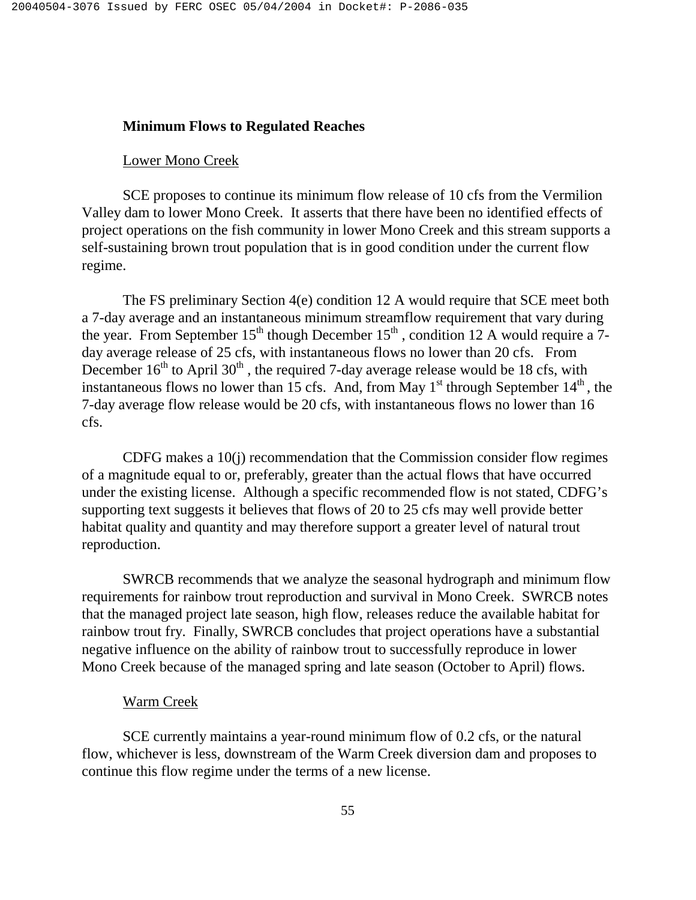### **Minimum Flows to Regulated Reaches**

#### Lower Mono Creek

 SCE proposes to continue its minimum flow release of 10 cfs from the Vermilion Valley dam to lower Mono Creek. It asserts that there have been no identified effects of project operations on the fish community in lower Mono Creek and this stream supports a self-sustaining brown trout population that is in good condition under the current flow regime.

 The FS preliminary Section 4(e) condition 12 A would require that SCE meet both a 7-day average and an instantaneous minimum streamflow requirement that vary during the year. From September 15<sup>th</sup> though December 15<sup>th</sup>, condition 12 A would require a 7day average release of 25 cfs, with instantaneous flows no lower than 20 cfs. From December  $16<sup>th</sup>$  to April  $30<sup>th</sup>$ , the required 7-day average release would be 18 cfs, with instantaneous flows no lower than 15 cfs. And, from May  $1<sup>st</sup>$  through September  $14<sup>th</sup>$ , the 7-day average flow release would be 20 cfs, with instantaneous flows no lower than 16 cfs.

 CDFG makes a 10(j) recommendation that the Commission consider flow regimes of a magnitude equal to or, preferably, greater than the actual flows that have occurred under the existing license. Although a specific recommended flow is not stated, CDFG's supporting text suggests it believes that flows of 20 to 25 cfs may well provide better habitat quality and quantity and may therefore support a greater level of natural trout reproduction.

 SWRCB recommends that we analyze the seasonal hydrograph and minimum flow requirements for rainbow trout reproduction and survival in Mono Creek. SWRCB notes that the managed project late season, high flow, releases reduce the available habitat for rainbow trout fry. Finally, SWRCB concludes that project operations have a substantial negative influence on the ability of rainbow trout to successfully reproduce in lower Mono Creek because of the managed spring and late season (October to April) flows.

#### Warm Creek

 SCE currently maintains a year-round minimum flow of 0.2 cfs, or the natural flow, whichever is less, downstream of the Warm Creek diversion dam and proposes to continue this flow regime under the terms of a new license.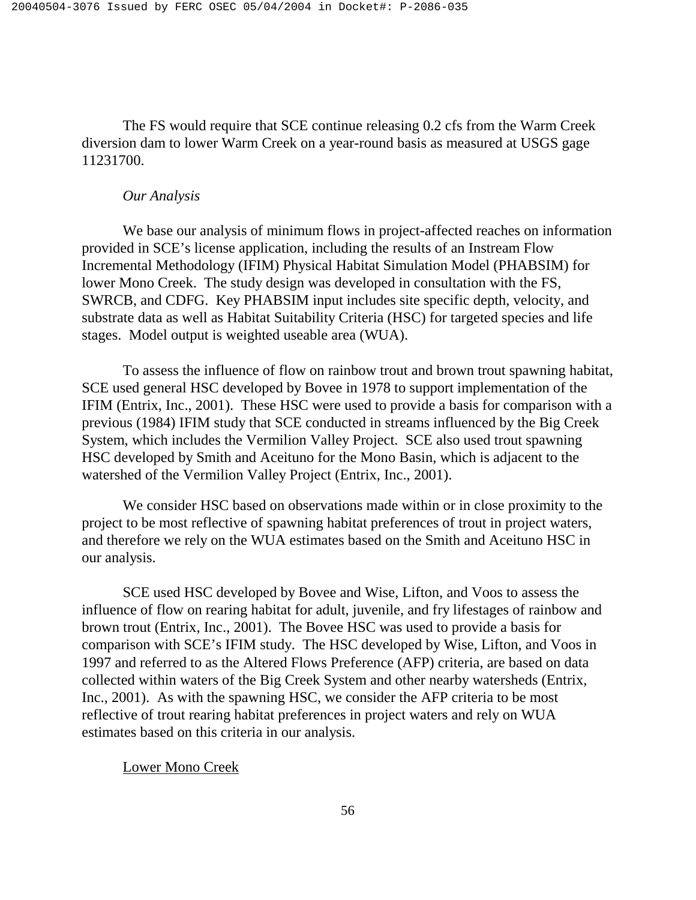The FS would require that SCE continue releasing 0.2 cfs from the Warm Creek diversion dam to lower Warm Creek on a year-round basis as measured at USGS gage 11231700.

### *Our Analysis*

 We base our analysis of minimum flows in project-affected reaches on information provided in SCE's license application, including the results of an Instream Flow Incremental Methodology (IFIM) Physical Habitat Simulation Model (PHABSIM) for lower Mono Creek. The study design was developed in consultation with the FS, SWRCB, and CDFG. Key PHABSIM input includes site specific depth, velocity, and substrate data as well as Habitat Suitability Criteria (HSC) for targeted species and life stages. Model output is weighted useable area (WUA).

 To assess the influence of flow on rainbow trout and brown trout spawning habitat, SCE used general HSC developed by Bovee in 1978 to support implementation of the IFIM (Entrix, Inc., 2001). These HSC were used to provide a basis for comparison with a previous (1984) IFIM study that SCE conducted in streams influenced by the Big Creek System, which includes the Vermilion Valley Project. SCE also used trout spawning HSC developed by Smith and Aceituno for the Mono Basin, which is adjacent to the watershed of the Vermilion Valley Project (Entrix, Inc., 2001).

We consider HSC based on observations made within or in close proximity to the project to be most reflective of spawning habitat preferences of trout in project waters, and therefore we rely on the WUA estimates based on the Smith and Aceituno HSC in our analysis.

SCE used HSC developed by Bovee and Wise, Lifton, and Voos to assess the influence of flow on rearing habitat for adult, juvenile, and fry lifestages of rainbow and brown trout (Entrix, Inc., 2001). The Bovee HSC was used to provide a basis for comparison with SCE's IFIM study. The HSC developed by Wise, Lifton, and Voos in 1997 and referred to as the Altered Flows Preference (AFP) criteria, are based on data collected within waters of the Big Creek System and other nearby watersheds (Entrix, Inc., 2001). As with the spawning HSC, we consider the AFP criteria to be most reflective of trout rearing habitat preferences in project waters and rely on WUA estimates based on this criteria in our analysis.

Lower Mono Creek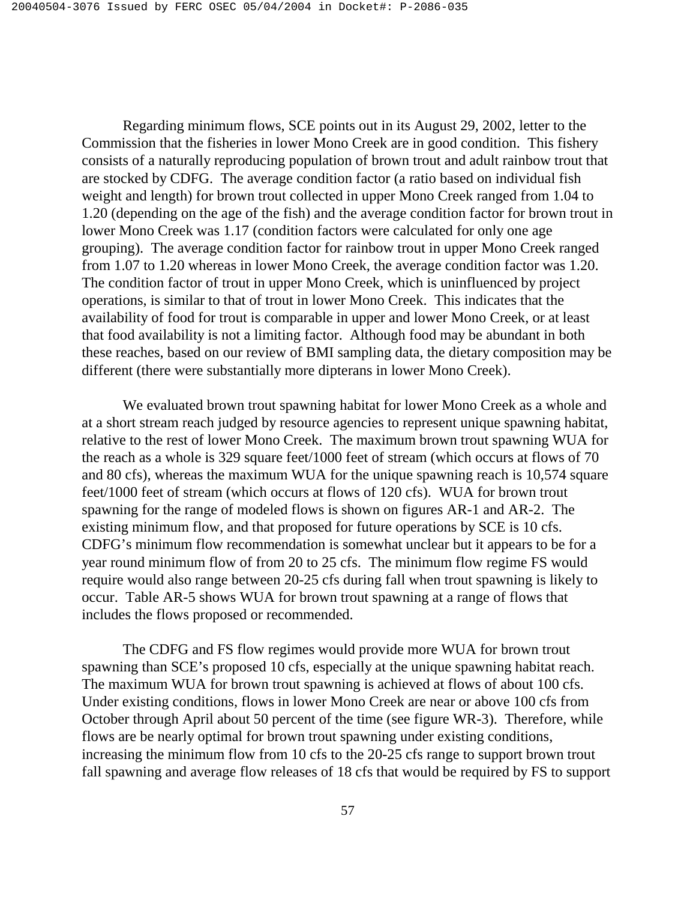Regarding minimum flows, SCE points out in its August 29, 2002, letter to the Commission that the fisheries in lower Mono Creek are in good condition. This fishery consists of a naturally reproducing population of brown trout and adult rainbow trout that are stocked by CDFG. The average condition factor (a ratio based on individual fish weight and length) for brown trout collected in upper Mono Creek ranged from 1.04 to 1.20 (depending on the age of the fish) and the average condition factor for brown trout in lower Mono Creek was 1.17 (condition factors were calculated for only one age grouping). The average condition factor for rainbow trout in upper Mono Creek ranged from 1.07 to 1.20 whereas in lower Mono Creek, the average condition factor was 1.20. The condition factor of trout in upper Mono Creek, which is uninfluenced by project operations, is similar to that of trout in lower Mono Creek. This indicates that the availability of food for trout is comparable in upper and lower Mono Creek, or at least that food availability is not a limiting factor. Although food may be abundant in both these reaches, based on our review of BMI sampling data, the dietary composition may be different (there were substantially more dipterans in lower Mono Creek).

 We evaluated brown trout spawning habitat for lower Mono Creek as a whole and at a short stream reach judged by resource agencies to represent unique spawning habitat, relative to the rest of lower Mono Creek. The maximum brown trout spawning WUA for the reach as a whole is 329 square feet/1000 feet of stream (which occurs at flows of 70 and 80 cfs), whereas the maximum WUA for the unique spawning reach is 10,574 square feet/1000 feet of stream (which occurs at flows of 120 cfs). WUA for brown trout spawning for the range of modeled flows is shown on figures AR-1 and AR-2. The existing minimum flow, and that proposed for future operations by SCE is 10 cfs. CDFG's minimum flow recommendation is somewhat unclear but it appears to be for a year round minimum flow of from 20 to 25 cfs. The minimum flow regime FS would require would also range between 20-25 cfs during fall when trout spawning is likely to occur. Table AR-5 shows WUA for brown trout spawning at a range of flows that includes the flows proposed or recommended.

 The CDFG and FS flow regimes would provide more WUA for brown trout spawning than SCE's proposed 10 cfs, especially at the unique spawning habitat reach. The maximum WUA for brown trout spawning is achieved at flows of about 100 cfs. Under existing conditions, flows in lower Mono Creek are near or above 100 cfs from October through April about 50 percent of the time (see figure WR-3). Therefore, while flows are be nearly optimal for brown trout spawning under existing conditions, increasing the minimum flow from 10 cfs to the 20-25 cfs range to support brown trout fall spawning and average flow releases of 18 cfs that would be required by FS to support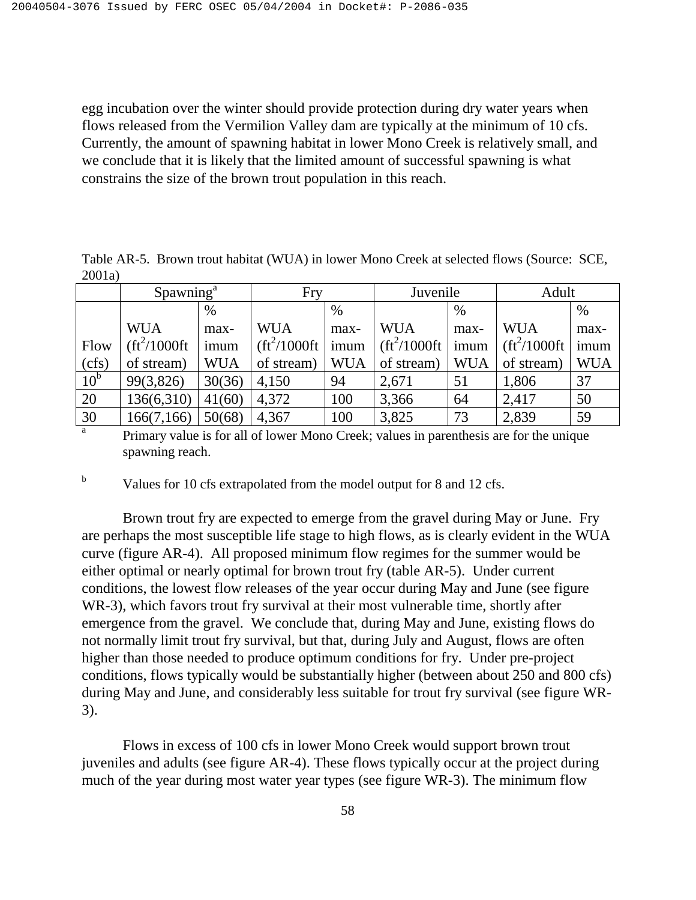egg incubation over the winter should provide protection during dry water years when flows released from the Vermilion Valley dam are typically at the minimum of 10 cfs. Currently, the amount of spawning habitat in lower Mono Creek is relatively small, and we conclude that it is likely that the limited amount of successful spawning is what constrains the size of the brown trout population in this reach.

Table AR-5. Brown trout habitat (WUA) in lower Mono Creek at selected flows (Source: SCE, 2001a)

|              | Spawning <sup>a</sup>       |            | Fry            |            | Juvenile      |            | Adult                       |            |
|--------------|-----------------------------|------------|----------------|------------|---------------|------------|-----------------------------|------------|
|              |                             | $\%$       |                | $\%$       |               | $\%$       |                             | $\%$       |
|              | <b>WUA</b>                  | max-       | <b>WUA</b>     | max-       | <b>WUA</b>    | max-       | <b>WUA</b>                  | max-       |
| Flow         | $({\rm ft}^2/1000{\rm ft})$ | imum       | $ft^2/1000ft'$ | imum       | $ft^2/1000ft$ | imum       | $({\rm ft}^2/1000{\rm ft})$ | imum       |
| (cfs)        | of stream)                  | <b>WUA</b> | of stream)     | <b>WUA</b> | of stream)    | <b>WUA</b> | of stream)                  | <b>WUA</b> |
| $10^{\rm b}$ | 99(3,826)                   | 30(36)     | 4,150          | 94         | 2,671         | 51         | 1,806                       | 37         |
| 20           | 136(6,310)                  | 41(60)     | 4,372          | 100        | 3,366         | 64         | 2,417                       | 50         |
| 30           | 166(7,166)                  | 50(68)     | 4,367          | 100        | 3,825         | 73         | 2,839                       | 59         |

 $\overline{a}$  Primary value is for all of lower Mono Creek; values in parenthesis are for the unique spawning reach.

b Values for 10 cfs extrapolated from the model output for 8 and 12 cfs.

 Brown trout fry are expected to emerge from the gravel during May or June. Fry are perhaps the most susceptible life stage to high flows, as is clearly evident in the WUA curve (figure AR-4). All proposed minimum flow regimes for the summer would be either optimal or nearly optimal for brown trout fry (table AR-5). Under current conditions, the lowest flow releases of the year occur during May and June (see figure WR-3), which favors trout fry survival at their most vulnerable time, shortly after emergence from the gravel. We conclude that, during May and June, existing flows do not normally limit trout fry survival, but that, during July and August, flows are often higher than those needed to produce optimum conditions for fry. Under pre-project conditions, flows typically would be substantially higher (between about 250 and 800 cfs) during May and June, and considerably less suitable for trout fry survival (see figure WR-3).

 Flows in excess of 100 cfs in lower Mono Creek would support brown trout juveniles and adults (see figure AR-4). These flows typically occur at the project during much of the year during most water year types (see figure WR-3). The minimum flow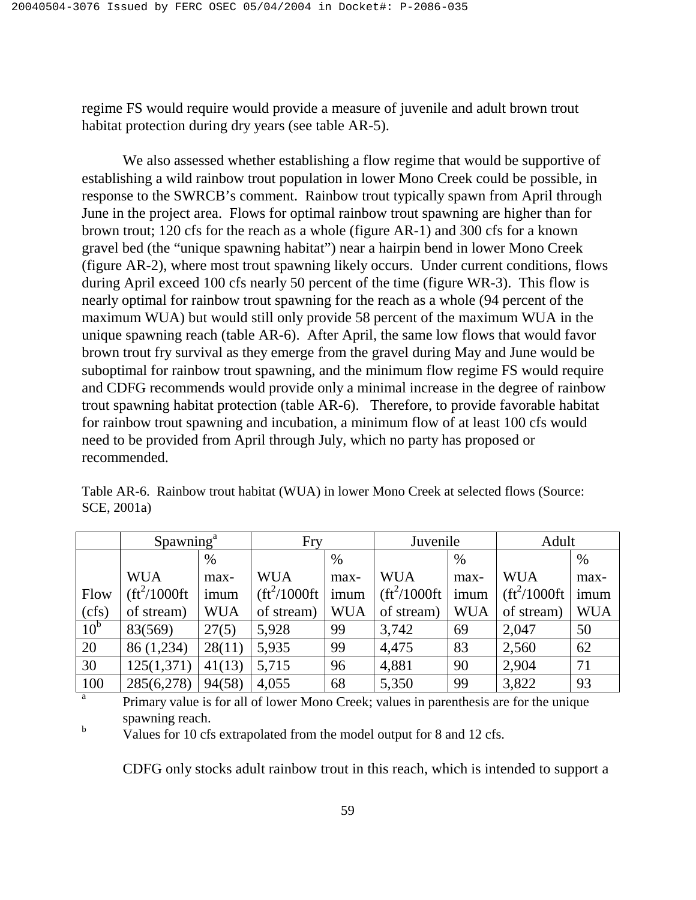regime FS would require would provide a measure of juvenile and adult brown trout habitat protection during dry years (see table AR-5).

 We also assessed whether establishing a flow regime that would be supportive of establishing a wild rainbow trout population in lower Mono Creek could be possible, in response to the SWRCB's comment. Rainbow trout typically spawn from April through June in the project area. Flows for optimal rainbow trout spawning are higher than for brown trout; 120 cfs for the reach as a whole (figure AR-1) and 300 cfs for a known gravel bed (the "unique spawning habitat") near a hairpin bend in lower Mono Creek (figure AR-2), where most trout spawning likely occurs. Under current conditions, flows during April exceed 100 cfs nearly 50 percent of the time (figure WR-3). This flow is nearly optimal for rainbow trout spawning for the reach as a whole (94 percent of the maximum WUA) but would still only provide 58 percent of the maximum WUA in the unique spawning reach (table AR-6). After April, the same low flows that would favor brown trout fry survival as they emerge from the gravel during May and June would be suboptimal for rainbow trout spawning, and the minimum flow regime FS would require and CDFG recommends would provide only a minimal increase in the degree of rainbow trout spawning habitat protection (table AR-6). Therefore, to provide favorable habitat for rainbow trout spawning and incubation, a minimum flow of at least 100 cfs would need to be provided from April through July, which no party has proposed or recommended.

|                 | Spawning <sup>a</sup>    |            | Fry                                              |            | Juvenile                    |            | Adult                                            |            |
|-----------------|--------------------------|------------|--------------------------------------------------|------------|-----------------------------|------------|--------------------------------------------------|------------|
|                 |                          | $\%$       |                                                  | $\%$       |                             | $\%$       |                                                  | $\%$       |
|                 | <b>WUA</b>               | max-       | <b>WUA</b>                                       | max-       | <b>WUA</b>                  | max-       | <b>WUA</b>                                       | max-       |
| Flow            | (ft <sup>2</sup> /1000ft | imum       | $\left(\frac{\text{ft}^2}{1000\text{ft}}\right)$ | imum       | $({\rm ft}^2/1000{\rm ft})$ | imum       | $\left(\frac{\text{ft}^2}{1000\text{ft}}\right)$ | imum       |
| (cfs)           | of stream)               | <b>WUA</b> | of stream)                                       | <b>WUA</b> | of stream)                  | <b>WUA</b> | of stream)                                       | <b>WUA</b> |
| 10 <sup>b</sup> | 83(569)                  | 27(5)      | 5,928                                            | 99         | 3,742                       | 69         | 2,047                                            | 50         |
| 20              | 86 (1,234)               | 28(11)     | 5,935                                            | 99         | 4,475                       | 83         | 2,560                                            | 62         |
| 30              | 125(1,371)               | 41(13)     | 5,715                                            | 96         | 4,881                       | 90         | 2,904                                            | 71         |
| 100             | 285(6,278)               | 94(58)     | 4,055                                            | 68         | 5,350                       | 99         | 3,822                                            | 93         |

Table AR-6. Rainbow trout habitat (WUA) in lower Mono Creek at selected flows (Source: SCE, 2001a)

<sup>a</sup> Primary value is for all of lower Mono Creek; values in parenthesis are for the unique spawning reach.

<sup>b</sup> Values for 10 cfs extrapolated from the model output for 8 and 12 cfs.

CDFG only stocks adult rainbow trout in this reach, which is intended to support a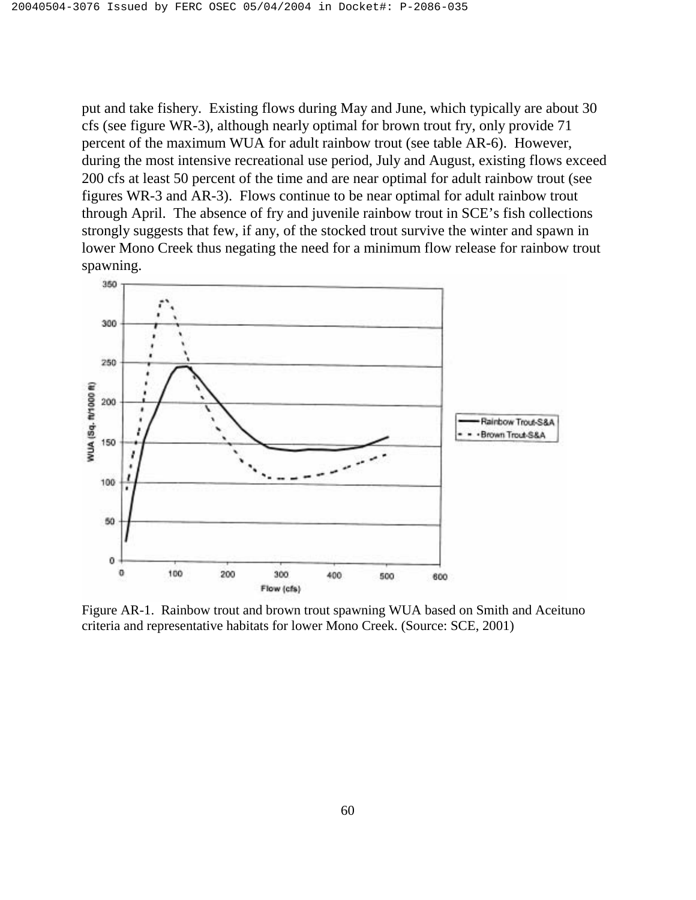put and take fishery. Existing flows during May and June, which typically are about 30 cfs (see figure WR-3), although nearly optimal for brown trout fry, only provide 71 percent of the maximum WUA for adult rainbow trout (see table AR-6). However, during the most intensive recreational use period, July and August, existing flows exceed 200 cfs at least 50 percent of the time and are near optimal for adult rainbow trout (see figures WR-3 and AR-3). Flows continue to be near optimal for adult rainbow trout through April. The absence of fry and juvenile rainbow trout in SCE's fish collections strongly suggests that few, if any, of the stocked trout survive the winter and spawn in lower Mono Creek thus negating the need for a minimum flow release for rainbow trout spawning.



Figure AR-1. Rainbow trout and brown trout spawning WUA based on Smith and Aceituno criteria and representative habitats for lower Mono Creek. (Source: SCE, 2001)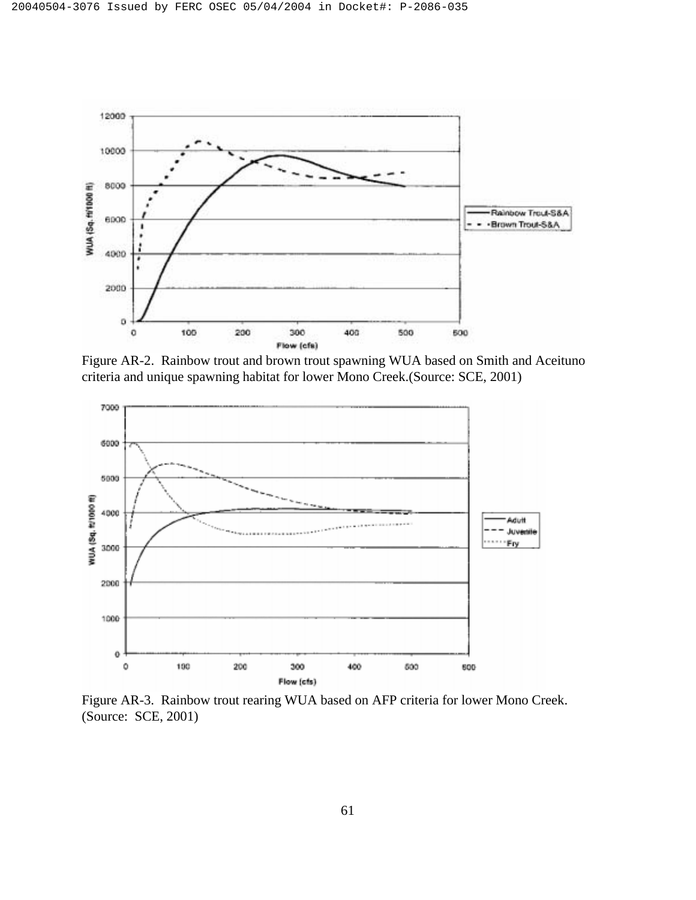

Figure AR-2. Rainbow trout and brown trout spawning WUA based on Smith and Aceituno criteria and unique spawning habitat for lower Mono Creek.(Source: SCE, 2001)



Figure AR-3. Rainbow trout rearing WUA based on AFP criteria for lower Mono Creek. (Source: SCE, 2001)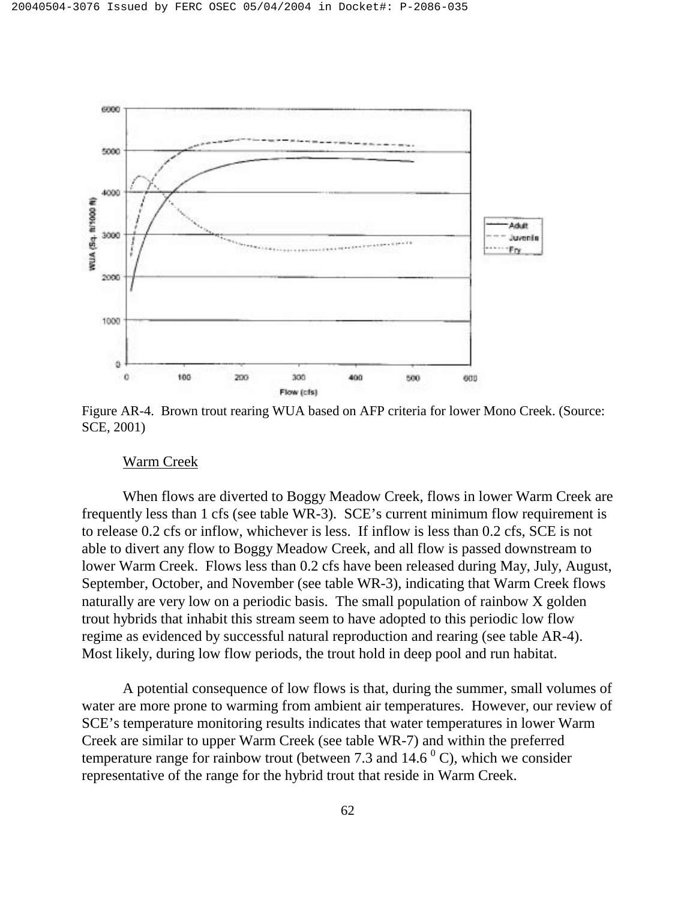

Figure AR-4. Brown trout rearing WUA based on AFP criteria for lower Mono Creek. (Source: SCE, 2001)

#### Warm Creek

 When flows are diverted to Boggy Meadow Creek, flows in lower Warm Creek are frequently less than 1 cfs (see table WR-3). SCE's current minimum flow requirement is to release 0.2 cfs or inflow, whichever is less. If inflow is less than 0.2 cfs, SCE is not able to divert any flow to Boggy Meadow Creek, and all flow is passed downstream to lower Warm Creek. Flows less than 0.2 cfs have been released during May, July, August, September, October, and November (see table WR-3), indicating that Warm Creek flows naturally are very low on a periodic basis. The small population of rainbow X golden trout hybrids that inhabit this stream seem to have adopted to this periodic low flow regime as evidenced by successful natural reproduction and rearing (see table AR-4). Most likely, during low flow periods, the trout hold in deep pool and run habitat.

 A potential consequence of low flows is that, during the summer, small volumes of water are more prone to warming from ambient air temperatures. However, our review of SCE's temperature monitoring results indicates that water temperatures in lower Warm Creek are similar to upper Warm Creek (see table WR-7) and within the preferred temperature range for rainbow trout (between 7.3 and  $14.6<sup>o</sup>$  C), which we consider representative of the range for the hybrid trout that reside in Warm Creek.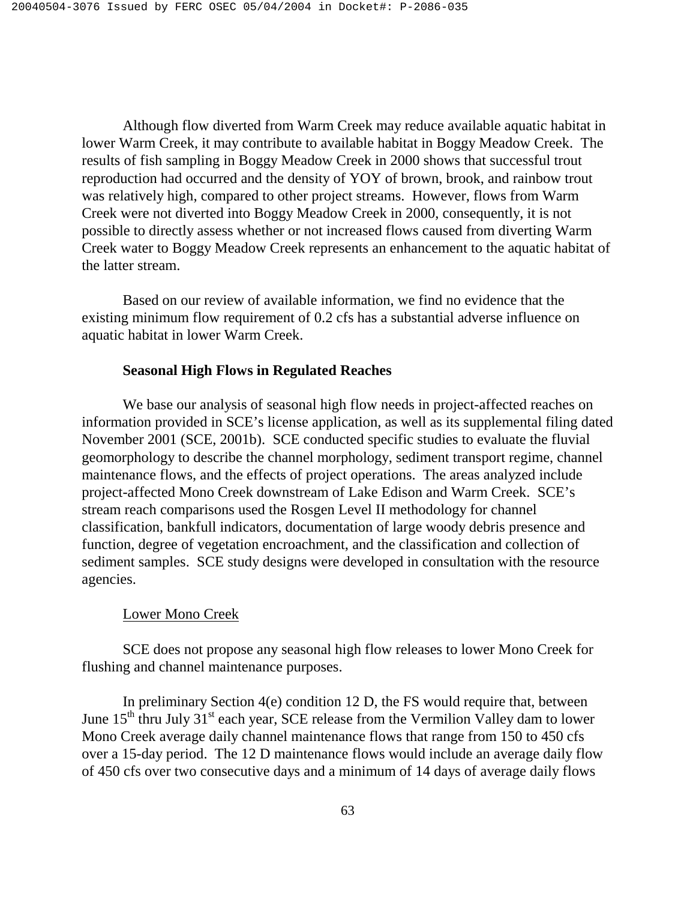Although flow diverted from Warm Creek may reduce available aquatic habitat in lower Warm Creek, it may contribute to available habitat in Boggy Meadow Creek. The results of fish sampling in Boggy Meadow Creek in 2000 shows that successful trout reproduction had occurred and the density of YOY of brown, brook, and rainbow trout was relatively high, compared to other project streams. However, flows from Warm Creek were not diverted into Boggy Meadow Creek in 2000, consequently, it is not possible to directly assess whether or not increased flows caused from diverting Warm Creek water to Boggy Meadow Creek represents an enhancement to the aquatic habitat of the latter stream.

 Based on our review of available information, we find no evidence that the existing minimum flow requirement of 0.2 cfs has a substantial adverse influence on aquatic habitat in lower Warm Creek.

## **Seasonal High Flows in Regulated Reaches**

 We base our analysis of seasonal high flow needs in project-affected reaches on information provided in SCE's license application, as well as its supplemental filing dated November 2001 (SCE, 2001b). SCE conducted specific studies to evaluate the fluvial geomorphology to describe the channel morphology, sediment transport regime, channel maintenance flows, and the effects of project operations. The areas analyzed include project-affected Mono Creek downstream of Lake Edison and Warm Creek. SCE's stream reach comparisons used the Rosgen Level II methodology for channel classification, bankfull indicators, documentation of large woody debris presence and function, degree of vegetation encroachment, and the classification and collection of sediment samples. SCE study designs were developed in consultation with the resource agencies.

#### Lower Mono Creek

 SCE does not propose any seasonal high flow releases to lower Mono Creek for flushing and channel maintenance purposes.

 In preliminary Section 4(e) condition 12 D, the FS would require that, between June  $15<sup>th</sup>$  thru July  $31<sup>st</sup>$  each year, SCE release from the Vermilion Valley dam to lower Mono Creek average daily channel maintenance flows that range from 150 to 450 cfs over a 15-day period. The 12 D maintenance flows would include an average daily flow of 450 cfs over two consecutive days and a minimum of 14 days of average daily flows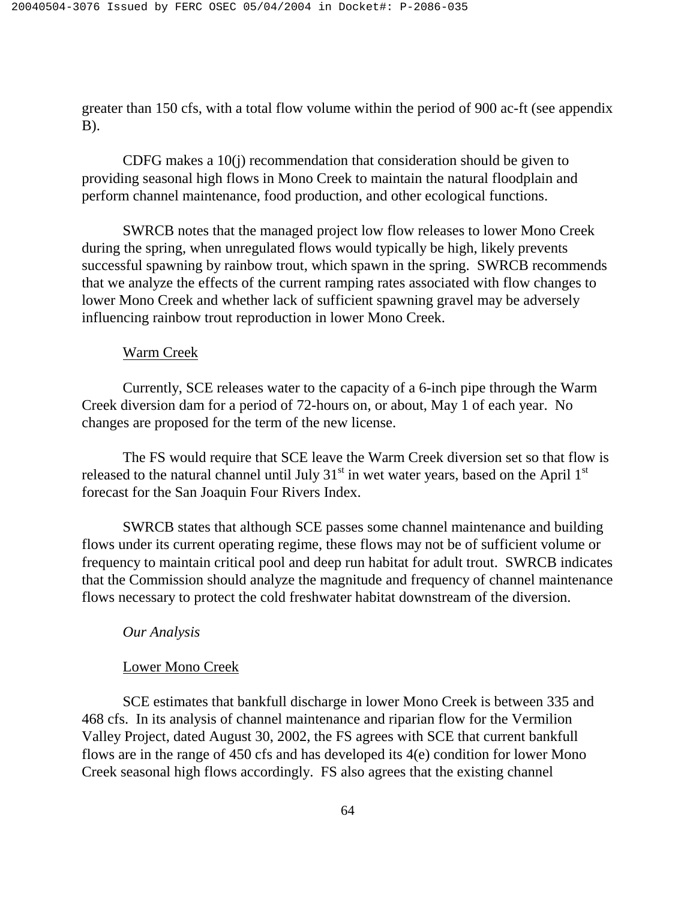greater than 150 cfs, with a total flow volume within the period of 900 ac-ft (see appendix B).

 CDFG makes a 10(j) recommendation that consideration should be given to providing seasonal high flows in Mono Creek to maintain the natural floodplain and perform channel maintenance, food production, and other ecological functions.

 SWRCB notes that the managed project low flow releases to lower Mono Creek during the spring, when unregulated flows would typically be high, likely prevents successful spawning by rainbow trout, which spawn in the spring. SWRCB recommends that we analyze the effects of the current ramping rates associated with flow changes to lower Mono Creek and whether lack of sufficient spawning gravel may be adversely influencing rainbow trout reproduction in lower Mono Creek.

### Warm Creek

 Currently, SCE releases water to the capacity of a 6-inch pipe through the Warm Creek diversion dam for a period of 72-hours on, or about, May 1 of each year. No changes are proposed for the term of the new license.

 The FS would require that SCE leave the Warm Creek diversion set so that flow is released to the natural channel until July  $31<sup>st</sup>$  in wet water years, based on the April  $1<sup>st</sup>$ forecast for the San Joaquin Four Rivers Index.

 SWRCB states that although SCE passes some channel maintenance and building flows under its current operating regime, these flows may not be of sufficient volume or frequency to maintain critical pool and deep run habitat for adult trout. SWRCB indicates that the Commission should analyze the magnitude and frequency of channel maintenance flows necessary to protect the cold freshwater habitat downstream of the diversion.

## *Our Analysis*

# Lower Mono Creek

 SCE estimates that bankfull discharge in lower Mono Creek is between 335 and 468 cfs. In its analysis of channel maintenance and riparian flow for the Vermilion Valley Project, dated August 30, 2002, the FS agrees with SCE that current bankfull flows are in the range of 450 cfs and has developed its 4(e) condition for lower Mono Creek seasonal high flows accordingly. FS also agrees that the existing channel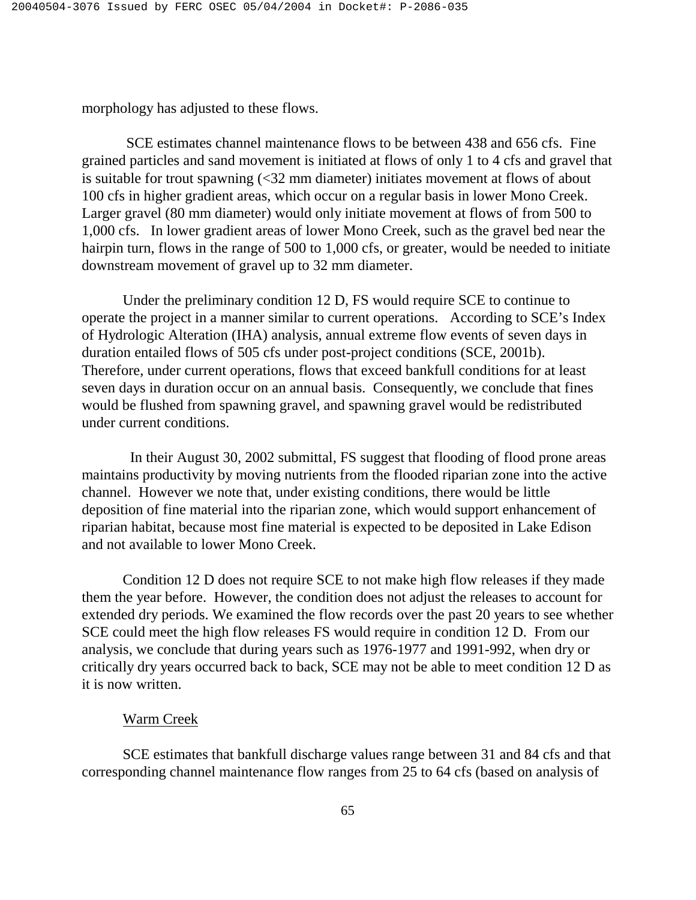morphology has adjusted to these flows.

 SCE estimates channel maintenance flows to be between 438 and 656 cfs. Fine grained particles and sand movement is initiated at flows of only 1 to 4 cfs and gravel that is suitable for trout spawning (<32 mm diameter) initiates movement at flows of about 100 cfs in higher gradient areas, which occur on a regular basis in lower Mono Creek. Larger gravel (80 mm diameter) would only initiate movement at flows of from 500 to 1,000 cfs. In lower gradient areas of lower Mono Creek, such as the gravel bed near the hairpin turn, flows in the range of 500 to 1,000 cfs, or greater, would be needed to initiate downstream movement of gravel up to 32 mm diameter.

 Under the preliminary condition 12 D, FS would require SCE to continue to operate the project in a manner similar to current operations. According to SCE's Index of Hydrologic Alteration (IHA) analysis, annual extreme flow events of seven days in duration entailed flows of 505 cfs under post-project conditions (SCE, 2001b). Therefore, under current operations, flows that exceed bankfull conditions for at least seven days in duration occur on an annual basis. Consequently, we conclude that fines would be flushed from spawning gravel, and spawning gravel would be redistributed under current conditions.

 In their August 30, 2002 submittal, FS suggest that flooding of flood prone areas maintains productivity by moving nutrients from the flooded riparian zone into the active channel. However we note that, under existing conditions, there would be little deposition of fine material into the riparian zone, which would support enhancement of riparian habitat, because most fine material is expected to be deposited in Lake Edison and not available to lower Mono Creek.

 Condition 12 D does not require SCE to not make high flow releases if they made them the year before. However, the condition does not adjust the releases to account for extended dry periods. We examined the flow records over the past 20 years to see whether SCE could meet the high flow releases FS would require in condition 12 D. From our analysis, we conclude that during years such as 1976-1977 and 1991-992, when dry or critically dry years occurred back to back, SCE may not be able to meet condition 12 D as it is now written.

#### Warm Creek

 SCE estimates that bankfull discharge values range between 31 and 84 cfs and that corresponding channel maintenance flow ranges from 25 to 64 cfs (based on analysis of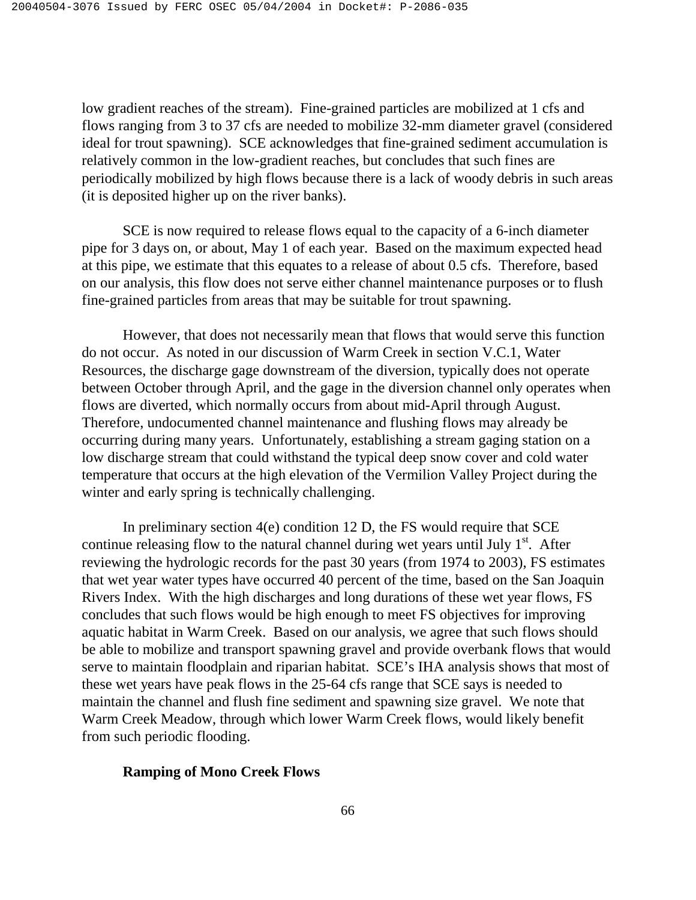low gradient reaches of the stream). Fine-grained particles are mobilized at 1 cfs and flows ranging from 3 to 37 cfs are needed to mobilize 32-mm diameter gravel (considered ideal for trout spawning). SCE acknowledges that fine-grained sediment accumulation is relatively common in the low-gradient reaches, but concludes that such fines are periodically mobilized by high flows because there is a lack of woody debris in such areas (it is deposited higher up on the river banks).

 SCE is now required to release flows equal to the capacity of a 6-inch diameter pipe for 3 days on, or about, May 1 of each year. Based on the maximum expected head at this pipe, we estimate that this equates to a release of about 0.5 cfs. Therefore, based on our analysis, this flow does not serve either channel maintenance purposes or to flush fine-grained particles from areas that may be suitable for trout spawning.

 However, that does not necessarily mean that flows that would serve this function do not occur. As noted in our discussion of Warm Creek in section V.C.1, Water Resources, the discharge gage downstream of the diversion, typically does not operate between October through April, and the gage in the diversion channel only operates when flows are diverted, which normally occurs from about mid-April through August. Therefore, undocumented channel maintenance and flushing flows may already be occurring during many years. Unfortunately, establishing a stream gaging station on a low discharge stream that could withstand the typical deep snow cover and cold water temperature that occurs at the high elevation of the Vermilion Valley Project during the winter and early spring is technically challenging.

 In preliminary section 4(e) condition 12 D, the FS would require that SCE continue releasing flow to the natural channel during wet years until July  $1<sup>st</sup>$ . After reviewing the hydrologic records for the past 30 years (from 1974 to 2003), FS estimates that wet year water types have occurred 40 percent of the time, based on the San Joaquin Rivers Index. With the high discharges and long durations of these wet year flows, FS concludes that such flows would be high enough to meet FS objectives for improving aquatic habitat in Warm Creek. Based on our analysis, we agree that such flows should be able to mobilize and transport spawning gravel and provide overbank flows that would serve to maintain floodplain and riparian habitat. SCE's IHA analysis shows that most of these wet years have peak flows in the 25-64 cfs range that SCE says is needed to maintain the channel and flush fine sediment and spawning size gravel. We note that Warm Creek Meadow, through which lower Warm Creek flows, would likely benefit from such periodic flooding.

#### **Ramping of Mono Creek Flows**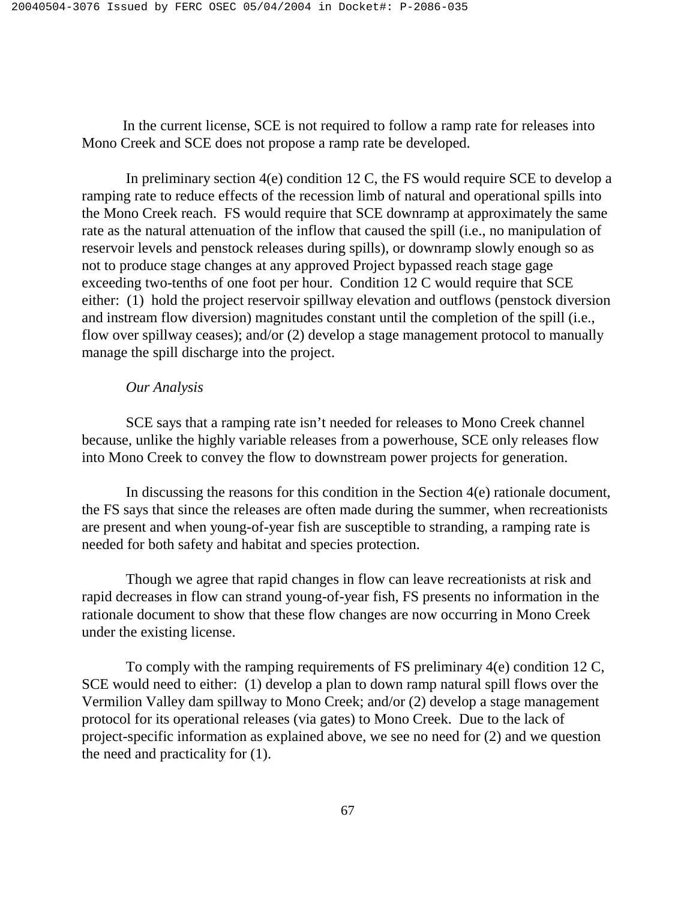In the current license, SCE is not required to follow a ramp rate for releases into Mono Creek and SCE does not propose a ramp rate be developed.

 In preliminary section 4(e) condition 12 C, the FS would require SCE to develop a ramping rate to reduce effects of the recession limb of natural and operational spills into the Mono Creek reach. FS would require that SCE downramp at approximately the same rate as the natural attenuation of the inflow that caused the spill (i.e., no manipulation of reservoir levels and penstock releases during spills), or downramp slowly enough so as not to produce stage changes at any approved Project bypassed reach stage gage exceeding two-tenths of one foot per hour. Condition 12 C would require that SCE either: (1) hold the project reservoir spillway elevation and outflows (penstock diversion and instream flow diversion) magnitudes constant until the completion of the spill (i.e., flow over spillway ceases); and/or (2) develop a stage management protocol to manually manage the spill discharge into the project.

## *Our Analysis*

 SCE says that a ramping rate isn't needed for releases to Mono Creek channel because, unlike the highly variable releases from a powerhouse, SCE only releases flow into Mono Creek to convey the flow to downstream power projects for generation.

 In discussing the reasons for this condition in the Section 4(e) rationale document, the FS says that since the releases are often made during the summer, when recreationists are present and when young-of-year fish are susceptible to stranding, a ramping rate is needed for both safety and habitat and species protection.

 Though we agree that rapid changes in flow can leave recreationists at risk and rapid decreases in flow can strand young-of-year fish, FS presents no information in the rationale document to show that these flow changes are now occurring in Mono Creek under the existing license.

 To comply with the ramping requirements of FS preliminary 4(e) condition 12 C, SCE would need to either: (1) develop a plan to down ramp natural spill flows over the Vermilion Valley dam spillway to Mono Creek; and/or (2) develop a stage management protocol for its operational releases (via gates) to Mono Creek. Due to the lack of project-specific information as explained above, we see no need for (2) and we question the need and practicality for (1).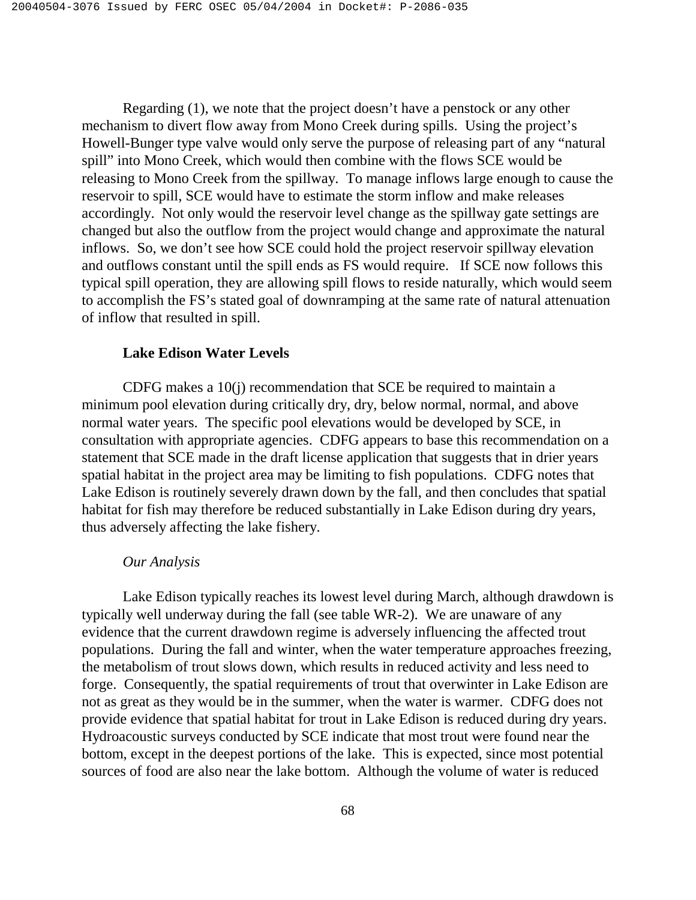Regarding (1), we note that the project doesn't have a penstock or any other mechanism to divert flow away from Mono Creek during spills. Using the project's Howell-Bunger type valve would only serve the purpose of releasing part of any "natural spill" into Mono Creek, which would then combine with the flows SCE would be releasing to Mono Creek from the spillway. To manage inflows large enough to cause the reservoir to spill, SCE would have to estimate the storm inflow and make releases accordingly. Not only would the reservoir level change as the spillway gate settings are changed but also the outflow from the project would change and approximate the natural inflows. So, we don't see how SCE could hold the project reservoir spillway elevation and outflows constant until the spill ends as FS would require. If SCE now follows this typical spill operation, they are allowing spill flows to reside naturally, which would seem to accomplish the FS's stated goal of downramping at the same rate of natural attenuation of inflow that resulted in spill.

### **Lake Edison Water Levels**

 CDFG makes a 10(j) recommendation that SCE be required to maintain a minimum pool elevation during critically dry, dry, below normal, normal, and above normal water years. The specific pool elevations would be developed by SCE, in consultation with appropriate agencies. CDFG appears to base this recommendation on a statement that SCE made in the draft license application that suggests that in drier years spatial habitat in the project area may be limiting to fish populations. CDFG notes that Lake Edison is routinely severely drawn down by the fall, and then concludes that spatial habitat for fish may therefore be reduced substantially in Lake Edison during dry years, thus adversely affecting the lake fishery.

# *Our Analysis*

 Lake Edison typically reaches its lowest level during March, although drawdown is typically well underway during the fall (see table WR-2). We are unaware of any evidence that the current drawdown regime is adversely influencing the affected trout populations. During the fall and winter, when the water temperature approaches freezing, the metabolism of trout slows down, which results in reduced activity and less need to forge. Consequently, the spatial requirements of trout that overwinter in Lake Edison are not as great as they would be in the summer, when the water is warmer. CDFG does not provide evidence that spatial habitat for trout in Lake Edison is reduced during dry years. Hydroacoustic surveys conducted by SCE indicate that most trout were found near the bottom, except in the deepest portions of the lake. This is expected, since most potential sources of food are also near the lake bottom. Although the volume of water is reduced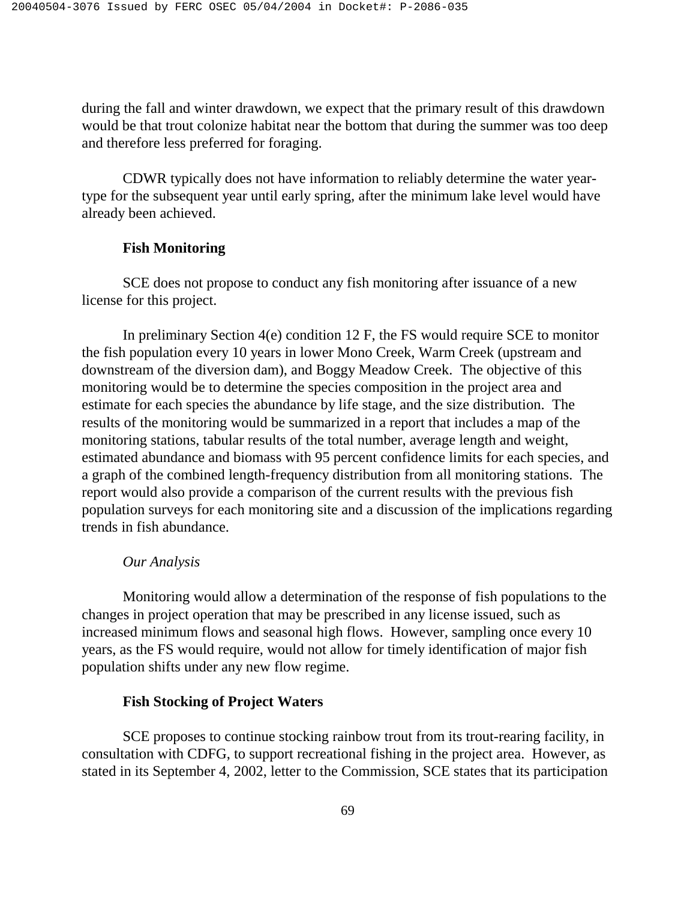during the fall and winter drawdown, we expect that the primary result of this drawdown would be that trout colonize habitat near the bottom that during the summer was too deep and therefore less preferred for foraging.

 CDWR typically does not have information to reliably determine the water yeartype for the subsequent year until early spring, after the minimum lake level would have already been achieved.

### **Fish Monitoring**

 SCE does not propose to conduct any fish monitoring after issuance of a new license for this project.

 In preliminary Section 4(e) condition 12 F, the FS would require SCE to monitor the fish population every 10 years in lower Mono Creek, Warm Creek (upstream and downstream of the diversion dam), and Boggy Meadow Creek. The objective of this monitoring would be to determine the species composition in the project area and estimate for each species the abundance by life stage, and the size distribution. The results of the monitoring would be summarized in a report that includes a map of the monitoring stations, tabular results of the total number, average length and weight, estimated abundance and biomass with 95 percent confidence limits for each species, and a graph of the combined length-frequency distribution from all monitoring stations. The report would also provide a comparison of the current results with the previous fish population surveys for each monitoring site and a discussion of the implications regarding trends in fish abundance.

#### *Our Analysis*

 Monitoring would allow a determination of the response of fish populations to the changes in project operation that may be prescribed in any license issued, such as increased minimum flows and seasonal high flows. However, sampling once every 10 years, as the FS would require, would not allow for timely identification of major fish population shifts under any new flow regime.

## **Fish Stocking of Project Waters**

 SCE proposes to continue stocking rainbow trout from its trout-rearing facility, in consultation with CDFG, to support recreational fishing in the project area. However, as stated in its September 4, 2002, letter to the Commission, SCE states that its participation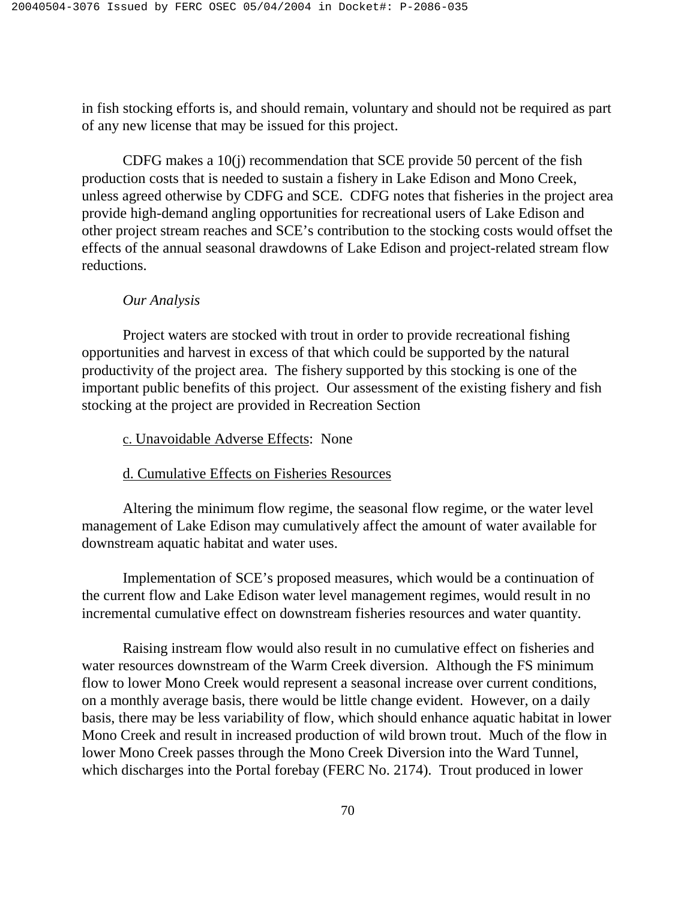in fish stocking efforts is, and should remain, voluntary and should not be required as part of any new license that may be issued for this project.

 CDFG makes a 10(j) recommendation that SCE provide 50 percent of the fish production costs that is needed to sustain a fishery in Lake Edison and Mono Creek, unless agreed otherwise by CDFG and SCE. CDFG notes that fisheries in the project area provide high-demand angling opportunities for recreational users of Lake Edison and other project stream reaches and SCE's contribution to the stocking costs would offset the effects of the annual seasonal drawdowns of Lake Edison and project-related stream flow reductions.

# *Our Analysis*

 Project waters are stocked with trout in order to provide recreational fishing opportunities and harvest in excess of that which could be supported by the natural productivity of the project area. The fishery supported by this stocking is one of the important public benefits of this project. Our assessment of the existing fishery and fish stocking at the project are provided in Recreation Section

### c. Unavoidable Adverse Effects: None

# d. Cumulative Effects on Fisheries Resources

 Altering the minimum flow regime, the seasonal flow regime, or the water level management of Lake Edison may cumulatively affect the amount of water available for downstream aquatic habitat and water uses.

 Implementation of SCE's proposed measures, which would be a continuation of the current flow and Lake Edison water level management regimes, would result in no incremental cumulative effect on downstream fisheries resources and water quantity.

 Raising instream flow would also result in no cumulative effect on fisheries and water resources downstream of the Warm Creek diversion. Although the FS minimum flow to lower Mono Creek would represent a seasonal increase over current conditions, on a monthly average basis, there would be little change evident. However, on a daily basis, there may be less variability of flow, which should enhance aquatic habitat in lower Mono Creek and result in increased production of wild brown trout. Much of the flow in lower Mono Creek passes through the Mono Creek Diversion into the Ward Tunnel, which discharges into the Portal forebay (FERC No. 2174). Trout produced in lower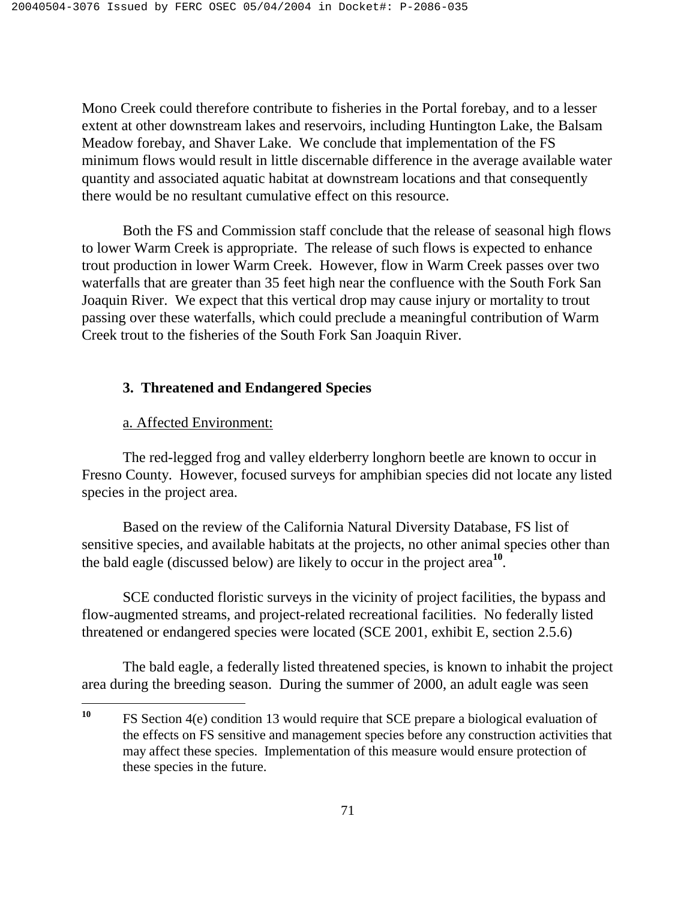Mono Creek could therefore contribute to fisheries in the Portal forebay, and to a lesser extent at other downstream lakes and reservoirs, including Huntington Lake, the Balsam Meadow forebay, and Shaver Lake. We conclude that implementation of the FS minimum flows would result in little discernable difference in the average available water quantity and associated aquatic habitat at downstream locations and that consequently there would be no resultant cumulative effect on this resource.

 Both the FS and Commission staff conclude that the release of seasonal high flows to lower Warm Creek is appropriate. The release of such flows is expected to enhance trout production in lower Warm Creek. However, flow in Warm Creek passes over two waterfalls that are greater than 35 feet high near the confluence with the South Fork San Joaquin River. We expect that this vertical drop may cause injury or mortality to trout passing over these waterfalls, which could preclude a meaningful contribution of Warm Creek trout to the fisheries of the South Fork San Joaquin River.

# **3. Threatened and Endangered Species**

# a. Affected Environment:

The red-legged frog and valley elderberry longhorn beetle are known to occur in Fresno County. However, focused surveys for amphibian species did not locate any listed species in the project area.

Based on the review of the California Natural Diversity Database, FS list of sensitive species, and available habitats at the projects, no other animal species other than the bald eagle (discussed below) are likely to occur in the project area**<sup>10</sup>**.

SCE conducted floristic surveys in the vicinity of project facilities, the bypass and flow-augmented streams, and project-related recreational facilities. No federally listed threatened or endangered species were located (SCE 2001, exhibit E, section 2.5.6)

The bald eagle, a federally listed threatened species, is known to inhabit the project area during the breeding season. During the summer of 2000, an adult eagle was seen

<sup>10</sup> **<sup>10</sup>** FS Section 4(e) condition 13 would require that SCE prepare a biological evaluation of the effects on FS sensitive and management species before any construction activities that may affect these species. Implementation of this measure would ensure protection of these species in the future.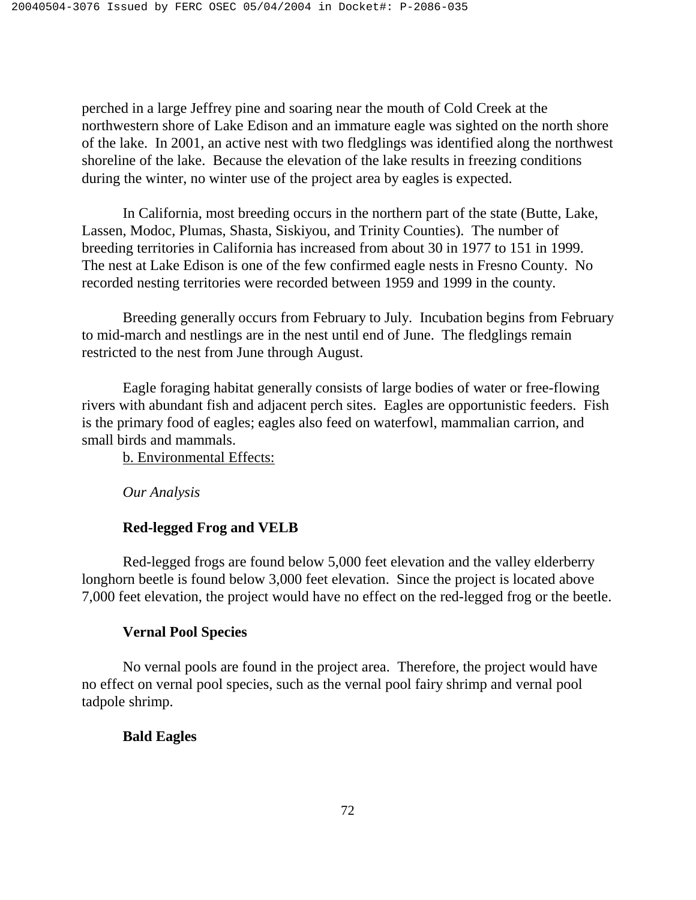perched in a large Jeffrey pine and soaring near the mouth of Cold Creek at the northwestern shore of Lake Edison and an immature eagle was sighted on the north shore of the lake. In 2001, an active nest with two fledglings was identified along the northwest shoreline of the lake. Because the elevation of the lake results in freezing conditions during the winter, no winter use of the project area by eagles is expected.

In California, most breeding occurs in the northern part of the state (Butte, Lake, Lassen, Modoc, Plumas, Shasta, Siskiyou, and Trinity Counties). The number of breeding territories in California has increased from about 30 in 1977 to 151 in 1999. The nest at Lake Edison is one of the few confirmed eagle nests in Fresno County. No recorded nesting territories were recorded between 1959 and 1999 in the county.

Breeding generally occurs from February to July. Incubation begins from February to mid-march and nestlings are in the nest until end of June. The fledglings remain restricted to the nest from June through August.

Eagle foraging habitat generally consists of large bodies of water or free-flowing rivers with abundant fish and adjacent perch sites. Eagles are opportunistic feeders. Fish is the primary food of eagles; eagles also feed on waterfowl, mammalian carrion, and small birds and mammals.

b. Environmental Effects:

*Our Analysis* 

# **Red-legged Frog and VELB**

Red-legged frogs are found below 5,000 feet elevation and the valley elderberry longhorn beetle is found below 3,000 feet elevation. Since the project is located above 7,000 feet elevation, the project would have no effect on the red-legged frog or the beetle.

# **Vernal Pool Species**

No vernal pools are found in the project area. Therefore, the project would have no effect on vernal pool species, such as the vernal pool fairy shrimp and vernal pool tadpole shrimp.

# **Bald Eagles**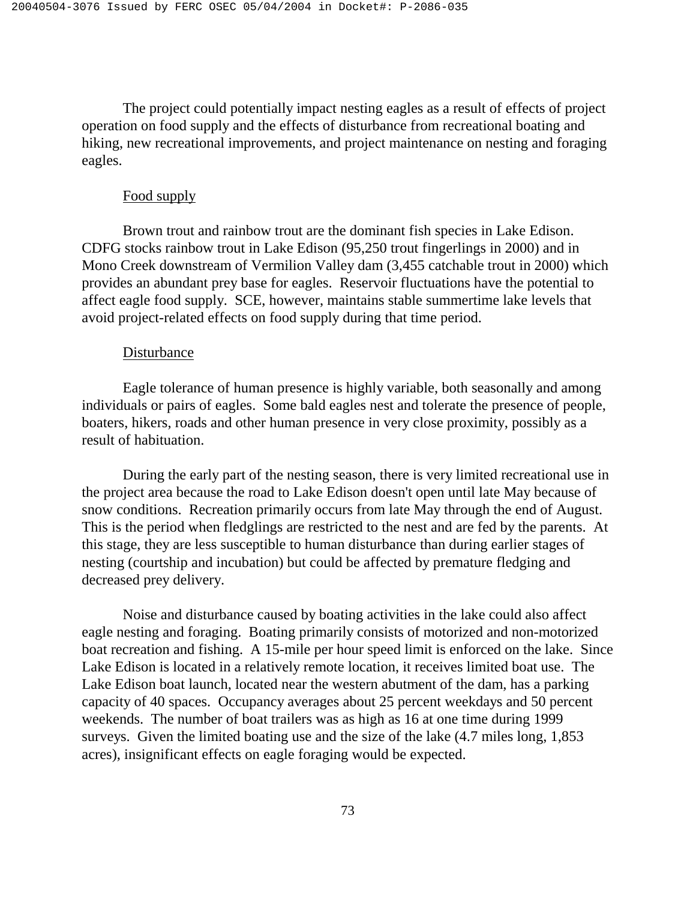The project could potentially impact nesting eagles as a result of effects of project operation on food supply and the effects of disturbance from recreational boating and hiking, new recreational improvements, and project maintenance on nesting and foraging eagles.

#### Food supply

Brown trout and rainbow trout are the dominant fish species in Lake Edison. CDFG stocks rainbow trout in Lake Edison (95,250 trout fingerlings in 2000) and in Mono Creek downstream of Vermilion Valley dam (3,455 catchable trout in 2000) which provides an abundant prey base for eagles. Reservoir fluctuations have the potential to affect eagle food supply. SCE, however, maintains stable summertime lake levels that avoid project-related effects on food supply during that time period.

#### Disturbance

Eagle tolerance of human presence is highly variable, both seasonally and among individuals or pairs of eagles. Some bald eagles nest and tolerate the presence of people, boaters, hikers, roads and other human presence in very close proximity, possibly as a result of habituation.

During the early part of the nesting season, there is very limited recreational use in the project area because the road to Lake Edison doesn't open until late May because of snow conditions. Recreation primarily occurs from late May through the end of August. This is the period when fledglings are restricted to the nest and are fed by the parents. At this stage, they are less susceptible to human disturbance than during earlier stages of nesting (courtship and incubation) but could be affected by premature fledging and decreased prey delivery.

Noise and disturbance caused by boating activities in the lake could also affect eagle nesting and foraging. Boating primarily consists of motorized and non-motorized boat recreation and fishing. A 15-mile per hour speed limit is enforced on the lake. Since Lake Edison is located in a relatively remote location, it receives limited boat use. The Lake Edison boat launch, located near the western abutment of the dam, has a parking capacity of 40 spaces. Occupancy averages about 25 percent weekdays and 50 percent weekends. The number of boat trailers was as high as 16 at one time during 1999 surveys. Given the limited boating use and the size of the lake (4.7 miles long, 1,853 acres), insignificant effects on eagle foraging would be expected.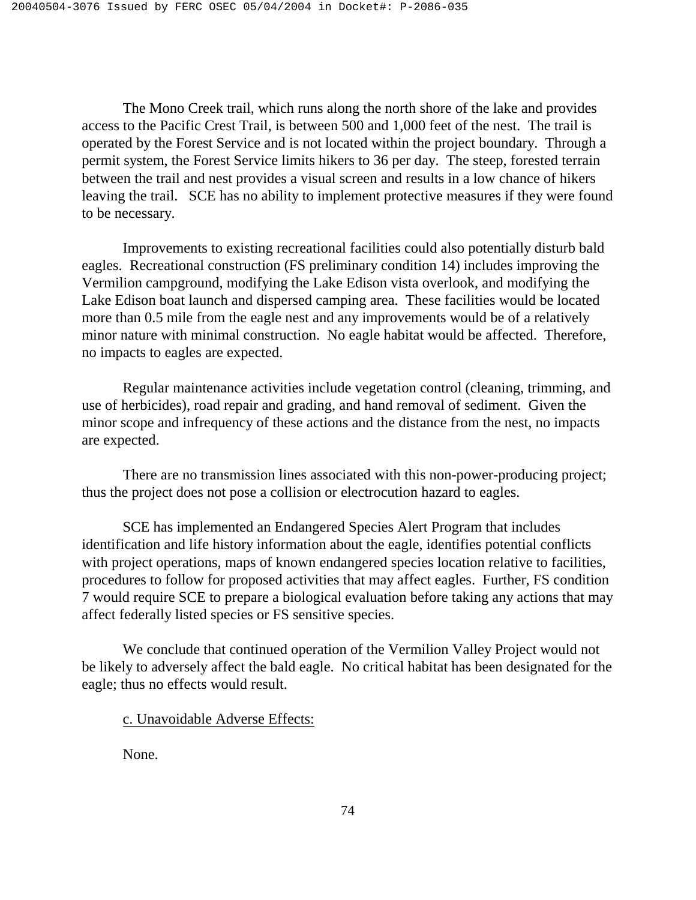The Mono Creek trail, which runs along the north shore of the lake and provides access to the Pacific Crest Trail, is between 500 and 1,000 feet of the nest. The trail is operated by the Forest Service and is not located within the project boundary. Through a permit system, the Forest Service limits hikers to 36 per day. The steep, forested terrain between the trail and nest provides a visual screen and results in a low chance of hikers leaving the trail. SCE has no ability to implement protective measures if they were found to be necessary.

Improvements to existing recreational facilities could also potentially disturb bald eagles. Recreational construction (FS preliminary condition 14) includes improving the Vermilion campground, modifying the Lake Edison vista overlook, and modifying the Lake Edison boat launch and dispersed camping area. These facilities would be located more than 0.5 mile from the eagle nest and any improvements would be of a relatively minor nature with minimal construction. No eagle habitat would be affected. Therefore, no impacts to eagles are expected.

Regular maintenance activities include vegetation control (cleaning, trimming, and use of herbicides), road repair and grading, and hand removal of sediment. Given the minor scope and infrequency of these actions and the distance from the nest, no impacts are expected.

There are no transmission lines associated with this non-power-producing project; thus the project does not pose a collision or electrocution hazard to eagles.

SCE has implemented an Endangered Species Alert Program that includes identification and life history information about the eagle, identifies potential conflicts with project operations, maps of known endangered species location relative to facilities, procedures to follow for proposed activities that may affect eagles. Further, FS condition 7 would require SCE to prepare a biological evaluation before taking any actions that may affect federally listed species or FS sensitive species.

We conclude that continued operation of the Vermilion Valley Project would not be likely to adversely affect the bald eagle. No critical habitat has been designated for the eagle; thus no effects would result.

# c. Unavoidable Adverse Effects:

None.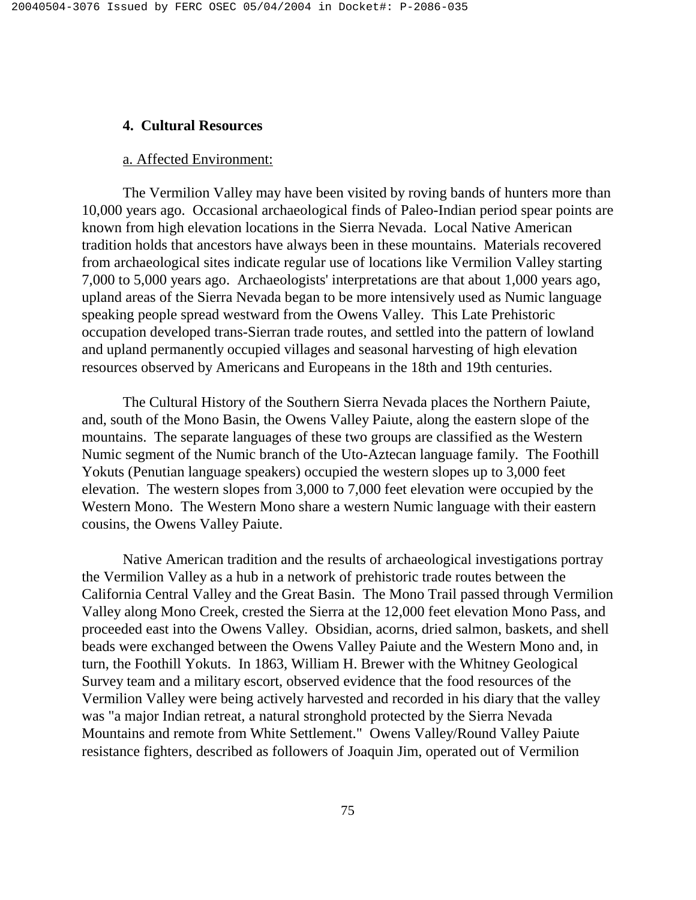### **4. Cultural Resources**

### a. Affected Environment:

The Vermilion Valley may have been visited by roving bands of hunters more than 10,000 years ago. Occasional archaeological finds of Paleo-Indian period spear points are known from high elevation locations in the Sierra Nevada. Local Native American tradition holds that ancestors have always been in these mountains. Materials recovered from archaeological sites indicate regular use of locations like Vermilion Valley starting 7,000 to 5,000 years ago. Archaeologists' interpretations are that about 1,000 years ago, upland areas of the Sierra Nevada began to be more intensively used as Numic language speaking people spread westward from the Owens Valley. This Late Prehistoric occupation developed trans-Sierran trade routes, and settled into the pattern of lowland and upland permanently occupied villages and seasonal harvesting of high elevation resources observed by Americans and Europeans in the 18th and 19th centuries.

The Cultural History of the Southern Sierra Nevada places the Northern Paiute, and, south of the Mono Basin, the Owens Valley Paiute, along the eastern slope of the mountains. The separate languages of these two groups are classified as the Western Numic segment of the Numic branch of the Uto-Aztecan language family. The Foothill Yokuts (Penutian language speakers) occupied the western slopes up to 3,000 feet elevation. The western slopes from 3,000 to 7,000 feet elevation were occupied by the Western Mono. The Western Mono share a western Numic language with their eastern cousins, the Owens Valley Paiute.

Native American tradition and the results of archaeological investigations portray the Vermilion Valley as a hub in a network of prehistoric trade routes between the California Central Valley and the Great Basin. The Mono Trail passed through Vermilion Valley along Mono Creek, crested the Sierra at the 12,000 feet elevation Mono Pass, and proceeded east into the Owens Valley. Obsidian, acorns, dried salmon, baskets, and shell beads were exchanged between the Owens Valley Paiute and the Western Mono and, in turn, the Foothill Yokuts. In 1863, William H. Brewer with the Whitney Geological Survey team and a military escort, observed evidence that the food resources of the Vermilion Valley were being actively harvested and recorded in his diary that the valley was "a major Indian retreat, a natural stronghold protected by the Sierra Nevada Mountains and remote from White Settlement." Owens Valley/Round Valley Paiute resistance fighters, described as followers of Joaquin Jim, operated out of Vermilion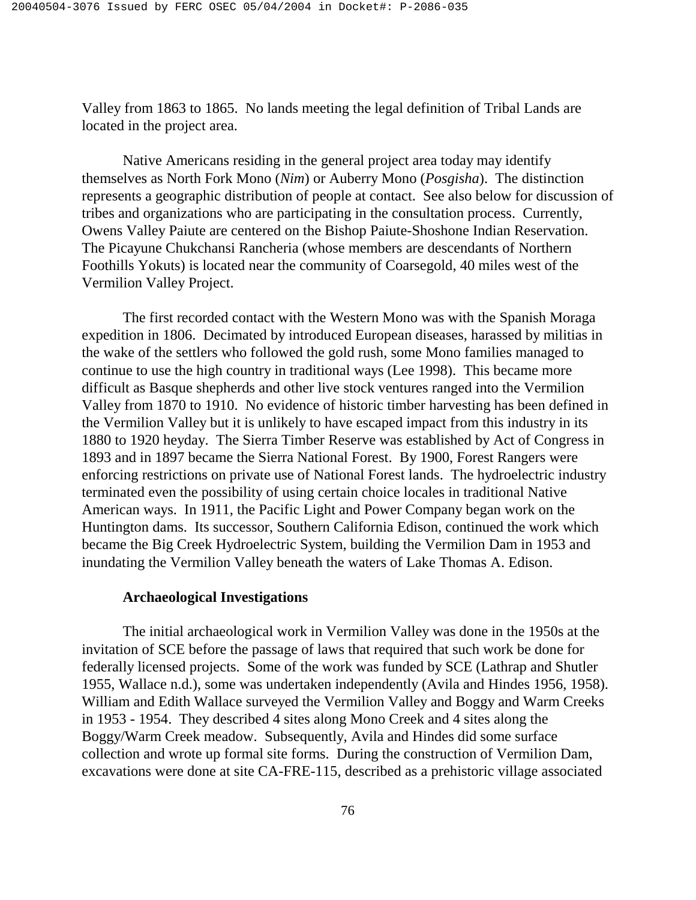Valley from 1863 to 1865. No lands meeting the legal definition of Tribal Lands are located in the project area.

Native Americans residing in the general project area today may identify themselves as North Fork Mono (*Nim*) or Auberry Mono (*Posgisha*). The distinction represents a geographic distribution of people at contact. See also below for discussion of tribes and organizations who are participating in the consultation process. Currently, Owens Valley Paiute are centered on the Bishop Paiute-Shoshone Indian Reservation. The Picayune Chukchansi Rancheria (whose members are descendants of Northern Foothills Yokuts) is located near the community of Coarsegold, 40 miles west of the Vermilion Valley Project.

The first recorded contact with the Western Mono was with the Spanish Moraga expedition in 1806. Decimated by introduced European diseases, harassed by militias in the wake of the settlers who followed the gold rush, some Mono families managed to continue to use the high country in traditional ways (Lee 1998). This became more difficult as Basque shepherds and other live stock ventures ranged into the Vermilion Valley from 1870 to 1910. No evidence of historic timber harvesting has been defined in the Vermilion Valley but it is unlikely to have escaped impact from this industry in its 1880 to 1920 heyday. The Sierra Timber Reserve was established by Act of Congress in 1893 and in 1897 became the Sierra National Forest. By 1900, Forest Rangers were enforcing restrictions on private use of National Forest lands. The hydroelectric industry terminated even the possibility of using certain choice locales in traditional Native American ways. In 1911, the Pacific Light and Power Company began work on the Huntington dams. Its successor, Southern California Edison, continued the work which became the Big Creek Hydroelectric System, building the Vermilion Dam in 1953 and inundating the Vermilion Valley beneath the waters of Lake Thomas A. Edison.

### **Archaeological Investigations**

The initial archaeological work in Vermilion Valley was done in the 1950s at the invitation of SCE before the passage of laws that required that such work be done for federally licensed projects. Some of the work was funded by SCE (Lathrap and Shutler 1955, Wallace n.d.), some was undertaken independently (Avila and Hindes 1956, 1958). William and Edith Wallace surveyed the Vermilion Valley and Boggy and Warm Creeks in 1953 - 1954. They described 4 sites along Mono Creek and 4 sites along the Boggy/Warm Creek meadow. Subsequently, Avila and Hindes did some surface collection and wrote up formal site forms. During the construction of Vermilion Dam, excavations were done at site CA-FRE-115, described as a prehistoric village associated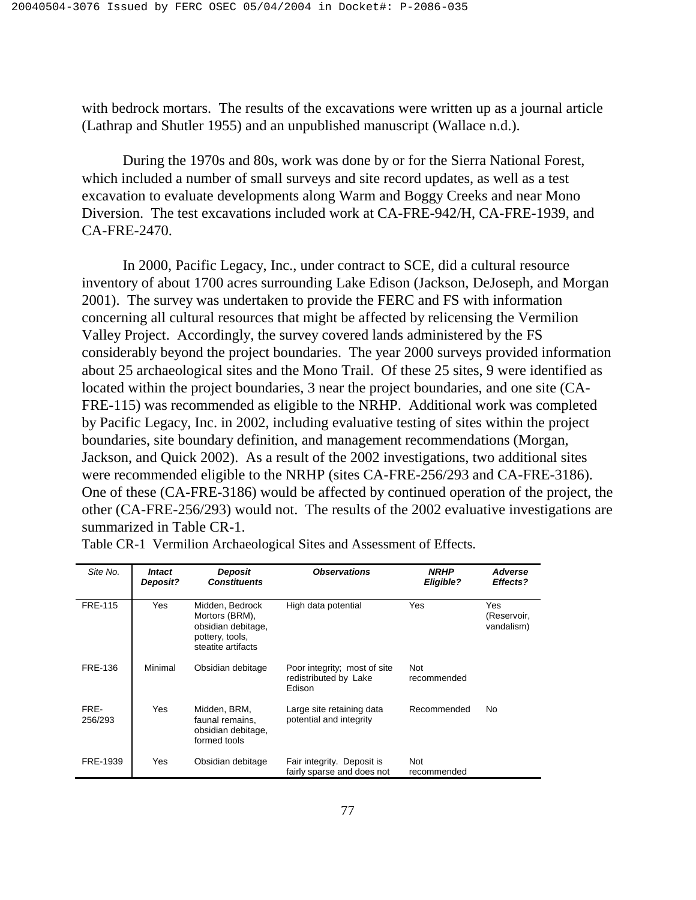with bedrock mortars. The results of the excavations were written up as a journal article (Lathrap and Shutler 1955) and an unpublished manuscript (Wallace n.d.).

During the 1970s and 80s, work was done by or for the Sierra National Forest, which included a number of small surveys and site record updates, as well as a test excavation to evaluate developments along Warm and Boggy Creeks and near Mono Diversion. The test excavations included work at CA-FRE-942/H, CA-FRE-1939, and CA-FRE-2470.

In 2000, Pacific Legacy, Inc., under contract to SCE, did a cultural resource inventory of about 1700 acres surrounding Lake Edison (Jackson, DeJoseph, and Morgan 2001). The survey was undertaken to provide the FERC and FS with information concerning all cultural resources that might be affected by relicensing the Vermilion Valley Project. Accordingly, the survey covered lands administered by the FS considerably beyond the project boundaries. The year 2000 surveys provided information about 25 archaeological sites and the Mono Trail. Of these 25 sites, 9 were identified as located within the project boundaries, 3 near the project boundaries, and one site (CA-FRE-115) was recommended as eligible to the NRHP. Additional work was completed by Pacific Legacy, Inc. in 2002, including evaluative testing of sites within the project boundaries, site boundary definition, and management recommendations (Morgan, Jackson, and Quick 2002). As a result of the 2002 investigations, two additional sites were recommended eligible to the NRHP (sites CA-FRE-256/293 and CA-FRE-3186). One of these (CA-FRE-3186) would be affected by continued operation of the project, the other (CA-FRE-256/293) would not. The results of the 2002 evaluative investigations are summarized in Table CR-1.

| Site No.        | <b>Intact</b><br>Deposit? | Deposit<br><b>Constituents</b>                                                                   | <b>Observations</b>                                             | NRHP<br>Eligible?         | <b>Adverse</b><br>Effects?       |
|-----------------|---------------------------|--------------------------------------------------------------------------------------------------|-----------------------------------------------------------------|---------------------------|----------------------------------|
| <b>FRE-115</b>  | Yes                       | Midden, Bedrock<br>Mortors (BRM),<br>obsidian debitage,<br>pottery, tools,<br>steatite artifacts | High data potential                                             | Yes                       | Yes<br>(Reservoir,<br>vandalism) |
| <b>FRE-136</b>  | Minimal                   | Obsidian debitage                                                                                | Poor integrity; most of site<br>redistributed by Lake<br>Edison | <b>Not</b><br>recommended |                                  |
| FRE-<br>256/293 | Yes                       | Midden, BRM,<br>faunal remains.<br>obsidian debitage,<br>formed tools                            | Large site retaining data<br>potential and integrity            | Recommended               | No                               |
| FRE-1939        | Yes                       | Obsidian debitage                                                                                | Fair integrity. Deposit is<br>fairly sparse and does not        | <b>Not</b><br>recommended |                                  |

Table CR-1 Vermilion Archaeological Sites and Assessment of Effects.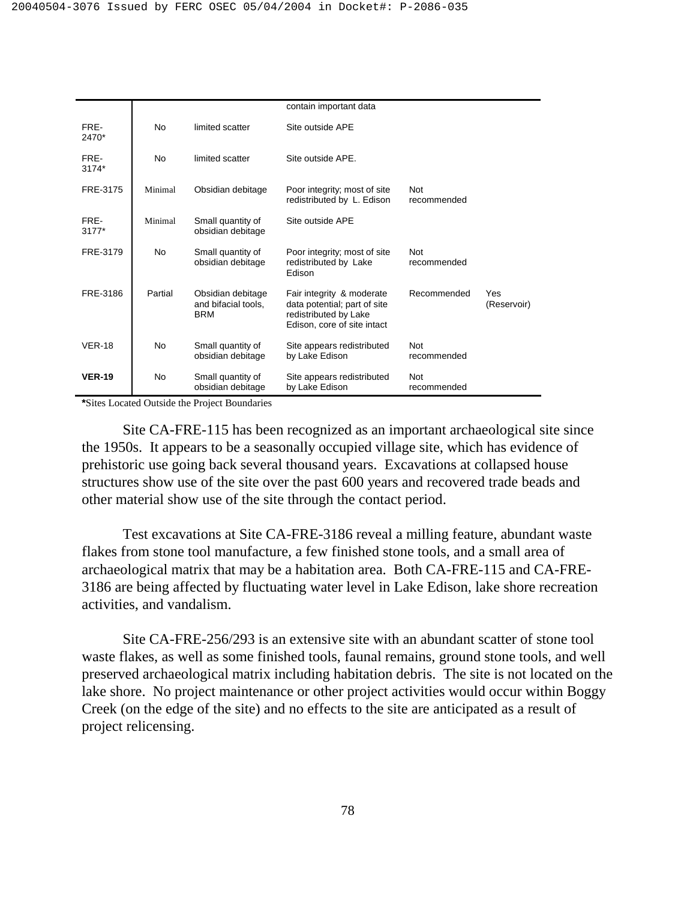|                 |           |                                                        | contain important data                                                                                            |                           |                    |
|-----------------|-----------|--------------------------------------------------------|-------------------------------------------------------------------------------------------------------------------|---------------------------|--------------------|
| FRE-<br>2470*   | <b>No</b> | limited scatter                                        | Site outside APE                                                                                                  |                           |                    |
| FRE-<br>3174*   | <b>No</b> | limited scatter                                        | Site outside APE.                                                                                                 |                           |                    |
| FRE-3175        | Minimal   | Obsidian debitage                                      | Poor integrity; most of site<br>redistributed by L. Edison                                                        | <b>Not</b><br>recommended |                    |
| FRE-<br>$3177*$ | Minimal   | Small quantity of<br>obsidian debitage                 | Site outside APE                                                                                                  |                           |                    |
| FRE-3179        | No        | Small quantity of<br>obsidian debitage                 | Poor integrity; most of site<br>redistributed by Lake<br>Edison                                                   | <b>Not</b><br>recommended |                    |
| FRE-3186        | Partial   | Obsidian debitage<br>and bifacial tools,<br><b>BRM</b> | Fair integrity & moderate<br>data potential; part of site<br>redistributed by Lake<br>Edison, core of site intact | Recommended               | Yes<br>(Reservoir) |
| <b>VER-18</b>   | No        | Small quantity of<br>obsidian debitage                 | Site appears redistributed<br>by Lake Edison                                                                      | <b>Not</b><br>recommended |                    |
| <b>VER-19</b>   | <b>No</b> | Small quantity of<br>obsidian debitage                 | Site appears redistributed<br>by Lake Edison                                                                      | <b>Not</b><br>recommended |                    |

**\***Sites Located Outside the Project Boundaries

Site CA-FRE-115 has been recognized as an important archaeological site since the 1950s. It appears to be a seasonally occupied village site, which has evidence of prehistoric use going back several thousand years. Excavations at collapsed house structures show use of the site over the past 600 years and recovered trade beads and other material show use of the site through the contact period.

Test excavations at Site CA-FRE-3186 reveal a milling feature, abundant waste flakes from stone tool manufacture, a few finished stone tools, and a small area of archaeological matrix that may be a habitation area. Both CA-FRE-115 and CA-FRE-3186 are being affected by fluctuating water level in Lake Edison, lake shore recreation activities, and vandalism.

Site CA-FRE-256/293 is an extensive site with an abundant scatter of stone tool waste flakes, as well as some finished tools, faunal remains, ground stone tools, and well preserved archaeological matrix including habitation debris. The site is not located on the lake shore. No project maintenance or other project activities would occur within Boggy Creek (on the edge of the site) and no effects to the site are anticipated as a result of project relicensing.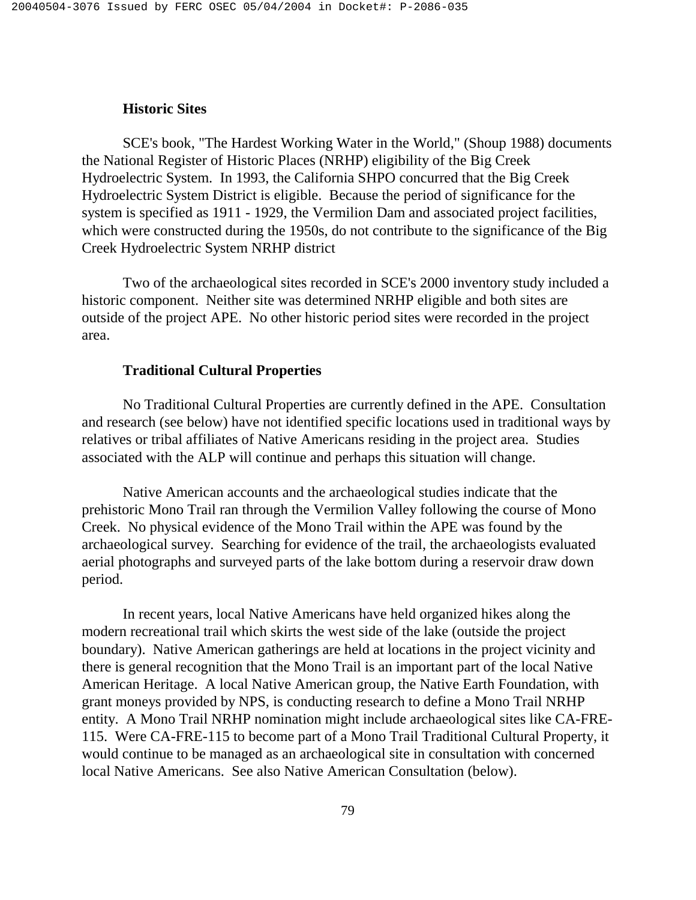# **Historic Sites**

SCE's book, "The Hardest Working Water in the World," (Shoup 1988) documents the National Register of Historic Places (NRHP) eligibility of the Big Creek Hydroelectric System. In 1993, the California SHPO concurred that the Big Creek Hydroelectric System District is eligible. Because the period of significance for the system is specified as 1911 - 1929, the Vermilion Dam and associated project facilities, which were constructed during the 1950s, do not contribute to the significance of the Big Creek Hydroelectric System NRHP district

Two of the archaeological sites recorded in SCE's 2000 inventory study included a historic component. Neither site was determined NRHP eligible and both sites are outside of the project APE. No other historic period sites were recorded in the project area.

## **Traditional Cultural Properties**

No Traditional Cultural Properties are currently defined in the APE. Consultation and research (see below) have not identified specific locations used in traditional ways by relatives or tribal affiliates of Native Americans residing in the project area. Studies associated with the ALP will continue and perhaps this situation will change.

Native American accounts and the archaeological studies indicate that the prehistoric Mono Trail ran through the Vermilion Valley following the course of Mono Creek. No physical evidence of the Mono Trail within the APE was found by the archaeological survey. Searching for evidence of the trail, the archaeologists evaluated aerial photographs and surveyed parts of the lake bottom during a reservoir draw down period.

In recent years, local Native Americans have held organized hikes along the modern recreational trail which skirts the west side of the lake (outside the project boundary). Native American gatherings are held at locations in the project vicinity and there is general recognition that the Mono Trail is an important part of the local Native American Heritage. A local Native American group, the Native Earth Foundation, with grant moneys provided by NPS, is conducting research to define a Mono Trail NRHP entity. A Mono Trail NRHP nomination might include archaeological sites like CA-FRE-115. Were CA-FRE-115 to become part of a Mono Trail Traditional Cultural Property, it would continue to be managed as an archaeological site in consultation with concerned local Native Americans. See also Native American Consultation (below).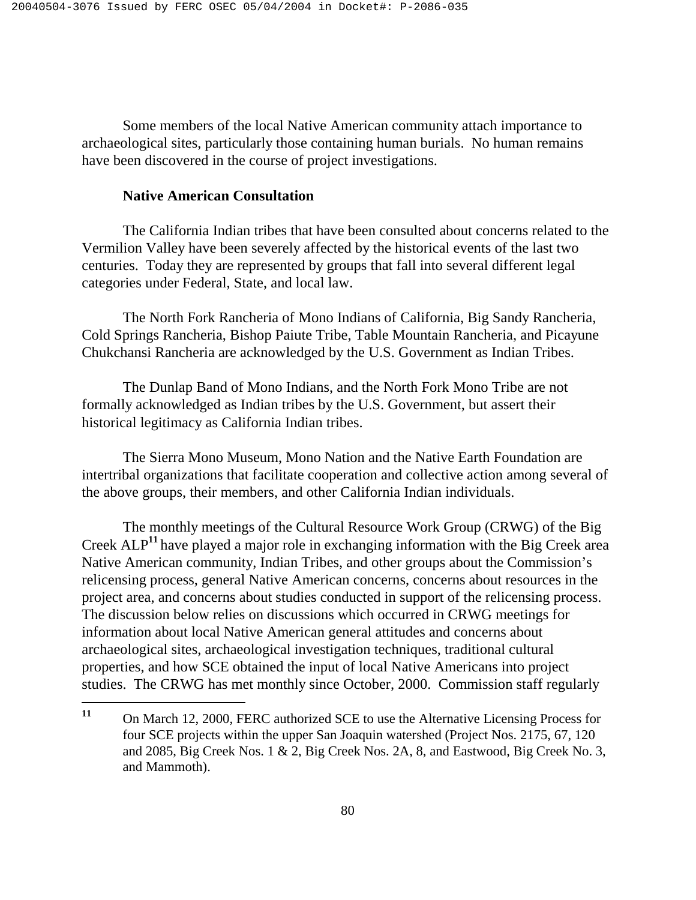Some members of the local Native American community attach importance to archaeological sites, particularly those containing human burials. No human remains have been discovered in the course of project investigations.

# **Native American Consultation**

The California Indian tribes that have been consulted about concerns related to the Vermilion Valley have been severely affected by the historical events of the last two centuries. Today they are represented by groups that fall into several different legal categories under Federal, State, and local law.

The North Fork Rancheria of Mono Indians of California, Big Sandy Rancheria, Cold Springs Rancheria, Bishop Paiute Tribe, Table Mountain Rancheria, and Picayune Chukchansi Rancheria are acknowledged by the U.S. Government as Indian Tribes.

The Dunlap Band of Mono Indians, and the North Fork Mono Tribe are not formally acknowledged as Indian tribes by the U.S. Government, but assert their historical legitimacy as California Indian tribes.

The Sierra Mono Museum, Mono Nation and the Native Earth Foundation are intertribal organizations that facilitate cooperation and collective action among several of the above groups, their members, and other California Indian individuals.

The monthly meetings of the Cultural Resource Work Group (CRWG) of the Big Creek ALP**<sup>11</sup>** have played a major role in exchanging information with the Big Creek area Native American community, Indian Tribes, and other groups about the Commission's relicensing process, general Native American concerns, concerns about resources in the project area, and concerns about studies conducted in support of the relicensing process. The discussion below relies on discussions which occurred in CRWG meetings for information about local Native American general attitudes and concerns about archaeological sites, archaeological investigation techniques, traditional cultural properties, and how SCE obtained the input of local Native Americans into project studies. The CRWG has met monthly since October, 2000. Commission staff regularly

 $11$ On March 12, 2000, FERC authorized SCE to use the Alternative Licensing Process for four SCE projects within the upper San Joaquin watershed (Project Nos. 2175, 67, 120 and 2085, Big Creek Nos. 1 & 2, Big Creek Nos. 2A, 8, and Eastwood, Big Creek No. 3, and Mammoth).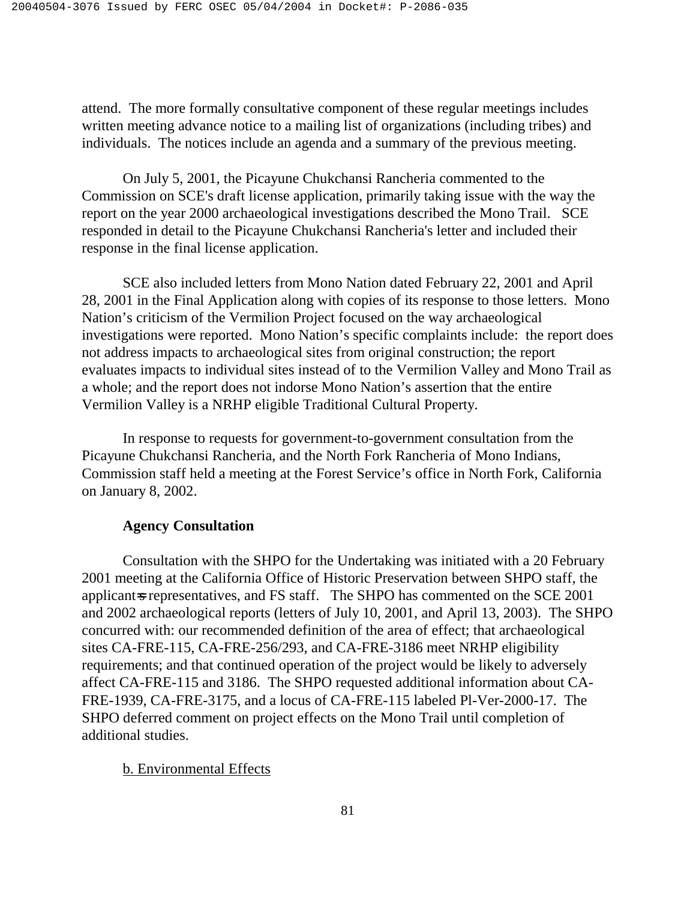attend. The more formally consultative component of these regular meetings includes written meeting advance notice to a mailing list of organizations (including tribes) and individuals. The notices include an agenda and a summary of the previous meeting.

On July 5, 2001, the Picayune Chukchansi Rancheria commented to the Commission on SCE's draft license application, primarily taking issue with the way the report on the year 2000 archaeological investigations described the Mono Trail. SCE responded in detail to the Picayune Chukchansi Rancheria's letter and included their response in the final license application.

SCE also included letters from Mono Nation dated February 22, 2001 and April 28, 2001 in the Final Application along with copies of its response to those letters. Mono Nation's criticism of the Vermilion Project focused on the way archaeological investigations were reported. Mono Nation's specific complaints include: the report does not address impacts to archaeological sites from original construction; the report evaluates impacts to individual sites instead of to the Vermilion Valley and Mono Trail as a whole; and the report does not indorse Mono Nation's assertion that the entire Vermilion Valley is a NRHP eligible Traditional Cultural Property.

In response to requests for government-to-government consultation from the Picayune Chukchansi Rancheria, and the North Fork Rancheria of Mono Indians, Commission staff held a meeting at the Forest Service's office in North Fork, California on January 8, 2002.

### **Agency Consultation**

Consultation with the SHPO for the Undertaking was initiated with a 20 February 2001 meeting at the California Office of Historic Preservation between SHPO staff, the applicant-s representatives, and FS staff. The SHPO has commented on the SCE 2001 and 2002 archaeological reports (letters of July 10, 2001, and April 13, 2003). The SHPO concurred with: our recommended definition of the area of effect; that archaeological sites CA-FRE-115, CA-FRE-256/293, and CA-FRE-3186 meet NRHP eligibility requirements; and that continued operation of the project would be likely to adversely affect CA-FRE-115 and 3186. The SHPO requested additional information about CA-FRE-1939, CA-FRE-3175, and a locus of CA-FRE-115 labeled Pl-Ver-2000-17. The SHPO deferred comment on project effects on the Mono Trail until completion of additional studies.

### b. Environmental Effects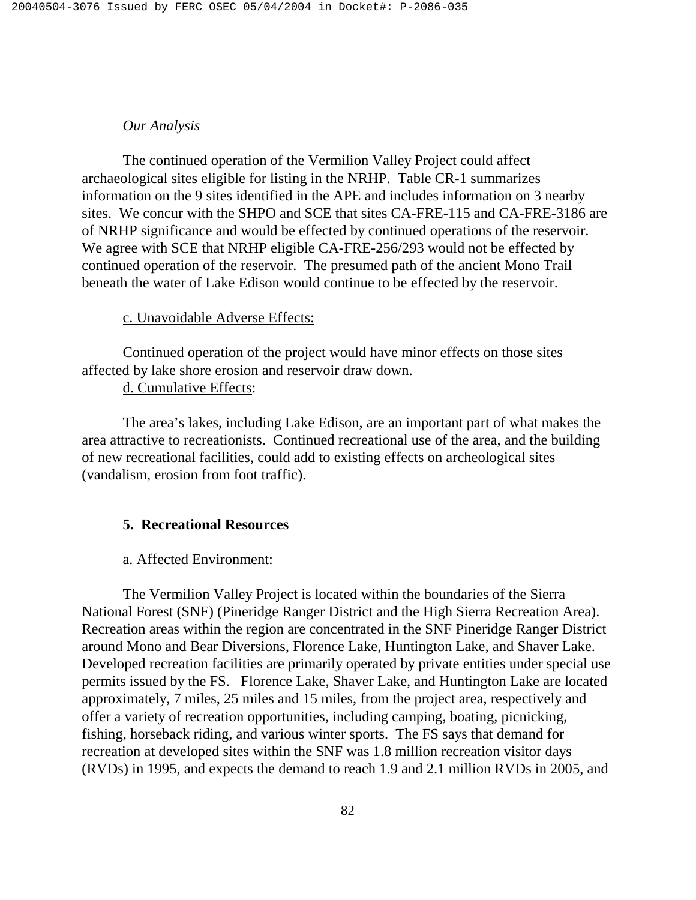# *Our Analysis*

The continued operation of the Vermilion Valley Project could affect archaeological sites eligible for listing in the NRHP. Table CR-1 summarizes information on the 9 sites identified in the APE and includes information on 3 nearby sites. We concur with the SHPO and SCE that sites CA-FRE-115 and CA-FRE-3186 are of NRHP significance and would be effected by continued operations of the reservoir. We agree with SCE that NRHP eligible CA-FRE-256/293 would not be effected by continued operation of the reservoir. The presumed path of the ancient Mono Trail beneath the water of Lake Edison would continue to be effected by the reservoir.

# c. Unavoidable Adverse Effects:

 Continued operation of the project would have minor effects on those sites affected by lake shore erosion and reservoir draw down.

d. Cumulative Effects:

 The area's lakes, including Lake Edison, are an important part of what makes the area attractive to recreationists. Continued recreational use of the area, and the building of new recreational facilities, could add to existing effects on archeological sites (vandalism, erosion from foot traffic).

# **5. Recreational Resources**

### a. Affected Environment:

 The Vermilion Valley Project is located within the boundaries of the Sierra National Forest (SNF) (Pineridge Ranger District and the High Sierra Recreation Area). Recreation areas within the region are concentrated in the SNF Pineridge Ranger District around Mono and Bear Diversions, Florence Lake, Huntington Lake, and Shaver Lake. Developed recreation facilities are primarily operated by private entities under special use permits issued by the FS. Florence Lake, Shaver Lake, and Huntington Lake are located approximately, 7 miles, 25 miles and 15 miles, from the project area, respectively and offer a variety of recreation opportunities, including camping, boating, picnicking, fishing, horseback riding, and various winter sports. The FS says that demand for recreation at developed sites within the SNF was 1.8 million recreation visitor days (RVDs) in 1995, and expects the demand to reach 1.9 and 2.1 million RVDs in 2005, and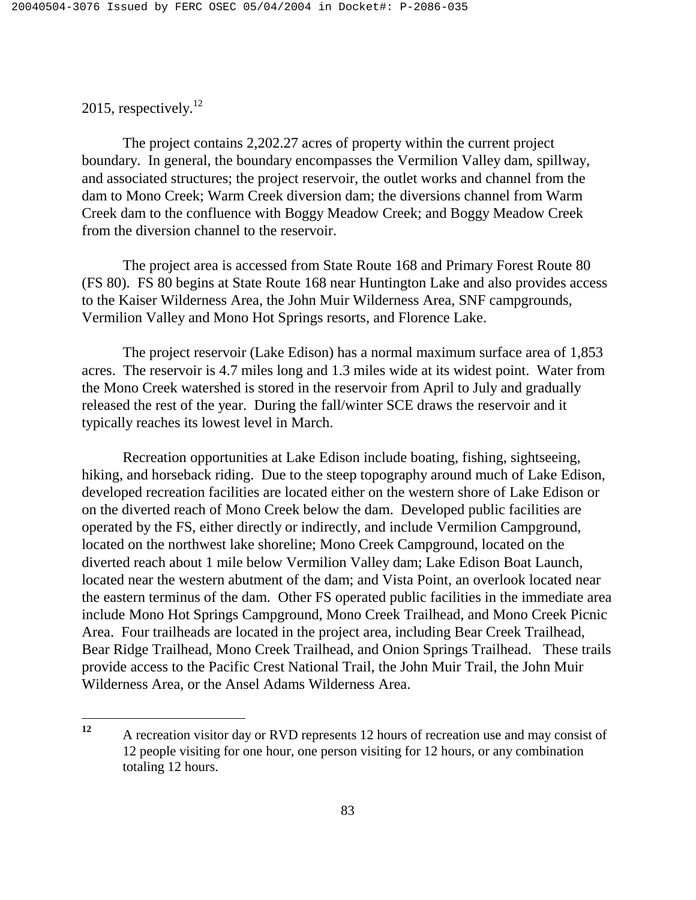2015, respectively. $^{12}$ 

<u>.</u>

 The project contains 2,202.27 acres of property within the current project boundary. In general, the boundary encompasses the Vermilion Valley dam, spillway, and associated structures; the project reservoir, the outlet works and channel from the dam to Mono Creek; Warm Creek diversion dam; the diversions channel from Warm Creek dam to the confluence with Boggy Meadow Creek; and Boggy Meadow Creek from the diversion channel to the reservoir.

 The project area is accessed from State Route 168 and Primary Forest Route 80 (FS 80). FS 80 begins at State Route 168 near Huntington Lake and also provides access to the Kaiser Wilderness Area, the John Muir Wilderness Area, SNF campgrounds, Vermilion Valley and Mono Hot Springs resorts, and Florence Lake.

 The project reservoir (Lake Edison) has a normal maximum surface area of 1,853 acres. The reservoir is 4.7 miles long and 1.3 miles wide at its widest point. Water from the Mono Creek watershed is stored in the reservoir from April to July and gradually released the rest of the year. During the fall/winter SCE draws the reservoir and it typically reaches its lowest level in March.

 Recreation opportunities at Lake Edison include boating, fishing, sightseeing, hiking, and horseback riding. Due to the steep topography around much of Lake Edison, developed recreation facilities are located either on the western shore of Lake Edison or on the diverted reach of Mono Creek below the dam. Developed public facilities are operated by the FS, either directly or indirectly, and include Vermilion Campground, located on the northwest lake shoreline; Mono Creek Campground, located on the diverted reach about 1 mile below Vermilion Valley dam; Lake Edison Boat Launch, located near the western abutment of the dam; and Vista Point, an overlook located near the eastern terminus of the dam. Other FS operated public facilities in the immediate area include Mono Hot Springs Campground, Mono Creek Trailhead, and Mono Creek Picnic Area. Four trailheads are located in the project area, including Bear Creek Trailhead, Bear Ridge Trailhead, Mono Creek Trailhead, and Onion Springs Trailhead. These trails provide access to the Pacific Crest National Trail, the John Muir Trail, the John Muir Wilderness Area, or the Ansel Adams Wilderness Area.

**<sup>12</sup>** A recreation visitor day or RVD represents 12 hours of recreation use and may consist of 12 people visiting for one hour, one person visiting for 12 hours, or any combination totaling 12 hours.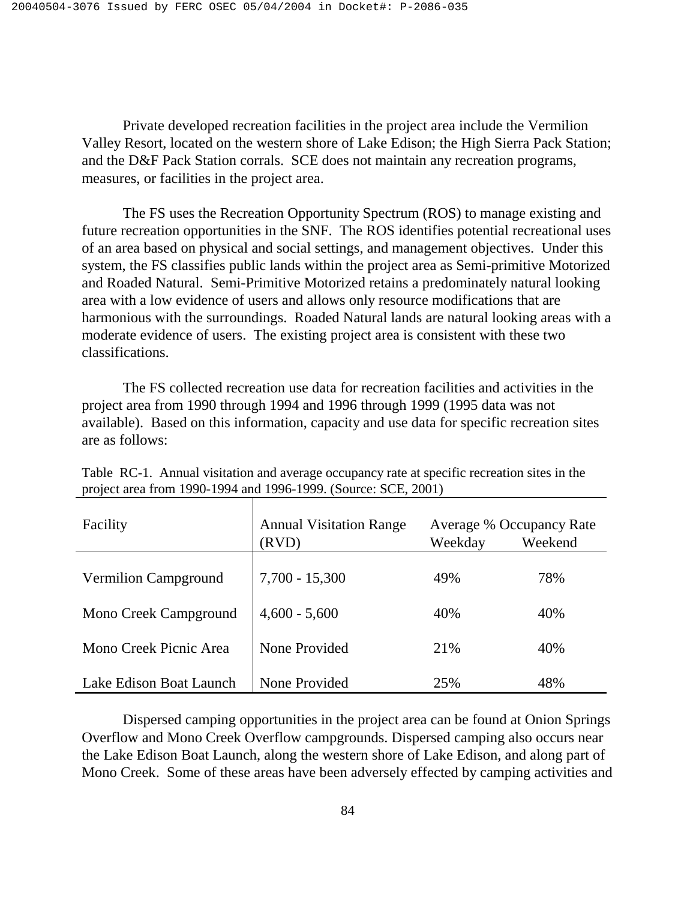Private developed recreation facilities in the project area include the Vermilion Valley Resort, located on the western shore of Lake Edison; the High Sierra Pack Station; and the D&F Pack Station corrals. SCE does not maintain any recreation programs, measures, or facilities in the project area.

 The FS uses the Recreation Opportunity Spectrum (ROS) to manage existing and future recreation opportunities in the SNF. The ROS identifies potential recreational uses of an area based on physical and social settings, and management objectives. Under this system, the FS classifies public lands within the project area as Semi-primitive Motorized and Roaded Natural. Semi-Primitive Motorized retains a predominately natural looking area with a low evidence of users and allows only resource modifications that are harmonious with the surroundings. Roaded Natural lands are natural looking areas with a moderate evidence of users. The existing project area is consistent with these two classifications.

 The FS collected recreation use data for recreation facilities and activities in the project area from 1990 through 1994 and 1996 through 1999 (1995 data was not available). Based on this information, capacity and use data for specific recreation sites are as follows:

| Facility                | <b>Annual Visitation Range</b><br>(RVD) | Weekday | Average % Occupancy Rate<br>Weekend |
|-------------------------|-----------------------------------------|---------|-------------------------------------|
| Vermilion Campground    | $7,700 - 15,300$                        | 49%     | 78%                                 |
| Mono Creek Campground   | $4,600 - 5,600$                         | 40%     | 40%                                 |
| Mono Creek Picnic Area  | None Provided                           | 21%     | 40%                                 |
| Lake Edison Boat Launch | None Provided                           | 25%     | 48%                                 |

Table RC-1. Annual visitation and average occupancy rate at specific recreation sites in the project area from 1990-1994 and 1996-1999. (Source: SCE, 2001)

 Dispersed camping opportunities in the project area can be found at Onion Springs Overflow and Mono Creek Overflow campgrounds. Dispersed camping also occurs near the Lake Edison Boat Launch, along the western shore of Lake Edison, and along part of Mono Creek. Some of these areas have been adversely effected by camping activities and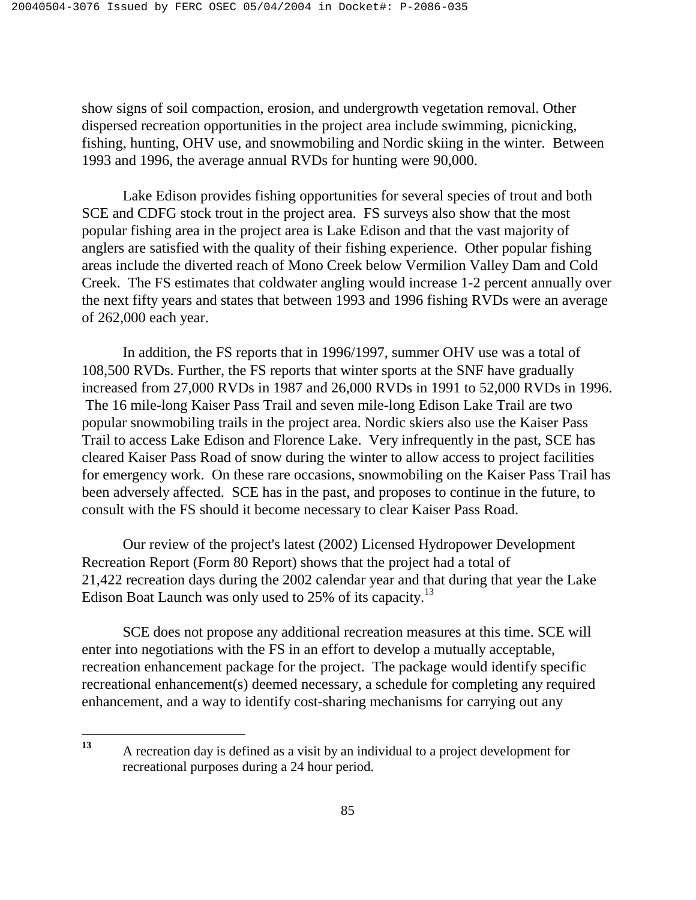show signs of soil compaction, erosion, and undergrowth vegetation removal. Other dispersed recreation opportunities in the project area include swimming, picnicking, fishing, hunting, OHV use, and snowmobiling and Nordic skiing in the winter. Between 1993 and 1996, the average annual RVDs for hunting were 90,000.

 Lake Edison provides fishing opportunities for several species of trout and both SCE and CDFG stock trout in the project area. FS surveys also show that the most popular fishing area in the project area is Lake Edison and that the vast majority of anglers are satisfied with the quality of their fishing experience. Other popular fishing areas include the diverted reach of Mono Creek below Vermilion Valley Dam and Cold Creek. The FS estimates that coldwater angling would increase 1-2 percent annually over the next fifty years and states that between 1993 and 1996 fishing RVDs were an average of 262,000 each year.

 In addition, the FS reports that in 1996/1997, summer OHV use was a total of 108,500 RVDs. Further, the FS reports that winter sports at the SNF have gradually increased from 27,000 RVDs in 1987 and 26,000 RVDs in 1991 to 52,000 RVDs in 1996. The 16 mile-long Kaiser Pass Trail and seven mile-long Edison Lake Trail are two popular snowmobiling trails in the project area. Nordic skiers also use the Kaiser Pass Trail to access Lake Edison and Florence Lake. Very infrequently in the past, SCE has cleared Kaiser Pass Road of snow during the winter to allow access to project facilities for emergency work. On these rare occasions, snowmobiling on the Kaiser Pass Trail has been adversely affected. SCE has in the past, and proposes to continue in the future, to consult with the FS should it become necessary to clear Kaiser Pass Road.

 Our review of the project's latest (2002) Licensed Hydropower Development Recreation Report (Form 80 Report) shows that the project had a total of 21,422 recreation days during the 2002 calendar year and that during that year the Lake Edison Boat Launch was only used to 25% of its capacity.<sup>13</sup>

 SCE does not propose any additional recreation measures at this time. SCE will enter into negotiations with the FS in an effort to develop a mutually acceptable, recreation enhancement package for the project. The package would identify specific recreational enhancement(s) deemed necessary, a schedule for completing any required enhancement, and a way to identify cost-sharing mechanisms for carrying out any

 $13$ **<sup>13</sup>** A recreation day is defined as a visit by an individual to a project development for recreational purposes during a 24 hour period.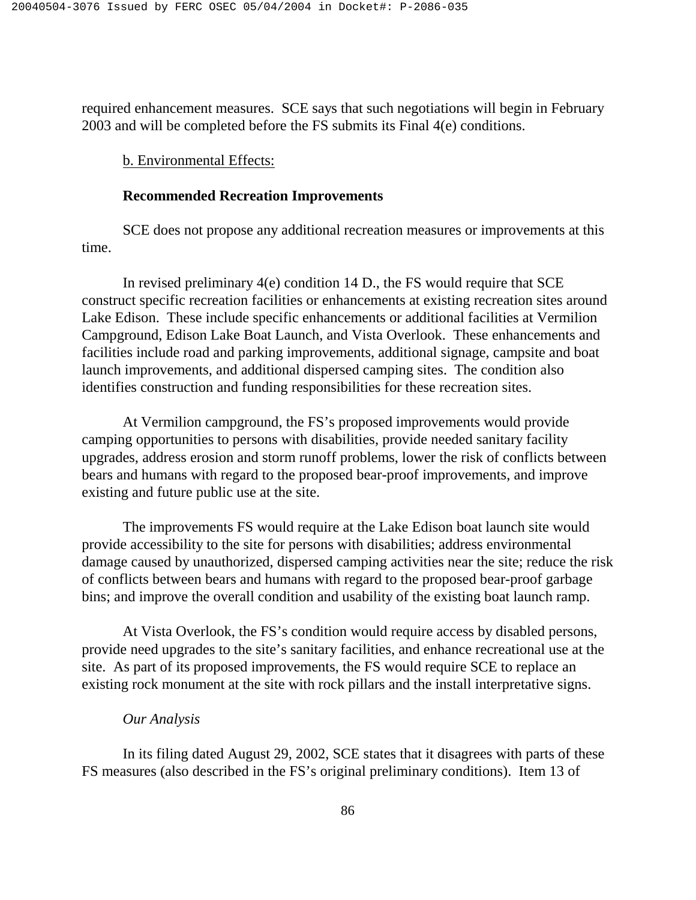required enhancement measures. SCE says that such negotiations will begin in February 2003 and will be completed before the FS submits its Final 4(e) conditions.

### b. Environmental Effects:

# **Recommended Recreation Improvements**

 SCE does not propose any additional recreation measures or improvements at this time.

 In revised preliminary 4(e) condition 14 D., the FS would require that SCE construct specific recreation facilities or enhancements at existing recreation sites around Lake Edison. These include specific enhancements or additional facilities at Vermilion Campground, Edison Lake Boat Launch, and Vista Overlook. These enhancements and facilities include road and parking improvements, additional signage, campsite and boat launch improvements, and additional dispersed camping sites. The condition also identifies construction and funding responsibilities for these recreation sites.

 At Vermilion campground, the FS's proposed improvements would provide camping opportunities to persons with disabilities, provide needed sanitary facility upgrades, address erosion and storm runoff problems, lower the risk of conflicts between bears and humans with regard to the proposed bear-proof improvements, and improve existing and future public use at the site.

 The improvements FS would require at the Lake Edison boat launch site would provide accessibility to the site for persons with disabilities; address environmental damage caused by unauthorized, dispersed camping activities near the site; reduce the risk of conflicts between bears and humans with regard to the proposed bear-proof garbage bins; and improve the overall condition and usability of the existing boat launch ramp.

 At Vista Overlook, the FS's condition would require access by disabled persons, provide need upgrades to the site's sanitary facilities, and enhance recreational use at the site. As part of its proposed improvements, the FS would require SCE to replace an existing rock monument at the site with rock pillars and the install interpretative signs.

# *Our Analysis*

 In its filing dated August 29, 2002, SCE states that it disagrees with parts of these FS measures (also described in the FS's original preliminary conditions). Item 13 of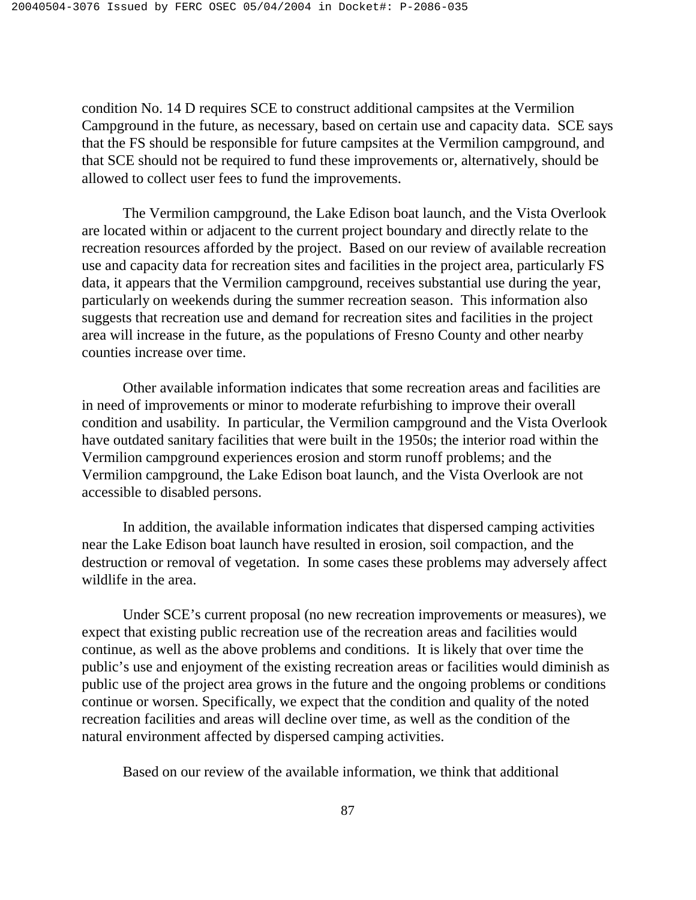condition No. 14 D requires SCE to construct additional campsites at the Vermilion Campground in the future, as necessary, based on certain use and capacity data. SCE says that the FS should be responsible for future campsites at the Vermilion campground, and that SCE should not be required to fund these improvements or, alternatively, should be allowed to collect user fees to fund the improvements.

The Vermilion campground, the Lake Edison boat launch, and the Vista Overlook are located within or adjacent to the current project boundary and directly relate to the recreation resources afforded by the project. Based on our review of available recreation use and capacity data for recreation sites and facilities in the project area, particularly FS data, it appears that the Vermilion campground, receives substantial use during the year, particularly on weekends during the summer recreation season. This information also suggests that recreation use and demand for recreation sites and facilities in the project area will increase in the future, as the populations of Fresno County and other nearby counties increase over time.

 Other available information indicates that some recreation areas and facilities are in need of improvements or minor to moderate refurbishing to improve their overall condition and usability. In particular, the Vermilion campground and the Vista Overlook have outdated sanitary facilities that were built in the 1950s; the interior road within the Vermilion campground experiences erosion and storm runoff problems; and the Vermilion campground, the Lake Edison boat launch, and the Vista Overlook are not accessible to disabled persons.

 In addition, the available information indicates that dispersed camping activities near the Lake Edison boat launch have resulted in erosion, soil compaction, and the destruction or removal of vegetation. In some cases these problems may adversely affect wildlife in the area.

 Under SCE's current proposal (no new recreation improvements or measures), we expect that existing public recreation use of the recreation areas and facilities would continue, as well as the above problems and conditions. It is likely that over time the public's use and enjoyment of the existing recreation areas or facilities would diminish as public use of the project area grows in the future and the ongoing problems or conditions continue or worsen. Specifically, we expect that the condition and quality of the noted recreation facilities and areas will decline over time, as well as the condition of the natural environment affected by dispersed camping activities.

Based on our review of the available information, we think that additional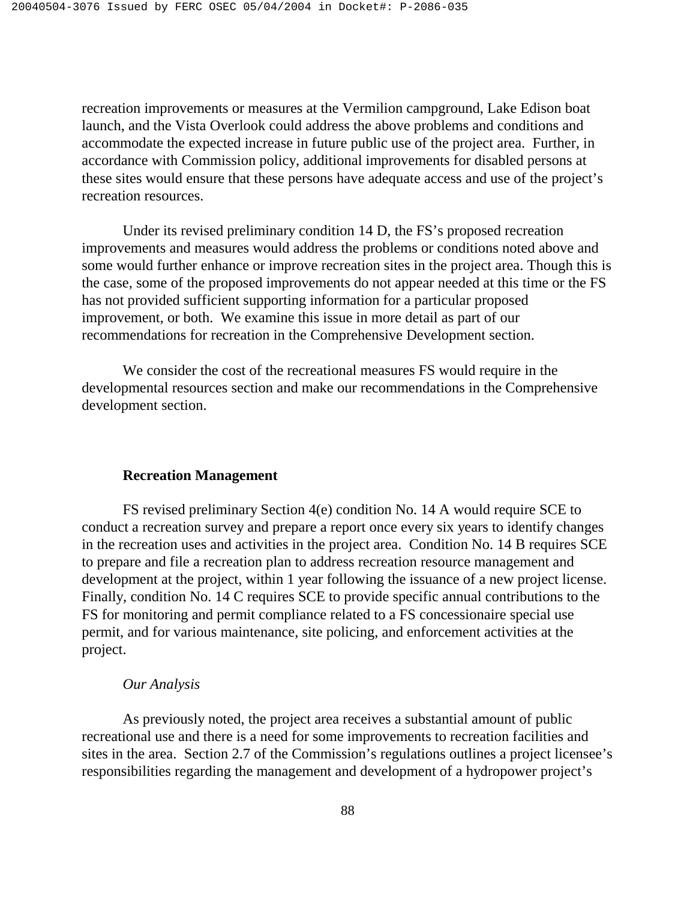recreation improvements or measures at the Vermilion campground, Lake Edison boat launch, and the Vista Overlook could address the above problems and conditions and accommodate the expected increase in future public use of the project area. Further, in accordance with Commission policy, additional improvements for disabled persons at these sites would ensure that these persons have adequate access and use of the project's recreation resources.

 Under its revised preliminary condition 14 D, the FS's proposed recreation improvements and measures would address the problems or conditions noted above and some would further enhance or improve recreation sites in the project area. Though this is the case, some of the proposed improvements do not appear needed at this time or the FS has not provided sufficient supporting information for a particular proposed improvement, or both. We examine this issue in more detail as part of our recommendations for recreation in the Comprehensive Development section.

 We consider the cost of the recreational measures FS would require in the developmental resources section and make our recommendations in the Comprehensive development section.

## **Recreation Management**

 FS revised preliminary Section 4(e) condition No. 14 A would require SCE to conduct a recreation survey and prepare a report once every six years to identify changes in the recreation uses and activities in the project area. Condition No. 14 B requires SCE to prepare and file a recreation plan to address recreation resource management and development at the project, within 1 year following the issuance of a new project license. Finally, condition No. 14 C requires SCE to provide specific annual contributions to the FS for monitoring and permit compliance related to a FS concessionaire special use permit, and for various maintenance, site policing, and enforcement activities at the project.

#### *Our Analysis*

 As previously noted, the project area receives a substantial amount of public recreational use and there is a need for some improvements to recreation facilities and sites in the area. Section 2.7 of the Commission's regulations outlines a project licensee's responsibilities regarding the management and development of a hydropower project's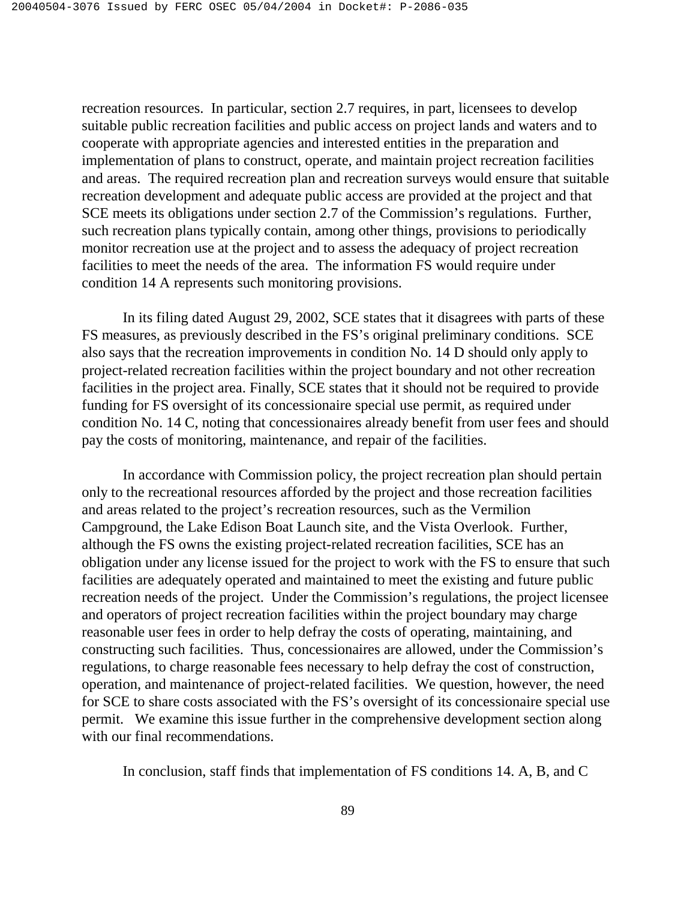recreation resources. In particular, section 2.7 requires, in part, licensees to develop suitable public recreation facilities and public access on project lands and waters and to cooperate with appropriate agencies and interested entities in the preparation and implementation of plans to construct, operate, and maintain project recreation facilities and areas. The required recreation plan and recreation surveys would ensure that suitable recreation development and adequate public access are provided at the project and that SCE meets its obligations under section 2.7 of the Commission's regulations. Further, such recreation plans typically contain, among other things, provisions to periodically monitor recreation use at the project and to assess the adequacy of project recreation facilities to meet the needs of the area. The information FS would require under condition 14 A represents such monitoring provisions.

 In its filing dated August 29, 2002, SCE states that it disagrees with parts of these FS measures, as previously described in the FS's original preliminary conditions. SCE also says that the recreation improvements in condition No. 14 D should only apply to project-related recreation facilities within the project boundary and not other recreation facilities in the project area. Finally, SCE states that it should not be required to provide funding for FS oversight of its concessionaire special use permit, as required under condition No. 14 C, noting that concessionaires already benefit from user fees and should pay the costs of monitoring, maintenance, and repair of the facilities.

 In accordance with Commission policy, the project recreation plan should pertain only to the recreational resources afforded by the project and those recreation facilities and areas related to the project's recreation resources, such as the Vermilion Campground, the Lake Edison Boat Launch site, and the Vista Overlook. Further, although the FS owns the existing project-related recreation facilities, SCE has an obligation under any license issued for the project to work with the FS to ensure that such facilities are adequately operated and maintained to meet the existing and future public recreation needs of the project. Under the Commission's regulations, the project licensee and operators of project recreation facilities within the project boundary may charge reasonable user fees in order to help defray the costs of operating, maintaining, and constructing such facilities. Thus, concessionaires are allowed, under the Commission's regulations, to charge reasonable fees necessary to help defray the cost of construction, operation, and maintenance of project-related facilities. We question, however, the need for SCE to share costs associated with the FS's oversight of its concessionaire special use permit. We examine this issue further in the comprehensive development section along with our final recommendations.

In conclusion, staff finds that implementation of FS conditions 14. A, B, and C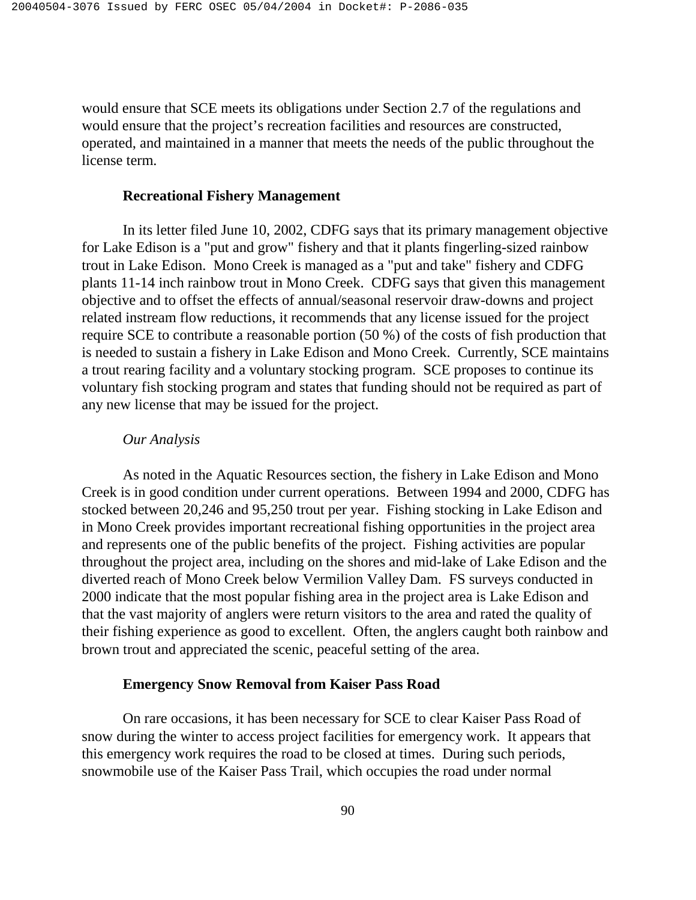would ensure that SCE meets its obligations under Section 2.7 of the regulations and would ensure that the project's recreation facilities and resources are constructed, operated, and maintained in a manner that meets the needs of the public throughout the license term.

# **Recreational Fishery Management**

 In its letter filed June 10, 2002, CDFG says that its primary management objective for Lake Edison is a "put and grow" fishery and that it plants fingerling-sized rainbow trout in Lake Edison. Mono Creek is managed as a "put and take" fishery and CDFG plants 11-14 inch rainbow trout in Mono Creek. CDFG says that given this management objective and to offset the effects of annual/seasonal reservoir draw-downs and project related instream flow reductions, it recommends that any license issued for the project require SCE to contribute a reasonable portion (50 %) of the costs of fish production that is needed to sustain a fishery in Lake Edison and Mono Creek. Currently, SCE maintains a trout rearing facility and a voluntary stocking program. SCE proposes to continue its voluntary fish stocking program and states that funding should not be required as part of any new license that may be issued for the project.

#### *Our Analysis*

 As noted in the Aquatic Resources section, the fishery in Lake Edison and Mono Creek is in good condition under current operations. Between 1994 and 2000, CDFG has stocked between 20,246 and 95,250 trout per year. Fishing stocking in Lake Edison and in Mono Creek provides important recreational fishing opportunities in the project area and represents one of the public benefits of the project. Fishing activities are popular throughout the project area, including on the shores and mid-lake of Lake Edison and the diverted reach of Mono Creek below Vermilion Valley Dam. FS surveys conducted in 2000 indicate that the most popular fishing area in the project area is Lake Edison and that the vast majority of anglers were return visitors to the area and rated the quality of their fishing experience as good to excellent. Often, the anglers caught both rainbow and brown trout and appreciated the scenic, peaceful setting of the area.

#### **Emergency Snow Removal from Kaiser Pass Road**

 On rare occasions, it has been necessary for SCE to clear Kaiser Pass Road of snow during the winter to access project facilities for emergency work. It appears that this emergency work requires the road to be closed at times. During such periods, snowmobile use of the Kaiser Pass Trail, which occupies the road under normal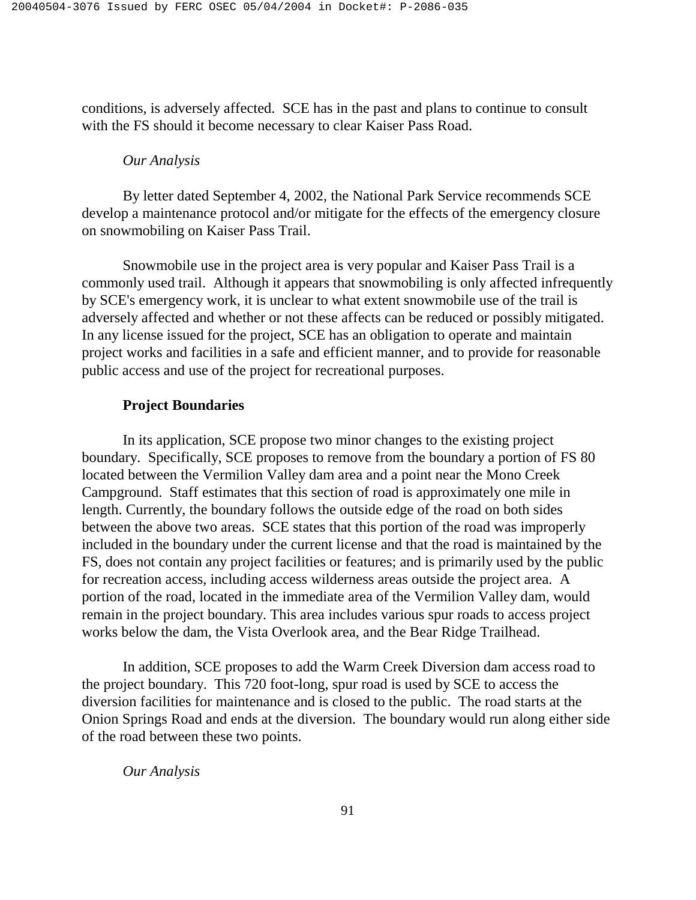conditions, is adversely affected. SCE has in the past and plans to continue to consult with the FS should it become necessary to clear Kaiser Pass Road.

### *Our Analysis*

 By letter dated September 4, 2002, the National Park Service recommends SCE develop a maintenance protocol and/or mitigate for the effects of the emergency closure on snowmobiling on Kaiser Pass Trail.

 Snowmobile use in the project area is very popular and Kaiser Pass Trail is a commonly used trail. Although it appears that snowmobiling is only affected infrequently by SCE's emergency work, it is unclear to what extent snowmobile use of the trail is adversely affected and whether or not these affects can be reduced or possibly mitigated. In any license issued for the project, SCE has an obligation to operate and maintain project works and facilities in a safe and efficient manner, and to provide for reasonable public access and use of the project for recreational purposes.

### **Project Boundaries**

 In its application, SCE propose two minor changes to the existing project boundary. Specifically, SCE proposes to remove from the boundary a portion of FS 80 located between the Vermilion Valley dam area and a point near the Mono Creek Campground. Staff estimates that this section of road is approximately one mile in length. Currently, the boundary follows the outside edge of the road on both sides between the above two areas. SCE states that this portion of the road was improperly included in the boundary under the current license and that the road is maintained by the FS, does not contain any project facilities or features; and is primarily used by the public for recreation access, including access wilderness areas outside the project area. A portion of the road, located in the immediate area of the Vermilion Valley dam, would remain in the project boundary. This area includes various spur roads to access project works below the dam, the Vista Overlook area, and the Bear Ridge Trailhead.

 In addition, SCE proposes to add the Warm Creek Diversion dam access road to the project boundary. This 720 foot-long, spur road is used by SCE to access the diversion facilities for maintenance and is closed to the public. The road starts at the Onion Springs Road and ends at the diversion. The boundary would run along either side of the road between these two points.

 *Our Analysis*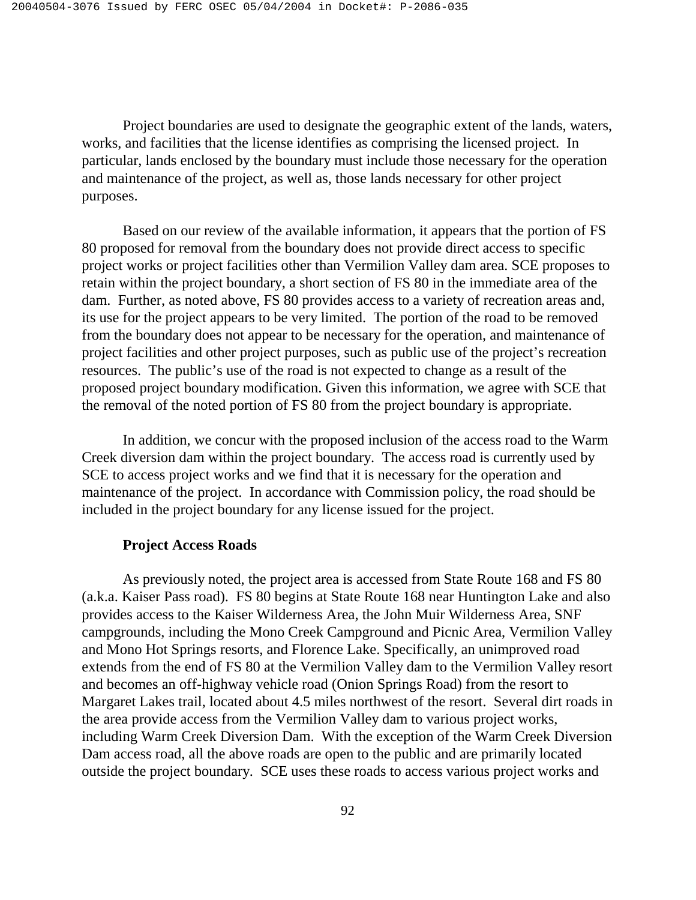Project boundaries are used to designate the geographic extent of the lands, waters, works, and facilities that the license identifies as comprising the licensed project. In particular, lands enclosed by the boundary must include those necessary for the operation and maintenance of the project, as well as, those lands necessary for other project purposes.

 Based on our review of the available information, it appears that the portion of FS 80 proposed for removal from the boundary does not provide direct access to specific project works or project facilities other than Vermilion Valley dam area. SCE proposes to retain within the project boundary, a short section of FS 80 in the immediate area of the dam. Further, as noted above, FS 80 provides access to a variety of recreation areas and, its use for the project appears to be very limited. The portion of the road to be removed from the boundary does not appear to be necessary for the operation, and maintenance of project facilities and other project purposes, such as public use of the project's recreation resources. The public's use of the road is not expected to change as a result of the proposed project boundary modification. Given this information, we agree with SCE that the removal of the noted portion of FS 80 from the project boundary is appropriate.

 In addition, we concur with the proposed inclusion of the access road to the Warm Creek diversion dam within the project boundary. The access road is currently used by SCE to access project works and we find that it is necessary for the operation and maintenance of the project. In accordance with Commission policy, the road should be included in the project boundary for any license issued for the project.

### **Project Access Roads**

 As previously noted, the project area is accessed from State Route 168 and FS 80 (a.k.a. Kaiser Pass road). FS 80 begins at State Route 168 near Huntington Lake and also provides access to the Kaiser Wilderness Area, the John Muir Wilderness Area, SNF campgrounds, including the Mono Creek Campground and Picnic Area, Vermilion Valley and Mono Hot Springs resorts, and Florence Lake. Specifically, an unimproved road extends from the end of FS 80 at the Vermilion Valley dam to the Vermilion Valley resort and becomes an off-highway vehicle road (Onion Springs Road) from the resort to Margaret Lakes trail, located about 4.5 miles northwest of the resort. Several dirt roads in the area provide access from the Vermilion Valley dam to various project works, including Warm Creek Diversion Dam. With the exception of the Warm Creek Diversion Dam access road, all the above roads are open to the public and are primarily located outside the project boundary. SCE uses these roads to access various project works and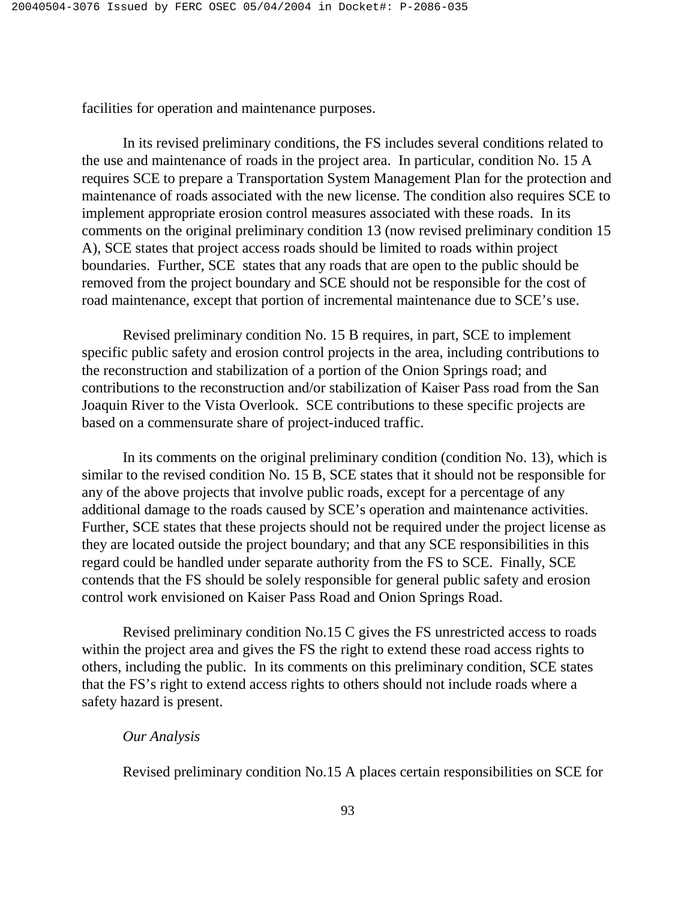facilities for operation and maintenance purposes.

 In its revised preliminary conditions, the FS includes several conditions related to the use and maintenance of roads in the project area. In particular, condition No. 15 A requires SCE to prepare a Transportation System Management Plan for the protection and maintenance of roads associated with the new license. The condition also requires SCE to implement appropriate erosion control measures associated with these roads. In its comments on the original preliminary condition 13 (now revised preliminary condition 15 A), SCE states that project access roads should be limited to roads within project boundaries. Further, SCE states that any roads that are open to the public should be removed from the project boundary and SCE should not be responsible for the cost of road maintenance, except that portion of incremental maintenance due to SCE's use.

 Revised preliminary condition No. 15 B requires, in part, SCE to implement specific public safety and erosion control projects in the area, including contributions to the reconstruction and stabilization of a portion of the Onion Springs road; and contributions to the reconstruction and/or stabilization of Kaiser Pass road from the San Joaquin River to the Vista Overlook. SCE contributions to these specific projects are based on a commensurate share of project-induced traffic.

 In its comments on the original preliminary condition (condition No. 13), which is similar to the revised condition No. 15 B, SCE states that it should not be responsible for any of the above projects that involve public roads, except for a percentage of any additional damage to the roads caused by SCE's operation and maintenance activities. Further, SCE states that these projects should not be required under the project license as they are located outside the project boundary; and that any SCE responsibilities in this regard could be handled under separate authority from the FS to SCE. Finally, SCE contends that the FS should be solely responsible for general public safety and erosion control work envisioned on Kaiser Pass Road and Onion Springs Road.

 Revised preliminary condition No.15 C gives the FS unrestricted access to roads within the project area and gives the FS the right to extend these road access rights to others, including the public. In its comments on this preliminary condition, SCE states that the FS's right to extend access rights to others should not include roads where a safety hazard is present.

### *Our Analysis*

Revised preliminary condition No.15 A places certain responsibilities on SCE for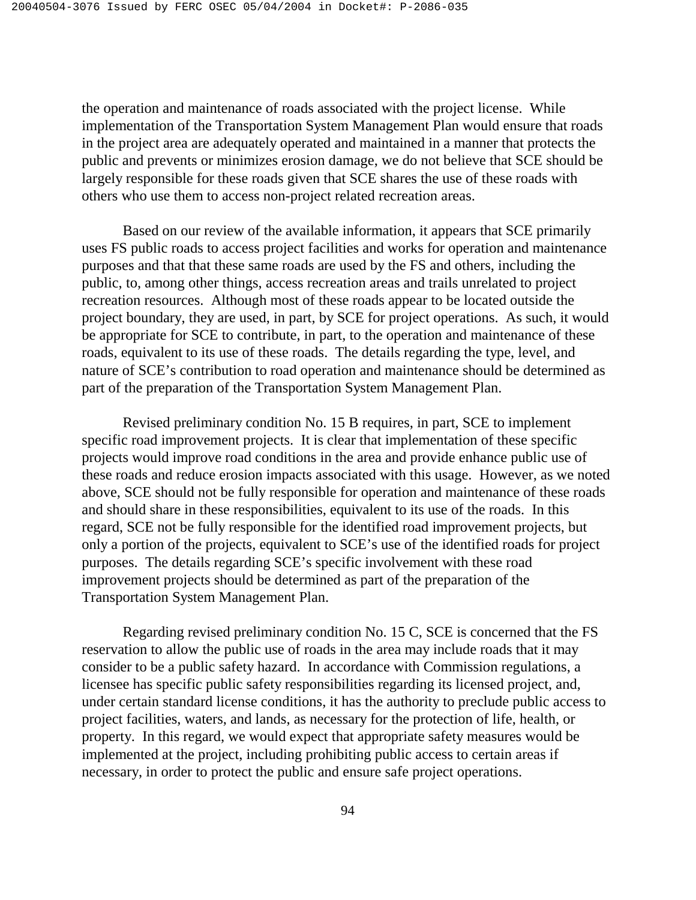the operation and maintenance of roads associated with the project license. While implementation of the Transportation System Management Plan would ensure that roads in the project area are adequately operated and maintained in a manner that protects the public and prevents or minimizes erosion damage, we do not believe that SCE should be largely responsible for these roads given that SCE shares the use of these roads with others who use them to access non-project related recreation areas.

 Based on our review of the available information, it appears that SCE primarily uses FS public roads to access project facilities and works for operation and maintenance purposes and that that these same roads are used by the FS and others, including the public, to, among other things, access recreation areas and trails unrelated to project recreation resources. Although most of these roads appear to be located outside the project boundary, they are used, in part, by SCE for project operations. As such, it would be appropriate for SCE to contribute, in part, to the operation and maintenance of these roads, equivalent to its use of these roads. The details regarding the type, level, and nature of SCE's contribution to road operation and maintenance should be determined as part of the preparation of the Transportation System Management Plan.

 Revised preliminary condition No. 15 B requires, in part, SCE to implement specific road improvement projects. It is clear that implementation of these specific projects would improve road conditions in the area and provide enhance public use of these roads and reduce erosion impacts associated with this usage. However, as we noted above, SCE should not be fully responsible for operation and maintenance of these roads and should share in these responsibilities, equivalent to its use of the roads. In this regard, SCE not be fully responsible for the identified road improvement projects, but only a portion of the projects, equivalent to SCE's use of the identified roads for project purposes. The details regarding SCE's specific involvement with these road improvement projects should be determined as part of the preparation of the Transportation System Management Plan.

 Regarding revised preliminary condition No. 15 C, SCE is concerned that the FS reservation to allow the public use of roads in the area may include roads that it may consider to be a public safety hazard. In accordance with Commission regulations, a licensee has specific public safety responsibilities regarding its licensed project, and, under certain standard license conditions, it has the authority to preclude public access to project facilities, waters, and lands, as necessary for the protection of life, health, or property. In this regard, we would expect that appropriate safety measures would be implemented at the project, including prohibiting public access to certain areas if necessary, in order to protect the public and ensure safe project operations.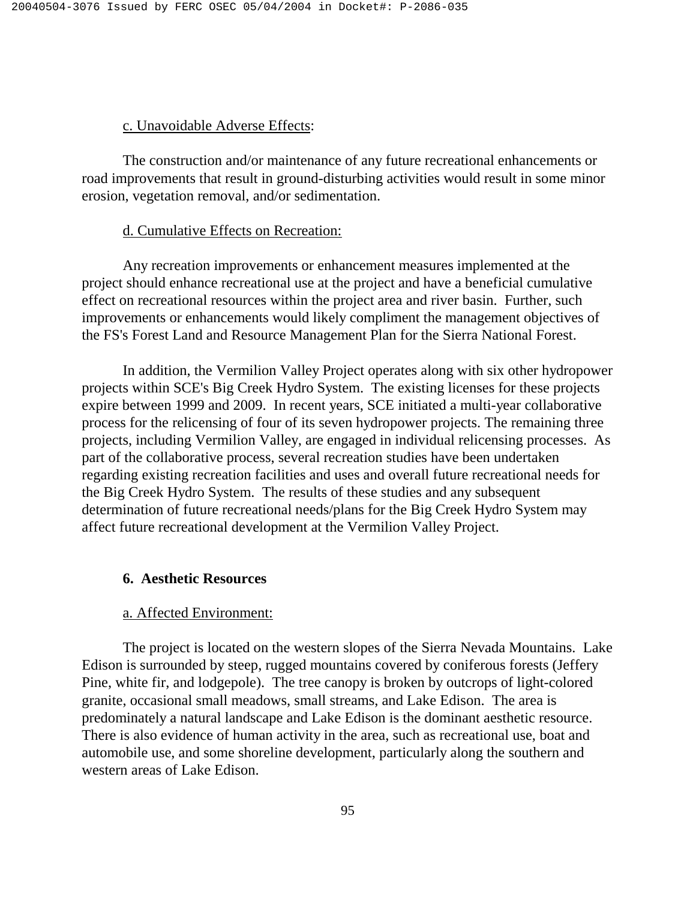### c. Unavoidable Adverse Effects:

 The construction and/or maintenance of any future recreational enhancements or road improvements that result in ground-disturbing activities would result in some minor erosion, vegetation removal, and/or sedimentation.

### d. Cumulative Effects on Recreation:

 Any recreation improvements or enhancement measures implemented at the project should enhance recreational use at the project and have a beneficial cumulative effect on recreational resources within the project area and river basin. Further, such improvements or enhancements would likely compliment the management objectives of the FS's Forest Land and Resource Management Plan for the Sierra National Forest.

 In addition, the Vermilion Valley Project operates along with six other hydropower projects within SCE's Big Creek Hydro System. The existing licenses for these projects expire between 1999 and 2009. In recent years, SCE initiated a multi-year collaborative process for the relicensing of four of its seven hydropower projects. The remaining three projects, including Vermilion Valley, are engaged in individual relicensing processes. As part of the collaborative process, several recreation studies have been undertaken regarding existing recreation facilities and uses and overall future recreational needs for the Big Creek Hydro System. The results of these studies and any subsequent determination of future recreational needs/plans for the Big Creek Hydro System may affect future recreational development at the Vermilion Valley Project.

### **6. Aesthetic Resources**

### a. Affected Environment:

The project is located on the western slopes of the Sierra Nevada Mountains. Lake Edison is surrounded by steep, rugged mountains covered by coniferous forests (Jeffery Pine, white fir, and lodgepole). The tree canopy is broken by outcrops of light-colored granite, occasional small meadows, small streams, and Lake Edison. The area is predominately a natural landscape and Lake Edison is the dominant aesthetic resource. There is also evidence of human activity in the area, such as recreational use, boat and automobile use, and some shoreline development, particularly along the southern and western areas of Lake Edison.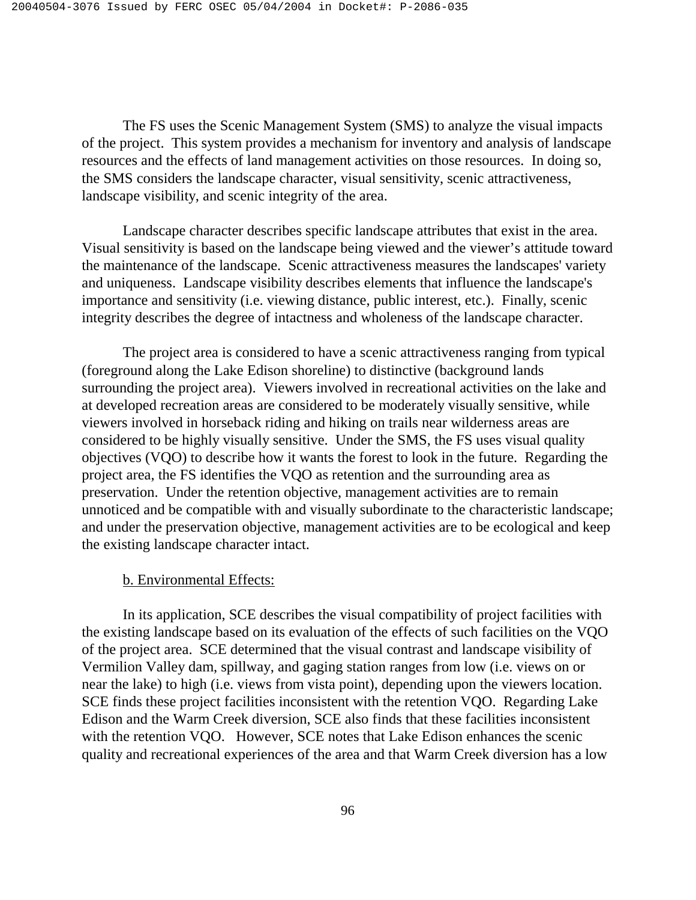The FS uses the Scenic Management System (SMS) to analyze the visual impacts of the project. This system provides a mechanism for inventory and analysis of landscape resources and the effects of land management activities on those resources. In doing so, the SMS considers the landscape character, visual sensitivity, scenic attractiveness, landscape visibility, and scenic integrity of the area.

Landscape character describes specific landscape attributes that exist in the area. Visual sensitivity is based on the landscape being viewed and the viewer's attitude toward the maintenance of the landscape. Scenic attractiveness measures the landscapes' variety and uniqueness. Landscape visibility describes elements that influence the landscape's importance and sensitivity (i.e. viewing distance, public interest, etc.). Finally, scenic integrity describes the degree of intactness and wholeness of the landscape character.

The project area is considered to have a scenic attractiveness ranging from typical (foreground along the Lake Edison shoreline) to distinctive (background lands surrounding the project area). Viewers involved in recreational activities on the lake and at developed recreation areas are considered to be moderately visually sensitive, while viewers involved in horseback riding and hiking on trails near wilderness areas are considered to be highly visually sensitive. Under the SMS, the FS uses visual quality objectives (VQO) to describe how it wants the forest to look in the future. Regarding the project area, the FS identifies the VQO as retention and the surrounding area as preservation. Under the retention objective, management activities are to remain unnoticed and be compatible with and visually subordinate to the characteristic landscape; and under the preservation objective, management activities are to be ecological and keep the existing landscape character intact.

#### b. Environmental Effects:

In its application, SCE describes the visual compatibility of project facilities with the existing landscape based on its evaluation of the effects of such facilities on the VQO of the project area. SCE determined that the visual contrast and landscape visibility of Vermilion Valley dam, spillway, and gaging station ranges from low (i.e. views on or near the lake) to high (i.e. views from vista point), depending upon the viewers location. SCE finds these project facilities inconsistent with the retention VQO. Regarding Lake Edison and the Warm Creek diversion, SCE also finds that these facilities inconsistent with the retention VQO. However, SCE notes that Lake Edison enhances the scenic quality and recreational experiences of the area and that Warm Creek diversion has a low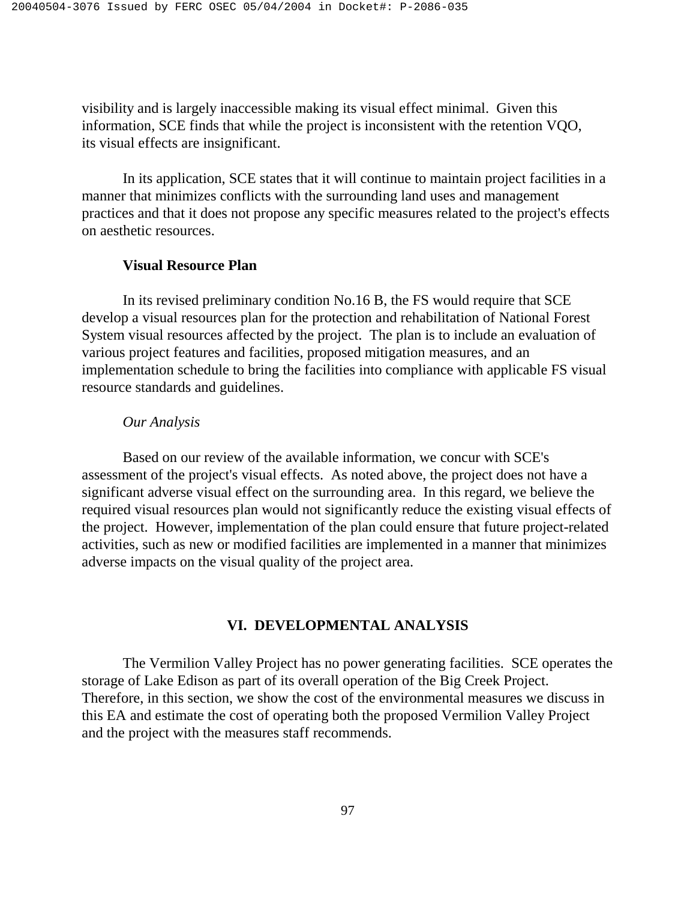visibility and is largely inaccessible making its visual effect minimal. Given this information, SCE finds that while the project is inconsistent with the retention VQO, its visual effects are insignificant.

In its application, SCE states that it will continue to maintain project facilities in a manner that minimizes conflicts with the surrounding land uses and management practices and that it does not propose any specific measures related to the project's effects on aesthetic resources.

## **Visual Resource Plan**

 In its revised preliminary condition No.16 B, the FS would require that SCE develop a visual resources plan for the protection and rehabilitation of National Forest System visual resources affected by the project. The plan is to include an evaluation of various project features and facilities, proposed mitigation measures, and an implementation schedule to bring the facilities into compliance with applicable FS visual resource standards and guidelines.

### *Our Analysis*

Based on our review of the available information, we concur with SCE's assessment of the project's visual effects. As noted above, the project does not have a significant adverse visual effect on the surrounding area. In this regard, we believe the required visual resources plan would not significantly reduce the existing visual effects of the project. However, implementation of the plan could ensure that future project-related activities, such as new or modified facilities are implemented in a manner that minimizes adverse impacts on the visual quality of the project area.

### **VI. DEVELOPMENTAL ANALYSIS**

The Vermilion Valley Project has no power generating facilities. SCE operates the storage of Lake Edison as part of its overall operation of the Big Creek Project. Therefore, in this section, we show the cost of the environmental measures we discuss in this EA and estimate the cost of operating both the proposed Vermilion Valley Project and the project with the measures staff recommends.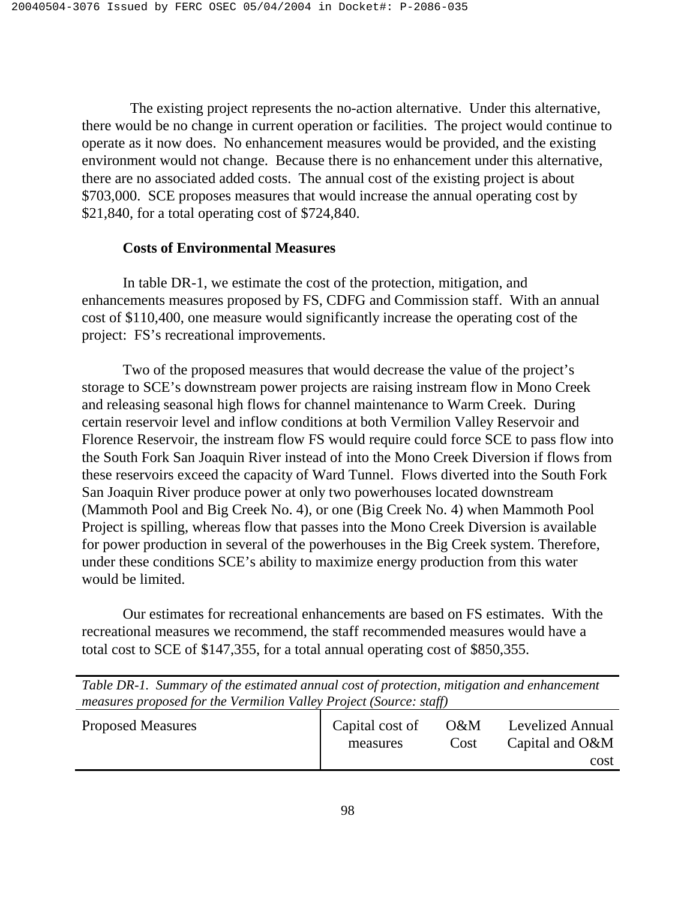The existing project represents the no-action alternative. Under this alternative, there would be no change in current operation or facilities. The project would continue to operate as it now does. No enhancement measures would be provided, and the existing environment would not change. Because there is no enhancement under this alternative, there are no associated added costs. The annual cost of the existing project is about \$703,000. SCE proposes measures that would increase the annual operating cost by \$21,840, for a total operating cost of \$724,840.

# **Costs of Environmental Measures**

 In table DR-1, we estimate the cost of the protection, mitigation, and enhancements measures proposed by FS, CDFG and Commission staff. With an annual cost of \$110,400, one measure would significantly increase the operating cost of the project: FS's recreational improvements.

 Two of the proposed measures that would decrease the value of the project's storage to SCE's downstream power projects are raising instream flow in Mono Creek and releasing seasonal high flows for channel maintenance to Warm Creek. During certain reservoir level and inflow conditions at both Vermilion Valley Reservoir and Florence Reservoir, the instream flow FS would require could force SCE to pass flow into the South Fork San Joaquin River instead of into the Mono Creek Diversion if flows from these reservoirs exceed the capacity of Ward Tunnel. Flows diverted into the South Fork San Joaquin River produce power at only two powerhouses located downstream (Mammoth Pool and Big Creek No. 4), or one (Big Creek No. 4) when Mammoth Pool Project is spilling, whereas flow that passes into the Mono Creek Diversion is available for power production in several of the powerhouses in the Big Creek system. Therefore, under these conditions SCE's ability to maximize energy production from this water would be limited.

 Our estimates for recreational enhancements are based on FS estimates. With the recreational measures we recommend, the staff recommended measures would have a total cost to SCE of \$147,355, for a total annual operating cost of \$850,355.

|                                                                    | Table DR-1. Summary of the estimated annual cost of protection, mitigation and enhancement |  |  |  |
|--------------------------------------------------------------------|--------------------------------------------------------------------------------------------|--|--|--|
| measures proposed for the Vermilion Valley Project (Source: staff) |                                                                                            |  |  |  |

| <b>Proposed Measures</b> | Capital cost of | $O\&M$ | Levelized Annual |
|--------------------------|-----------------|--------|------------------|
|                          | measures        | Cost   | Capital and O&M  |
|                          |                 |        | cost             |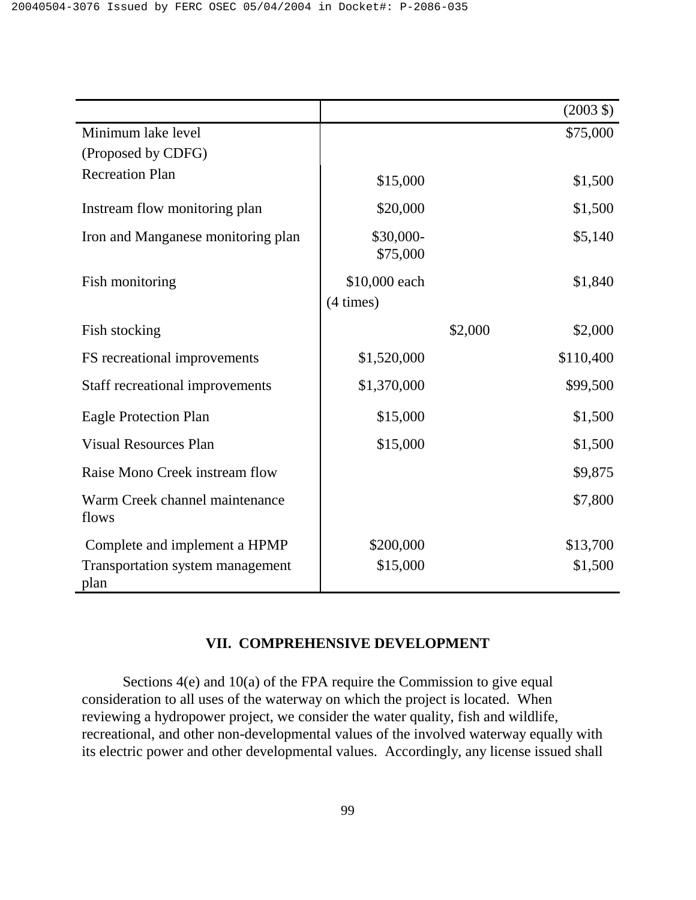|                                                 |                       |         | $(2003 \text{ } \text{\textsterling})$ |
|-------------------------------------------------|-----------------------|---------|----------------------------------------|
| Minimum lake level                              |                       |         | \$75,000                               |
| (Proposed by CDFG)                              |                       |         |                                        |
| <b>Recreation Plan</b>                          | \$15,000              |         | \$1,500                                |
| Instream flow monitoring plan                   | \$20,000              |         | \$1,500                                |
| Iron and Manganese monitoring plan              | \$30,000-<br>\$75,000 |         | \$5,140                                |
| Fish monitoring                                 | \$10,000 each         |         | \$1,840                                |
|                                                 | $(4 \times)$          |         |                                        |
| Fish stocking                                   |                       | \$2,000 | \$2,000                                |
| FS recreational improvements                    | \$1,520,000           |         | \$110,400                              |
| Staff recreational improvements                 | \$1,370,000           |         | \$99,500                               |
| <b>Eagle Protection Plan</b>                    | \$15,000              |         | \$1,500                                |
| <b>Visual Resources Plan</b>                    | \$15,000              |         | \$1,500                                |
| Raise Mono Creek instream flow                  |                       |         | \$9,875                                |
| Warm Creek channel maintenance<br>flows         |                       |         | \$7,800                                |
| Complete and implement a HPMP                   | \$200,000             |         | \$13,700                               |
| <b>Transportation system management</b><br>plan | \$15,000              |         | \$1,500                                |

# **VII. COMPREHENSIVE DEVELOPMENT**

Sections 4(e) and 10(a) of the FPA require the Commission to give equal consideration to all uses of the waterway on which the project is located. When reviewing a hydropower project, we consider the water quality, fish and wildlife, recreational, and other non-developmental values of the involved waterway equally with its electric power and other developmental values. Accordingly, any license issued shall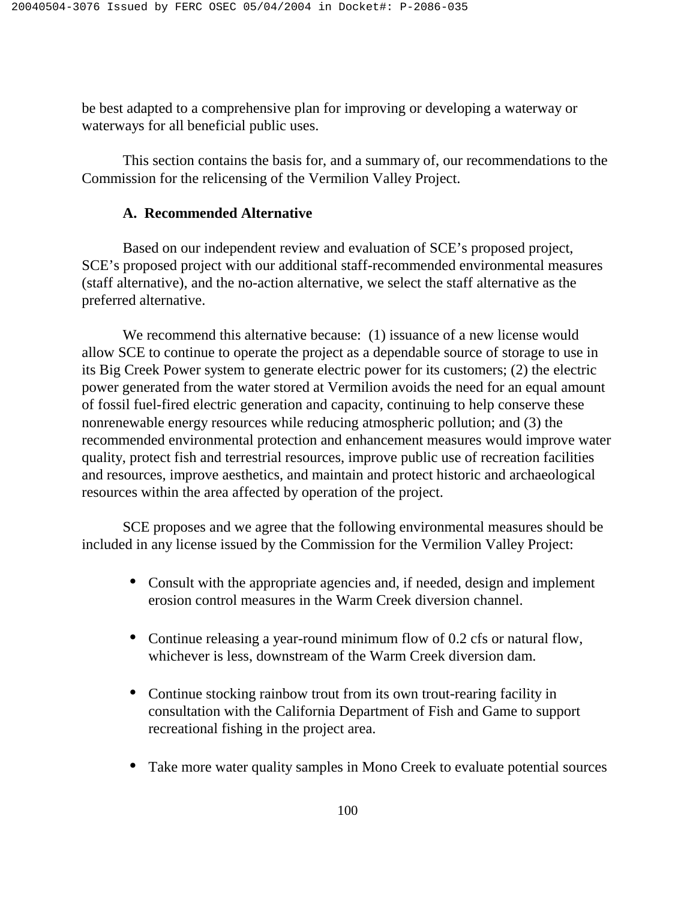be best adapted to a comprehensive plan for improving or developing a waterway or waterways for all beneficial public uses.

This section contains the basis for, and a summary of, our recommendations to the Commission for the relicensing of the Vermilion Valley Project.

# **A. Recommended Alternative**

Based on our independent review and evaluation of SCE's proposed project, SCE's proposed project with our additional staff-recommended environmental measures (staff alternative), and the no-action alternative, we select the staff alternative as the preferred alternative.

We recommend this alternative because: (1) issuance of a new license would allow SCE to continue to operate the project as a dependable source of storage to use in its Big Creek Power system to generate electric power for its customers; (2) the electric power generated from the water stored at Vermilion avoids the need for an equal amount of fossil fuel-fired electric generation and capacity, continuing to help conserve these nonrenewable energy resources while reducing atmospheric pollution; and (3) the recommended environmental protection and enhancement measures would improve water quality, protect fish and terrestrial resources, improve public use of recreation facilities and resources, improve aesthetics, and maintain and protect historic and archaeological resources within the area affected by operation of the project.

SCE proposes and we agree that the following environmental measures should be included in any license issued by the Commission for the Vermilion Valley Project:

- Consult with the appropriate agencies and, if needed, design and implement erosion control measures in the Warm Creek diversion channel.
- Continue releasing a year-round minimum flow of 0.2 cfs or natural flow, whichever is less, downstream of the Warm Creek diversion dam.
- Continue stocking rainbow trout from its own trout-rearing facility in consultation with the California Department of Fish and Game to support recreational fishing in the project area.
- Take more water quality samples in Mono Creek to evaluate potential sources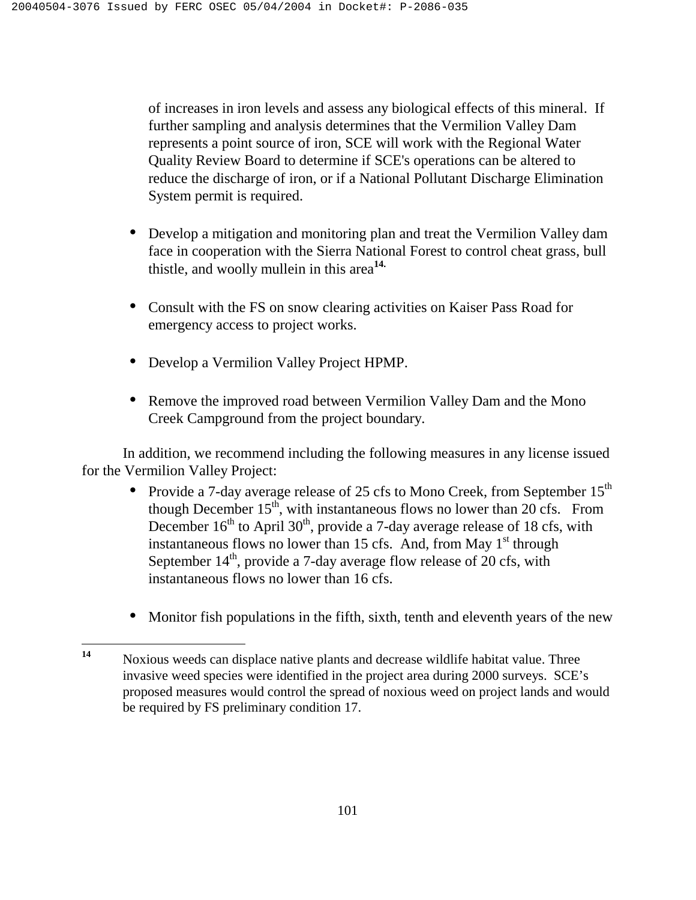of increases in iron levels and assess any biological effects of this mineral. If further sampling and analysis determines that the Vermilion Valley Dam represents a point source of iron, SCE will work with the Regional Water Quality Review Board to determine if SCE's operations can be altered to reduce the discharge of iron, or if a National Pollutant Discharge Elimination System permit is required.

- Develop a mitigation and monitoring plan and treat the Vermilion Valley dam face in cooperation with the Sierra National Forest to control cheat grass, bull thistle, and woolly mullein in this area**14.**
- Consult with the FS on snow clearing activities on Kaiser Pass Road for emergency access to project works.
- Develop a Vermilion Valley Project HPMP.
- Remove the improved road between Vermilion Valley Dam and the Mono Creek Campground from the project boundary.

In addition, we recommend including the following measures in any license issued for the Vermilion Valley Project:

- Provide a 7-day average release of 25 cfs to Mono Creek, from September  $15<sup>th</sup>$ though December  $15<sup>th</sup>$ , with instantaneous flows no lower than 20 cfs. From December  $16<sup>th</sup>$  to April 30<sup>th</sup>, provide a 7-day average release of 18 cfs, with instantaneous flows no lower than 15 cfs. And, from May  $1<sup>st</sup>$  through September  $14<sup>th</sup>$ , provide a 7-day average flow release of 20 cfs, with instantaneous flows no lower than 16 cfs.
- Monitor fish populations in the fifth, sixth, tenth and eleventh years of the new

<sup>14</sup> **<sup>14</sup>**Noxious weeds can displace native plants and decrease wildlife habitat value. Three invasive weed species were identified in the project area during 2000 surveys. SCE's proposed measures would control the spread of noxious weed on project lands and would be required by FS preliminary condition 17.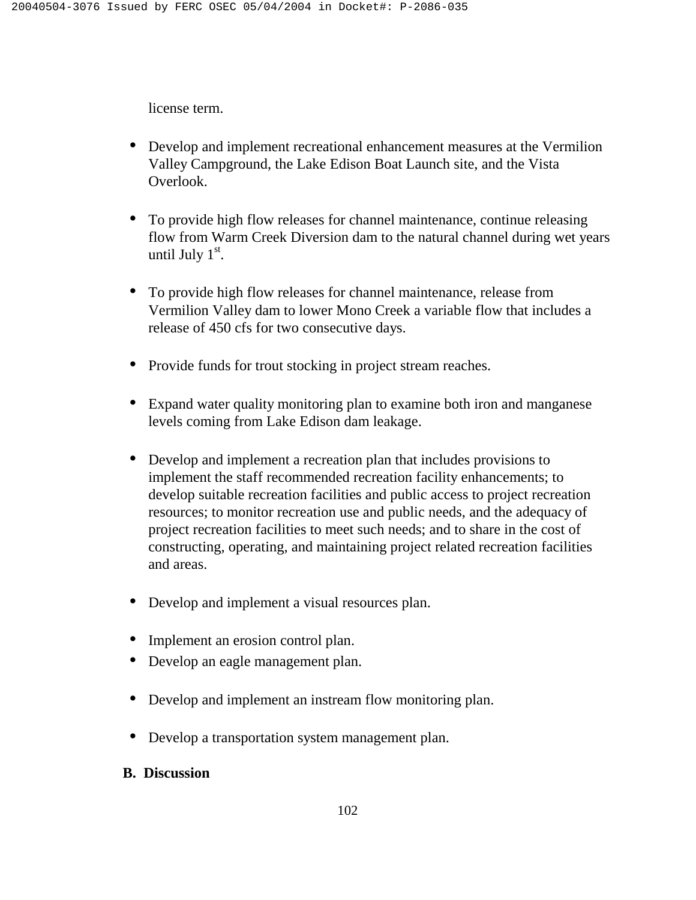license term.

- Develop and implement recreational enhancement measures at the Vermilion Valley Campground, the Lake Edison Boat Launch site, and the Vista Overlook.
- To provide high flow releases for channel maintenance, continue releasing flow from Warm Creek Diversion dam to the natural channel during wet years until July  $1<sup>st</sup>$ .
- To provide high flow releases for channel maintenance, release from Vermilion Valley dam to lower Mono Creek a variable flow that includes a release of 450 cfs for two consecutive days.
- Provide funds for trout stocking in project stream reaches.
- Expand water quality monitoring plan to examine both iron and manganese levels coming from Lake Edison dam leakage.
- Develop and implement a recreation plan that includes provisions to implement the staff recommended recreation facility enhancements; to develop suitable recreation facilities and public access to project recreation resources; to monitor recreation use and public needs, and the adequacy of project recreation facilities to meet such needs; and to share in the cost of constructing, operating, and maintaining project related recreation facilities and areas.
- Develop and implement a visual resources plan.
- Implement an erosion control plan.
- Develop an eagle management plan.
- Develop and implement an instream flow monitoring plan.
- Develop a transportation system management plan.
- **B. Discussion**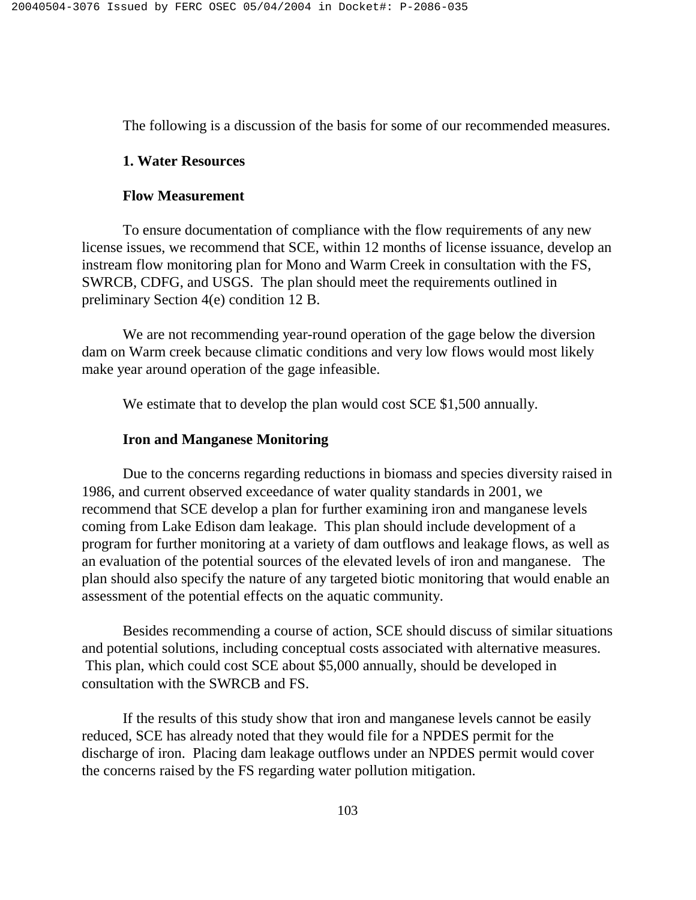The following is a discussion of the basis for some of our recommended measures.

### **1. Water Resources**

### **Flow Measurement**

 To ensure documentation of compliance with the flow requirements of any new license issues, we recommend that SCE, within 12 months of license issuance, develop an instream flow monitoring plan for Mono and Warm Creek in consultation with the FS, SWRCB, CDFG, and USGS. The plan should meet the requirements outlined in preliminary Section 4(e) condition 12 B.

 We are not recommending year-round operation of the gage below the diversion dam on Warm creek because climatic conditions and very low flows would most likely make year around operation of the gage infeasible.

We estimate that to develop the plan would cost SCE \$1,500 annually.

# **Iron and Manganese Monitoring**

Due to the concerns regarding reductions in biomass and species diversity raised in 1986, and current observed exceedance of water quality standards in 2001, we recommend that SCE develop a plan for further examining iron and manganese levels coming from Lake Edison dam leakage. This plan should include development of a program for further monitoring at a variety of dam outflows and leakage flows, as well as an evaluation of the potential sources of the elevated levels of iron and manganese. The plan should also specify the nature of any targeted biotic monitoring that would enable an assessment of the potential effects on the aquatic community.

Besides recommending a course of action, SCE should discuss of similar situations and potential solutions, including conceptual costs associated with alternative measures. This plan, which could cost SCE about \$5,000 annually, should be developed in consultation with the SWRCB and FS.

 If the results of this study show that iron and manganese levels cannot be easily reduced, SCE has already noted that they would file for a NPDES permit for the discharge of iron. Placing dam leakage outflows under an NPDES permit would cover the concerns raised by the FS regarding water pollution mitigation.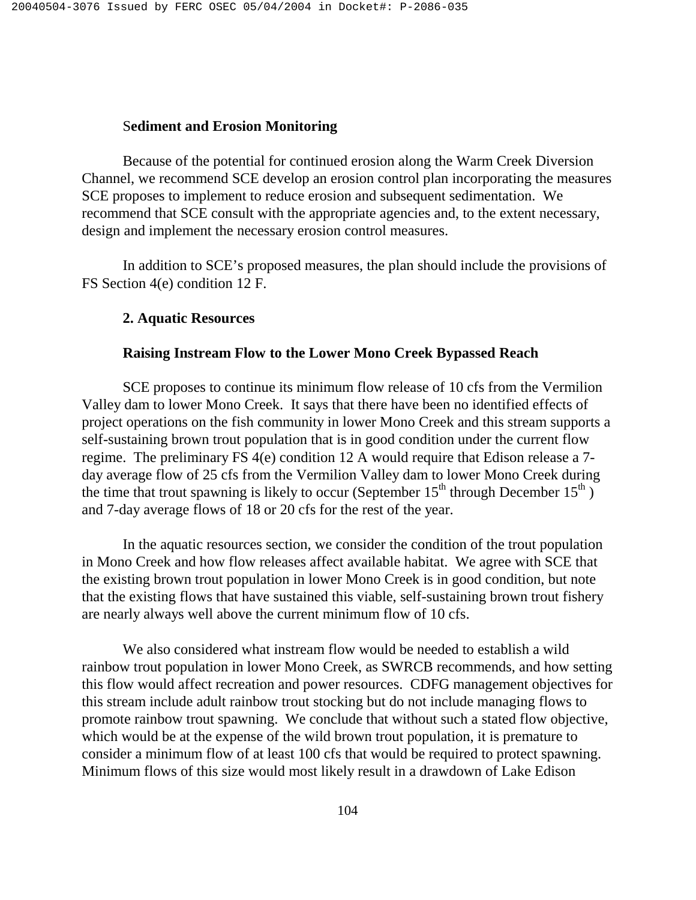# S**ediment and Erosion Monitoring**

 Because of the potential for continued erosion along the Warm Creek Diversion Channel, we recommend SCE develop an erosion control plan incorporating the measures SCE proposes to implement to reduce erosion and subsequent sedimentation. We recommend that SCE consult with the appropriate agencies and, to the extent necessary, design and implement the necessary erosion control measures.

 In addition to SCE's proposed measures, the plan should include the provisions of FS Section 4(e) condition 12 F.

### **2. Aquatic Resources**

# **Raising Instream Flow to the Lower Mono Creek Bypassed Reach**

 SCE proposes to continue its minimum flow release of 10 cfs from the Vermilion Valley dam to lower Mono Creek. It says that there have been no identified effects of project operations on the fish community in lower Mono Creek and this stream supports a self-sustaining brown trout population that is in good condition under the current flow regime. The preliminary FS 4(e) condition 12 A would require that Edison release a 7 day average flow of 25 cfs from the Vermilion Valley dam to lower Mono Creek during the time that trout spawning is likely to occur (September  $15<sup>th</sup>$  through December  $15<sup>th</sup>$ ) and 7-day average flows of 18 or 20 cfs for the rest of the year.

 In the aquatic resources section, we consider the condition of the trout population in Mono Creek and how flow releases affect available habitat. We agree with SCE that the existing brown trout population in lower Mono Creek is in good condition, but note that the existing flows that have sustained this viable, self-sustaining brown trout fishery are nearly always well above the current minimum flow of 10 cfs.

 We also considered what instream flow would be needed to establish a wild rainbow trout population in lower Mono Creek, as SWRCB recommends, and how setting this flow would affect recreation and power resources. CDFG management objectives for this stream include adult rainbow trout stocking but do not include managing flows to promote rainbow trout spawning. We conclude that without such a stated flow objective, which would be at the expense of the wild brown trout population, it is premature to consider a minimum flow of at least 100 cfs that would be required to protect spawning. Minimum flows of this size would most likely result in a drawdown of Lake Edison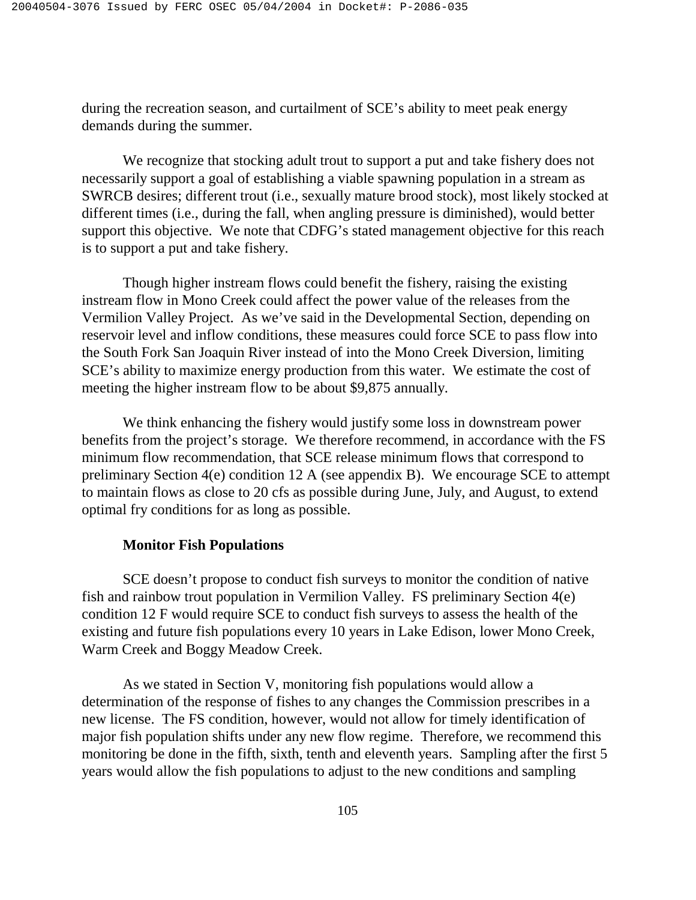during the recreation season, and curtailment of SCE's ability to meet peak energy demands during the summer.

 We recognize that stocking adult trout to support a put and take fishery does not necessarily support a goal of establishing a viable spawning population in a stream as SWRCB desires; different trout (i.e., sexually mature brood stock), most likely stocked at different times (i.e., during the fall, when angling pressure is diminished), would better support this objective. We note that CDFG's stated management objective for this reach is to support a put and take fishery.

 Though higher instream flows could benefit the fishery, raising the existing instream flow in Mono Creek could affect the power value of the releases from the Vermilion Valley Project. As we've said in the Developmental Section, depending on reservoir level and inflow conditions, these measures could force SCE to pass flow into the South Fork San Joaquin River instead of into the Mono Creek Diversion, limiting SCE's ability to maximize energy production from this water. We estimate the cost of meeting the higher instream flow to be about \$9,875 annually.

We think enhancing the fishery would justify some loss in downstream power benefits from the project's storage. We therefore recommend, in accordance with the FS minimum flow recommendation, that SCE release minimum flows that correspond to preliminary Section 4(e) condition 12 A (see appendix B). We encourage SCE to attempt to maintain flows as close to 20 cfs as possible during June, July, and August, to extend optimal fry conditions for as long as possible.

### **Monitor Fish Populations**

SCE doesn't propose to conduct fish surveys to monitor the condition of native fish and rainbow trout population in Vermilion Valley. FS preliminary Section 4(e) condition 12 F would require SCE to conduct fish surveys to assess the health of the existing and future fish populations every 10 years in Lake Edison, lower Mono Creek, Warm Creek and Boggy Meadow Creek.

 As we stated in Section V, monitoring fish populations would allow a determination of the response of fishes to any changes the Commission prescribes in a new license. The FS condition, however, would not allow for timely identification of major fish population shifts under any new flow regime. Therefore, we recommend this monitoring be done in the fifth, sixth, tenth and eleventh years. Sampling after the first 5 years would allow the fish populations to adjust to the new conditions and sampling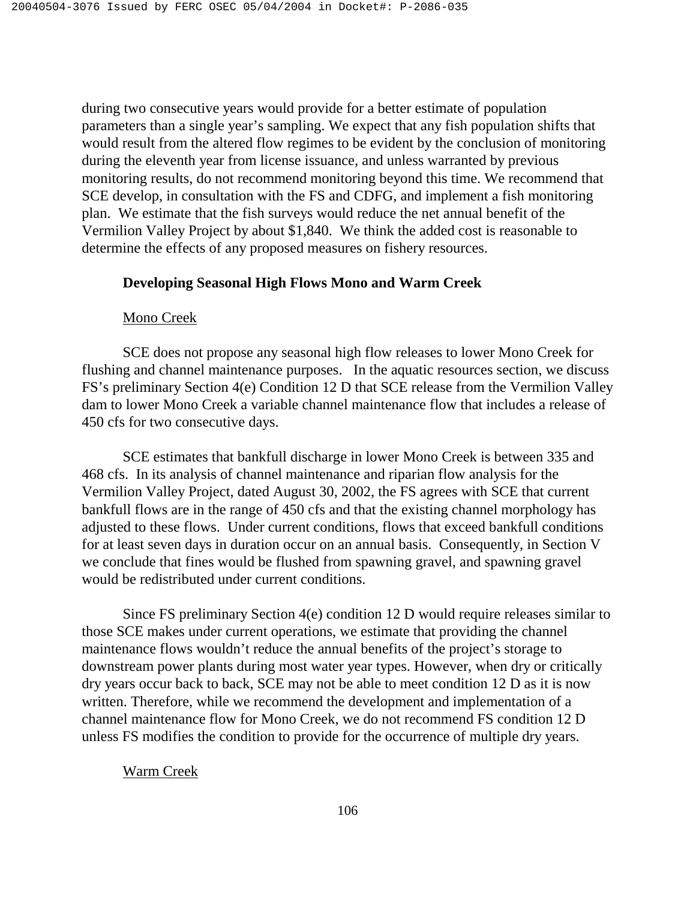during two consecutive years would provide for a better estimate of population parameters than a single year's sampling. We expect that any fish population shifts that would result from the altered flow regimes to be evident by the conclusion of monitoring during the eleventh year from license issuance, and unless warranted by previous monitoring results, do not recommend monitoring beyond this time. We recommend that SCE develop, in consultation with the FS and CDFG, and implement a fish monitoring plan. We estimate that the fish surveys would reduce the net annual benefit of the Vermilion Valley Project by about \$1,840. We think the added cost is reasonable to determine the effects of any proposed measures on fishery resources.

# **Developing Seasonal High Flows Mono and Warm Creek**

# Mono Creek

 SCE does not propose any seasonal high flow releases to lower Mono Creek for flushing and channel maintenance purposes. In the aquatic resources section, we discuss FS's preliminary Section 4(e) Condition 12 D that SCE release from the Vermilion Valley dam to lower Mono Creek a variable channel maintenance flow that includes a release of 450 cfs for two consecutive days.

 SCE estimates that bankfull discharge in lower Mono Creek is between 335 and 468 cfs. In its analysis of channel maintenance and riparian flow analysis for the Vermilion Valley Project, dated August 30, 2002, the FS agrees with SCE that current bankfull flows are in the range of 450 cfs and that the existing channel morphology has adjusted to these flows. Under current conditions, flows that exceed bankfull conditions for at least seven days in duration occur on an annual basis. Consequently, in Section V we conclude that fines would be flushed from spawning gravel, and spawning gravel would be redistributed under current conditions.

 Since FS preliminary Section 4(e) condition 12 D would require releases similar to those SCE makes under current operations, we estimate that providing the channel maintenance flows wouldn't reduce the annual benefits of the project's storage to downstream power plants during most water year types. However, when dry or critically dry years occur back to back, SCE may not be able to meet condition 12 D as it is now written. Therefore, while we recommend the development and implementation of a channel maintenance flow for Mono Creek, we do not recommend FS condition 12 D unless FS modifies the condition to provide for the occurrence of multiple dry years.

# Warm Creek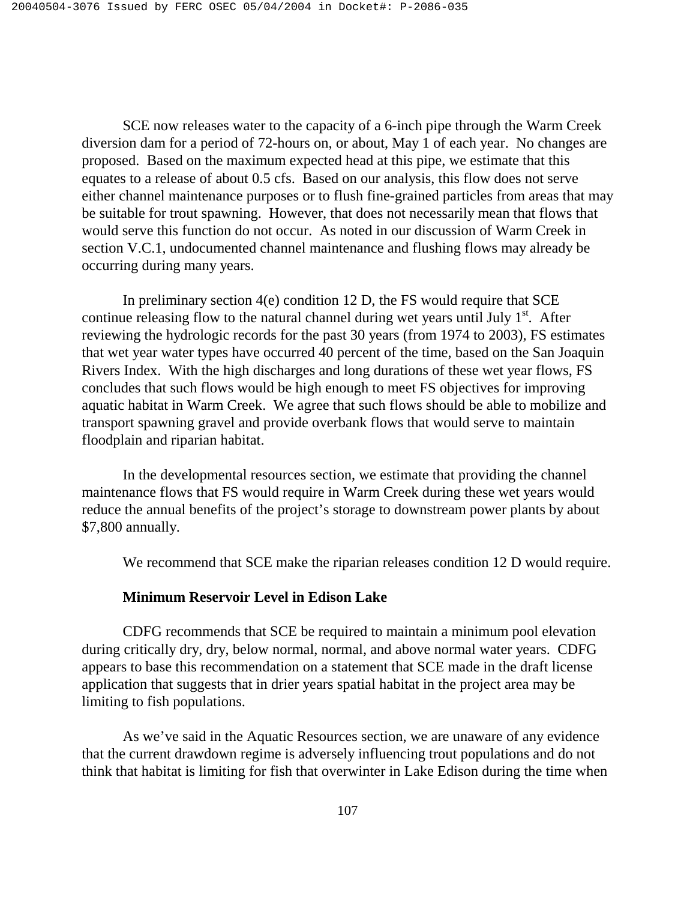SCE now releases water to the capacity of a 6-inch pipe through the Warm Creek diversion dam for a period of 72-hours on, or about, May 1 of each year. No changes are proposed. Based on the maximum expected head at this pipe, we estimate that this equates to a release of about 0.5 cfs. Based on our analysis, this flow does not serve either channel maintenance purposes or to flush fine-grained particles from areas that may be suitable for trout spawning. However, that does not necessarily mean that flows that would serve this function do not occur. As noted in our discussion of Warm Creek in section V.C.1, undocumented channel maintenance and flushing flows may already be occurring during many years.

 In preliminary section 4(e) condition 12 D, the FS would require that SCE continue releasing flow to the natural channel during wet years until July  $1<sup>st</sup>$ . After reviewing the hydrologic records for the past 30 years (from 1974 to 2003), FS estimates that wet year water types have occurred 40 percent of the time, based on the San Joaquin Rivers Index. With the high discharges and long durations of these wet year flows, FS concludes that such flows would be high enough to meet FS objectives for improving aquatic habitat in Warm Creek. We agree that such flows should be able to mobilize and transport spawning gravel and provide overbank flows that would serve to maintain floodplain and riparian habitat.

 In the developmental resources section, we estimate that providing the channel maintenance flows that FS would require in Warm Creek during these wet years would reduce the annual benefits of the project's storage to downstream power plants by about \$7,800 annually.

We recommend that SCE make the riparian releases condition 12 D would require.

### **Minimum Reservoir Level in Edison Lake**

 CDFG recommends that SCE be required to maintain a minimum pool elevation during critically dry, dry, below normal, normal, and above normal water years. CDFG appears to base this recommendation on a statement that SCE made in the draft license application that suggests that in drier years spatial habitat in the project area may be limiting to fish populations.

 As we've said in the Aquatic Resources section, we are unaware of any evidence that the current drawdown regime is adversely influencing trout populations and do not think that habitat is limiting for fish that overwinter in Lake Edison during the time when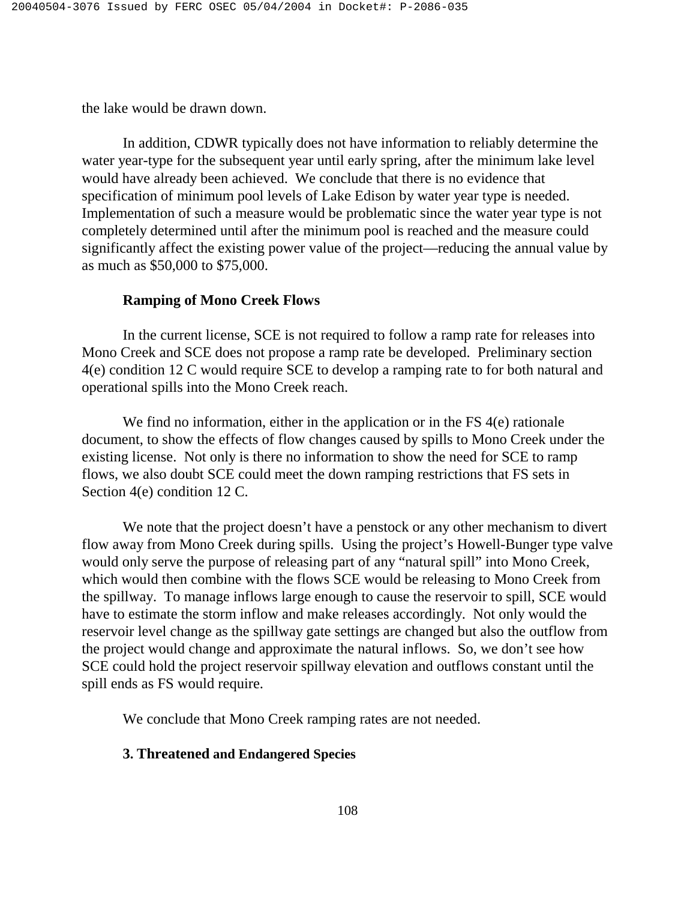the lake would be drawn down.

 In addition, CDWR typically does not have information to reliably determine the water year-type for the subsequent year until early spring, after the minimum lake level would have already been achieved. We conclude that there is no evidence that specification of minimum pool levels of Lake Edison by water year type is needed. Implementation of such a measure would be problematic since the water year type is not completely determined until after the minimum pool is reached and the measure could significantly affect the existing power value of the project—reducing the annual value by as much as \$50,000 to \$75,000.

#### **Ramping of Mono Creek Flows**

 In the current license, SCE is not required to follow a ramp rate for releases into Mono Creek and SCE does not propose a ramp rate be developed. Preliminary section 4(e) condition 12 C would require SCE to develop a ramping rate to for both natural and operational spills into the Mono Creek reach.

We find no information, either in the application or in the FS 4(e) rationale document, to show the effects of flow changes caused by spills to Mono Creek under the existing license. Not only is there no information to show the need for SCE to ramp flows, we also doubt SCE could meet the down ramping restrictions that FS sets in Section 4(e) condition 12 C.

We note that the project doesn't have a penstock or any other mechanism to divert flow away from Mono Creek during spills. Using the project's Howell-Bunger type valve would only serve the purpose of releasing part of any "natural spill" into Mono Creek, which would then combine with the flows SCE would be releasing to Mono Creek from the spillway. To manage inflows large enough to cause the reservoir to spill, SCE would have to estimate the storm inflow and make releases accordingly. Not only would the reservoir level change as the spillway gate settings are changed but also the outflow from the project would change and approximate the natural inflows. So, we don't see how SCE could hold the project reservoir spillway elevation and outflows constant until the spill ends as FS would require.

We conclude that Mono Creek ramping rates are not needed.

### **3. Threatened and Endangered Species**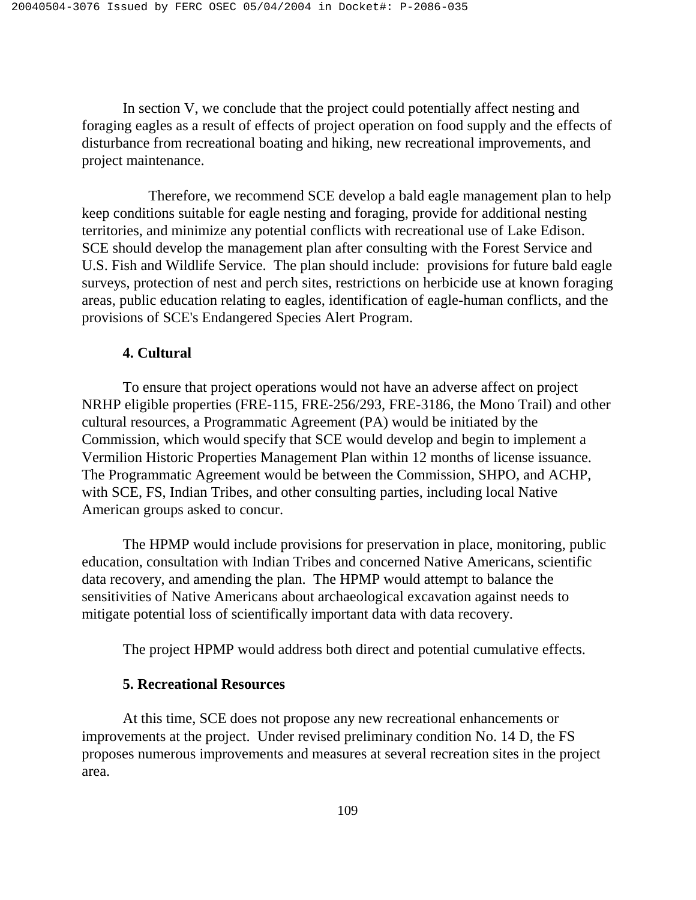In section V, we conclude that the project could potentially affect nesting and foraging eagles as a result of effects of project operation on food supply and the effects of disturbance from recreational boating and hiking, new recreational improvements, and project maintenance.

 Therefore, we recommend SCE develop a bald eagle management plan to help keep conditions suitable for eagle nesting and foraging, provide for additional nesting territories, and minimize any potential conflicts with recreational use of Lake Edison. SCE should develop the management plan after consulting with the Forest Service and U.S. Fish and Wildlife Service. The plan should include: provisions for future bald eagle surveys, protection of nest and perch sites, restrictions on herbicide use at known foraging areas, public education relating to eagles, identification of eagle-human conflicts, and the provisions of SCE's Endangered Species Alert Program.

### **4. Cultural**

To ensure that project operations would not have an adverse affect on project NRHP eligible properties (FRE-115, FRE-256/293, FRE-3186, the Mono Trail) and other cultural resources, a Programmatic Agreement (PA) would be initiated by the Commission, which would specify that SCE would develop and begin to implement a Vermilion Historic Properties Management Plan within 12 months of license issuance. The Programmatic Agreement would be between the Commission, SHPO, and ACHP, with SCE, FS, Indian Tribes, and other consulting parties, including local Native American groups asked to concur.

The HPMP would include provisions for preservation in place, monitoring, public education, consultation with Indian Tribes and concerned Native Americans, scientific data recovery, and amending the plan. The HPMP would attempt to balance the sensitivities of Native Americans about archaeological excavation against needs to mitigate potential loss of scientifically important data with data recovery.

The project HPMP would address both direct and potential cumulative effects.

### **5. Recreational Resources**

 At this time, SCE does not propose any new recreational enhancements or improvements at the project. Under revised preliminary condition No. 14 D, the FS proposes numerous improvements and measures at several recreation sites in the project area.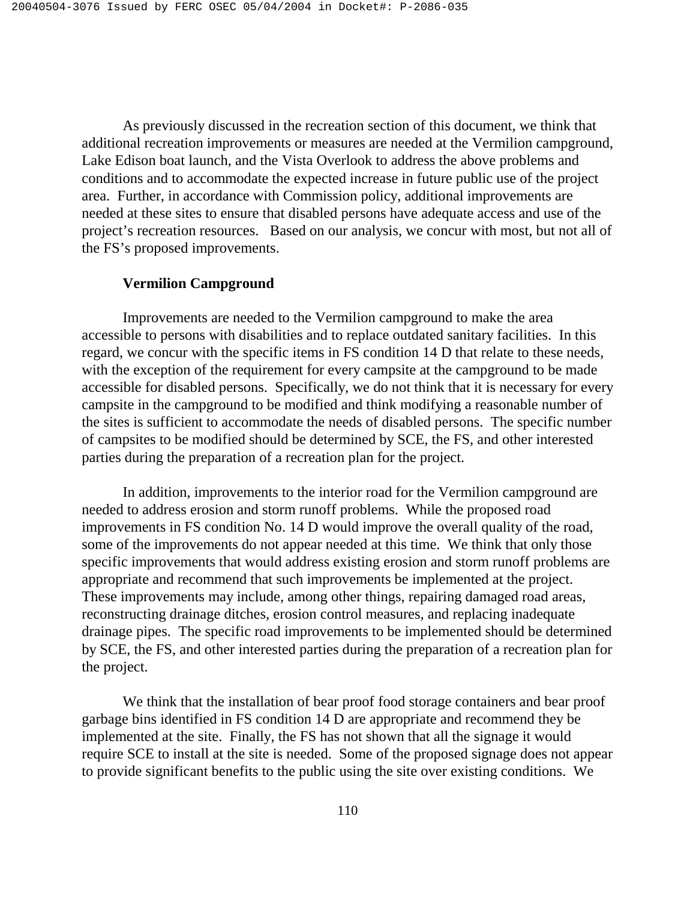As previously discussed in the recreation section of this document, we think that additional recreation improvements or measures are needed at the Vermilion campground, Lake Edison boat launch, and the Vista Overlook to address the above problems and conditions and to accommodate the expected increase in future public use of the project area. Further, in accordance with Commission policy, additional improvements are needed at these sites to ensure that disabled persons have adequate access and use of the project's recreation resources. Based on our analysis, we concur with most, but not all of the FS's proposed improvements.

### **Vermilion Campground**

 Improvements are needed to the Vermilion campground to make the area accessible to persons with disabilities and to replace outdated sanitary facilities. In this regard, we concur with the specific items in FS condition 14 D that relate to these needs, with the exception of the requirement for every campsite at the campground to be made accessible for disabled persons. Specifically, we do not think that it is necessary for every campsite in the campground to be modified and think modifying a reasonable number of the sites is sufficient to accommodate the needs of disabled persons. The specific number of campsites to be modified should be determined by SCE, the FS, and other interested parties during the preparation of a recreation plan for the project.

 In addition, improvements to the interior road for the Vermilion campground are needed to address erosion and storm runoff problems. While the proposed road improvements in FS condition No. 14 D would improve the overall quality of the road, some of the improvements do not appear needed at this time. We think that only those specific improvements that would address existing erosion and storm runoff problems are appropriate and recommend that such improvements be implemented at the project. These improvements may include, among other things, repairing damaged road areas, reconstructing drainage ditches, erosion control measures, and replacing inadequate drainage pipes. The specific road improvements to be implemented should be determined by SCE, the FS, and other interested parties during the preparation of a recreation plan for the project.

 We think that the installation of bear proof food storage containers and bear proof garbage bins identified in FS condition 14 D are appropriate and recommend they be implemented at the site. Finally, the FS has not shown that all the signage it would require SCE to install at the site is needed. Some of the proposed signage does not appear to provide significant benefits to the public using the site over existing conditions. We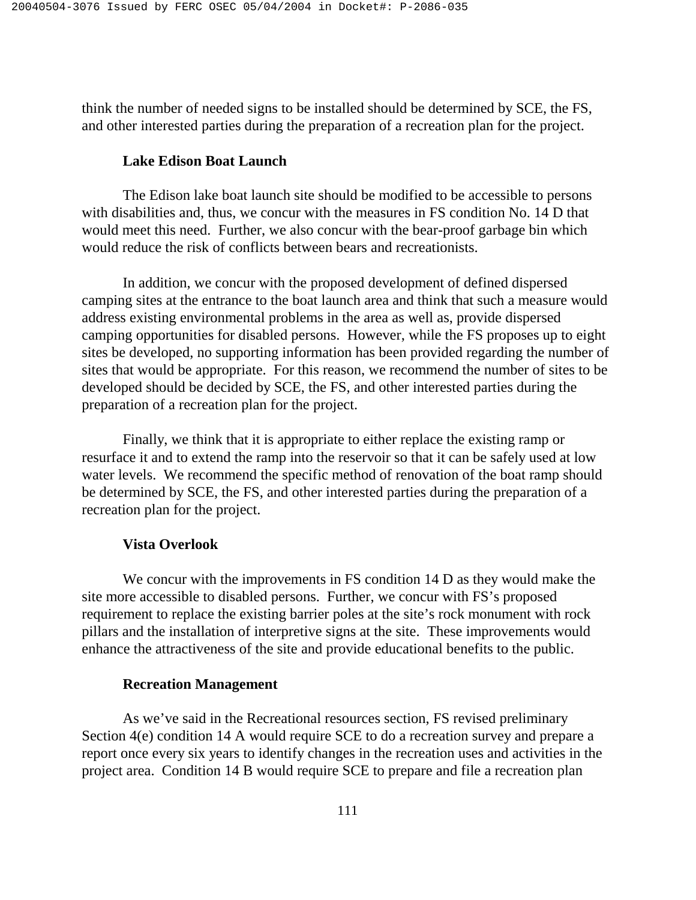think the number of needed signs to be installed should be determined by SCE, the FS, and other interested parties during the preparation of a recreation plan for the project.

### **Lake Edison Boat Launch**

 The Edison lake boat launch site should be modified to be accessible to persons with disabilities and, thus, we concur with the measures in FS condition No. 14 D that would meet this need. Further, we also concur with the bear-proof garbage bin which would reduce the risk of conflicts between bears and recreationists.

 In addition, we concur with the proposed development of defined dispersed camping sites at the entrance to the boat launch area and think that such a measure would address existing environmental problems in the area as well as, provide dispersed camping opportunities for disabled persons. However, while the FS proposes up to eight sites be developed, no supporting information has been provided regarding the number of sites that would be appropriate. For this reason, we recommend the number of sites to be developed should be decided by SCE, the FS, and other interested parties during the preparation of a recreation plan for the project.

 Finally, we think that it is appropriate to either replace the existing ramp or resurface it and to extend the ramp into the reservoir so that it can be safely used at low water levels. We recommend the specific method of renovation of the boat ramp should be determined by SCE, the FS, and other interested parties during the preparation of a recreation plan for the project.

### **Vista Overlook**

We concur with the improvements in FS condition 14 D as they would make the site more accessible to disabled persons. Further, we concur with FS's proposed requirement to replace the existing barrier poles at the site's rock monument with rock pillars and the installation of interpretive signs at the site. These improvements would enhance the attractiveness of the site and provide educational benefits to the public.

### **Recreation Management**

 As we've said in the Recreational resources section, FS revised preliminary Section 4(e) condition 14 A would require SCE to do a recreation survey and prepare a report once every six years to identify changes in the recreation uses and activities in the project area. Condition 14 B would require SCE to prepare and file a recreation plan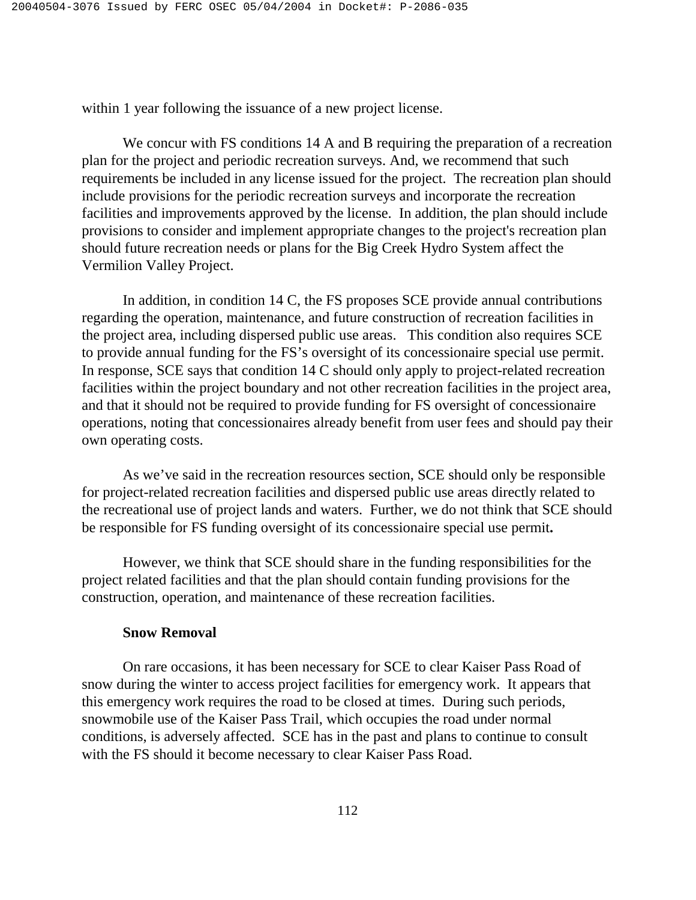within 1 year following the issuance of a new project license.

We concur with FS conditions 14 A and B requiring the preparation of a recreation plan for the project and periodic recreation surveys. And, we recommend that such requirements be included in any license issued for the project. The recreation plan should include provisions for the periodic recreation surveys and incorporate the recreation facilities and improvements approved by the license. In addition, the plan should include provisions to consider and implement appropriate changes to the project's recreation plan should future recreation needs or plans for the Big Creek Hydro System affect the Vermilion Valley Project.

 In addition, in condition 14 C, the FS proposes SCE provide annual contributions regarding the operation, maintenance, and future construction of recreation facilities in the project area, including dispersed public use areas. This condition also requires SCE to provide annual funding for the FS's oversight of its concessionaire special use permit. In response, SCE says that condition 14 C should only apply to project-related recreation facilities within the project boundary and not other recreation facilities in the project area, and that it should not be required to provide funding for FS oversight of concessionaire operations, noting that concessionaires already benefit from user fees and should pay their own operating costs.

 As we've said in the recreation resources section, SCE should only be responsible for project-related recreation facilities and dispersed public use areas directly related to the recreational use of project lands and waters. Further, we do not think that SCE should be responsible for FS funding oversight of its concessionaire special use permit**.** 

 However, we think that SCE should share in the funding responsibilities for the project related facilities and that the plan should contain funding provisions for the construction, operation, and maintenance of these recreation facilities.

### **Snow Removal**

 On rare occasions, it has been necessary for SCE to clear Kaiser Pass Road of snow during the winter to access project facilities for emergency work. It appears that this emergency work requires the road to be closed at times. During such periods, snowmobile use of the Kaiser Pass Trail, which occupies the road under normal conditions, is adversely affected. SCE has in the past and plans to continue to consult with the FS should it become necessary to clear Kaiser Pass Road.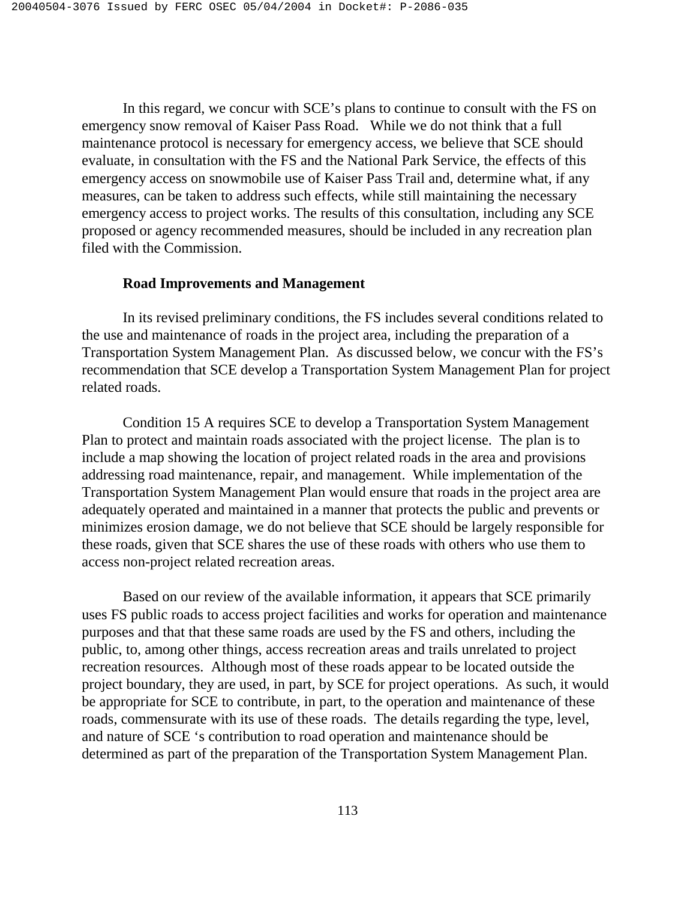In this regard, we concur with SCE's plans to continue to consult with the FS on emergency snow removal of Kaiser Pass Road. While we do not think that a full maintenance protocol is necessary for emergency access, we believe that SCE should evaluate, in consultation with the FS and the National Park Service, the effects of this emergency access on snowmobile use of Kaiser Pass Trail and, determine what, if any measures, can be taken to address such effects, while still maintaining the necessary emergency access to project works. The results of this consultation, including any SCE proposed or agency recommended measures, should be included in any recreation plan filed with the Commission.

### **Road Improvements and Management**

 In its revised preliminary conditions, the FS includes several conditions related to the use and maintenance of roads in the project area, including the preparation of a Transportation System Management Plan. As discussed below, we concur with the FS's recommendation that SCE develop a Transportation System Management Plan for project related roads.

Condition 15 A requires SCE to develop a Transportation System Management Plan to protect and maintain roads associated with the project license. The plan is to include a map showing the location of project related roads in the area and provisions addressing road maintenance, repair, and management. While implementation of the Transportation System Management Plan would ensure that roads in the project area are adequately operated and maintained in a manner that protects the public and prevents or minimizes erosion damage, we do not believe that SCE should be largely responsible for these roads, given that SCE shares the use of these roads with others who use them to access non-project related recreation areas.

 Based on our review of the available information, it appears that SCE primarily uses FS public roads to access project facilities and works for operation and maintenance purposes and that that these same roads are used by the FS and others, including the public, to, among other things, access recreation areas and trails unrelated to project recreation resources. Although most of these roads appear to be located outside the project boundary, they are used, in part, by SCE for project operations. As such, it would be appropriate for SCE to contribute, in part, to the operation and maintenance of these roads, commensurate with its use of these roads. The details regarding the type, level, and nature of SCE 's contribution to road operation and maintenance should be determined as part of the preparation of the Transportation System Management Plan.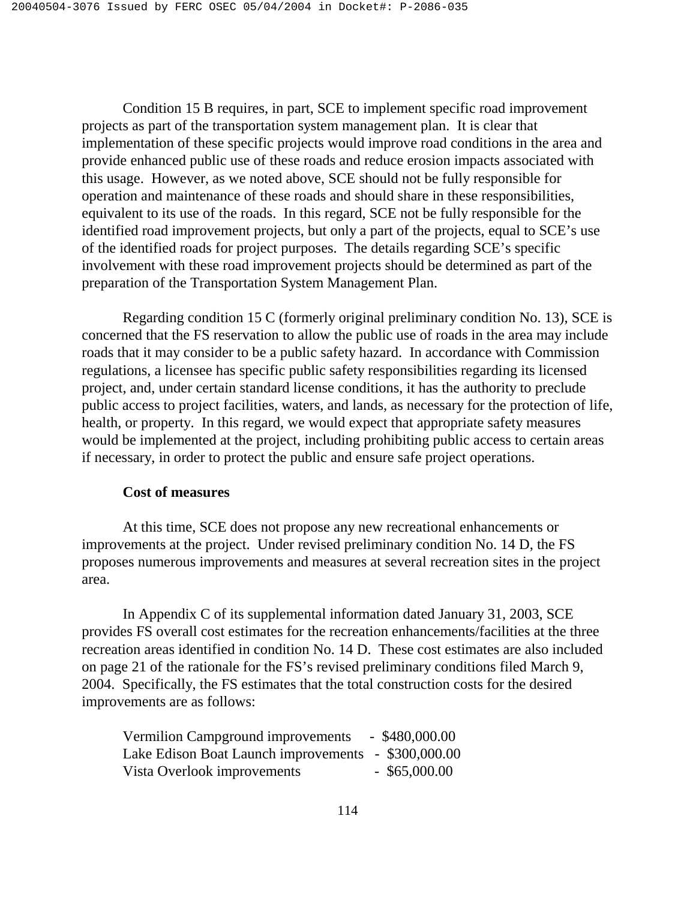Condition 15 B requires, in part, SCE to implement specific road improvement projects as part of the transportation system management plan. It is clear that implementation of these specific projects would improve road conditions in the area and provide enhanced public use of these roads and reduce erosion impacts associated with this usage. However, as we noted above, SCE should not be fully responsible for operation and maintenance of these roads and should share in these responsibilities, equivalent to its use of the roads. In this regard, SCE not be fully responsible for the identified road improvement projects, but only a part of the projects, equal to SCE's use of the identified roads for project purposes. The details regarding SCE's specific involvement with these road improvement projects should be determined as part of the preparation of the Transportation System Management Plan.

 Regarding condition 15 C (formerly original preliminary condition No. 13), SCE is concerned that the FS reservation to allow the public use of roads in the area may include roads that it may consider to be a public safety hazard. In accordance with Commission regulations, a licensee has specific public safety responsibilities regarding its licensed project, and, under certain standard license conditions, it has the authority to preclude public access to project facilities, waters, and lands, as necessary for the protection of life, health, or property. In this regard, we would expect that appropriate safety measures would be implemented at the project, including prohibiting public access to certain areas if necessary, in order to protect the public and ensure safe project operations.

### **Cost of measures**

 At this time, SCE does not propose any new recreational enhancements or improvements at the project. Under revised preliminary condition No. 14 D, the FS proposes numerous improvements and measures at several recreation sites in the project area.

In Appendix C of its supplemental information dated January 31, 2003, SCE provides FS overall cost estimates for the recreation enhancements/facilities at the three recreation areas identified in condition No. 14 D. These cost estimates are also included on page 21 of the rationale for the FS's revised preliminary conditions filed March 9, 2004. Specifically, the FS estimates that the total construction costs for the desired improvements are as follows:

| Vermilion Campground improvements                   | $-$ \$480,000.00 |
|-----------------------------------------------------|------------------|
| Lake Edison Boat Launch improvements - \$300,000.00 |                  |
| Vista Overlook improvements                         | $-$ \$65,000.00  |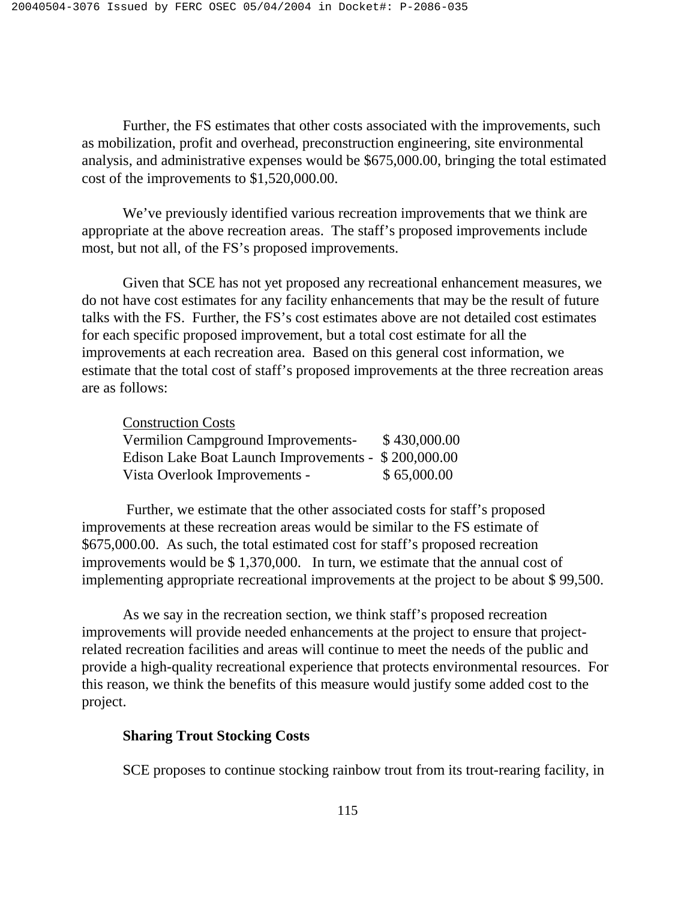Further, the FS estimates that other costs associated with the improvements, such as mobilization, profit and overhead, preconstruction engineering, site environmental analysis, and administrative expenses would be \$675,000.00, bringing the total estimated cost of the improvements to \$1,520,000.00.

 We've previously identified various recreation improvements that we think are appropriate at the above recreation areas. The staff's proposed improvements include most, but not all, of the FS's proposed improvements.

 Given that SCE has not yet proposed any recreational enhancement measures, we do not have cost estimates for any facility enhancements that may be the result of future talks with the FS. Further, the FS's cost estimates above are not detailed cost estimates for each specific proposed improvement, but a total cost estimate for all the improvements at each recreation area. Based on this general cost information, we estimate that the total cost of staff's proposed improvements at the three recreation areas are as follows:

### Construction Costs

| Vermilion Campground Improvements-                  | \$430,000.00 |
|-----------------------------------------------------|--------------|
| Edison Lake Boat Launch Improvements - \$200,000.00 |              |
| Vista Overlook Improvements -                       | \$65,000.00  |

 Further, we estimate that the other associated costs for staff's proposed improvements at these recreation areas would be similar to the FS estimate of \$675,000.00. As such, the total estimated cost for staff's proposed recreation improvements would be \$ 1,370,000. In turn, we estimate that the annual cost of implementing appropriate recreational improvements at the project to be about \$ 99,500.

 As we say in the recreation section, we think staff's proposed recreation improvements will provide needed enhancements at the project to ensure that projectrelated recreation facilities and areas will continue to meet the needs of the public and provide a high-quality recreational experience that protects environmental resources. For this reason, we think the benefits of this measure would justify some added cost to the project.

### **Sharing Trout Stocking Costs**

SCE proposes to continue stocking rainbow trout from its trout-rearing facility, in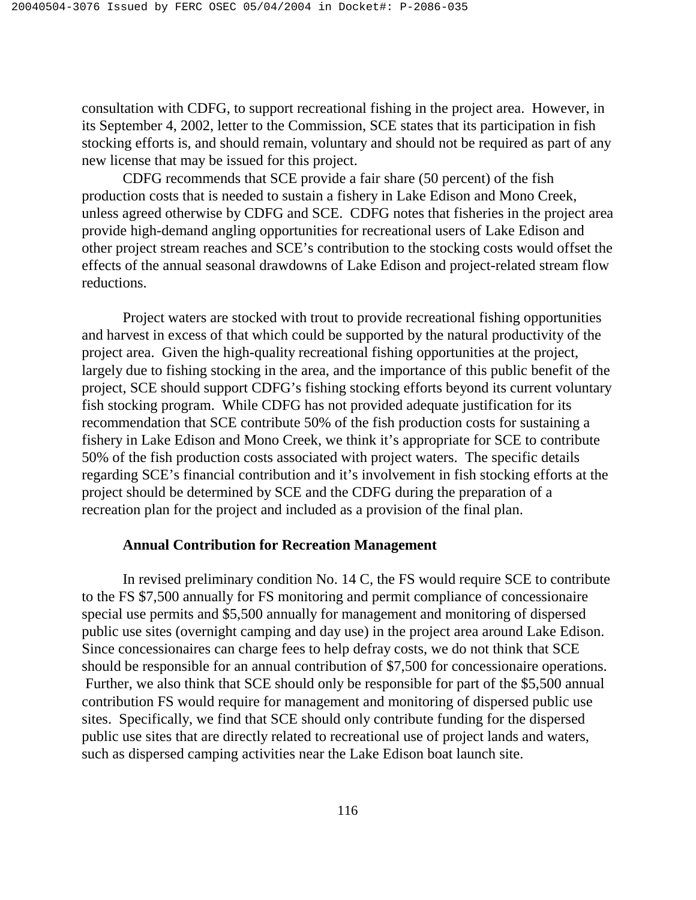consultation with CDFG, to support recreational fishing in the project area. However, in its September 4, 2002, letter to the Commission, SCE states that its participation in fish stocking efforts is, and should remain, voluntary and should not be required as part of any new license that may be issued for this project.

 CDFG recommends that SCE provide a fair share (50 percent) of the fish production costs that is needed to sustain a fishery in Lake Edison and Mono Creek, unless agreed otherwise by CDFG and SCE. CDFG notes that fisheries in the project area provide high-demand angling opportunities for recreational users of Lake Edison and other project stream reaches and SCE's contribution to the stocking costs would offset the effects of the annual seasonal drawdowns of Lake Edison and project-related stream flow reductions.

Project waters are stocked with trout to provide recreational fishing opportunities and harvest in excess of that which could be supported by the natural productivity of the project area. Given the high-quality recreational fishing opportunities at the project, largely due to fishing stocking in the area, and the importance of this public benefit of the project, SCE should support CDFG's fishing stocking efforts beyond its current voluntary fish stocking program. While CDFG has not provided adequate justification for its recommendation that SCE contribute 50% of the fish production costs for sustaining a fishery in Lake Edison and Mono Creek, we think it's appropriate for SCE to contribute 50% of the fish production costs associated with project waters. The specific details regarding SCE's financial contribution and it's involvement in fish stocking efforts at the project should be determined by SCE and the CDFG during the preparation of a recreation plan for the project and included as a provision of the final plan.

### **Annual Contribution for Recreation Management**

In revised preliminary condition No. 14 C, the FS would require SCE to contribute to the FS \$7,500 annually for FS monitoring and permit compliance of concessionaire special use permits and \$5,500 annually for management and monitoring of dispersed public use sites (overnight camping and day use) in the project area around Lake Edison. Since concessionaires can charge fees to help defray costs, we do not think that SCE should be responsible for an annual contribution of \$7,500 for concessionaire operations. Further, we also think that SCE should only be responsible for part of the \$5,500 annual contribution FS would require for management and monitoring of dispersed public use sites. Specifically, we find that SCE should only contribute funding for the dispersed public use sites that are directly related to recreational use of project lands and waters, such as dispersed camping activities near the Lake Edison boat launch site.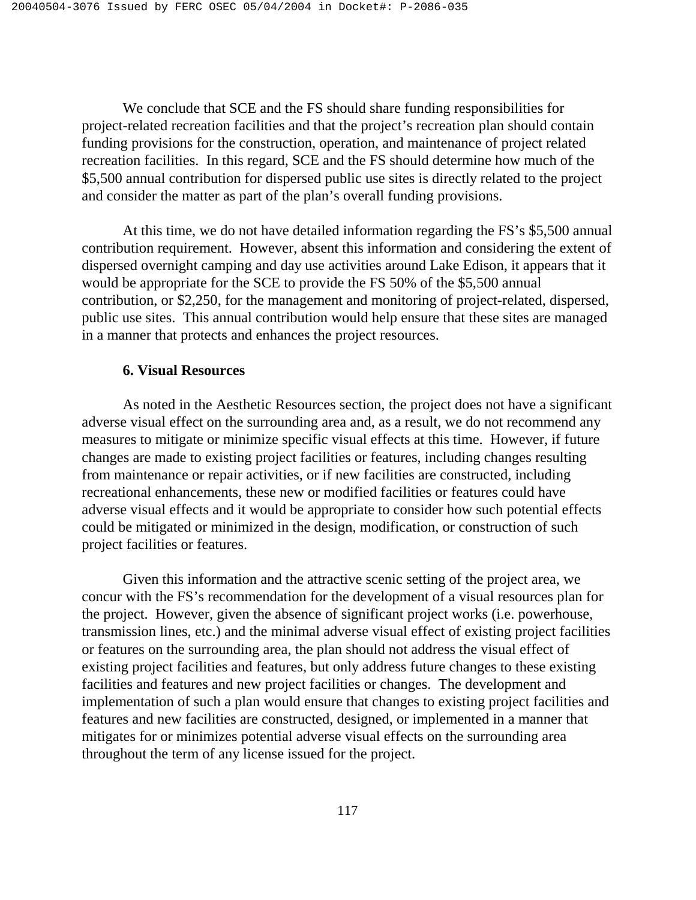We conclude that SCE and the FS should share funding responsibilities for project-related recreation facilities and that the project's recreation plan should contain funding provisions for the construction, operation, and maintenance of project related recreation facilities. In this regard, SCE and the FS should determine how much of the \$5,500 annual contribution for dispersed public use sites is directly related to the project and consider the matter as part of the plan's overall funding provisions.

At this time, we do not have detailed information regarding the FS's \$5,500 annual contribution requirement. However, absent this information and considering the extent of dispersed overnight camping and day use activities around Lake Edison, it appears that it would be appropriate for the SCE to provide the FS 50% of the \$5,500 annual contribution, or \$2,250, for the management and monitoring of project-related, dispersed, public use sites. This annual contribution would help ensure that these sites are managed in a manner that protects and enhances the project resources.

### **6. Visual Resources**

 As noted in the Aesthetic Resources section, the project does not have a significant adverse visual effect on the surrounding area and, as a result, we do not recommend any measures to mitigate or minimize specific visual effects at this time. However, if future changes are made to existing project facilities or features, including changes resulting from maintenance or repair activities, or if new facilities are constructed, including recreational enhancements, these new or modified facilities or features could have adverse visual effects and it would be appropriate to consider how such potential effects could be mitigated or minimized in the design, modification, or construction of such project facilities or features.

Given this information and the attractive scenic setting of the project area, we concur with the FS's recommendation for the development of a visual resources plan for the project. However, given the absence of significant project works (i.e. powerhouse, transmission lines, etc.) and the minimal adverse visual effect of existing project facilities or features on the surrounding area, the plan should not address the visual effect of existing project facilities and features, but only address future changes to these existing facilities and features and new project facilities or changes. The development and implementation of such a plan would ensure that changes to existing project facilities and features and new facilities are constructed, designed, or implemented in a manner that mitigates for or minimizes potential adverse visual effects on the surrounding area throughout the term of any license issued for the project.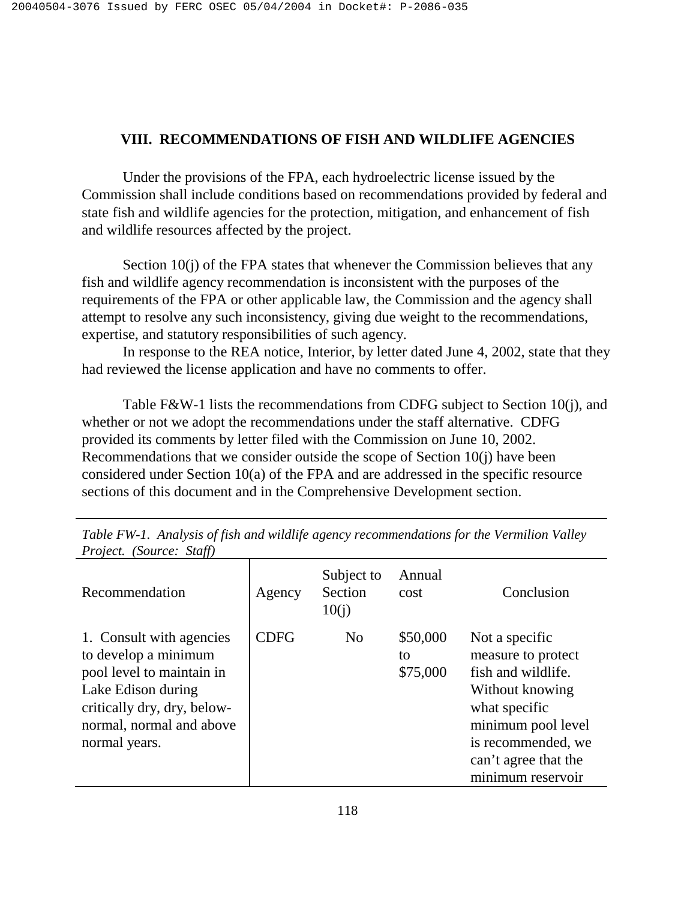### **VIII. RECOMMENDATIONS OF FISH AND WILDLIFE AGENCIES**

Under the provisions of the FPA, each hydroelectric license issued by the Commission shall include conditions based on recommendations provided by federal and state fish and wildlife agencies for the protection, mitigation, and enhancement of fish and wildlife resources affected by the project.

Section 10(j) of the FPA states that whenever the Commission believes that any fish and wildlife agency recommendation is inconsistent with the purposes of the requirements of the FPA or other applicable law, the Commission and the agency shall attempt to resolve any such inconsistency, giving due weight to the recommendations, expertise, and statutory responsibilities of such agency.

In response to the REA notice, Interior, by letter dated June 4, 2002, state that they had reviewed the license application and have no comments to offer.

Table F&W-1 lists the recommendations from CDFG subject to Section 10(j), and whether or not we adopt the recommendations under the staff alternative. CDFG provided its comments by letter filed with the Commission on June 10, 2002. Recommendations that we consider outside the scope of Section 10(j) have been considered under Section 10(a) of the FPA and are addressed in the specific resource sections of this document and in the Comprehensive Development section.

| Recommendation                                                                                                                                                                  | Agency      | Subject to<br>Section<br>10(j) | Annual<br>cost             | Conclusion                                                                                                                                                                              |
|---------------------------------------------------------------------------------------------------------------------------------------------------------------------------------|-------------|--------------------------------|----------------------------|-----------------------------------------------------------------------------------------------------------------------------------------------------------------------------------------|
| 1. Consult with agencies<br>to develop a minimum<br>pool level to maintain in<br>Lake Edison during<br>critically dry, dry, below-<br>normal, normal and above<br>normal years. | <b>CDFG</b> | N <sub>0</sub>                 | \$50,000<br>to<br>\$75,000 | Not a specific<br>measure to protect<br>fish and wildlife.<br>Without knowing<br>what specific<br>minimum pool level<br>is recommended, we<br>can't agree that the<br>minimum reservoir |

*Table FW-1. Analysis of fish and wildlife agency recommendations for the Vermilion Valley Project. (Source: Staff)*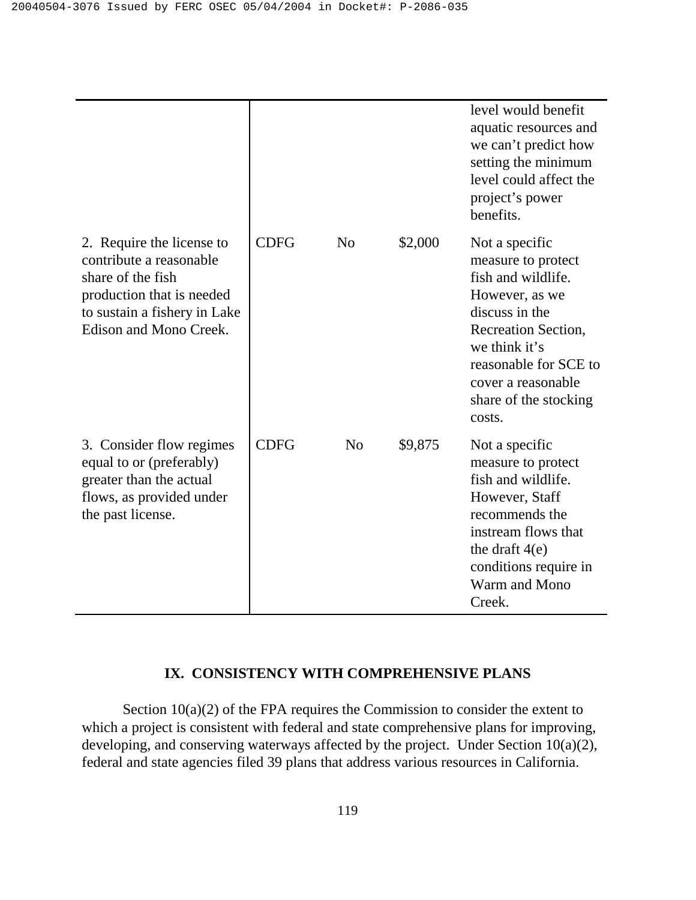|                                                                                                                                                                  |             |                |         | level would benefit<br>aquatic resources and<br>we can't predict how<br>setting the minimum<br>level could affect the<br>project's power<br>benefits.                                                                    |
|------------------------------------------------------------------------------------------------------------------------------------------------------------------|-------------|----------------|---------|--------------------------------------------------------------------------------------------------------------------------------------------------------------------------------------------------------------------------|
| 2. Require the license to<br>contribute a reasonable<br>share of the fish<br>production that is needed<br>to sustain a fishery in Lake<br>Edison and Mono Creek. | <b>CDFG</b> | N <sub>o</sub> | \$2,000 | Not a specific<br>measure to protect<br>fish and wildlife.<br>However, as we<br>discuss in the<br>Recreation Section,<br>we think it's<br>reasonable for SCE to<br>cover a reasonable<br>share of the stocking<br>costs. |
| 3. Consider flow regimes<br>equal to or (preferably)<br>greater than the actual<br>flows, as provided under<br>the past license.                                 | <b>CDFG</b> | N <sub>o</sub> | \$9,875 | Not a specific<br>measure to protect<br>fish and wildlife.<br>However, Staff<br>recommends the<br>instream flows that<br>the draft $4(e)$<br>conditions require in<br>Warm and Mono<br>Creek.                            |

### **IX. CONSISTENCY WITH COMPREHENSIVE PLANS**

Section  $10(a)(2)$  of the FPA requires the Commission to consider the extent to which a project is consistent with federal and state comprehensive plans for improving, developing, and conserving waterways affected by the project. Under Section 10(a)(2), federal and state agencies filed 39 plans that address various resources in California.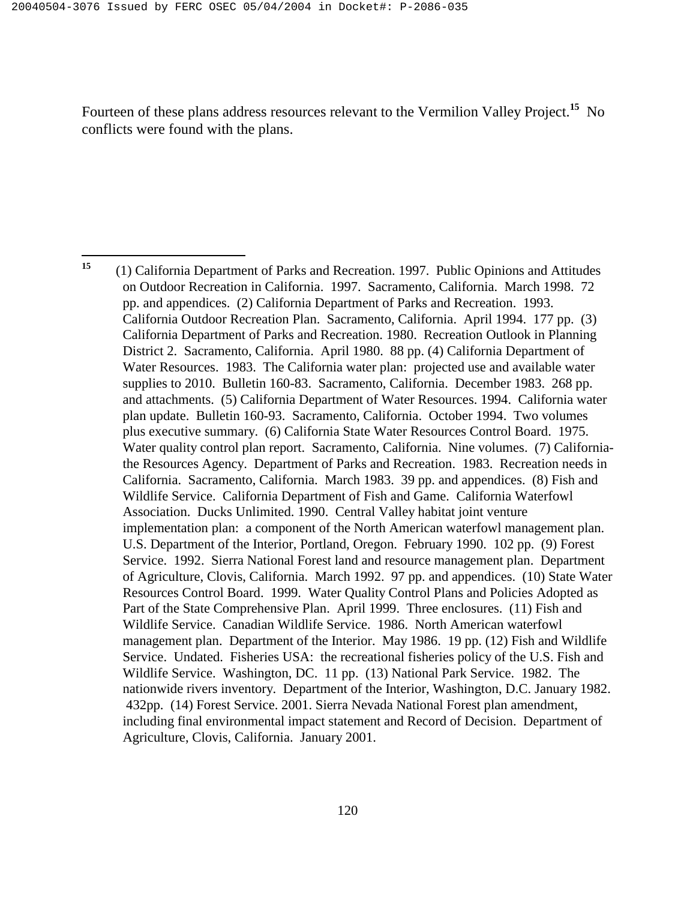<u>.</u>

Fourteen of these plans address resources relevant to the Vermilion Valley Project.**<sup>15</sup>** No conflicts were found with the plans.

**<sup>15</sup>**(1) California Department of Parks and Recreation. 1997. Public Opinions and Attitudes on Outdoor Recreation in California. 1997. Sacramento, California. March 1998. 72 pp. and appendices. (2) California Department of Parks and Recreation. 1993. California Outdoor Recreation Plan. Sacramento, California. April 1994. 177 pp. (3) California Department of Parks and Recreation. 1980. Recreation Outlook in Planning District 2. Sacramento, California. April 1980. 88 pp. (4) California Department of Water Resources. 1983. The California water plan: projected use and available water supplies to 2010. Bulletin 160-83. Sacramento, California. December 1983. 268 pp. and attachments. (5) California Department of Water Resources. 1994. California water plan update. Bulletin 160-93. Sacramento, California. October 1994. Two volumes plus executive summary. (6) California State Water Resources Control Board. 1975. Water quality control plan report. Sacramento, California. Nine volumes. (7) Californiathe Resources Agency. Department of Parks and Recreation. 1983. Recreation needs in California. Sacramento, California. March 1983. 39 pp. and appendices. (8) Fish and Wildlife Service. California Department of Fish and Game. California Waterfowl Association. Ducks Unlimited. 1990. Central Valley habitat joint venture implementation plan: a component of the North American waterfowl management plan. U.S. Department of the Interior, Portland, Oregon. February 1990. 102 pp. (9) Forest Service. 1992. Sierra National Forest land and resource management plan. Department of Agriculture, Clovis, California. March 1992. 97 pp. and appendices. (10) State Water Resources Control Board. 1999. Water Quality Control Plans and Policies Adopted as Part of the State Comprehensive Plan. April 1999. Three enclosures. (11) Fish and Wildlife Service. Canadian Wildlife Service. 1986. North American waterfowl management plan. Department of the Interior. May 1986. 19 pp. (12) Fish and Wildlife Service. Undated. Fisheries USA: the recreational fisheries policy of the U.S. Fish and Wildlife Service. Washington, DC. 11 pp. (13) National Park Service. 1982. The nationwide rivers inventory. Department of the Interior, Washington, D.C. January 1982. 432pp. (14) Forest Service. 2001. Sierra Nevada National Forest plan amendment, including final environmental impact statement and Record of Decision. Department of Agriculture, Clovis, California. January 2001.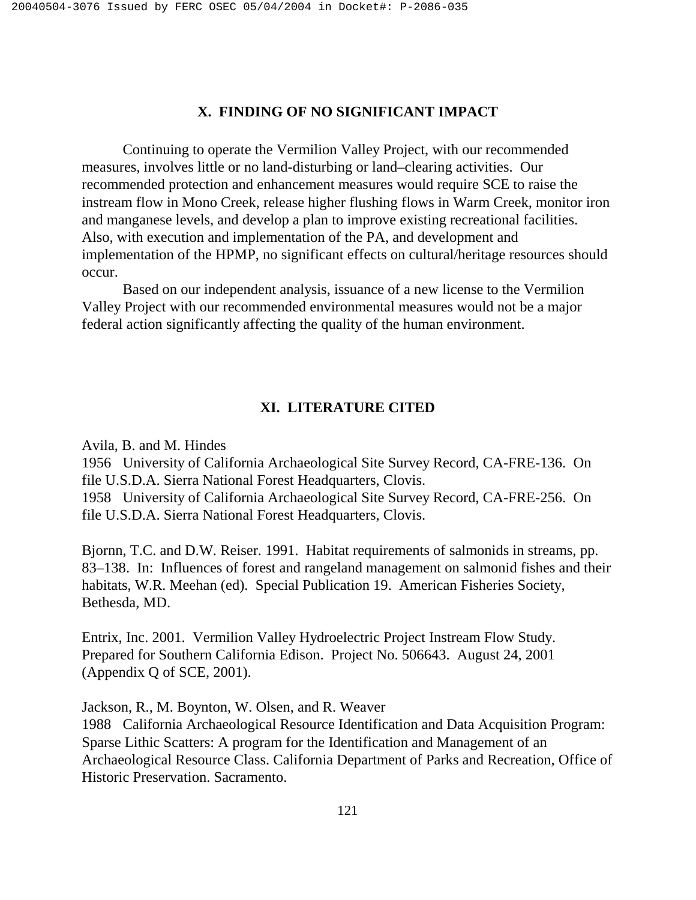### **X. FINDING OF NO SIGNIFICANT IMPACT**

Continuing to operate the Vermilion Valley Project, with our recommended measures, involves little or no land-disturbing or land–clearing activities. Our recommended protection and enhancement measures would require SCE to raise the instream flow in Mono Creek, release higher flushing flows in Warm Creek, monitor iron and manganese levels, and develop a plan to improve existing recreational facilities. Also, with execution and implementation of the PA, and development and implementation of the HPMP, no significant effects on cultural/heritage resources should occur.

Based on our independent analysis, issuance of a new license to the Vermilion Valley Project with our recommended environmental measures would not be a major federal action significantly affecting the quality of the human environment.

### **XI. LITERATURE CITED**

Avila, B. and M. Hindes

1956 University of California Archaeological Site Survey Record, CA-FRE-136. On file U.S.D.A. Sierra National Forest Headquarters, Clovis. 1958 University of California Archaeological Site Survey Record, CA-FRE-256. On file U.S.D.A. Sierra National Forest Headquarters, Clovis.

Bjornn, T.C. and D.W. Reiser. 1991. Habitat requirements of salmonids in streams, pp. 83–138. In: Influences of forest and rangeland management on salmonid fishes and their habitats, W.R. Meehan (ed). Special Publication 19. American Fisheries Society, Bethesda, MD.

Entrix, Inc. 2001. Vermilion Valley Hydroelectric Project Instream Flow Study. Prepared for Southern California Edison. Project No. 506643. August 24, 2001 (Appendix Q of SCE, 2001).

Jackson, R., M. Boynton, W. Olsen, and R. Weaver 1988 California Archaeological Resource Identification and Data Acquisition Program: Sparse Lithic Scatters: A program for the Identification and Management of an Archaeological Resource Class. California Department of Parks and Recreation, Office of Historic Preservation. Sacramento.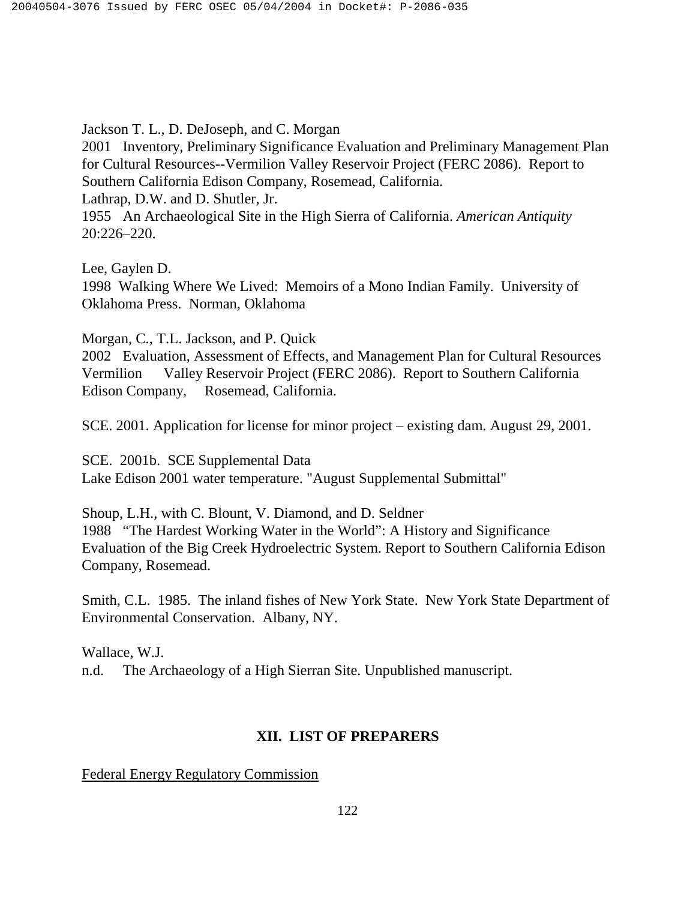Jackson T. L., D. DeJoseph, and C. Morgan

2001 Inventory, Preliminary Significance Evaluation and Preliminary Management Plan for Cultural Resources--Vermilion Valley Reservoir Project (FERC 2086). Report to Southern California Edison Company, Rosemead, California. Lathrap, D.W. and D. Shutler, Jr. 1955 An Archaeological Site in the High Sierra of California. *American Antiquity* 20:226–220.

Lee, Gaylen D.

1998 Walking Where We Lived: Memoirs of a Mono Indian Family. University of Oklahoma Press. Norman, Oklahoma

Morgan, C., T.L. Jackson, and P. Quick

2002 Evaluation, Assessment of Effects, and Management Plan for Cultural Resources Vermilion Valley Reservoir Project (FERC 2086). Report to Southern California Edison Company, Rosemead, California.

SCE. 2001. Application for license for minor project – existing dam. August 29, 2001.

SCE. 2001b. SCE Supplemental Data Lake Edison 2001 water temperature. "August Supplemental Submittal"

Shoup, L.H., with C. Blount, V. Diamond, and D. Seldner 1988 "The Hardest Working Water in the World": A History and Significance Evaluation of the Big Creek Hydroelectric System. Report to Southern California Edison Company, Rosemead.

Smith, C.L. 1985. The inland fishes of New York State. New York State Department of Environmental Conservation. Albany, NY.

Wallace, W.J. n.d. The Archaeology of a High Sierran Site. Unpublished manuscript.

### **XII. LIST OF PREPARERS**

Federal Energy Regulatory Commission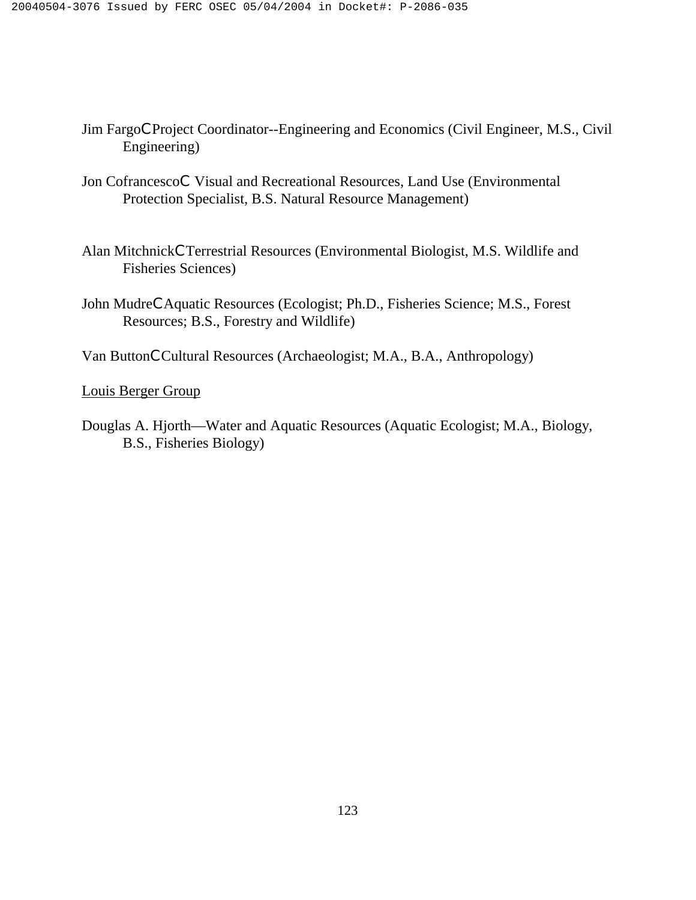- Jim FargoCProject Coordinator--Engineering and Economics (Civil Engineer, M.S., Civil Engineering)
- Jon CofrancescoC Visual and Recreational Resources, Land Use (Environmental Protection Specialist, B.S. Natural Resource Management)
- Alan MitchnickCTerrestrial Resources (Environmental Biologist, M.S. Wildlife and Fisheries Sciences)
- John MudreCAquatic Resources (Ecologist; Ph.D., Fisheries Science; M.S., Forest Resources; B.S., Forestry and Wildlife)

Van ButtonCCultural Resources (Archaeologist; M.A., B.A., Anthropology)

Louis Berger Group

Douglas A. Hjorth—Water and Aquatic Resources (Aquatic Ecologist; M.A., Biology, B.S., Fisheries Biology)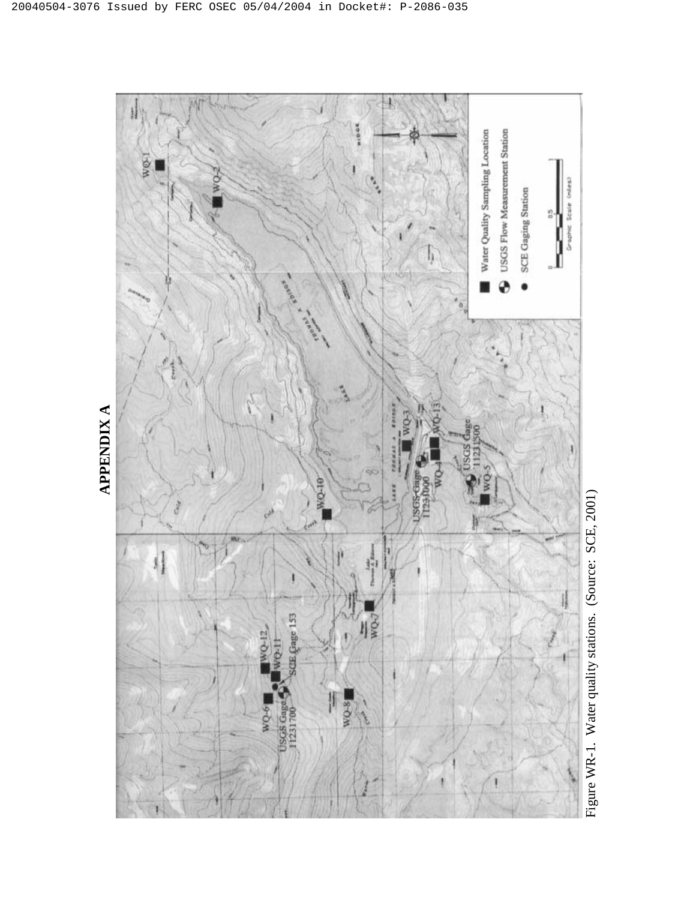

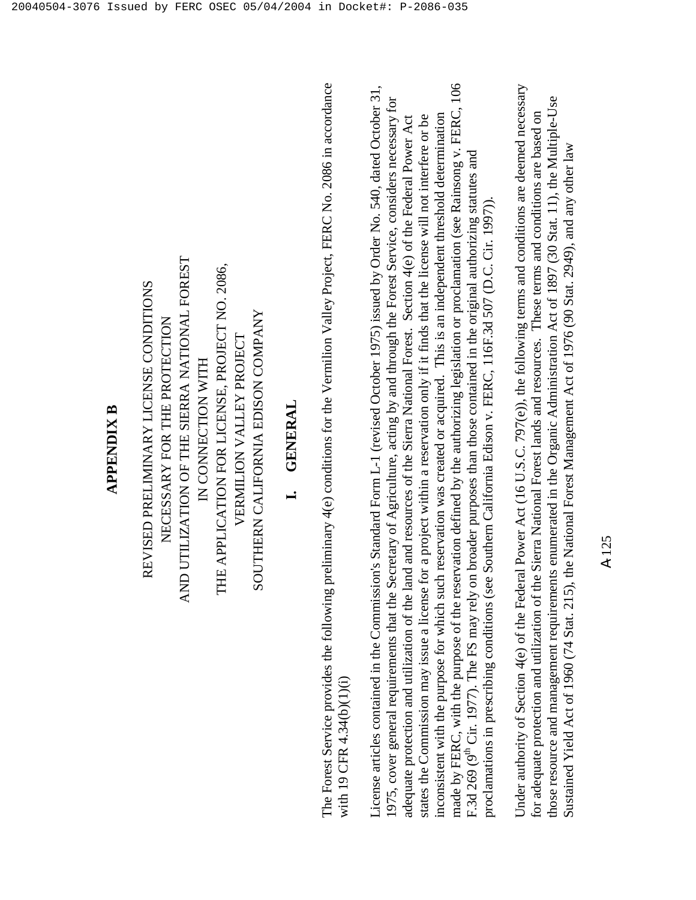### **APPENDIX B APPENDIX B**

AND UTILIZATION OF THE SIERRA NATIONAL FOREST AND UTILIZATION OF THE SIERRA NATIONAL FOREST THE APPLICATION FOR LICENSE, PROJECT NO. 2086, THE APPLICATION FOR LICENSE, PROJECT NO. 2086, REVISED PRELIMINARY LICENSE CONDITIONS REVISED PRELIMINARY LICENSE CONDITIONS SOUTHERN CALIFORNIA EDISON COMPANY SOUTHERN CALIFORNIA EDISON COMPANY NECESSARY FOR THE PROTECTION NECESSARY FOR THE PROTECTION VERMILION VALLEY PROJECT VERMILION VALLEY PROJECT IN CONNECTION WITH IN CONNECTION WITH

### **I. GENERAL GENERAL**

The Forest Service provides the following preliminary 4(e) conditions for the Vermilion Valley Project, FERC No. 2086 in accordance The Forest Service provides the following preliminary 4(e) conditions for the Vermilion Valley Project, FERC No. 2086 in accordance with 19 CFR 4.34(b)(1)(i) with 19 CFR 4.34(b)(1)(i)

made by FERC, with the purpose of the reservation defined by the authorizing legislation or proclamation (see Rainsong v. FERC, 106 made by FERC, with the purpose of the reservation defined by the authorizing legislation or proclamation (see Rainsong v. FERC, 106 License articles contained in the Commission's Standard Form L-1 (revised October 1975) issued by Order No. 540, dated October 31, License articles contained in the Commission's Standard Form L-1 (revised October 1975) issued by Order No. 540, dated October 31, 1975, cover general requirements that the Secretary of Agriculture, acting by and through the Forest Service, considers necessary for 1975, cover general requirements that the Secretary of Agriculture, acting by and through the Forest Service, considers necessary for inconsistent with the purpose for which such reservation was created or acquired. This is an independent threshold determination states the Commission may issue a license for a project within a reservation only if it finds that the license will not interfere or be adequate protection and utilization of the land and resources of the Sierra National Forest. Section 4(e) of the Federal Power Act adequate protection and utilization of the land and resources of the Sierra National Forest. Section 4(e) of the Federal Power Act states the Commission may issue a license for a project within a reservation only if it finds that the license will not interfere or be inconsistent with the purpose for which such reservation was created or acquired. This is an independent threshold determination F.3d 269 (9<sup>th</sup> Cir. 1977). The FS may rely on broader purposes than those contained in the original authorizing statutes and F.3d 269 (9<sup>th</sup> Cir. 1977). The FS may rely on broader purposes than those contained in the original authorizing statutes and proclamations in prescribing conditions (see Southern California Edison v. FERC, 116F.3d 507 (D.C. Cir. 1997)). proclamations in prescribing conditions (see Southern California Edison v. FERC, 116F.3d 507 (D.C. Cir. 1997)).

Under authority of Section  $4(e)$  of the Federal Power Act (16 U.S.C. 797(e)), the following terms and conditions are deemed necessary Under authority of Section 4(e) of the Federal Power Act (16 U.S.C. 797(e)), the following terms and conditions are deemed necessary those resource and management requirements enumerated in the Organic Administration Act of 1897 (30 Stat. 11), the Multiple-Use those resource and management requirements enumerated in the Organic Administration Act of 1897 (30 Stat. 11), the Multiple-Use for adequate protection and utilization of the Sierra National Forest lands and resources. These terms and conditions are based on for adequate protection and utilization of the Sierra National Forest lands and resources. These terms and conditions are based on Sustained Yield Act of 1960 (74 Stat. 215), the National Forest Management Act of 1976 (90 Stat. 2949), and any other law Sustained Yield Act of 1960 (74 Stat. 215), the National Forest Management Act of 1976 (90 Stat. 2949), and any other law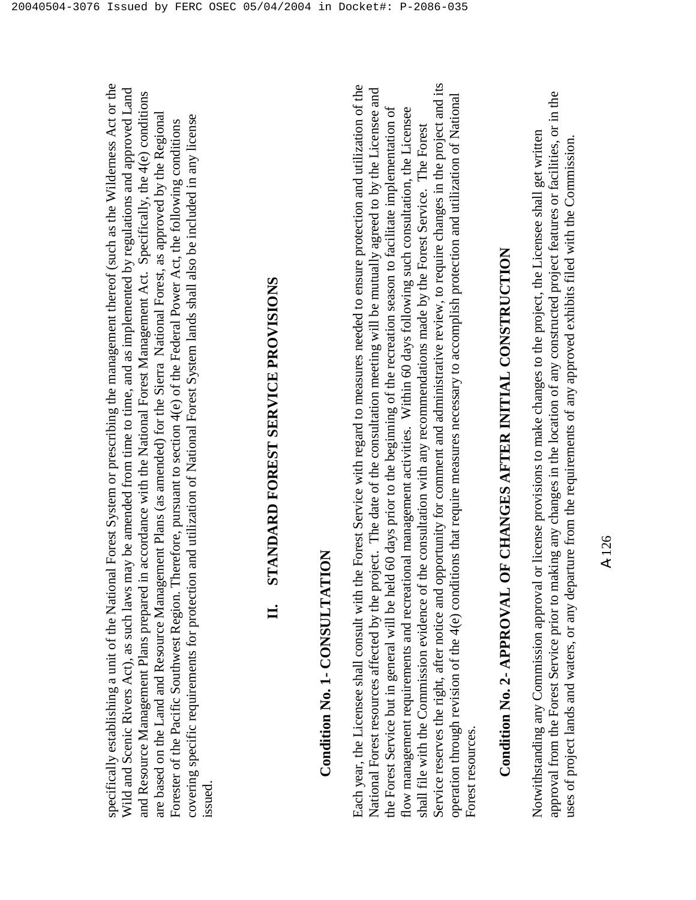### **II. STANDARD FOREST SERVICE PROVISIONS**  STANDARD FOREST SERVICE PROVISIONS  $\mathbf{H}$

issued.

### **Condition No. 1- CONSULTATION**  Condition No. 1- CONSULTATION

Service reserves the right, after notice and opportunity for comment and administrative review, to require changes in the project and its Each year, the Licensee shall consult with the Forest Service with regard to measures needed to ensure protection and utilization of the Service reserves the right, after notice and opportunity for comment and administrative review, to require changes in the project and its Each year, the Licensee shall consult with the Forest Service with regard to measures needed to ensure protection and utilization of the National Forest resources affected by the project. The date of the consultation meeting will be mutually agreed to by the Licensee and National Forest resources affected by the project. The date of the consultation meeting will be mutually agreed to by the Licensee and operation through revision of the 4(e) conditions that require measures necessary to accomplish protection and utilization of National operation through revision of the 4(e) conditions that require measures necessary to accomplish protection and utilization of National the Forest Service but in general will be held 60 days prior to the beginning of the recreation season to facilitate implementation of flow management requirements and recreational management activities. Within 60 days following such consultation, the Licensee the Forest Service but in general will be held 60 days prior to the beginning of the recreation season to facilitate implementation of flow management requirements and recreational management activities. Within 60 days following such consultation, the Licensee shall file with the Commission evidence of the consultation with any recommendations made by the Forest Service. The Forest shall file with the Commission evidence of the consultation with any recommendations made by the Forest Service. The Forest Forest resources. Forest resources.

# **Condition No. 2- APPROVAL OF CHANGES AFTER INITIAL CONSTRUCTION**  Condition No. 2- APPROVAL OF CHANGES AFTER INITIAL CONSTRUCTION

approval from the Forest Service prior to making any changes in the location of any constructed project features or facilities, or in the approval from the Forest Service prior to making any changes in the location of any constructed project features or facilities, or in the Notwithstanding any Commission approval or license provisions to make changes to the project, the Licensee shall get written Notwithstanding any Commission approval or license provisions to make changes to the project, the Licensee shall get written uses of project lands and waters, or any departure from the requirements of any approved exhibits filed with the Commission. uses of project lands and waters, or any departure from the requirements of any approved exhibits filed with the Commission.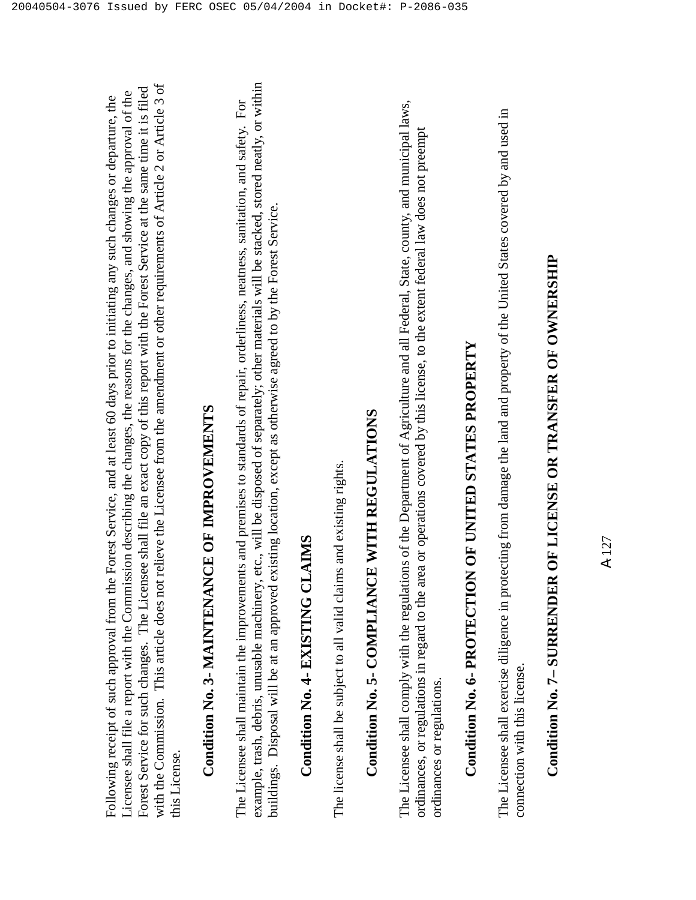with the Commission. This article does not relieve the Licensee from the amendment or other requirements of Article 2 or Article 3 of with the Commission. This article does not relieve the Licensee from the amendment or other requirements of Article 2 or Article 3 of Forest Service for such changes. The Licensee shall file an exact copy of this report with the Forest Service at the same time it is filed Forest Service for such changes. The Licensee shall file an exact copy of this report with the Forest Service at the same time it is filed Licensee shall file a report with the Commission describing the changes, the reasons for the changes, and showing the approval of the Licensee shall file a report with the Commission describing the changes, the reasons for the changes, and showing the approval of the Following receipt of such approval from the Forest Service, and at least 60 days prior to initiating any such changes or departure, the Following receipt of such approval from the Forest Service, and at least 60 days prior to initiating any such changes or departure, the this License. this License.

# **Condition No. 3- MAINTENANCE OF IMPROVEMENTS**  Condition No. 3- MAINTENANCE OF IMPROVEMENTS

example, trash, debris, unusable machinery, etc., will be disposed of separately; other materials will be stacked, stored neatly, or within example, trash, debris, unusable machinery, etc., will be disposed of separately; other materials will be stacked, stored neatly, or within The Licensee shall maintain the improvements and premises to standards of repair, orderliness, neatness, sanitation, and safety. For The Licensee shall maintain the improvements and premises to standards of repair, orderliness, neatness, sanitation, and safety. For buildings. Disposal will be at an approved existing location, except as otherwise agreed to by the Forest Service. buildings. Disposal will be at an approved existing location, except as otherwise agreed to by the Forest Service.

### **Condition No. 4- EXISTING CLAIMS**  Condition No. 4- EXISTING CLAIMS

The license shall be subject to all valid claims and existing rights. The license shall be subject to all valid claims and existing rights.

# **Condition No. 5- COMPLIANCE WITH REGULATIONS**  Condition No. 5- COMPLIANCE WITH REGULATIONS

The Licensee shall comply with the regulations of the Department of Agriculture and all Federal, State, county, and municipal laws, The Licensee shall comply with the regulations of the Department of Agriculture and all Federal, State, county, and municipal laws, ordinances, or regulations in regard to the area or operations covered by this license, to the extent federal law does not preempt ordinances, or regulations in regard to the area or operations covered by this license, to the extent federal law does not preempt ordinances or regulations. ordinances or regulations.

# **Condition No. 6- PROTECTION OF UNITED STATES PROPERTY**  Condition No. 6- PROTECTION OF UNITED STATES PROPERTY

The Licensee shall exercise diligence in protecting from damage the land and property of the United States covered by and used in The Licensee shall exercise diligence in protecting from damage the land and property of the United States covered by and used in connection with this license. connection with this license.

# **Condition No. 7– SURRENDER OF LICENSE OR TRANSFER OF OWNERSHIP**  Condition No. 7- SURRENDER OF LICENSE OR TRANSFER OF OWNERSHIP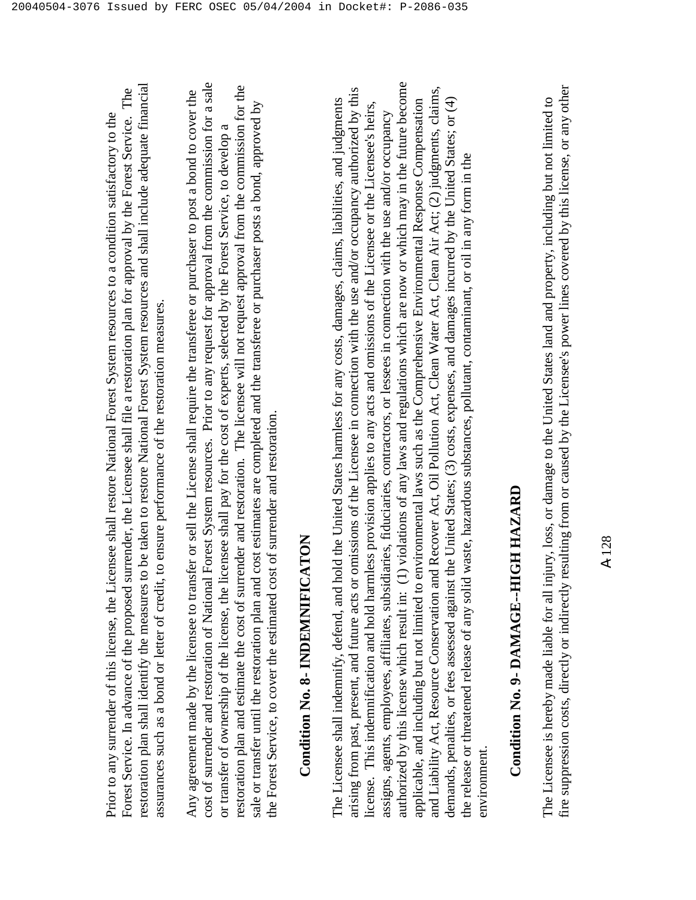restoration plan shall identify the measures to be taken to restore National Forest System resources and shall include adequate financial restoration plan shall identify the measures to be taken to restore National Forest System resources and shall include adequate financial Forest Service. In advance of the proposed surrender, the Licensee shall file a restoration plan for approval by the Forest Service. The Forest Service. In advance of the proposed surrender, the Licensee shall file a restoration plan for approval by the Forest Service. The Prior to any surrender of this license, the Licensee shall restore National Forest System resources to a condition satisfactory to the Prior to any surrender of this license, the Licensee shall restore National Forest System resources to a condition satisfactory to the assurances such as a bond or letter of credit, to ensure performance of the restoration measures. assurances such as a bond or letter of credit, to ensure performance of the restoration measures.

cost of surrender and restoration of National Forest System resources. Prior to any request for approval from the commission for a sale cost of surrender and restoration of National Forest System resources. Prior to any request for approval from the commission for a sale restoration plan and estimate the cost of surrender and restoration. The licensee will not request approval from the commission for the restoration plan and estimate the cost of surrender and restoration. The licensee will not request approval from the commission for the Any agreement made by the licensee to transfer or sell the License shall require the transferee or purchaser to post a bond to cover the Any agreement made by the licensee to transfer or sell the License shall require the transferee or purchaser to post a bond to cover the sale or transfer until the restoration plan and cost estimates are completed and the transferee or purchaser posts a bond, approved by sale or transfer until the restoration plan and cost estimates are completed and the transferee or purchaser posts a bond, approved by or transfer of ownership of the license, the licensee shall pay for the cost of experts, selected by the Forest Service, to develop a or transfer of ownership of the license, the licensee shall pay for the cost of experts, selected by the Forest Service, to develop a the Forest Service, to cover the estimated cost of surrender and restoration. the Forest Service, to cover the estimated cost of surrender and restoration.

### **Condition No. 8- INDEMNIFICATON**  Condition No. 8- INDEMNIFICATON

authorized by this license which result in: (1) violations of any laws and regulations which are now or which may in the future become authorized by this license which result in: (1) violations of any laws and regulations which are now or which may in the future become and Liability Act, Resource Conservation and Recover Act, Oil Pollution Act, Clean Water Act, Clean Air Act; (2) judgments, claims, arising from past, present, and future acts or omissions of the Licensee in connection with the use and/or occupancy authorized by this and Liability Act, Resource Conservation and Recover Act, Oil Pollution Act, Clean Water Act, Clean Air Act; (2) judgments, claims, arising from past, present, and future acts or omissions of the Licensee in connection with the use and/or occupancy authorized by this The Licensee shall indemnify, defend, and hold the United States harmless for any costs, damages, claims, liabilities, and judgments demands, penalties, or fees assessed against the United States; (3) costs, expenses, and damages incurred by the United States; or (4) The Licensee shall indemnify, defend, and hold the United States harmless for any costs, damages, claims, liabilities, and judgments applicable, and including but not limited to environmental laws such as the Comprehensive Environmental Response Compensation applicable, and including but not limited to environmental laws such as the Comprehensive Environmental Response Compensation demands, penalties, or fees assessed against the United States; (3) costs, expenses, and damages incurred by the United States; or (4) license. This indemnification and hold harmless provision applies to any acts and omissions of the Licensee or the Licensee's heirs, license. This indemnification and hold harmless provision applies to any acts and omissions of the Licensee or the Licensee's heirs, assigns, agents, employees, affiliates, subsidiaries, fiduciaries, contractors, or lessees in connection with the use and/or occupancy assigns, agents, employees, affiliates, subsidiaries, fiduciaries, contractors, or lessees in connection with the use and/or occupancy the release or threatened release of any solid waste, hazardous substances, pollutant, contaminant, or oil in any form in the the release or threatened release of any solid waste, hazardous substances, pollutant, contaminant, or oil in any form in the environment. environment

## **Condition No. 9- DAMAGE--HIGH HAZARD**  Condition No. 9- DAMAGE--HIGH HAZARD

fire suppression costs, directly or indirectly resulting from or caused by the Licensee's power lines covered by this license, or any other fire suppression costs, directly or indirectly resulting from or caused by the Licensee's power lines covered by this license, or any other The Licensee is hereby made liable for all injury, loss, or damage to the United States land and property, including but not limited to The Licensee is hereby made liable for all injury, loss, or damage to the United States land and property, including but not limited to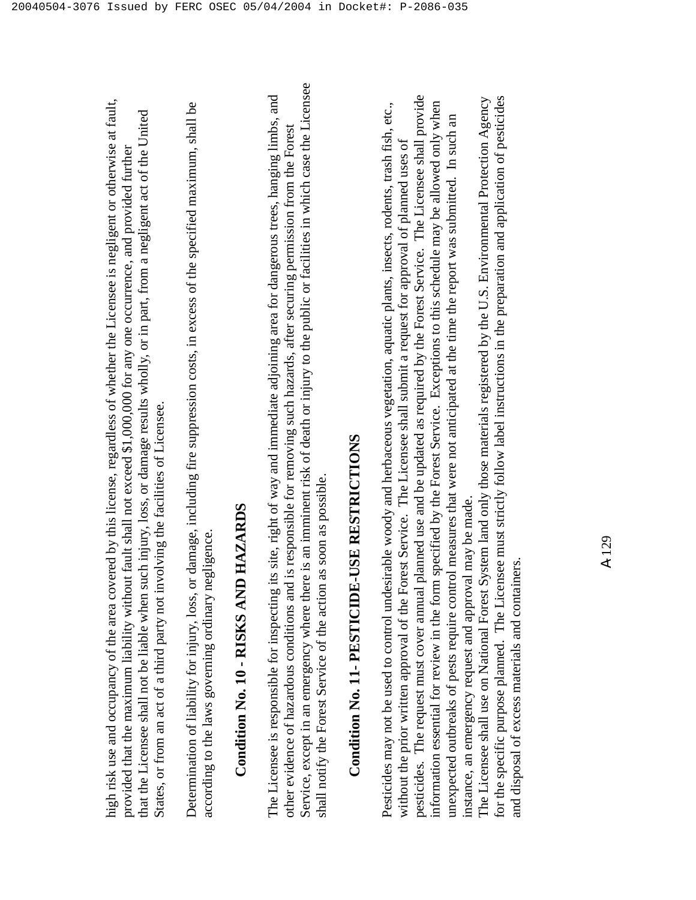high risk use and occupancy of the area covered by this license, regardless of whether the Licensee is negligent or otherwise at fault, high risk use and occupancy of the area covered by this license, regardless of whether the Licensee is negligent or otherwise at fault, that the Licensee shall not be liable when such injury, loss, or damage results wholly, or in part, from a negligent act of the United that the Licensee shall not be liable when such injury, loss, or damage results wholly, or in part, from a negligent act of the United provided that the maximum liability without fault shall not exceed \$1,000,000 for any one occurrence, and provided further provided that the maximum liability without fault shall not exceed \$1,000,000 for any one occurrence, and provided further States, or from an act of a third party not involving the facilities of Licensee. States, or from an act of a third party not involving the facilities of Licensee. Determination of liability for injury, loss, or damage, including fire suppression costs, in excess of the specified maximum, shall be Determination of liability for injury, loss, or damage, including fire suppression costs, in excess of the specified maximum, shall be according to the laws governing ordinary negligence. according to the laws governing ordinary negligence.

### **Condition No. 10 - RISKS AND HAZARDS**  Condition No. 10 - RISKS AND HAZARDS

Service, except in an emergency where there is an imminent risk of death or injury to the public or facilities in which case the Licensee Service, except in an emergency where there is an imminent risk of death or injury to the public or facilities in which case the Licensee The Licensee is responsible for inspecting its site, right of way and immediate adjoining area for dangerous trees, hanging limbs, and The Licensee is responsible for inspecting its site, right of way and immediate adjoining area for dangerous trees, hanging limbs, and other evidence of hazardous conditions and is responsible for removing such hazards, after securing permission from the Forest other evidence of hazardous conditions and is responsible for removing such hazards, after securing permission from the Forest shall notify the Forest Service of the action as soon as possible. shall notify the Forest Service of the action as soon as possible.

## **Condition No. 11- PESTICIDE-USE RESTRICTIONS**  Condition No. 11- PESTICIDE-USE RESTRICTIONS

pesticides. The request must cover annual planned use and be updated as required by the Forest Service. The Licensee shall provide pesticides. The request must cover annual planned use and be updated as required by the Forest Service. The Licensee shall provide information essential for review in the form specified by the Forest Service. Exceptions to this schedule may be allowed only when Pesticides may not be used to control undesirable woody and herbaceous vegetation, aquatic plants, insects, rodents, trash fish, etc., Pesticides may not be used to control undesirable woody and herbaceous vegetation, aquatic plants, insects, rodents, trash fish, etc., information essential for review in the form specified by the Forest Service. Exceptions to this schedule may be allowed only when unexpected outbreaks of pests require control measures that were not anticipated at the time the report was submitted. In such an unexpected outbreaks of pests require control measures that were not anticipated at the time the report was submitted. In such an without the prior written approval of the Forest Service. The Licensee shall submit a request for approval of planned uses of without the prior written approval of the Forest Service. The Licensee shall submit a request for approval of planned uses of instance, an emergency request and approval may be made. instance, an emergency request and approval may be made.

for the specific purpose planned. The Licensee must strictly follow label instructions in the preparation and application of pesticides The Licensee shall use on National Forest System land only those materials registered by the U.S. Environmental Protection Agency The Licensee shall use on National Forest System land only those materials registered by the U.S. Environmental Protection Agency for the specific purpose planned. The Licensee must strictly follow label instructions in the preparation and application of pesticides and disposal of excess materials and containers. and disposal of excess materials and containers.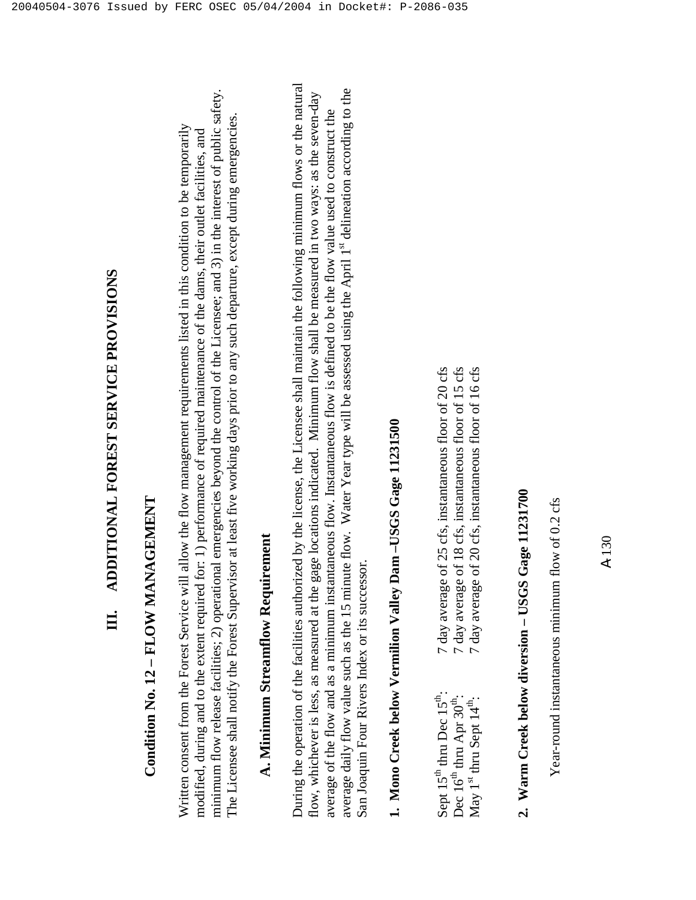### **Condition No. 12 – FLOW MANAGEMENT**  Condition No. 12 - FLOW MANAGEMENT

minimum flow release facilities; 2) operational emergencies beyond the control of the Licensee; and 3) in the interest of public safety. minimum flow release facilities; 2) operational emergencies beyond the control of the Licensee; and 3) in the interest of public safety. The Licensee shall notify the Forest Supervisor at least five working days prior to any such departure, except during emergencies. The Licensee shall notify the Forest Supervisor at least five working days prior to any such departure, except during emergencies. Written consent from the Forest Service will allow the flow management requirements listed in this condition to be temporarily Written consent from the Forest Service will allow the flow management requirements listed in this condition to be temporarily modified, during and to the extent required for: 1) performance of required maintenance of the dams, their outlet facilities, and modified, during and to the extent required for: 1) performance of required maintenance of the dams, their outlet facilities, and

### **A. Minimum Streamflow Requirement**  A. Minimum Streamflow Requirement

During the operation of the facilities authorized by the license, the Licensee shall maintain the following minimum flows or the natural During the operation of the facilities authorized by the license, the Licensee shall maintain the following minimum flows or the natural average daily flow value such as the 15 minute flow. Water Year type will be assessed using the April 1<sup>st</sup> delineation according to the average daily flow value such as the 15 minute flow. Water Year type will be assessed using the April 1st delineation according to the flow, whichever is less, as measured at the gage locations indicated. Minimum flow shall be measured in two ways: as the seven-day flow, whichever is less, as measured at the gage locations indicated. Minimum flow shall be measured in two ways: as the seven-day average of the flow and as a minimum instantaneous flow. Instantaneous flow is defined to be the flow value used to construct the average of the flow and as a minimum instantaneous flow. Instantaneous flow is defined to be the flow value used to construct the San Joaquin Four Rivers Index or its successor. San Joaquin Four Rivers Index or its successor.

# **1. Mono Creek below Vermilion Valley Dam –USGS Gage 11231500**  1. Mono Creek below Vermilion Valley Dam-USGS Gage 11231500

| 7 day average of 25 cfs, instantaneous floor of 20 cfs | 7 day average of 18 cfs, instantaneous floor of 15 cfs | 7 day average of 20 cfs, instantaneous floor of 16 cfs |
|--------------------------------------------------------|--------------------------------------------------------|--------------------------------------------------------|
| Sept 15 <sup>th</sup> thru Dec 15 <sup>th</sup> :      | Dec $16^{th}$ thru Apr $30^{th}$ :                     | May $1^{\text{st}}$ thru Sept $14^{\text{th}}$ :       |

## **2. Warm Creek below diversion – USGS Gage 11231700**  2. Warm Creek below diversion - USGS Gage 11231700

Year-round instantaneous minimum flow of 0.2 cfs Year-round instantaneous minimum flow of 0.2 cfs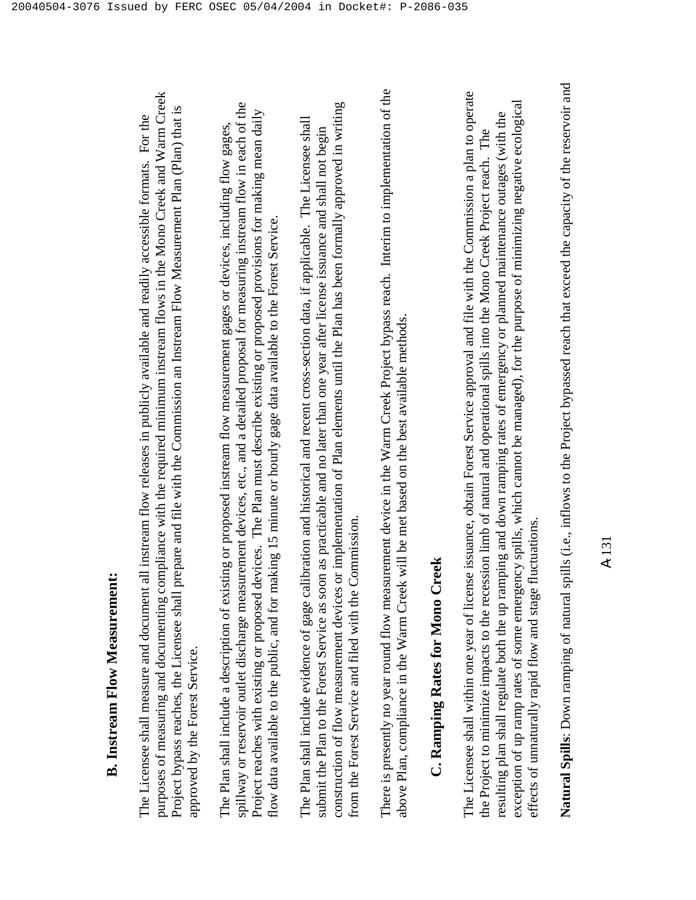purposes of measuring and documenting compliance with the required minimum instream flows in the Mono Creek and Warm Creek purposes of measuring and documenting compliance with the required minimum instream flows in the Mono Creek and Warm Creek Project bypass reaches, the Licensee shall prepare and file with the Commission an Instream Flow Measurement Plan (Plan) that is Project bypass reaches, the Licensee shall prepare and file with the Commission an Instream Flow Measurement Plan (Plan) that is The Licensee shall measure and document all instream flow releases in publicly available and readily accessible formats. For the The Licensee shall measure and document all instream flow releases in publicly available and readily accessible formats. For the approved by the Forest Service. approved by the Forest Service.

spillway or reservoir outlet discharge measurement devices, etc., and a detailed proposal for measuring instream flow in each of the spillway or reservoir outlet discharge measurement devices, etc., and a detailed proposal for measuring instream flow in each of the Project reaches with existing or proposed devices. The Plan must describe existing or proposed provisions for making mean daily Project reaches with existing or proposed devices. The Plan must describe existing or proposed provisions for making mean daily The Plan shall include a description of existing or proposed instream flow measurement gages or devices, including flow gages, The Plan shall include a description of existing or proposed instream flow measurement gages or devices, including flow gages, flow data available to the public, and for making 15 minute or hourly gage data available to the Forest Service. flow data available to the public, and for making 15 minute or hourly gage data available to the Forest Service.

construction of flow measurement devices or implementation of Plan elements until the Plan has been formally approved in writing construction of flow measurement devices or implementation of Plan elements until the Plan has been formally approved in writing The Plan shall include evidence of gage calibration and historical and recent cross-section data, if applicable. The Licensee shall The Plan shall include evidence of gage calibration and historical and recent cross-section data, if applicable. The Licensee shall submit the Plan to the Forest Service as soon as practicable and no later than one year after license issuance and shall not begin submit the Plan to the Forest Service as soon as practicable and no later than one year after license issuance and shall not begin from the Forest Service and filed with the Commission. from the Forest Service and filed with the Commission.

There is presently no year round flow measurement device in the Warm Creek Project bypass reach. Interim to implementation of the There is presently no year round flow measurement device in the Warm Creek Project bypass reach. Interim to implementation of the above Plan, compliance in the Warm Creek will be met based on the best available methods. above Plan, compliance in the Warm Creek will be met based on the best available methods.

### **C. Ramping Rates for Mono Creek**  C. Ramping Rates for Mono Creek

The Licensee shall within one year of license issuance, obtain Forest Service approval and file with the Commission a plan to operate The Licensee shall within one year of license issuance, obtain Forest Service approval and file with the Commission a plan to operate exception of up ramp rates of some emergency spills, which cannot be managed), for the purpose of minimizing negative ecological exception of up ramp rates of some emergency spills, which cannot be managed), for the purpose of minimizing negative ecological resulting plan shall regulate both the up ramping and down ramping rates of emergency or planned maintenance outages (with the resulting plan shall regulate both the up ramping and down ramping rates of emergency or planned maintenance outages (with the the Project to minimize impacts to the recession limb of natural and operational spills into the Mono Creek Project reach. The the Project to minimize impacts to the recession limb of natural and operational spills into the Mono Creek Project reach. The effects of unnaturally rapid flow and stage fluctuations. effects of unnaturally rapid flow and stage fluctuations.

**Natural Spills**: Down ramping of natural spills (i.e., inflows to the Project bypassed reach that exceed the capacity of the reservoir and Natural Spills: Down ramping of natural spills (i.e., inflows to the Project bypassed reach that exceed the capacity of the reservoir and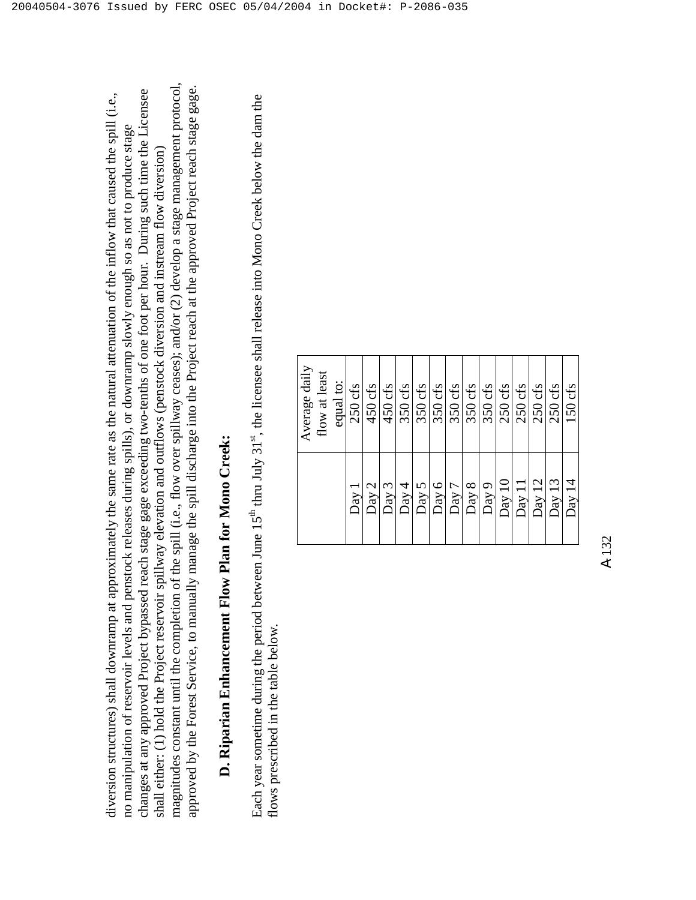magnitudes constant until the completion of the spill (i.e., flow over spillway ceases); and/or (2) develop a stage management protocol, magnitudes constant until the completion of the spill (i.e., flow over spillway ceases); and/or  $(2)$  develop a stage management protocol, approved by the Forest Service, to manually manage the spill discharge into the Project reach at the approved Project reach stage gage. approved by the Forest Service, to manually manage the spill discharge into the Project reach at the approved Project reach stage gage. changes at any approved Project bypassed reach stage gage exceeding two-tenths of one foot per hour. During such time the Licensee changes at any approved Project bypassed reach stage gage exceeding two-tenths of one foot per hour. During such time the Licensee diversion structures) shall downramp at approximately the same rate as the natural attenuation of the inflow that caused the spill (i.e., diversion structures) shall downramp at approximately the same rate as the natural attenuation of the inflow that caused the spill (i.e., no manipulation of reservoir levels and penstock releases during spills), or downramp slowly enough so as not to produce stage no manipulation of reservoir levels and penstock releases during spills), or downramp slowly enough so as not to produce stage shall either: (1) hold the Project reservoir spillway elevation and outflows (penstock diversion and instream flow diversion) shall either: (1) hold the Project reservoir spillway elevation and outflows (penstock diversion and instream flow diversion)

## **D. Riparian Enhancement Flow Plan for Mono Creek:**  D. Riparian Enhancement Flow Plan for Mono Creek:

Each year sometime during the period between June 15<sup>th</sup> thru July 31<sup>st</sup>, the licensee shall release into Mono Creek below the dam the Each year sometime during the period between June 15<sup>th</sup> thru July 31<sup>st</sup>, the licensee shall release into Mono Creek below the dam the flows prescribed in the table below. flows prescribed in the table below.

| Average daily | flow at least | equal to: | $250$ cfs | 450 cfs | 450 cfs | 350 cfs | 350 cfs | 350 cfs | 350 cfs | $350$ cfs | 350 cfs | 250 cfs             | 250 cfs | 250 cfs | $250$ cfs | 150 cfs        |
|---------------|---------------|-----------|-----------|---------|---------|---------|---------|---------|---------|-----------|---------|---------------------|---------|---------|-----------|----------------|
|               |               |           | Day       | Day 2   | Day 3   | Day 4   | Day 5   | Day 6   | Day 7   | Day 8     | Day 9   | $\overline{Day}$ 10 | Day 11  | Day 12  | Day 13    | $\rm{Day\ 14}$ |

A-132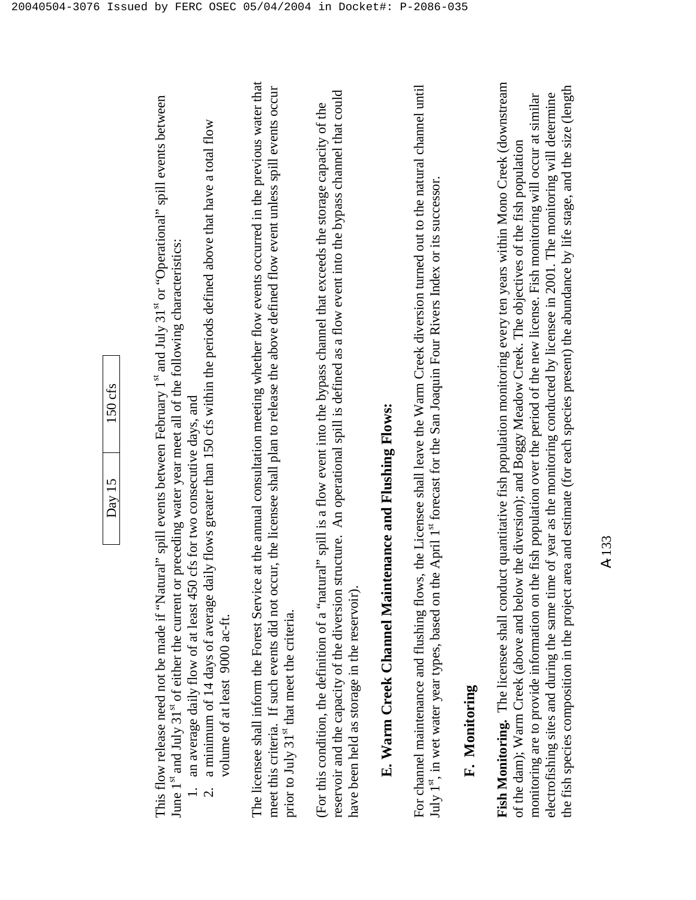| cfs<br>ç |  |
|----------|--|
| ≧<br>R   |  |

This flow release need not be made if "Natural" spill events between February 1st and July 31st or "Operational" spill events between This flow release need not be made if "Natural" spill events between February 1<sup>st</sup> and July 31<sup>st</sup> or "Operational" spill events between June 1st and July 31st of either the current or preceding water year meet all of the following characteristics: June 1<sup>st</sup> and July 31<sup>st</sup> of either the current or preceding water year meet all of the following characteristics:

- 1. an average daily flow of at least 450 cfs for two consecutive days, and 1. an average daily flow of at least 450 cfs for two consecutive days, and
- 2. a minimum of 14 days of average daily flows greater than 150 cfs within the periods defined above that have a total flow a minimum of 14 days of average daily flows greater than 150 cfs within the periods defined above that have a total flow volume of at least 9000 ac-ft. volume of at least 9000 ac-ft.

The licensee shall inform the Forest Service at the annual consultation meeting whether flow events occurred in the previous water that The licensee shall inform the Forest Service at the annual consultation meeting whether flow events occurred in the previous water that meet this criteria. If such events did not occur, the licensee shall plan to release the above defined flow event unless spill events occur meet this criteria. If such events did not occur, the licensee shall plan to release the above defined flow event unless spill events occur prior to July 31<sup>st</sup> that meet the criteria. prior to July 31<sup>st</sup> that meet the criteria.

reservoir and the capacity of the diversion structure. An operational spill is defined as a flow event into the bypass channel that could reservoir and the capacity of the diversion structure. An operational spill is defined as a flow event into the bypass channel that could (For this condition, the definition of a "natural" spill is a flow event into the bypass channel that exceeds the storage capacity of the (For this condition, the definition of a "natural" spill is a flow event into the bypass channel that exceeds the storage capacity of the have been held as storage in the reservoir). have been held as storage in the reservoir).

# **E. Warm Creek Channel Maintenance and Flushing Flows:**  E. Warm Creek Channel Maintenance and Flushing Flows:

For channel maintenance and flushing flows, the Licensee shall leave the Warm Creek diversion turned out to the natural channel until For channel maintenance and flushing flows, the Licensee shall leave the Warm Creek diversion turned out to the natural channel until July 1<sup>st</sup>, in wet water year types, based on the April 1<sup>st</sup> forecast for the San Joaquin Four Rivers Index or its successor. July 1<sup>st</sup>, in wet water year types, based on the April 1st forecast for the San Joaquin Four Rivers Index or its successor.

### **F. Monitoring**  F. Monitoring

**Fish Monitoring.** The licensee shall conduct quantitative fish population monitoring every ten years within Mono Creek (downstream Fish Monitoring. The licensee shall conduct quantitative fish population monitoring every ten years within Mono Creek (downstream the fish species composition in the project area and estimate (for each species present) the abundance by life stage, and the size (length the fish species composition in the project area and estimate (for each species present) the abundance by life stage, and the size (length monitoring are to provide information on the fish population over the period of the new license. Fish monitoring will occur at similar electrofishing sites and during the same time of year as the monitoring conducted by licensee in 2001. The monitoring will determine monitoring are to provide information on the fish population over the period of the new license. Fish monitoring will occur at similar electrofishing sites and during the same time of year as the monitoring conducted by licensee in 2001. The monitoring will determine of the dam); Warm Creek (above and below the diversion); and Boggy Meadow Creek. The objectives of the fish population of the dam); Warm Creek (above and below the diversion); and Boggy Meadow Creek. The objectives of the fish population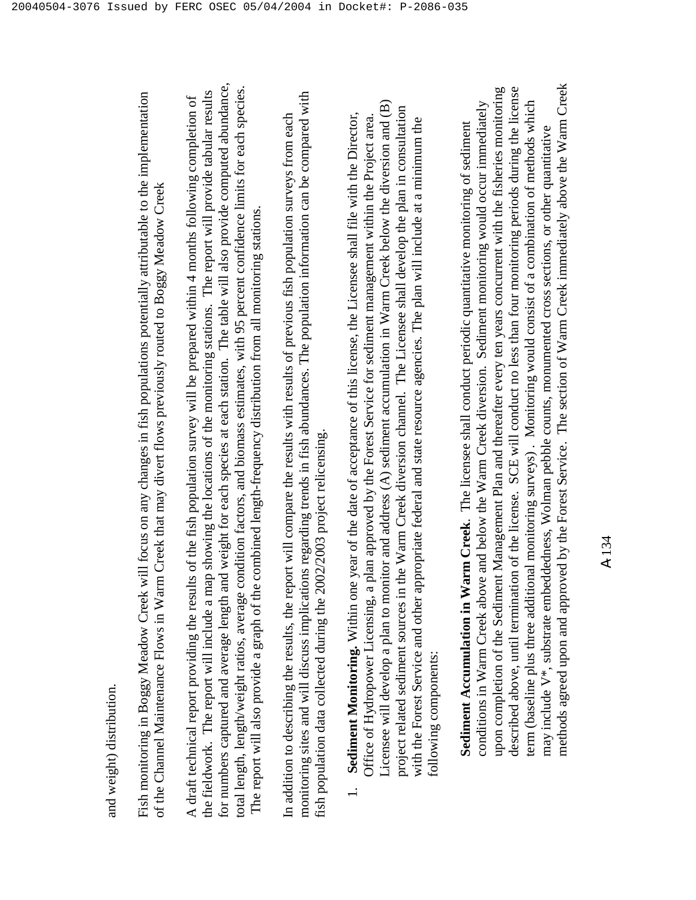Fish monitoring in Boggy Meadow Creek will focus on any changes in fish populations potentially attributable to the implementation Fish monitoring in Boggy Meadow Creek will focus on any changes in fish populations potentially attributable to the implementation of the Channel Maintenance Flows in Warm Creek that may divert flows previously routed to Boggy Meadow Creek of the Channel Maintenance Flows in Warm Creek that may divert flows previously routed to Boggy Meadow Creek

for numbers captured and average length and weight for each species at each station. The table will also provide computed abundance, for numbers captured and average length and weight for each species at each station. The table will also provide computed abundance, total length, length/weight ratios, average condition factors, and biomass estimates, with 95 percent confidence limits for each species. total length, length/weight ratios, average condition factors, and biomass estimates, with 95 percent confidence limits for each species. the fieldwork. The report will include a map showing the locations of the monitoring stations. The report will provide tabular results the fieldwork. The report will include a map showing the locations of the monitoring stations. The report will provide tabular results A draft technical report providing the results of the fish population survey will be prepared within 4 months following completion of A draft technical report providing the results of the fish population survey will be prepared within 4 months following completion of The report will also provide a graph of the combined length-frequency distribution from all monitoring stations. The report will also provide a graph of the combined length-frequency distribution from all monitoring stations.

monitoring sites and will discuss implications regarding trends in fish abundances. The population information can be compared with monitoring sites and will discuss implications regarding trends in fish abundances. The population information can be compared with In addition to describing the results, the report will compare the results with results of previous fish population surveys from each In addition to describing the results, the report will compare the results with results of previous fish population surveys from each fish population data collected during the 2002/2003 project relicensing. fish population data collected during the 2002/2003 project relicensing.

Licensee will develop a plan to monitor and address (A) sediment accumulation in Warm Creek below the diversion and (B) Licensee will develop a plan to monitor and address  $(A)$  sediment accumulation in Warm Creek below the diversion and  $(B)$ project related sediment sources in the Warm Creek diversion channel. The Licensee shall develop the plan in consultation project related sediment sources in the Warm Creek diversion channel. The Licensee shall develop the plan in consultation 1. **Sediment Monitoring.** Within one year of the date of acceptance of this license, the Licensee shall file with the Director, Sediment Monitoring. Within one year of the date of acceptance of this license, the Licensee shall file with the Director, Office of Hydropower Licensing, a plan approved by the Forest Service for sediment management within the Project area. Office of Hydropower Licensing, a plan approved by the Forest Service for sediment management within the Project area. with the Forest Service and other appropriate federal and state resource agencies. The plan will include at a minimum the with the Forest Service and other appropriate federal and state resource agencies. The plan will include at a minimum the following components: following components:  $\overline{a}$ 

methods agreed upon and approved by the Forest Service. The section of Warm Creek immediately above the Warm Creek methods agreed upon and approved by the Forest Service. The section of Warm Creek immediately above the Warm Creek upon completion of the Sediment Management Plan and thereafter every ten years concurrent with the fisheries monitoring described above, until termination of the license. SCE will conduct no less than four monitoring periods during the license upon completion of the Sediment Management Plan and thereafter every ten years concurrent with the fisheries monitoring described above, until termination of the license. SCE will conduct no less than four monitoring periods during the license term (baseline plus three additional monitoring surveys) . Monitoring would consist of a combination of methods which conditions in Warm Creek above and below the Warm Creek diversion. Sediment monitoring would occur immediately conditions in Warm Creek above and below the Warm Creek diversion. Sediment monitoring would occur immediately term (baseline plus three additional monitoring surveys). Monitoring would consist of a combination of methods which Sediment Accumulation in Warm Creek. The licensee shall conduct periodic quantitative monitoring of sediment **Sediment Accumulation in Warm Creek**. The licensee shall conduct periodic quantitative monitoring of sediment may include V\*, substrate embeddedness, Wolman pebble counts, monumented cross sections, or other quantitative may include V\*, substrate embeddedness, Wolman pebble counts, monumented cross sections, or other quantitative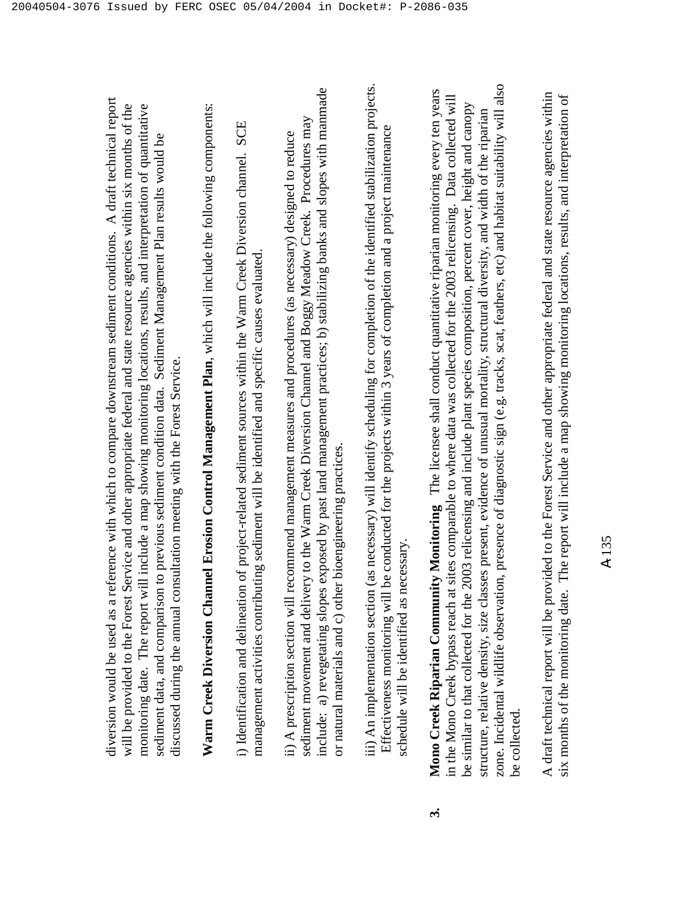diversion would be used as a reference with which to compare downstream sediment conditions. A draft technical report diversion would be used as a reference with which to compare downstream sediment conditions. A draft technical report will be provided to the Forest Service and other appropriate federal and state resource agencies within six months of the will be provided to the Forest Service and other appropriate federal and state resource agencies within six months of the monitoring date. The report will include a map showing monitoring locations, results, and interpretation of quantitative monitoring date. The report will include a map showing monitoring locations, results, and interpretation of quantitative sediment data, and comparison to previous sediment condition data. Sediment Management Plan results would be sediment data, and comparison to previous sediment condition data. Sediment Management Plan results would be discussed during the annual consultation meeting with the Forest Service. discussed during the annual consultation meeting with the Forest Service.

Warm Creek Diversion Channel Erosion Control Management Plan, which will include the following components: **Warm Creek Diversion Channel Erosion Control Management Plan**, which will include the following components:

i) Identification and delineation of project-related sediment sources within the Warm Creek Diversion channel. SCE i) Identification and delineation of project-related sediment sources within the Warm Creek Diversion channel. SCE management activities contributing sediment will be identified and specific causes evaluated. management activities contributing sediment will be identified and specific causes evaluated.

include: a) revegetating slopes exposed by past land management practices; b) stabilizing banks and slopes with manmade include: a) revegetating slopes exposed by past land management practices; b) stabilizing banks and slopes with manmade sediment movement and delivery to the Warm Creek Diversion Channel and Boggy Meadow Creek. Procedures may sediment movement and delivery to the Warm Creek Diversion Channel and Boggy Meadow Creek. Procedures may ii) A prescription section will recommend management measures and procedures (as necessary) designed to reduce ii) A prescription section will recommend management measures and procedures (as necessary) designed to reduce or natural materials and c) other bioengineering practices. or natural materials and c) other bioengineering practices. iii) An implementation section (as necessary) will identify scheduling for completion of the identified stabilization projects. iii) An implementation section (as necessary) will identify scheduling for completion of the identified stabilization projects. Effectiveness monitoring will be conducted for the projects within 3 years of completion and a project maintenance Effectiveness monitoring will be conducted for the projects within 3 years of completion and a project maintenance schedule will be identified as necessary. schedule will be identified as necessary.

zone. Incidental wildlife observation, presence of diagnostic sign (e.g. tracks, scat, feathers, etc) and habitat suitability will also zone. Incidental wildlife observation, presence of diagnostic sign (e.g. tracks, scat, feathers, etc) and habitat suitability will also **3. Mono Creek Riparian Community Monitoring** The licensee shall conduct quantitative riparian monitoring every ten years Mono Creek Riparian Community Monitoring The licensee shall conduct quantitative riparian monitoring every ten years in the Mono Creek bypass reach at sites comparable to where data was collected for the 2003 relicensing. Data collected will in the Mono Creek bypass reach at sites comparable to where data was collected for the 2003 relicensing. Data collected will be similar to that collected for the 2003 relicensing and include plant species composition, percent cover, height and canopy be similar to that collected for the 2003 relicensing and include plant species composition, percent cover, height and canopy structure, relative density, size classes present, evidence of unusual mortality, structural diversity, and width of the riparian structure, relative density, size classes present, evidence of unusual mortality, structural diversity, and width of the riparian be collected. be collected.  $\ddot{\mathbf{c}}$ 

A draft technical report will be provided to the Forest Service and other appropriate federal and state resource agencies within A draft technical report will be provided to the Forest Service and other appropriate federal and state resource agencies within six months of the monitoring date. The report will include a map showing monitoring locations, results, and interpretation of six months of the monitoring date. The report will include a map showing monitoring locations, results, and interpretation of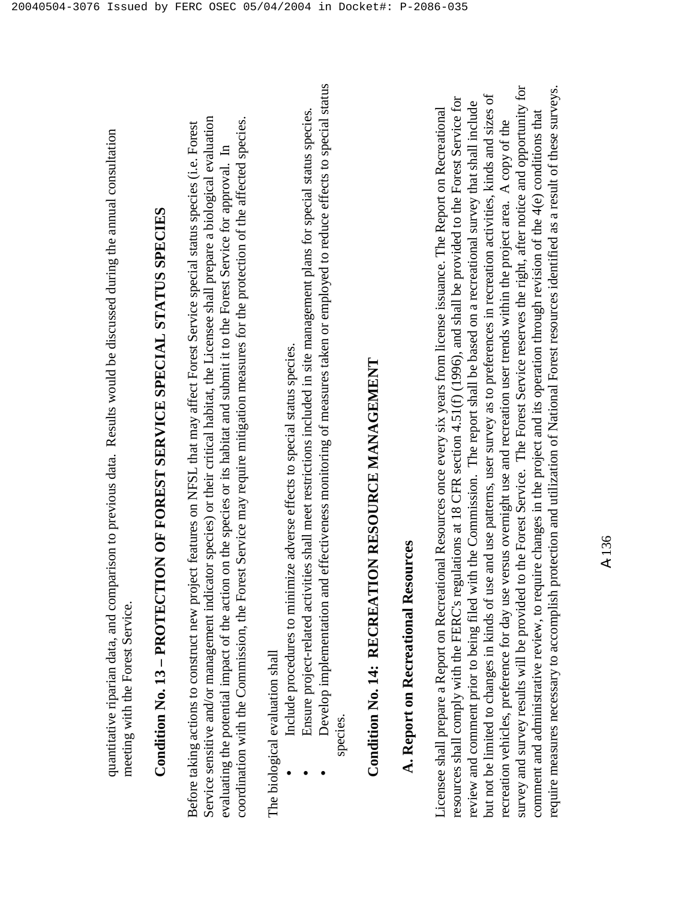# **Condition No. 13 – PROTECTION OF FOREST SERVICE SPECIAL STATUS SPECIES**  Condition No. 13 - PROTECTION OF FOREST SERVICE SPECIAL STATUS SPECIES

Service sensitive and/or management indicator species) or their critical habitat, the Licensee shall prepare a biological evaluation coordination with the Commission, the Forest Service may require mitigation measures for the protection of the affected species. Service sensitive and/or management indicator species) or their critical habitat, the Licensee shall prepare a biological evaluation coordination with the Commission, the Forest Service may require mitigation measures for the protection of the affected species. Before taking actions to construct new project features on NFSL that may affect Forest Service special status species (i.e. Forest Before taking actions to construct new project features on NFSL that may affect Forest Service special status species (i.e. Forest evaluating the potential impact of the action on the species or its habitat and submit it to the Forest Service for approval. In evaluating the potential impact of the action on the species or its habitat and submit it to the Forest Service for approval. In

The biological evaluation shall The biological evaluation shall

•

•

- Include procedures to minimize adverse effects to special status species. Include procedures to minimize adverse effects to special status species.
- Ensure project-related activities shall meet restrictions included in site management plans for special status species. Ensure project-related activities shall meet restrictions included in site management plans for special status species.
- Develop implementation and effectiveness monitoring of measures taken or employed to reduce effects to special status Develop implementation and effectiveness monitoring of measures taken or employed to reduce effects to special status species. •

# **Condition No. 14: RECREATION RESOURCE MANAGEMENT**  Condition No. 14: RECREATION RESOURCE MANAGEMENT

### **A. Report on Recreational Resources**  A. Report on Recreational Resources

survey and survey results will be provided to the Forest Service. The Forest Service reserves the right, after notice and opportunity for require measures necessary to accomplish protection and utilization of National Forest resources identified as a result of these surveys. survey and survey results will be provided to the Forest Service. The Forest Service reserves the right, after notice and opportunity for require measures necessary to accomplish protection and utilization of National Forest resources identified as a result of these surveys. but not be limited to changes in kinds of use and use patterns, user survey as to preferences in recreation activities, kinds and sizes of but not be limited to changes in kinds of use and use patterns, user survey as to preferences in recreation activities, kinds and sizes of resources shall comply with the FERC's regulations at 18 CFR section 4.51(f) (1996), and shall be provided to the Forest Service for resources shall comply with the FERC's regulations at 18 CFR section 4.51(f) (1996), and shall be provided to the Forest Service for review and comment prior to being filed with the Commission. The report shall be based on a recreational survey that shall include review and comment prior to being filed with the Commission. The report shall be based on a recreational survey that shall include Licensee shall prepare a Report on Recreational Resources once every six years from license issuance. The Report on Recreational Licensee shall prepare a Report on Recreational Resources once every six years from license issuance. The Report on Recreational comment and administrative review, to require changes in the project and its operation through revision of the 4(e) conditions that comment and administrative review, to require changes in the project and its operation through revision of the  $4(e)$  conditions that recreation vehicles, preference for day use versus overnight use and recreation user trends within the project area. A copy of the recreation vehicles, preference for day use versus overnight use and recreation user trends within the project area. A copy of the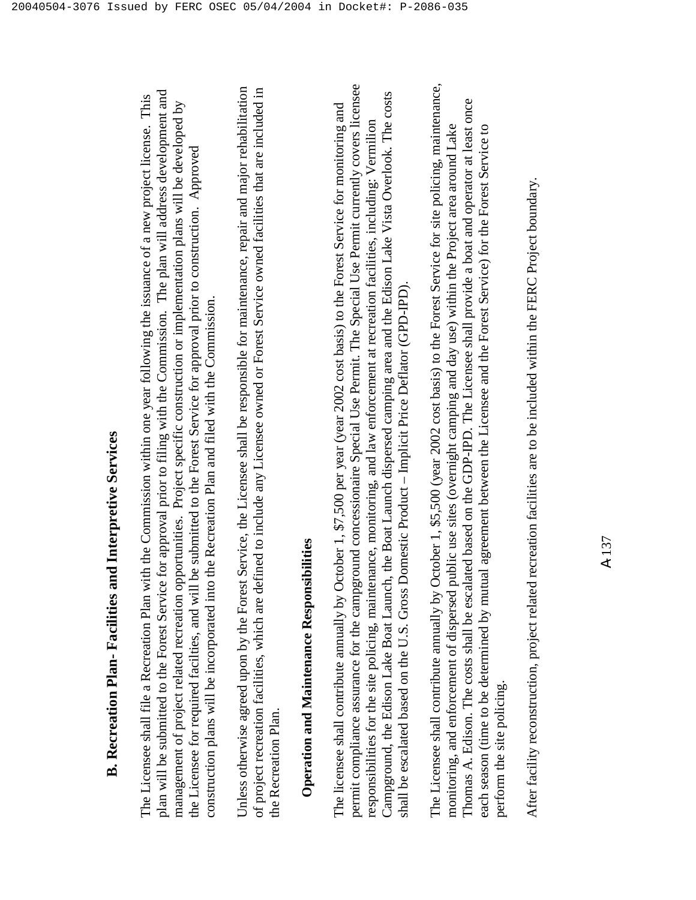plan will be submitted to the Forest Service for approval prior to filing with the Commission. The plan will address development and plan will be submitted to the Forest Service for approval prior to filing with the Commission. The plan will address development and The Licensee shall file a Recreation Plan with the Commission within one year following the issuance of a new project license. This The Licensee shall file a Recreation Plan with the Commission within one year following the issuance of a new project license. This management of project related recreation opportunities. Project specific construction or implementation plans will be developed by management of project related recreation opportunities. Project specific construction or implementation plans will be developed by the Licensee for required facilties, and will be submitted to the Forest Service for approval prior to construction. Approved the Licensee for required facilties, and will be submitted to the Forest Service for approval prior to construction. Approved construction plans will be incorporated into the Recreation Plan and filed with the Commission. construction plans will be incorporated into the Recreation Plan and filed with the Commission.

Unless otherwise agreed upon by the Forest Service, the Licensee shall be responsible for maintenance, repair and major rehabilitation of project recreation facilities, which are defined to include any Licensee owned or Forest Service owned facilities that are included in Unless otherwise agreed upon by the Forest Service, the Licensee shall be responsible for maintenance, repair and major rehabilitation of project recreation facilities, which are defined to include any Licensee owned or Forest Service owned facilities that are included in the Recreation Plan. the Recreation Plan.

### **Operation and Maintenance Responsibilities Operation and Maintenance Responsibilities**

permit compliance assurance for the campground concessionaire Special Use Permit. The Special Use Permit currently covers licensee permit compliance assurance for the campground concessionaire Special Use Permit. The Special Use Permit currently covers licensee Campground, the Edison Lake Boat Launch, the Boat Launch dispersed camping area and the Edison Lake Vista Overlook. The costs Campground, the Edison Lake Boat Launch, the Boat Launch dispersed camping area and the Edison Lake Vista Overlook. The costs The licensee shall contribute annually by October 1, \$7,500 per year (year 2002 cost basis) to the Forest Service for monitoring and The licensee shall contribute annually by October 1, \$7,500 per year (year 2002 cost basis) to the Forest Service for monitoring and responsibilities for the site policing, maintenance, monitoring, and law enforcement at recreation facilities, including: Vermilion responsibilities for the site policing, maintenance, monitoring, and law enforcement at recreation facilities, including: Vermilion shall be escalated based on the U.S. Gross Domestic Product – Implicit Price Deflator (GPD-IPD). shall be escalated based on the U.S. Gross Domestic Product - Implicit Price Deflator (GPD-IPD).

The Licensee shall contribute annually by October 1, \$5,500 (year 2002 cost basis) to the Forest Service for site policing, maintenance, The Licensee shall contribute annually by October 1, \$5,500 (year 2002 cost basis) to the Forest Service for site policing, maintenance, Thomas A. Edison. The costs shall be escalated based on the GDP-IPD. The Licensee shall provide a boat and operator at least once Thomas A. Edison. The costs shall be escalated based on the GDP-IPD. The Licensee shall provide a boat and operator at least once monitoring, and enforcement of dispersed public use sites (overnight camping and day use) within the Project area around Lake each season (time to be determined by mutual agreement between the Licensee and the Forest Service) for the Forest Service to monitoring, and enforcement of dispersed public use sites (overnight camping and day use) within the Project area around Lake each season (time to be determined by mutual agreement between the Licensee and the Forest Service) for the Forest Service to perform the site policing. perform the site policing.

After facility reconstruction, project related recreation facilities are to be included within the FERC Project boundary. After facility reconstruction, project related recreation facilities are to be included within the FERC Project boundary.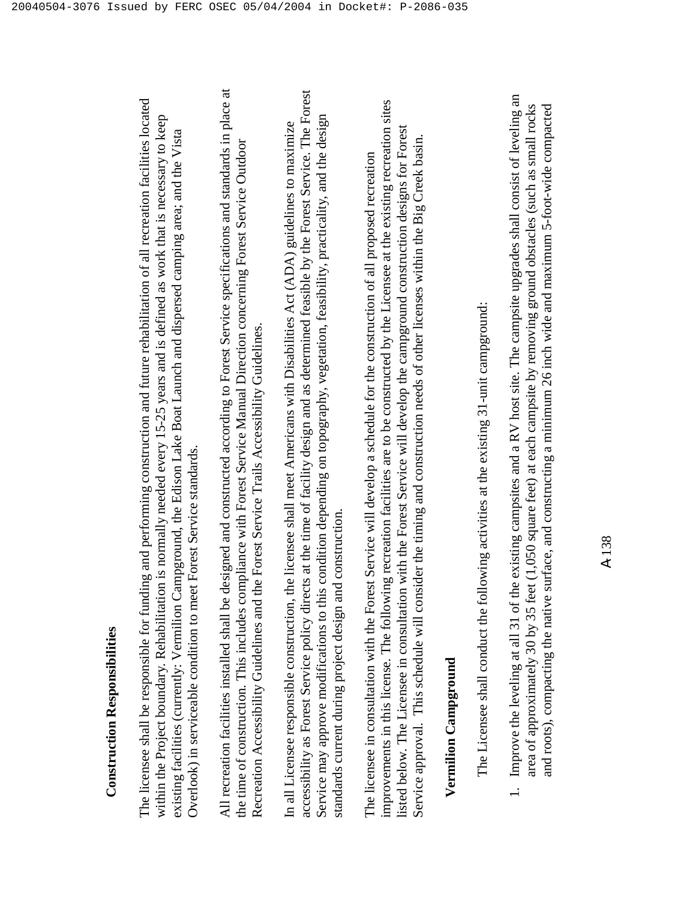The licensee shall be responsible for funding and performing construction and future rehabilitation of all recreation facilities located The licensee shall be responsible for funding and performing construction and future rehabilitation of all recreation facilities located within the Project boundary. Rehabilitation is normally needed every 15-25 years and is defined as work that is necessary to keep within the Project boundary. Rehabilitation is normally needed every 15-25 years and is defined as work that is necessary to keep existing facilities (currently: Vermilion Campground, the Edison Lake Boat Launch and dispersed camping area; and the Vista existing facilities (currently: Vermilion Campground, the Edison Lake Boat Launch and dispersed camping area; and the Vista Overlook) in serviceable condition to meet Forest Service standards. Overlook) in serviceable condition to meet Forest Service standards.

All recreation facilities installed shall be designed and constructed according to Forest Service specifications and standards in place at All recreation facilities installed shall be designed and constructed according to Forest Service specifications and standards in place at the time of construction. This includes compliance with Forest Service Manual Direction concerning Forest Service Outdoor the time of construction. This includes compliance with Forest Service Manual Direction concerning Forest Service Outdoor Recreation Accessibility Guidelines and the Forest Service Trails Accessibility Guidelines. Recreation Accessibility Guidelines and the Forest Service Trails Accessibility Guidelines.

accessibility as Forest Service policy directs at the time of facility design and as determined feasible by the Forest Service. The Forest accessibility as Forest Service policy directs at the time of facility design and as determined feasible by the Forest Service. The Forest Service may approve modifications to this condition depending on topography, vegetation, feasibility, practicality, and the design Service may approve modifications to this condition depending on topography, vegetation, feasibility, practicality, and the design In all Licensee responsible construction, the licensee shall meet Americans with Disabilities Act (ADA) guidelines to maximize In all Licensee responsible construction, the licensee shall meet Americans with Disabilities Act (ADA) guidelines to maximize standards current during project design and construction. standards current during project design and construction.

improvements in this license. The following recreation facilities are to be constructed by the Licensee at the existing recreation sites improvements in this license. The following recreation facilities are to be constructed by the Licensee at the existing recreation sites listed below. The Licensee in consultation with the Forest Service will develop the campground construction designs for Forest listed below. The Licensee in consultation with the Forest Service will develop the campground construction designs for Forest Service approval. This schedule will consider the timing and construction needs of other licenses within the Big Creek basin. Service approval. This schedule will consider the timing and construction needs of other licenses within the Big Creek basin. The licensee in consultation with the Forest Service will develop a schedule for the construction of all proposed recreation The licensee in consultation with the Forest Service will develop a schedule for the construction of all proposed recreation

### **Vermilion Campground Vermilion Campground**

The Licensee shall conduct the following activities at the existing 31-unit campground: The Licensee shall conduct the following activities at the existing 31-unit campground: 1. Improve the leveling at all 31 of the existing campsites and a RV host site. The campsite upgrades shall consist of leveling an 1. Improve the leveling at all 31 of the existing campsites and a RV host site. The campsite upgrades shall consist of leveling an area of approximately 30 by 35 feet (1,050 square feet) at each campsite by removing ground obstacles (such as small rocks area of approximately 30 by 35 feet (1,050 square feet) at each campsite by removing ground obstacles (such as small rocks and roots), compacting the native surface, and constructing a minimum 26 inch wide and maximum 5-foot-wide compacted and roots), compacting the native surface, and constructing a minimum 26 inch wide and maximum 5-foot-wide compacted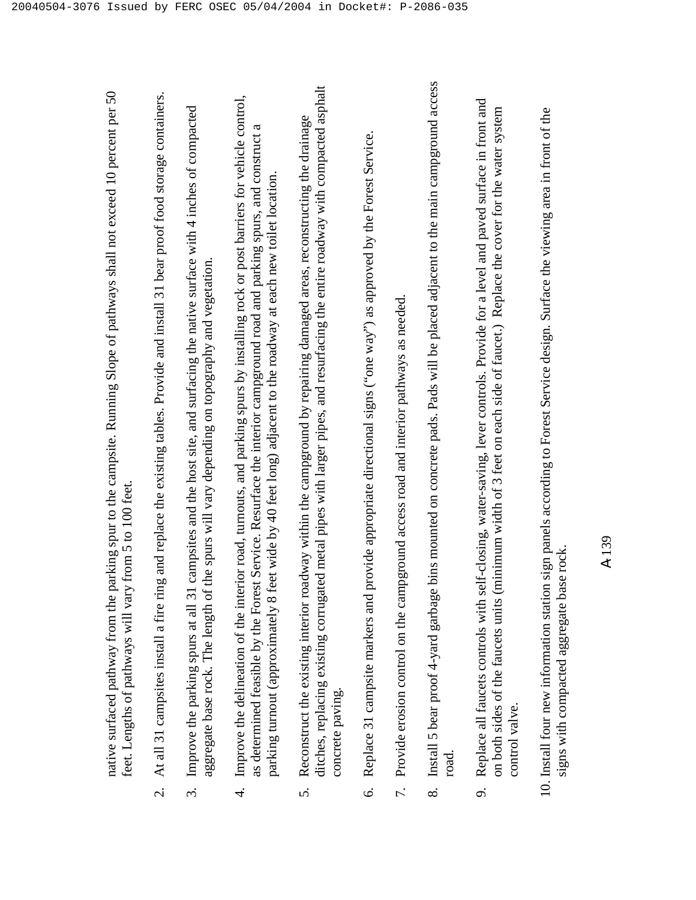|                      | arking spur to the campsite. Running Slope of pathways shall not exceed 10 percent per 50<br>feet. Lengths of pathways will vary from 5 to 100 feet.<br>native surfaced pathway from the p                                                                                                                                                                                       |
|----------------------|----------------------------------------------------------------------------------------------------------------------------------------------------------------------------------------------------------------------------------------------------------------------------------------------------------------------------------------------------------------------------------|
| $\dot{\mathcal{C}}$  | g and replace the existing tables. Provide and install 31 bear proof food storage containers.<br>At all 31 campsites install a fire rin                                                                                                                                                                                                                                          |
| $\dot{\mathfrak{c}}$ | campsites and the host site, and surfacing the native surface with 4 inches of compacted<br>the spurs will vary depending on topography and vegetation.<br>Improve the parking spurs at all 31<br>aggregate base rock. The length of                                                                                                                                             |
| 4.                   | Improve the delineation of the interior road, turnouts, and parking spurs by installing rock or post barriers for vehicle control,<br>as determined feasible by the Forest Service. Resurface the interior campground road and parking spurs, and construct a<br>parking turnout (approximately 8 feet wide by 40 feet long) adjacent to the roadway at each new toilet location |
| 5.                   | ditches, replacing existing corrugated metal pipes with larger pipes, and resurfacing the entire roadway with compacted asphalt<br>Reconstruct the existing interior roadway within the campground by repairing damaged areas, reconstructing the drainage<br>concrete paving.                                                                                                   |
| $\dot{\circ}$        | provide appropriate directional signs ("one way") as approved by the Forest Service.<br>Replace 31 campsite markers and J                                                                                                                                                                                                                                                        |
| 7.                   | pground access road and interior pathways as needed<br>Provide erosion control on the cam                                                                                                                                                                                                                                                                                        |
| $\infty$             | bins mounted on concrete pads. Pads will be placed adjacent to the main campground access<br>Install 5 bear proof 4-yard garbage<br>road.                                                                                                                                                                                                                                        |
| o.                   | Replace all faucets controls with self-closing, water-saving, lever controls. Provide for a level and paved surface in front and<br>on both sides of the faucets units (minimum width of 3 feet on each side of faucet.) Replace the cover for the water system<br>control valve.                                                                                                |
|                      | 10. Install four new information station sign panels according to Forest Service design. Surface the viewing area in front of the<br>se rock<br>signs with compacted aggregate ba                                                                                                                                                                                                |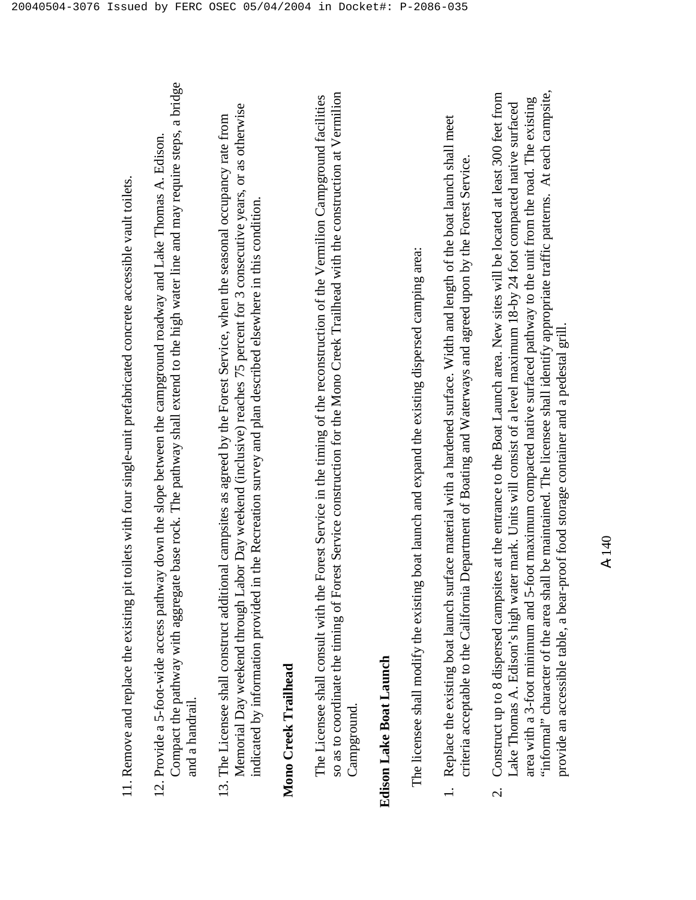- Compact the pathway with aggregate base rock. The pathway shall extend to the high water line and may require steps, a bridge Compact the pathway with aggregate base rock. The pathway shall extend to the high water line and may require steps, a bridge 12. Provide a 5-foot-wide access pathway down the slope between the campground roadway and Lake Thomas A. Edison. 12. Provide a 5-foot-wide access pathway down the slope between the campground roadway and Lake Thomas A. Edison. and a handrail. and a handrail
- Memorial Day weekend through Labor Day weekend (inclusive) reaches 75 percent for 3 consecutive years, or as otherwise Memorial Day weekend through Labor Day weekend (inclusive) reaches 75 percent for 3 consecutive years, or as otherwise 13. The Licensee shall construct additional campsites as agreed by the Forest Service, when the seasonal occupancy rate from 13. The Licensee shall construct additional campsites as agreed by the Forest Service, when the seasonal occupancy rate from indicated by information provided in the Recreation survey and plan described elsewhere in this condition. indicated by information provided in the Recreation survey and plan described elsewhere in this condition.

### **Mono Creek Trailhead**  Mono Creek Trailhead

so as to coordinate the timing of Forest Service construction for the Mono Creek Trailhead with the construction at Vermilion so as to coordinate the timing of Forest Service construction for the Mono Creek Trailhead with the construction at Vermilion The Licensee shall consult with the Forest Service in the timing of the reconstruction of the Vermilion Campground facilities The Licensee shall consult with the Forest Service in the timing of the reconstruction of the Vermilion Campground facilities Campground. Campground

### **Edison Lake Boat Launch**  Edison Lake Boat Launch

The licensee shall modify the existing boat launch and expand the existing dispersed camping area: The licensee shall modify the existing boat launch and expand the existing dispersed camping area:

- 1. Replace the existing boat launch surface material with a hardened surface. Width and length of the boat launch shall meet 1. Replace the existing boat launch surface material with a hardened surface. Width and length of the boat launch shall meet criteria acceptable to the California Department of Boating and Waterways and agreed upon by the Forest Service. criteria acceptable to the California Department of Boating and Waterways and agreed upon by the Forest Service.
- "informal" character of the area shall be maintained. The licensee shall identify appropriate traffic patterns. At each campsite, "informal" character of the area shall be maintained. The licensee shall identify appropriate traffic patterns. At each campsite, Construct up to 8 dispersed campsites at the entrance to the Boat Launch area. New sites will be located at least 300 feet from 2. Construct up to 8 dispersed campsites at the entrance to the Boat Launch area. New sites will be located at least 300 feet from area with a 3-foot minimum and 5-foot maximum compacted native surfaced pathway to the unit from the road. The existing area with a 3-foot minimum and 5-foot maximum compacted native surfaced pathway to the unit from the road. The existing Lake Thomas A. Edison's high water mark. Units will consist of a level maximum 18-by 24 foot compacted native surfaced Lake Thomas A. Edison's high water mark. Units will consist of a level maximum 18-by 24 foot compacted native surfaced provide an accessible table, a bear-proof food storage container and a pedestal grill. provide an accessible table, a bear-proof food storage container and a pedestal grill.  $\overline{\mathcal{C}}$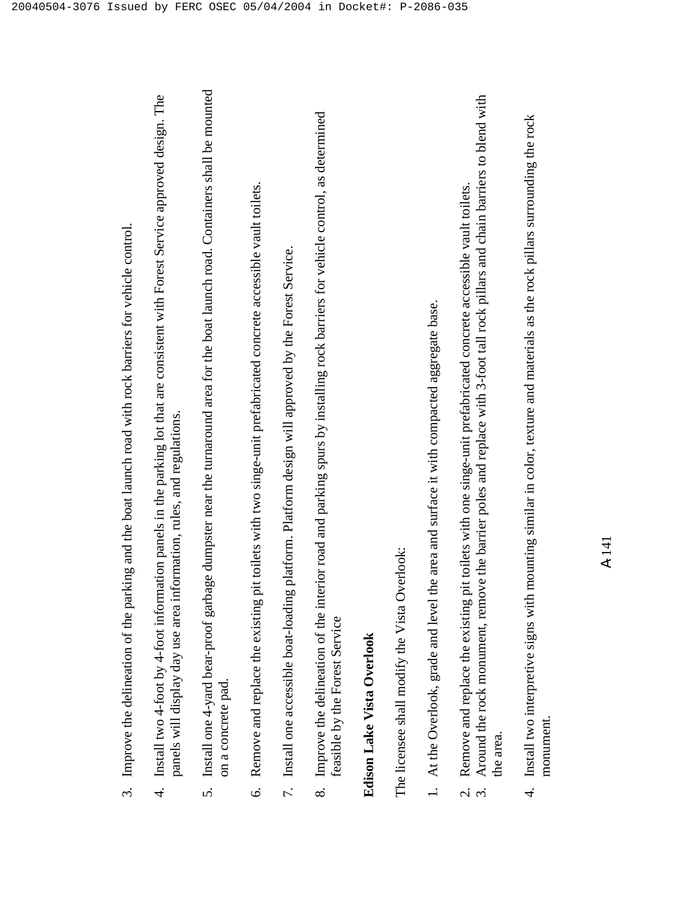|                     | 3. Improve the delineation of the parking and the boat launch road with rock barriers for vehicle control.                                                                                                                                                        |
|---------------------|-------------------------------------------------------------------------------------------------------------------------------------------------------------------------------------------------------------------------------------------------------------------|
| $\overline{4}$      | Install two 4-foot by 4-foot information panels in the parking lot that are consistent with Forest Service approved design. The<br>panels will display day use area information, rules, and regulations.                                                          |
|                     | 5. Install one 4-yard bear-proof garbage dumpster near the turnaround area for the boat launch road. Containers shall be mounted<br>on a concrete pad.                                                                                                            |
| $\circ$             | Remove and replace the existing pit toilets with two singe-unit prefabricated concrete accessible vault toilets.                                                                                                                                                  |
|                     | 7. Install one accessible boat-loading platform. Platform design will approved by the Forest Service.                                                                                                                                                             |
| $\infty$            | Improve the delineation of the interior road and parking spurs by installing rock barriers for vehicle control, as determined<br>feasible by the Forest Service                                                                                                   |
|                     | <b>Edison Lake Vista Overlook</b>                                                                                                                                                                                                                                 |
|                     | The licensee shall modify the Vista Overlook:                                                                                                                                                                                                                     |
|                     | the area and surface it with compacted aggregate base.<br>1. At the Overlook, grade and level                                                                                                                                                                     |
| $\dot{\mathcal{C}}$ | Around the rock monument, remove the barrier poles and replace with 3-foot tall rock pillars and chain barriers to blend with<br>pit toilets with one singe-unit prefabricated concrete accessible vault toilets.<br>Remove and replace the existing<br>the area. |
| $\vec{r}$           | mounting similar in color, texture and materials as the rock pillars surrounding the rock<br>Install two interpretive signs with                                                                                                                                  |

monument. monument. 4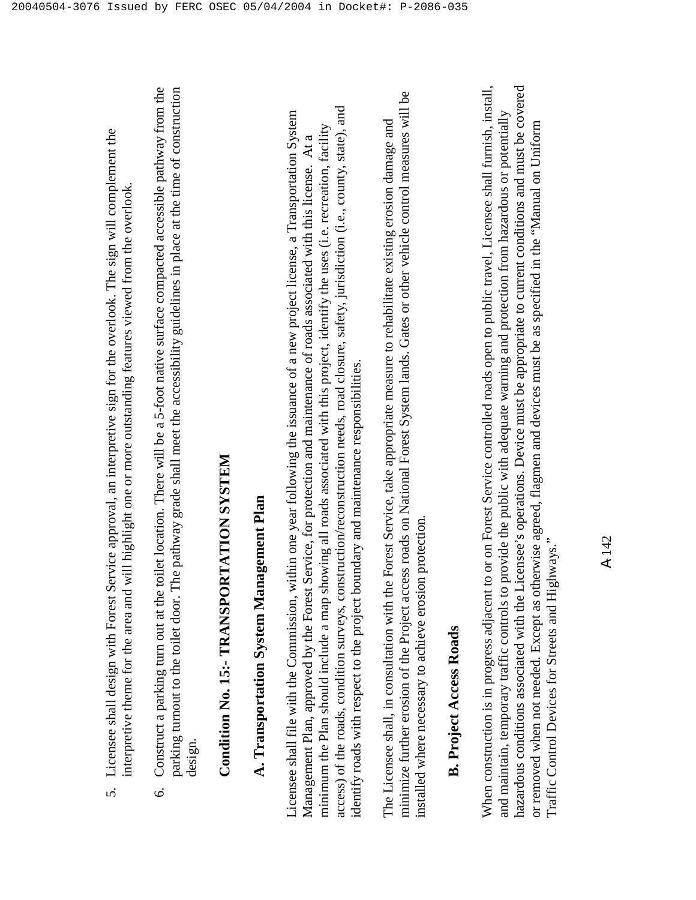6. Construct a parking turn out at the toilet location. There will be a 5-foot native surface compacted accessible pathway from the parking turnout to the toilet door. The pathway grade shall meet the accessibility guidelines in place at the time of construction Construct a parking turn out at the toilet location. There will be a 5-foot native surface compacted accessible pathway from the parking turnout to the toilet door. The pathway grade shall meet the accessibility guidelines in place at the time of construction design.  $\circ$ 

## **Condition No. 15:- TRANSPORTATION SYSTEM**  Condition No. 15:- TRANSPORTATION SYSTEM

### **A. Transportation System Management Plan**  A. Transportation System Management Plan

access) of the roads, condition surveys, construction/reconstruction needs, road closure, safety, jurisdiction (i.e., county, state), and access) of the roads, condition surveys, construction/reconstruction needs, road closure, safety, jurisdiction (i.e., county, state), and Licensee shall file with the Commission, within one year following the issuance of a new project license, a Transportation System Licensee shall file with the Commission, within one year following the issuance of a new project license, a Transportation System minimum the Plan should include a map showing all roads associated with this project, identify the uses (i.e. recreation, facility minimum the Plan should include a map showing all roads associated with this project, identify the uses (i.e. recreation, facility Management Plan, approved by the Forest Service, for protection and maintenance of roads associated with this license. At a Management Plan, approved by the Forest Service, for protection and maintenance of roads associated with this license. At a identify roads with respect to the project boundary and maintenance responsibilities. identify roads with respect to the project boundary and maintenance responsibilities.

minimize further erosion of the Project access roads on National Forest System lands. Gates or other vehicle control measures will be minimize further erosion of the Project access roads on National Forest System lands. Gates or other vehicle control measures will be The Licensee shall, in consultation with the Forest Service, take appropriate measure to rehabilitate existing erosion damage and The Licensee shall, in consultation with the Forest Service, take appropriate measure to rehabilitate existing erosion damage and installed where necessary to achieve erosion protection. installed where necessary to achieve erosion protection.

### **B. Project Access Roads B.** Project Access Roads

When construction is in progress adjacent to or on Forest Service controlled roads open to public travel, Licensee shall furnish, install, hazardous conditions associated with the Licensee's operations. Device must be appropriate to current conditions and must be covered hazardous conditions associated with the Licensee's operations. Device must be appropriate to current conditions and must be covered When construction is in progress adjacent to or on Forest Service controlled roads open to public travel, Licensee shall furnish, install, and maintain, temporary traffic controls to provide the public with adequate warning and protection from hazardous or potentially and maintain, temporary traffic controls to provide the public with adequate warning and protection from hazardous or potentially or removed when not needed. Except as otherwise agreed, flagmen and devices must be as specified in the "Manual on Uniform or removed when not needed. Except as otherwise agreed, flagmen and devices must be as specified in the "Manual on Uniform Traffic Control Devices for Streets and Highways." Traffic Control Devices for Streets and Highways."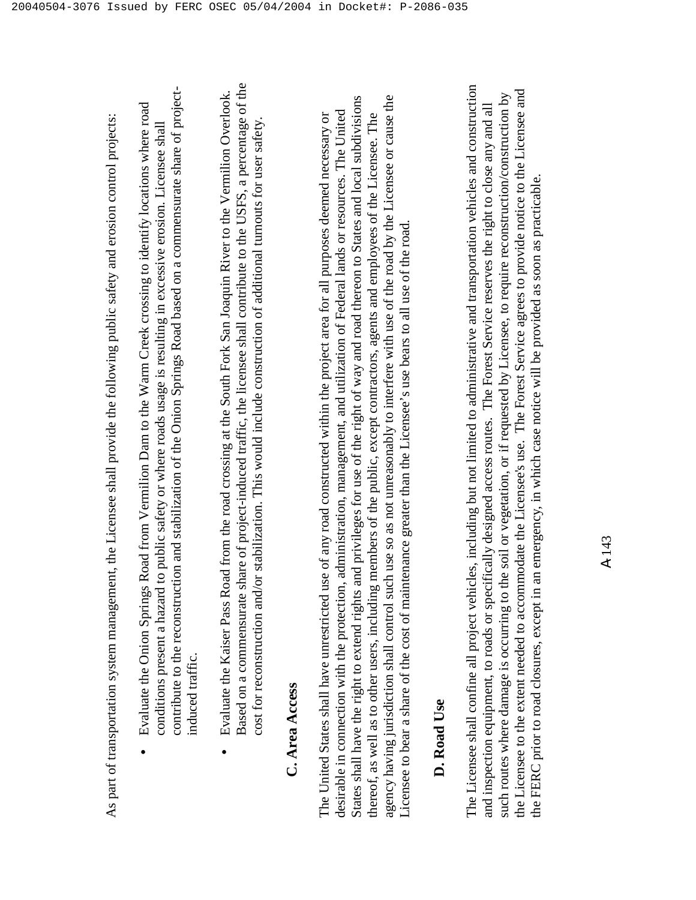As part of transportation system management, the Licensee shall provide the following public safety and erosion control projects: As part of transportation system management, the Licensee shall provide the following public safety and erosion control projects:

- contribute to the reconstruction and stabilization of the Onion Springs Road based on a commensurate share of projectcontribute to the reconstruction and stabilization of the Onion Springs Road based on a commensurate share of project- Evaluate the Onion Springs Road from Vermilion Dam to the Warm Creek crossing to identify locations where road Evaluate the Onion Springs Road from Vermilion Dam to the Warm Creek crossing to identify locations where road conditions present a hazard to public safety or where roads usage is resulting in excessive erosion. Licensee shall conditions present a hazard to public safety or where roads usage is resulting in excessive erosion. Licensee shall induced traffic. induced traffic. •
- Based on a commensurate share of project-induced traffic, the licensee shall contribute to the USFS, a percentage of the Based on a commensurate share of project-induced traffic, the licensee shall contribute to the USFS, a percentage of the Evaluate the Kaiser Pass Road from the road crossing at the South Fork San Joaquin River to the Vermilion Overlook. Evaluate the Kaiser Pass Road from the road crossing at the South Fork San Joaquin River to the Vermilion Overlook. cost for reconstruction and/or stabilization. This would include construction of additional turnouts for user safety. cost for reconstruction and/or stabilization. This would include construction of additional turnouts for user safety, •

### **C. Area Access**  C. Area Access

States shall have the right to extend rights and privileges for use of the right of way and road thereon to States and local subdivisions agency having jurisdiction shall control such use so as not unreasonably to interfere with use of the road by the Licensee or cause the States shall have the right to extend rights and privileges for use of the right of way and road thereon to States and local subdivisions agency having jurisdiction shall control such use so as not unreasonably to interfere with use of the road by the Licensee or cause the desirable in connection with the protection, administration, management, and utilization of Federal lands or resources. The United desirable in connection with the protection, administration, management, and utilization of Federal lands or resources. The United The United States shall have unrestricted use of any road constructed within the project area for all purposes deemed necessary or thereof, as well as to other users, including members of the public, except contractors, agents and employees of the Licensee. The thereof, as well as to other users, including members of the public, except contractors, agents and employees of the Licensee. The The United States shall have unrestricted use of any road constructed within the project area for all purposes deemed necessary or Licensee to bear a share of the cost of maintenance greater than the Licensee's use bears to all use of the road. Licensee to bear a share of the cost of maintenance greater than the Licensee's use bears to all use of the road.

### **D. Road Use**  D. Road Use

The Licensee shall confine all project vehicles, including but not limited to administrative and transportation vehicles and construction The Licensee shall confine all project vehicles, including but not limited to administrative and transportation vehicles and construction the Licensee to the extent needed to accommodate the Licensee's use. The Forest Service agrees to provide notice to the Licensee and the Licensee to the extent needed to accommodate the Licensee's use. The Forest Service agrees to provide notice to the Licensee and such routes where damage is occurring to the soil or vegetation, or if requested by Licensee, to require reconstruction/construction by such routes where damage is occurring to the soil or vegetation, or if requested by Licensee, to require reconstruction/construction by and inspection equipment, to roads or specifically designed access routes. The Forest Service reserves the right to close any and all and inspection equipment, to roads or specifically designed access routes. The Forest Service reserves the right to close any and all the FERC prior to road closures, except in an emergency, in which case notice will be provided as soon as practicable. the FERC prior to road closures, except in an emergency, in which case notice will be provided as soon as practicable.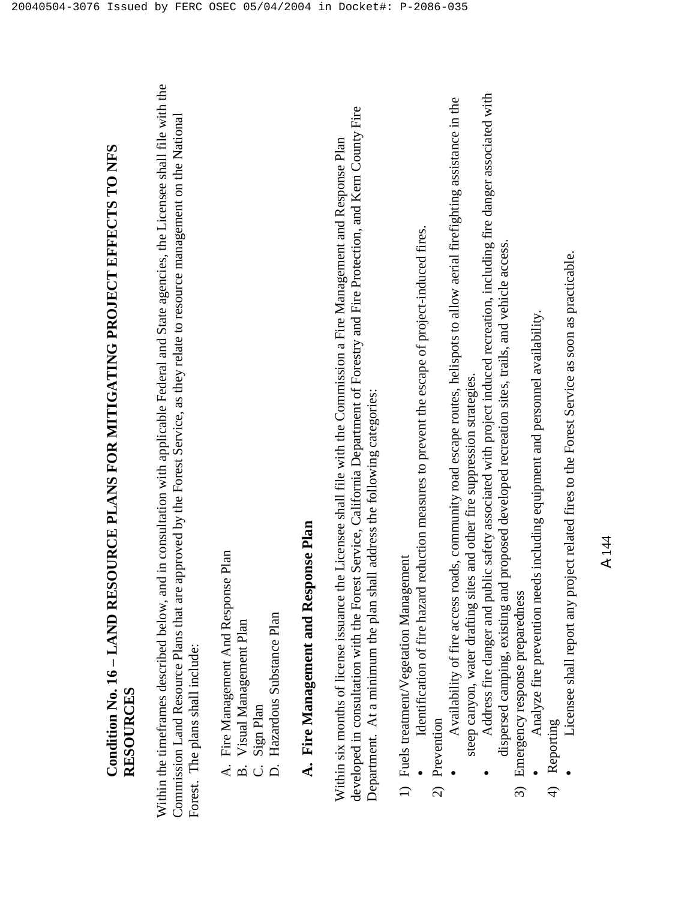## **Condition No. 16 – LAND RESOURCE PLANS FOR MITIGATING PROJECT EFFECTS TO NFS**  Condition No. 16 - LAND RESOURCE PLANS FOR MITIGATING PROJECT EFFECTS TO NFS **RESOURCES**  RESOURCES

Within the timeframes described below, and in consultation with applicable Federal and State agencies, the Licensee shall file with the Within the timeframes described below, and in consultation with applicable Federal and State agencies, the Licensee shall file with the Commission Land Resource Plans that are approved by the Forest Service, as they relate to resource management on the National Commission Land Resource Plans that are approved by the Forest Service, as they relate to resource management on the National Forest. The plans shall include: Forest. The plans shall include:

- A. Fire Management And Response Plan A. Fire Management And Response Plan
	- B. Visual Management Plan B. Visual Management Plan
		- C. Sign Plan C. Sign Plan
- D. Hazardous Substance Plan D. Hazardous Substance Plan

### **A. Fire Management and Response Plan**  A. Fire Management and Response Plan

developed in consultation with the Forest Service, California Department of Forestry and Fire Protection, and Kern County Fire developed in consultation with the Forest Service, California Department of Forestry and Fire Protection, and Kern County Fire Within six months of license issuance the Licensee shall file with the Commission a Fire Management and Response Plan Within six months of license issuance the Licensee shall file with the Commission a Fire Management and Response Plan Department. At a minimum the plan shall address the following categories: Department. At a minimum the plan shall address the following categories:

- 1) Fuels treatment/Vegetation Management 1) Fuels treatment/Vegetation Management
- Identification of fire hazard reduction measures to prevent the escape of project-induced fires. Identification of fire hazard reduction measures to prevent the escape of project-induced fires. •
- 2) Prevention 2) Prevention
- Availability of fire access roads, community road escape routes, helispots to allow aerial firefighting assistance in the Availability of fire access roads, community road escape routes, helispots to allow aerial firefighting assistance in the steep canyon, water drafting sites and other fire suppression strategies. steep canyon, water drafting sites and other fire suppression strategies. •
- Address fire danger and public safety associated with project induced recreation, including fire danger associated with Address fire danger and public safety associated with project induced recreation, including fire danger associated with dispersed camping, existing and proposed developed recreation sites, trails, and vehicle access. dispersed camping, existing and proposed developed recreation sites, trails, and vehicle access. •
	- 3) Emergency response preparedness 3) Emergency response preparedness
- Analyze fire prevention needs including equipment and personnel availability. Analyze fire prevention needs including equipment and personnel availability. •
	- 4) Reporting 4) Reporting

•

 Licensee shall report any project related fires to the Forest Service as soon as practicable. Licensee shall report any project related fires to the Forest Service as soon as practicable.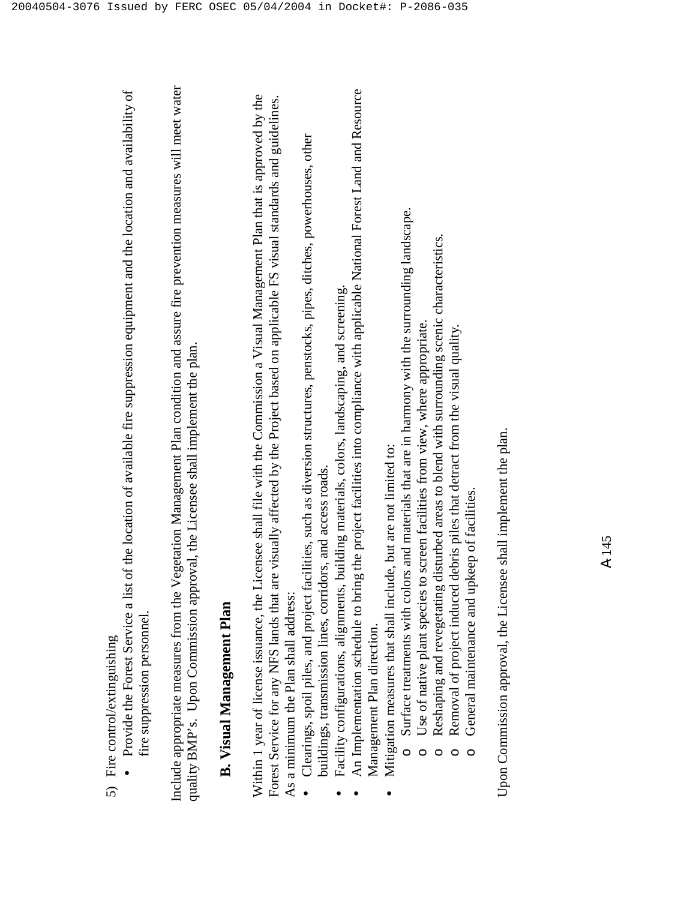|                                         | J   |
|-----------------------------------------|-----|
|                                         |     |
|                                         |     |
| $\alpha$ ytın $\alpha$ nılenin $\alpha$ | ś   |
|                                         |     |
|                                         |     |
|                                         |     |
|                                         |     |
|                                         | j   |
|                                         | ₹   |
|                                         |     |
| Cutur.                                  |     |
|                                         |     |
|                                         | ire |
|                                         |     |
|                                         |     |
|                                         |     |
|                                         |     |
|                                         |     |
|                                         |     |

 Provide the Forest Service a list of the location of available fire suppression equipment and the location and availability of Provide the Forest Service a list of the location of available fire suppression equipment and the location and availability of fire suppression personnel. fire suppression personnel. •

Include appropriate measures from the Vegetation Management Plan condition and assure fire prevention measures will meet water Include appropriate measures from the Vegetation Management Plan condition and assure fire prevention measures will meet water quality BMP's. Upon Commission approval, the Licensee shall implement the plan. quality BMP's. Upon Commission approval, the Licensee shall implement the plan.

#### **B. Visual Management Plan B.** Visual Management Plan

Within 1 year of license issuance, the Licensee shall file with the Commission a Visual Management Plan that is approved by the Forest Service for any NFS lands that are visually affected by the Project based on applicable FS visual standards and guidelines. Within 1 year of license issuance, the Licensee shall file with the Commission a Visual Management Plan that is approved by the Forest Service for any NFS lands that are visually affected by the Project based on applicable FS visual standards and guidelines. As a minimum the Plan shall address: As a minimum the Plan shall address:

- Clearings, spoil piles, and project facilities, such as diversion structures, penstocks, pipes, ditches, powerhouses, other Clearings, spoil piles, and project facilities, such as diversion structures, penstocks, pipes, ditches, powerhouses, other buildings, transmission lines, corridors, and access roads. buildings, transmission lines, corridors, and access roads. •
	- Facility configurations, alignments, building materials, colors, landscaping, and screening. Facility configurations, alignments, building materials, colors, landscaping, and screening. •
- An Implementation schedule to bring the project facilities into compliance with applicable National Forest Land and Resource An Implementation schedule to bring the project facilities into compliance with applicable National Forest Land and Resource Management Plan direction. Management Plan direction. •
- Mitigation measures that shall include, but are not limited to: Mitigation measures that shall include, but are not limited to:

•

- Surface treatments with colors and materials that are in harmony with the surrounding landscape. Surface treatments with colors and materials that are in harmony with the surrounding landscape. o
	- Use of native plant species to screen facilities from view, where appropriate. Use of native plant species to screen facilities from view, where appropriate. o
- Reshaping and revegetating disturbed areas to blend with surrounding scenic characteristics. Reshaping and revegetating disturbed areas to blend with surrounding scenic characteristics. o
- Removal of project induced debris piles that detract from the visual quality. Removal of project induced debris piles that detract from the visual quality. o
	- General maintenance and upkeep of facilities. General maintenance and upkeep of facilities. o

Upon Commission approval, the Licensee shall implement the plan. Upon Commission approval, the Licensee shall implement the plan.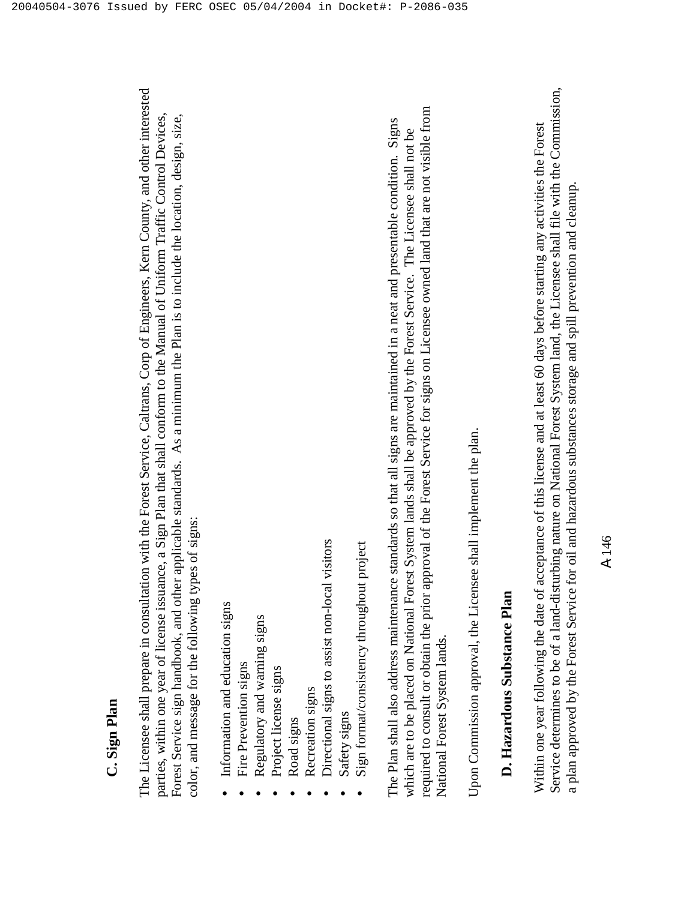The Licensee shall prepare in consultation with the Forest Service, Caltrans, Corp of Engineers, Kern County, and other interested The Licensee shall prepare in consultation with the Forest Service, Caltrans, Corp of Engineers, Kern County, and other interested parties, within one year of license issuance, a Sign Plan that shall conform to the Manual of Uniform Traffic Control Devices, Forest Service sign handbook, and other applicable standards. As a minimum the Plan is to include the location, design, size, parties, within one year of license issuance, a Sign Plan that shall conform to the Manual of Uniform Traffic Control Devices, Forest Service sign handbook, and other applicable standards. As a minimum the Plan is to include the location, design, size, color, and message for the following types of signs: color, and message for the following types of signs:

- Information and education signs Information and education signs •
- Fire Prevention signs Fire Prevention signs •
- Regulatory and warning signs Regulatory and warning signs •
- Project license signs • Project license signs •
	- Road signs Road signs •
- **Recreation signs** Recreation signs •
- Directional signs to assist non-local visitors Directional signs to assist non-local visitors •
	- Safety signs Safety signs •
- Sign format/consistency throughout project Sign format/consistency throughout project •

required to consult or obtain the prior approval of the Forest Service for signs on Licensee owned land that are not visible from required to consult or obtain the prior approval of the Forest Service for signs on Licensee owned land that are not visible from The Plan shall also address maintenance standards so that all signs are maintained in a neat and presentable condition. Signs The Plan shall also address maintenance standards so that all signs are maintained in a neat and presentable condition. Signs which are to be placed on National Forest System lands shall be approved by the Forest Service. The Licensee shall not be which are to be placed on National Forest System lands shall be approved by the Forest Service. The Licensee shall not be National Forest System lands. National Forest System lands.

Upon Commission approval, the Licensee shall implement the plan. Upon Commission approval, the Licensee shall implement the plan.

### **D. Hazardous Substance Plan**  D. Hazardous Substance Plan

Service determines to be of a land-disturbing nature on National Forest System land, the Licensee shall file with the Commission, Service determines to be of a land-disturbing nature on National Forest System land, the Licensee shall file with the Commission, Within one year following the date of acceptance of this license and at least 60 days before starting any activities the Forest Within one year following the date of acceptance of this license and at least 60 days before starting any activities the Forest a plan approved by the Forest Service for oil and hazardous substances storage and spill prevention and cleanup. a plan approved by the Forest Service for oil and hazardous substances storage and spill prevention and cleanup.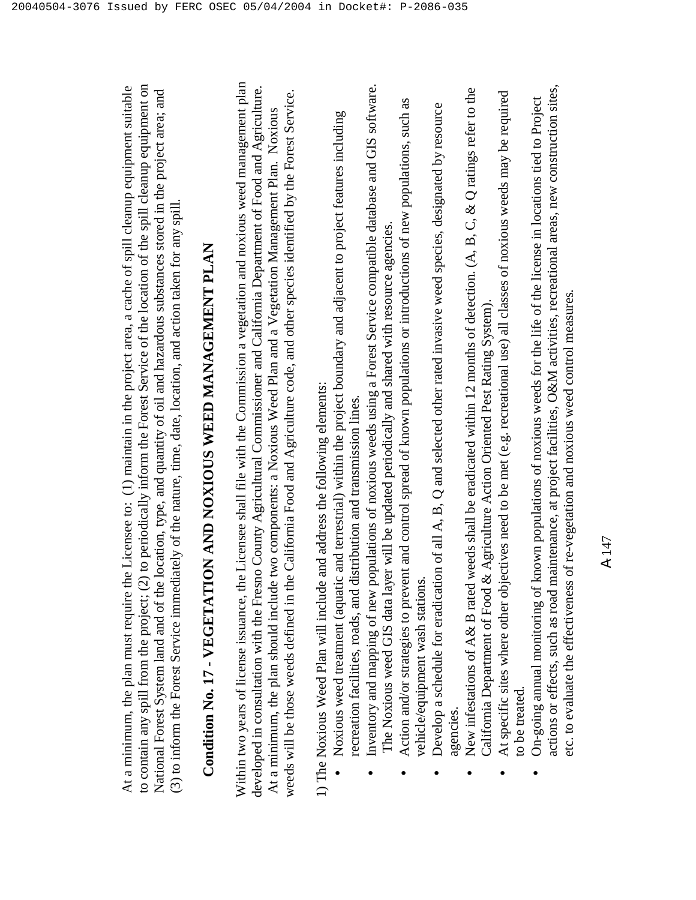to contain any spill from the project; (2) to periodically inform the Forest Service of the location of the spill cleanup equipment on At a minimum, the plan must require the Licensee to: (1) maintain in the project area, a cache of spill cleanup equipment suitable to contain any spill from the project; (2) to periodically inform the Forest Service of the location of the spill cleanup equipment on At a minimum, the plan must require the Licensee to: (1) maintain in the project area, a cache of spill cleanup equipment suitable National Forest System land and of the location, type, and quantity of oil and hazardous substances stored in the project area; and National Forest System land and of the location, type, and quantity of oil and hazardous substances stored in the project area; and (3) to inform the Forest Service immediately of the nature, time, date, location, and action taken for any spill. (3) to inform the Forest Service immediately of the nature, time, date, location, and action taken for any spill.

# **Condition No. 17 - VEGETATION AND NOXIOUS WEED MANAGEMENT PLAN**  Condition No. 17 - VEGETATION AND NOXIOUS WEED MANAGEMENT PLAN

Within two years of license issuance, the Licensee shall file with the Commission a vegetation and noxious weed management plan Within two years of license issuance, the Licensee shall file with the Commission a vegetation and noxious weed management plan developed in consultation with the Fresno County Agricultural Commissioner and California Department of Food and Agriculture. developed in consultation with the Fresno County Agricultural Commissioner and California Department of Food and Agriculture. weeds will be those weeds defined in the California Food and Agriculture code, and other species identified by the Forest Service. weeds will be those weeds defined in the California Food and Agriculture code, and other species identified by the Forest Service. At a minimum, the plan should include two components: a Noxious Weed Plan and a Vegetation Management Plan. Noxious At a minimum, the plan should include two components: a Noxious Weed Plan and a Vegetation Management Plan. Noxious

1) The Noxious Weed Plan will include and address the following elements: 1) The Noxious Weed Plan will include and address the following elements:

- Noxious weed treatment (aquatic and terrestrial) within the project boundary and adjacent to project features including Noxious weed treatment (aquatic and terrestrial) within the project boundary and adjacent to project features including recreation facilities, roads, and distribution and transmission lines. recreation facilities, roads, and distribution and transmission lines. •
- Inventory and mapping of new populations of noxious weeds using a Forest Service compatible database and GIS software. Inventory and mapping of new populations of noxious weeds using a Forest Service compatible database and GIS software. The Noxious weed GIS data layer will be updated periodically and shared with resource agencies. The Noxious weed GIS data layer will be updated periodically and shared with resource agencies. •
- Action and/or strategies to prevent and control spread of known populations or introductions of new populations, such as Action and/or strategies to prevent and control spread of known populations or introductions of new populations, such as vehicle/equipment wash stations. vehicle/equipment wash stations. •
	- Develop a schedule for eradication of all A, B, Q and selected other rated invasive weed species, designated by resource Develop a schedule for eradication of all A, B,  $Q$  and selected other rated invasive weed species, designated by resource agencies. •
- New infestations of A& B rated weeds shall be eradicated within 12 months of detection. (A, B, C, & Q ratings refer to the New infestations of A& B rated weeds shall be eradicated within 12 months of detection. (A, B, C, & Q ratings refer to the California Department of Food & Agriculture Action Oriented Pest Rating System). California Department of Food & Agriculture Action Oriented Pest Rating System). •
	- $\bullet$  At specific sites where other objectives need to be met (e.g. recreational use) all classes of noxious weeds may be required At specific sites where other objectives need to be met (e.g. recreational use) all classes of noxious weeds may be required to be treated. to be treated. •
- actions or effects, such as road maintenance, at project facilities, O&M activities, recreational areas, new construction sites, actions or effects, such as road maintenance, at project facilities, O&M activities, recreational areas, new construction sites, On-going annual monitoring of known populations of noxious weeds for the life of the license in locations tied to Project On-going annual monitoring of known populations of noxious weeds for the life of the license in locations tied to Project etc. to evaluate the effectiveness of re-vegetation and noxious weed control measures. etc. to evaluate the effectiveness of re-vegetation and noxious weed control measures •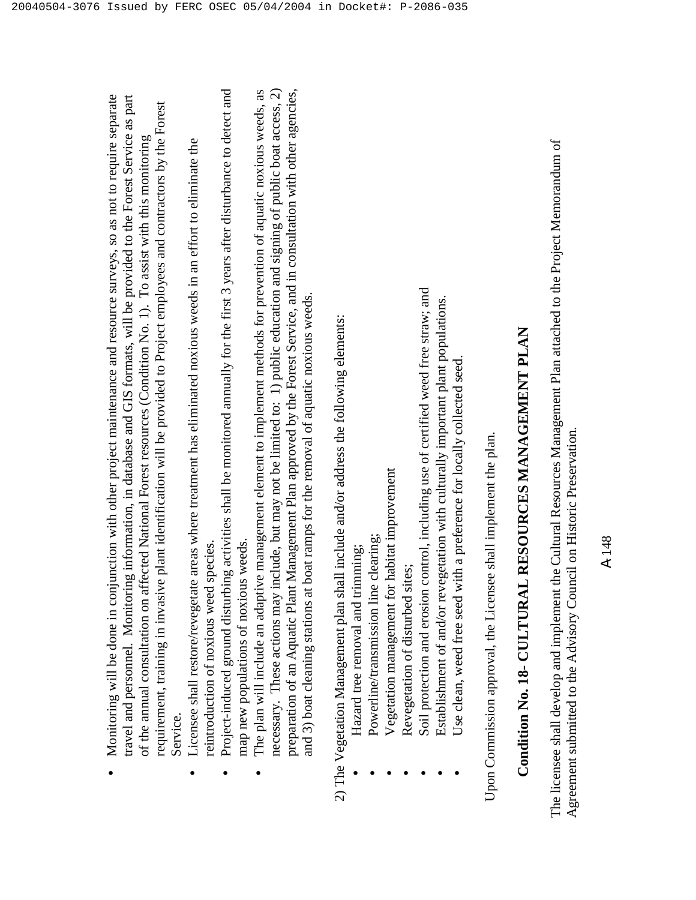| travel and personnel. Monitoring information, in database and GIS formats, will be provided to the Forest Service as part<br>Monitoring will be done in conjunction with other project maintenance and resource surveys, so as not to require separate |
|--------------------------------------------------------------------------------------------------------------------------------------------------------------------------------------------------------------------------------------------------------|
| of the annual consultation on affected National Forest resources (Condition No. 1). To assist with this monitoring                                                                                                                                     |
| requirement, training in invasive plant identification will be provided to Project employees and contractors by the Forest                                                                                                                             |
| Service.                                                                                                                                                                                                                                               |

- Licensee shall restore/revegetate areas where treatment has eliminated noxious weeds in an effort to eliminate the Licensee shall restore/revegetate areas where treatment has eliminated noxious weeds in an effort to eliminate the reintroduction of noxious weed species. reintroduction of noxious weed species. •
- Project-induced ground disturbing activities shall be monitored annually for the first 3 years after disturbance to detect and Project-induced ground disturbing activities shall be monitored annually for the first 3 years after disturbance to detect and map new populations of noxious weeds. map new populations of noxious weeds. •
- necessary. These actions may include, but may not be limited to: 1) public education and signing of public boat access, 2) preparation of an Aquatic Plant Management Plan approved by the Forest Service, and in consultation with other agencies, The plan will include an adaptive management element to implement methods for prevention of aquatic noxious weeds, as preparation of an Aquatic Plant Management Plan approved by the Forest Service, and in consultation with other agencies, The plan will include an adaptive management element to implement methods for prevention of aquatic noxious weeds, as necessary. These actions may include, but may not be limited to: 1) public education and signing of public boat access, 2) and 3) boat cleaning stations at boat ramps for the removal of aquatic noxious weeds. and 3) boat cleaning stations at boat ramps for the removal of aquatic noxious weeds. •

2) The Vegetation Management plan shall include and/or address the following elements: 2) The Vegetation Management plan shall include and/or address the following elements:

 Hazard tree removal and trimming; Hazard tree removal and trimming;

•

•

•

•

•

- Powerline/transmission line clearing; Powerline/transmission line clearing;
- Vegetation management for habitat improvement Vegetation management for habitat improvement
- Revegetation of disturbed sites; Revegetation of disturbed sites; •
- Soil protection and erosion control, including use of certified weed free straw; and Soil protection and erosion control, including use of certified weed free straw; and
	- Establishment of and/or revegetation with culturally important plant populations. Establishment of and/or revegetation with culturally important plant populations.
- Use clean, weed free seed with a preference for locally collected seed. Use clean, weed free seed with a preference for locally collected seed. •

Upon Commission approval, the Licensee shall implement the plan. Upon Commission approval, the Licensee shall implement the plan.

## **Condition No. 18- CULTURAL RESOURCES MANAGEMENT PLAN**  Condition No. 18- CULTURAL RESOURCES MANAGEMENT PLAN

The licensee shall develop and implement the Cultural Resources Management Plan attached to the Project Memorandum of The licensee shall develop and implement the Cultural Resources Management Plan attached to the Project Memorandum of Agreement submitted to the Advisory Council on Historic Preservation. Agreement submitted to the Advisory Council on Historic Preservation.